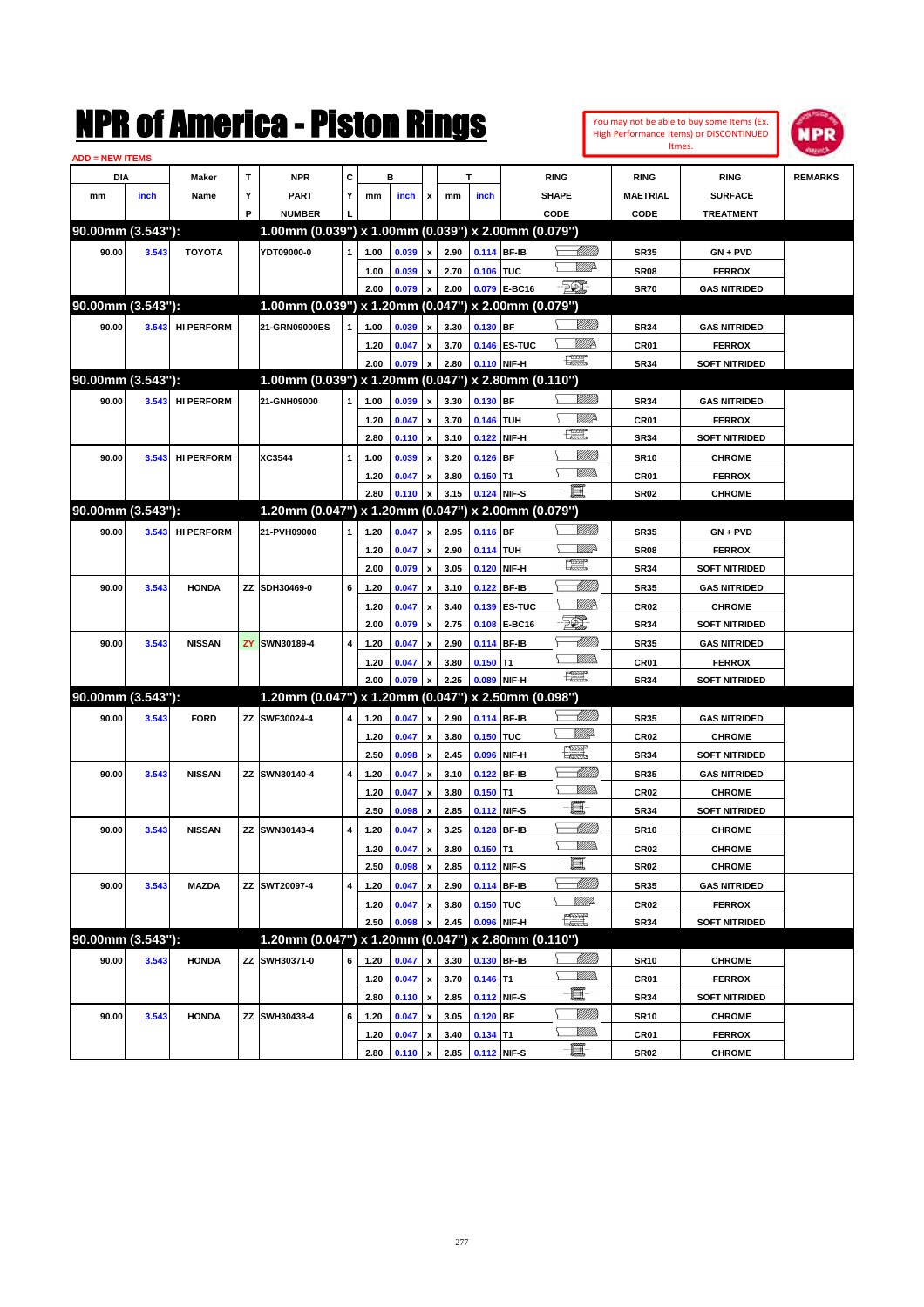| <b>ADD = NEW ITEMS</b> |       |                   |   |                                                     |   |      |                |                           |      |             |              |                         |                  |                      |                |
|------------------------|-------|-------------------|---|-----------------------------------------------------|---|------|----------------|---------------------------|------|-------------|--------------|-------------------------|------------------|----------------------|----------------|
| DIA                    |       | <b>Maker</b>      | т | <b>NPR</b>                                          | C |      | в              |                           |      | т           |              | <b>RING</b>             | <b>RING</b>      | <b>RING</b>          | <b>REMARKS</b> |
| mm                     | inch  | Name              | Y | <b>PART</b>                                         | Y | mm   | inch           | $\mathbf{x}$              | mm   | inch        |              | SHAPE                   | <b>MAETRIAL</b>  | <b>SURFACE</b>       |                |
|                        |       |                   | P | <b>NUMBER</b>                                       |   |      |                |                           |      |             |              | CODE                    | CODE             | <b>TREATMENT</b>     |                |
| 90.00mm (3.543"):      |       |                   |   | 1.00mm (0.039") x 1.00mm (0.039") x 2.00mm (0.079") |   |      |                |                           |      |             |              |                         |                  |                      |                |
| 90.00                  | 3.543 | <b>TOYOTA</b>     |   | YDT09000-0                                          |   | 1.00 | 0.039          | $\boldsymbol{\mathsf{x}}$ | 2.90 | 0.114 BF-IB |              | <u> MM/B</u>            | <b>SR35</b>      | GN + PVD             |                |
|                        |       |                   |   |                                                     |   | 1.00 | 0.039          | $\pmb{\chi}$              | 2.70 | 0.106 TUC   |              | <u>WW</u>               | SR <sub>08</sub> | <b>FERROX</b>        |                |
|                        |       |                   |   |                                                     |   | 2.00 | 0.079          | $\pmb{\chi}$              | 2.00 |             | 0.079 E-BC16 | - 50),                  | <b>SR70</b>      | <b>GAS NITRIDED</b>  |                |
| 90.00mm (3.543"):      |       |                   |   | 1.00mm (0.039") x 1.20mm (0.047") x 2.00mm (0.079") |   |      |                |                           |      |             |              |                         |                  |                      |                |
| 90.00                  | 3.543 | <b>HI PERFORM</b> |   | 21-GRN09000ES                                       |   | 1.00 | 0.039          | $\boldsymbol{\mathsf{x}}$ | 3.30 | 0.130 BF    |              |                         | <b>SR34</b>      | <b>GAS NITRIDED</b>  |                |
|                        |       |                   |   |                                                     |   | 1.20 | 0.047          | $\pmb{\mathsf{x}}$        | 3.70 |             | 0.146 ES-TUC | <u>WW</u> A             | CR01             | <b>FERROX</b>        |                |
|                        |       |                   |   |                                                     |   | 2.00 | 0.079          | $\boldsymbol{\mathsf{x}}$ | 2.80 | 0.110 NIF-H |              | $f_{\rm max}^{\rm exp}$ | <b>SR34</b>      | <b>SOFT NITRIDED</b> |                |
| 90.00mm (3.543"):      |       |                   |   | 1.00mm (0.039") x 1.20mm (0.047") x 2.80mm (0.110") |   |      |                |                           |      |             |              |                         |                  |                      |                |
| 90.00                  | 3.543 | <b>HI PERFORM</b> |   | 21-GNH09000                                         | 1 | 1.00 | 0.039          | $\boldsymbol{\mathsf{x}}$ | 3.30 | 0.130 BF    |              | <u>UMB</u>              | <b>SR34</b>      | <b>GAS NITRIDED</b>  |                |
|                        |       |                   |   |                                                     |   | 1.20 | 0.047          | $\pmb{\mathsf{x}}$        | 3.70 | 0.146 TUH   |              | WMP-                    | CR01             | <b>FERROX</b>        |                |
|                        |       |                   |   |                                                     |   | 2.80 | 0.110          | $\boldsymbol{\mathsf{x}}$ | 3.10 | 0.122       | NIF-H        | R                       | <b>SR34</b>      | <b>SOFT NITRIDED</b> |                |
| 90.00                  | 3.543 | <b>HI PERFORM</b> |   | XC3544                                              | 1 | 1.00 | 0.039          | $\boldsymbol{\mathsf{x}}$ | 3.20 | $0.126$ BF  |              | <br>Viited              | <b>SR10</b>      | <b>CHROME</b>        |                |
|                        |       |                   |   |                                                     |   | 1.20 | 0.047          | x                         | 3.80 | $0.150$ T1  |              | .<br>WWW                | CR01             | <b>FERROX</b>        |                |
|                        |       |                   |   |                                                     |   | 2.80 | 0.110          | $\boldsymbol{\mathsf{x}}$ | 3.15 | 0.124 NIF-S |              | ·E                      | <b>SR02</b>      | <b>CHROME</b>        |                |
| 90.00mm (3.543"):      |       |                   |   | 1.20mm (0.047") x 1.20mm (0.047") x 2.00mm (0.079") |   |      |                |                           |      |             |              |                         |                  |                      |                |
| 90.00                  | 3.543 | <b>HI PERFORM</b> |   | 21-PVH09000                                         |   | 1.20 | 0.047          | $\pmb{\mathsf{x}}$        | 2.95 | $0.116$ BF  |              |                         | <b>SR35</b>      | GN + PVD             |                |
|                        |       |                   |   |                                                     |   | 1.20 | 0.047          | $\pmb{\mathsf{x}}$        | 2.90 | 0.114 TUH   |              | WMP-                    | SR <sub>08</sub> | <b>FERROX</b>        |                |
|                        |       |                   |   |                                                     |   | 2.00 | 0.079          | $\boldsymbol{\mathsf{x}}$ | 3.05 | 0.120       | NIF-H        | œ                       | <b>SR34</b>      | <b>SOFT NITRIDED</b> |                |
| 90.00                  | 3.543 | <b>HONDA</b>      |   | ZZ SDH30469-0                                       | 6 | 1.20 | 0.047          | $\boldsymbol{\mathsf{x}}$ | 3.10 | 0.122       | <b>BF-IB</b> | <u> Millitt</u>         | <b>SR35</b>      | <b>GAS NITRIDED</b>  |                |
|                        |       |                   |   |                                                     |   | 1.20 | 0.047          | $\pmb{\mathsf{x}}$        | 3.40 |             | 0.139 ES-TUC | <u>Willik</u>           | <b>CR02</b>      | <b>CHROME</b>        |                |
|                        |       |                   |   |                                                     |   | 2.00 | 0.079          | $\pmb{\mathsf{x}}$        | 2.75 |             | 0.108 E-BC16 | EO)                     | <b>SR34</b>      | <b>SOFT NITRIDED</b> |                |
| 90.00                  | 3.543 | <b>NISSAN</b>     |   | <b>ZY SWN30189-4</b>                                | 4 | 1.20 | 0.047          | x                         | 2.90 |             | 0.114 BF-IB  | <u> MMB</u>             | <b>SR35</b>      | <b>GAS NITRIDED</b>  |                |
|                        |       |                   |   |                                                     |   | 1.20 | 0.047          | x                         | 3.80 | $0.150$ T1  |              | <u>MM)</u>              | CR01             | <b>FERROX</b>        |                |
|                        |       |                   |   |                                                     |   | 2.00 | 0.079          | $\pmb{\mathsf{x}}$        | 2.25 |             | 0.089 NIF-H  | R                       | <b>SR34</b>      | <b>SOFT NITRIDED</b> |                |
| 90.00mm (3.543"):      |       |                   |   | 1.20mm (0.047") x 1.20mm (0.047") x 2.50mm (0.098") |   |      |                |                           |      |             |              |                         |                  |                      |                |
| 90.00                  | 3.543 | <b>FORD</b>       |   | ZZ SWF30024-4                                       |   | 1.20 | 0.047          | $\boldsymbol{\mathsf{x}}$ | 2.90 |             | 0.114 BF-IB  | <u> MMB</u>             | <b>SR35</b>      | <b>GAS NITRIDED</b>  |                |
|                        |       |                   |   |                                                     |   | 1.20 | 0.047          | $\pmb{\mathsf{x}}$        | 3.80 | 0.150 TUC   |              | <u>MM</u>               | <b>CR02</b>      | <b>CHROME</b>        |                |
|                        |       |                   |   |                                                     |   | 2.50 | 0.098          | $\pmb{\mathsf{x}}$        | 2.45 | 0.096       | NIF-H        | <u>tall</u>             | <b>SR34</b>      | <b>SOFT NITRIDED</b> |                |
| 90.00                  | 3.543 | <b>NISSAN</b>     |   | ZZ SWN30140-4                                       | 4 | 1.20 | 0.047          | x                         | 3.10 | 0.122       | <b>BF-IB</b> |                         | <b>SR35</b>      | <b>GAS NITRIDED</b>  |                |
|                        |       |                   |   |                                                     |   | 1.20 | 0.047          | $\pmb{\mathsf{x}}$        | 3.80 | $0.150$ T1  |              | <u>MMs</u>              | <b>CR02</b>      | <b>CHROME</b>        |                |
|                        |       |                   |   |                                                     |   | 2.50 | 0.098          | $\boldsymbol{\mathsf{x}}$ | 2.85 | 0.112 NIF-S |              | E                       | <b>SR34</b>      | <b>SOFT NITRIDED</b> |                |
| 90.00                  | 3.543 | <b>NISSAN</b>     |   | ZZ SWN30143-4                                       | 4 | 1.20 | 0.047          | $\pmb{\mathsf{x}}$        | 3.25 | 0.128 BF-IB |              | <u> MMB</u>             | <b>SR10</b>      | <b>CHROME</b>        |                |
|                        |       |                   |   |                                                     |   | 1.20 | 0.047          | x                         | 3.80 | $0.150$ T1  |              | <u>MM)</u>              | <b>CR02</b>      | <b>CHROME</b>        |                |
|                        |       |                   |   |                                                     |   | 2.50 | 0.098          | $\pmb{\mathsf{x}}$        | 2.85 | 0.112 NIF-S |              | E                       | <b>SR02</b>      | <b>CHROME</b>        |                |
| 90.00                  | 3.543 | <b>MAZDA</b>      |   | ZZ SWT20097-4                                       | 4 | 1.20 | 0.047          | $\pmb{\mathsf{x}}$        | 2.90 |             | 0.114 BF-IB  | <u> MMM)</u>            | <b>SR35</b>      | <b>GAS NITRIDED</b>  |                |
|                        |       |                   |   |                                                     |   | 1.20 | 0.047          | $\pmb{\mathsf{x}}$        | 3.80 | 0.150 TUC   |              | <u>MM</u>               | CR <sub>02</sub> | <b>FERROX</b>        |                |
|                        |       |                   |   |                                                     |   | 2.50 | 0.098          | $\pmb{\mathsf{x}}$        | 2.45 |             | 0.096 NIF-H  | <b>POSSE</b>            | <b>SR34</b>      | <b>SOFT NITRIDED</b> |                |
| 90.00mm (3.543"):      |       |                   |   | 1.20mm (0.047") x 1.20mm (0.047") x 2.80mm (0.110") |   |      |                |                           |      |             |              |                         |                  |                      |                |
| 90.00                  | 3.543 | <b>HONDA</b>      |   | ZZ SWH30371-0                                       | 6 | 1.20 | 0.047          | $\pmb{\mathsf{x}}$        | 3.30 |             | 0.130 BF-IB  | <u> - Millidd</u>       | <b>SR10</b>      | <b>CHROME</b>        |                |
|                        |       |                   |   |                                                     |   | 1.20 | 0.047          | x                         | 3.70 | $0.146$ T1  |              | <u>- Millis</u>         | CR01             | <b>FERROX</b>        |                |
|                        |       |                   |   |                                                     |   | 2.80 | $0.110 \times$ |                           | 2.85 |             | 0.112 NIF-S  |                         | <b>SR34</b>      | <b>SOFT NITRIDED</b> |                |
| 90.00                  | 3.543 | <b>HONDA</b>      |   | ZZ SWH30438-4                                       | 6 | 1.20 | 0.047          | x                         | 3.05 | $0.120$ BF  |              | <u>MM</u>               | <b>SR10</b>      | <b>CHROME</b>        |                |
|                        |       |                   |   |                                                     |   | 1.20 | 0.047          |                           | 3.40 | $0.134$ T1  |              | <u>MMs</u>              | CR01             | <b>FERROX</b>        |                |
|                        |       |                   |   |                                                     |   | 2.80 | 0.110          | $\pmb{\mathsf{x}}$        | 2.85 | 0.112 NIF-S |              | $\blacksquare$          | <b>SR02</b>      | <b>CHROME</b>        |                |

You may not be able to buy some Items (Ex. High Performance Items) or DISCONTINUED Itmes.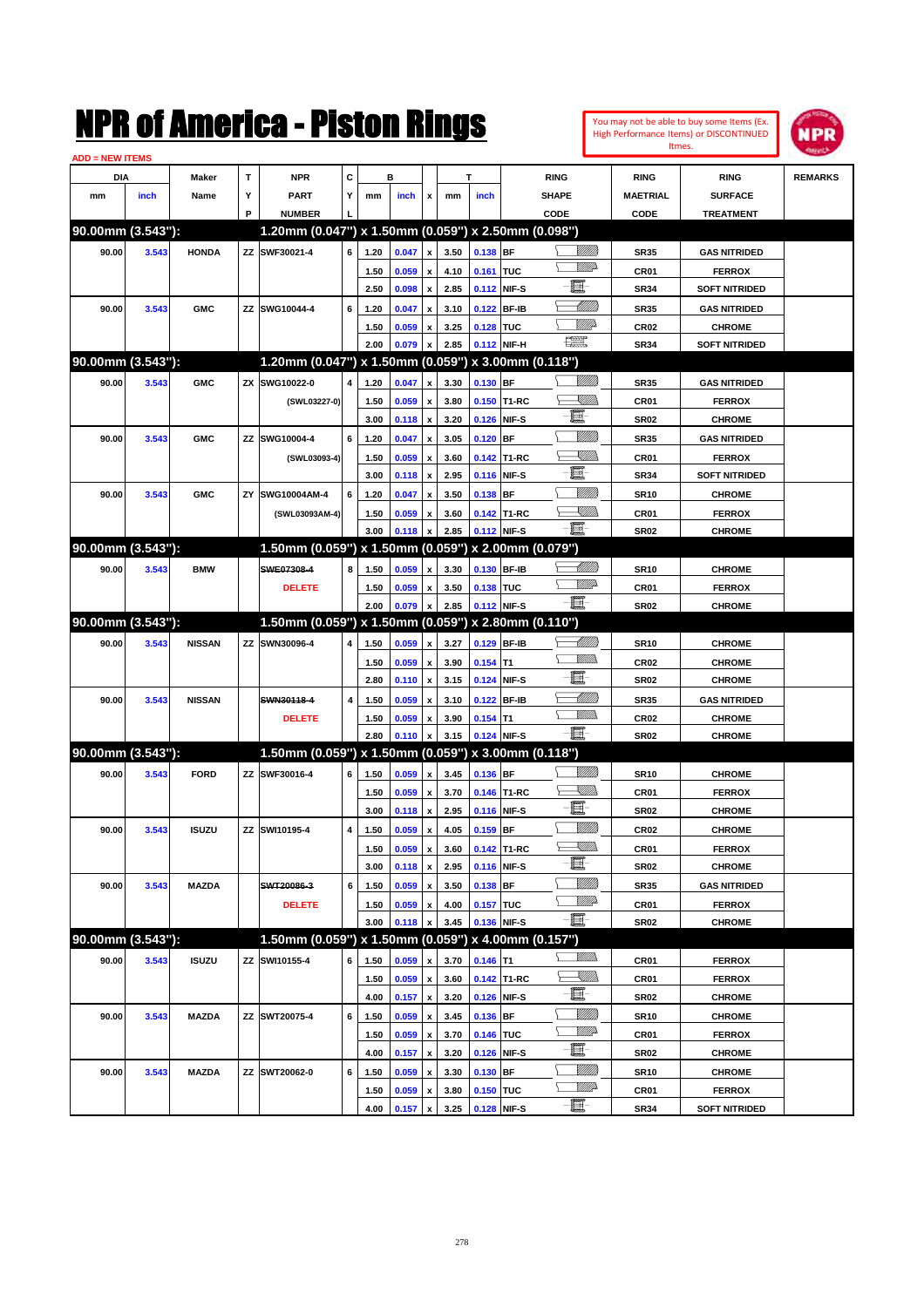

| <b>ADD = NEW ITEMS</b> |       |               |    |                                                     |   |      |       |                           |      |             |             |                   |                  |                      |                |
|------------------------|-------|---------------|----|-----------------------------------------------------|---|------|-------|---------------------------|------|-------------|-------------|-------------------|------------------|----------------------|----------------|
| DIA                    |       | Maker         | т  | <b>NPR</b>                                          | С |      | в     |                           |      | т           |             | <b>RING</b>       | <b>RING</b>      | <b>RING</b>          | <b>REMARKS</b> |
| mm                     | inch  | Name          | Υ  | PART                                                | Y | mm   | inch  | x                         | mm   | inch        |             | <b>SHAPE</b>      | <b>MAETRIAL</b>  | <b>SURFACE</b>       |                |
|                        |       |               | P  | <b>NUMBER</b>                                       |   |      |       |                           |      |             |             | CODE              | CODE             | <b>TREATMENT</b>     |                |
| 90.00mm (3.543"):      |       |               |    | 1.20mm (0.047") x 1.50mm (0.059") x 2.50mm (0.098") |   |      |       |                           |      |             |             |                   |                  |                      |                |
| 90.00                  | 3.543 | <b>HONDA</b>  |    | ZZ SWF30021-4                                       | 6 | 1.20 | 0.047 | x                         | 3.50 | 0.138 BF    |             | <u>Sillilli</u>   | <b>SR35</b>      | <b>GAS NITRIDED</b>  |                |
|                        |       |               |    |                                                     |   | 1.50 | 0.059 | x                         | 4.10 | 0.161 TUC   |             | <u>VMD</u>        | CR01             | <b>FERROX</b>        |                |
|                        |       |               |    |                                                     |   | 2.50 | 0.098 | x                         | 2.85 | 0.112 NIF-S |             | E                 | <b>SR34</b>      | <b>SOFT NITRIDED</b> |                |
| 90.00                  | 3.543 | <b>GMC</b>    |    | ZZ SWG10044-4                                       | 6 | 1.20 | 0.047 | x                         | 3.10 |             | 0.122 BF-IB | <u> UMM</u>       | <b>SR35</b>      | <b>GAS NITRIDED</b>  |                |
|                        |       |               |    |                                                     |   | 1.50 | 0.059 | x                         | 3.25 | 0.128 TUC   |             | <u>MW</u> A       | <b>CR02</b>      | <b>CHROME</b>        |                |
|                        |       |               |    |                                                     |   | 2.00 | 0.079 |                           | 2.85 |             | 0.112 NIF-H | 鱱                 | <b>SR34</b>      | <b>SOFT NITRIDED</b> |                |
| 90.00mm (3.543"):      |       |               |    | 1.20mm (0.047") x 1.50mm (0.059") x 3.00mm (0.118") |   |      |       |                           |      |             |             |                   |                  |                      |                |
| 90.00                  | 3.543 | <b>GMC</b>    |    | ZX SWG10022-0                                       | 4 | 1.20 | 0.047 | x                         | 3.30 | 0.130 BF    |             |                   | <b>SR35</b>      | <b>GAS NITRIDED</b>  |                |
|                        |       |               |    | (SWL03227-0)                                        |   | 1.50 | 0.059 | x                         | 3.80 |             | 0.150 T1-RC | <u>Sillin</u>     | CR01             | <b>FERROX</b>        |                |
|                        |       |               |    |                                                     |   | 3.00 | 0.118 | $\pmb{\mathsf{x}}$        | 3.20 |             | 0.126 NIF-S | e                 | <b>SR02</b>      | <b>CHROME</b>        |                |
| 90.00                  | 3.543 | <b>GMC</b>    |    | ZZ SWG10004-4                                       | 6 | 1.20 | 0.047 | x                         | 3.05 | $0.120$ BF  |             | <u>UMM</u>        | <b>SR35</b>      | <b>GAS NITRIDED</b>  |                |
|                        |       |               |    | (SWL03093-4)                                        |   | 1.50 | 0.059 | x                         | 3.60 |             | 0.142 T1-RC | <u>Sillin</u>     | CR01             | <b>FERROX</b>        |                |
|                        |       |               |    |                                                     |   | 3.00 | 0.118 | x                         | 2.95 |             | 0.116 NIF-S | E                 | <b>SR34</b>      | <b>SOFT NITRIDED</b> |                |
| 90.00                  | 3.543 | <b>GMC</b>    | ZY | SWG10004AM-4                                        | 6 | 1.20 | 0.047 | x                         | 3.50 | $0.138$ BF  |             | WMM)              | <b>SR10</b>      | <b>CHROME</b>        |                |
|                        |       |               |    | (SWL03093AM-4)                                      |   | 1.50 | 0.059 | x                         | 3.60 |             | 0.142 T1-RC | <u>XMMs</u>       | CR01             | <b>FERROX</b>        |                |
|                        |       |               |    |                                                     |   | 3.00 | 0.118 |                           | 2.85 | 0.112 NIF-S |             | -E.               | <b>SR02</b>      | <b>CHROME</b>        |                |
| 90.00mm (3.543"):      |       |               |    | 1.50mm (0.059") x 1.50mm (0.059")                   |   |      |       |                           |      |             |             | x 2.00mm (0.079") |                  |                      |                |
| 90.00                  | 3.543 | <b>BMW</b>    |    | SWE07308-4                                          | 8 | 1.50 | 0.059 | x                         | 3.30 | 0.130 BF-IB |             | <u> MM)</u>       | <b>SR10</b>      | <b>CHROME</b>        |                |
|                        |       |               |    | <b>DELETE</b>                                       |   | 1.50 | 0.059 | x                         | 3.50 | 0.138 TUC   |             | <u>WW</u>         | CR01             | <b>FERROX</b>        |                |
|                        |       |               |    |                                                     |   | 2.00 | 0.079 | x                         | 2.85 | 0.112 NIF-S |             | -8                | <b>SR02</b>      | <b>CHROME</b>        |                |
| 90.00mm (3.543"):      |       |               |    | 1.50mm (0.059") x 1.50mm (0.059") x 2.80mm (0.110") |   |      |       |                           |      |             |             |                   |                  |                      |                |
| 90.00                  | 3.543 | <b>NISSAN</b> |    | ZZ SWN30096-4                                       | 4 | 1.50 | 0.059 | x                         | 3.27 |             | 0.129 BF-IB | <u> MMW</u> )     | <b>SR10</b>      | <b>CHROME</b>        |                |
|                        |       |               |    |                                                     |   | 1.50 | 0.059 | x                         | 3.90 | $0.154$ T1  |             | <br>Mad           | CR <sub>02</sub> | <b>CHROME</b>        |                |
|                        |       |               |    |                                                     |   | 2.80 | 0.110 | x                         | 3.15 |             | 0.124 NIF-S | 圓                 | <b>SR02</b>      | <b>CHROME</b>        |                |
| 90.00                  | 3.543 | <b>NISSAN</b> |    | SWN30118-4                                          | 4 | 1.50 | 0.059 |                           | 3.10 |             | 0.122 BF-IB | MMB               | <b>SR35</b>      | <b>GAS NITRIDED</b>  |                |
|                        |       |               |    | <b>DELETE</b>                                       |   | 1.50 | 0.059 | x                         | 3.90 | $0.154$ T1  |             | <br>Mar           | CR <sub>02</sub> | <b>CHROME</b>        |                |
|                        |       |               |    |                                                     |   | 2.80 | 0.110 |                           | 3.15 | 0.124 NIF-S |             | -8                | <b>SR02</b>      | <b>CHROME</b>        |                |
| 90.00mm (3.543"):      |       |               |    | 1.50mm (0.059") x 1.50mm (0.059") x 3.00mm (0.118") |   |      |       |                           |      |             |             |                   |                  |                      |                |
| 90.00                  | 3.543 | <b>FORD</b>   |    | ZZ SWF30016-4                                       | 6 | 1.50 | 0.059 | x                         | 3.45 | 0.136 BF    |             | <u>UMM</u>        | <b>SR10</b>      | <b>CHROME</b>        |                |
|                        |       |               |    |                                                     |   | 1.50 | 0.059 | $\boldsymbol{\mathsf{x}}$ | 3.70 |             | 0.146 T1-RC | <u>Sillin</u>     | CR01             | <b>FERROX</b>        |                |
|                        |       |               |    |                                                     |   | 3.00 | 0.118 | x                         | 2.95 |             | 0.116 NIF-S | E                 | <b>SR02</b>      | <b>CHROME</b>        |                |
| 90.00                  | 3.543 | <b>ISUZU</b>  |    | ZZ SWI10195-4                                       | 4 | 1.50 | 0.059 | x                         | 4.05 | 0.159 BF    |             | WMM)              | <b>CR02</b>      | <b>CHROME</b>        |                |
|                        |       |               |    |                                                     |   | 1.50 | 0.059 | $\pmb{\mathsf{x}}$        | 3.60 |             | 0.142 T1-RC | <u>Sillin</u>     | CR01             | <b>FERROX</b>        |                |
|                        |       |               |    |                                                     |   | 3.00 | 0.118 | $\pmb{\mathsf{x}}$        | 2.95 |             | 0.116 NIF-S | E                 | <b>SR02</b>      | <b>CHROME</b>        |                |
| 90.00                  | 3.543 | MAZDA         |    | SWT20086-3                                          | 6 | 1.50 | 0.059 | x                         | 3.50 | 0.138 BF    |             | <u>UMM</u>        | <b>SR35</b>      | <b>GAS NITRIDED</b>  |                |
|                        |       |               |    | <b>DELETE</b>                                       |   | 1.50 | 0.059 | x                         | 4.00 | 0.157 TUC   |             | ₩₩                | CR01             | <b>FERROX</b>        |                |
|                        |       |               |    |                                                     |   | 3.00 | 0.118 |                           | 3.45 |             | 0.136 NIF-S | -8                | <b>SR02</b>      | <b>CHROME</b>        |                |
| 90.00mm (3.543"):      |       |               |    | 1.50mm (0.059") x 1.50mm (0.059") x 4.00mm (0.157") |   |      |       |                           |      |             |             |                   |                  |                      |                |
| 90.00                  | 3.543 | <b>ISUZU</b>  |    | ZZ SWI10155-4                                       | 6 | 1.50 | 0.059 | x                         | 3.70 | $0.146$ T1  |             | <u>MM)</u>        | CR01             | <b>FERROX</b>        |                |
|                        |       |               |    |                                                     |   | 1.50 | 0.059 | x                         | 3.60 |             | 0.142 T1-RC | <u>— Ullibr</u>   | CR01             | <b>FERROX</b>        |                |
|                        |       |               |    |                                                     |   | 4.00 | 0.157 | $\pmb{\mathsf{x}}$        | 3.20 |             | 0.126 NIF-S | e                 | <b>SR02</b>      | <b>CHROME</b>        |                |
| 90.00                  | 3.543 | MAZDA         |    | ZZ SWT20075-4                                       | 6 | 1.50 | 0.059 | x                         | 3.45 | 0.136 BF    |             | <u>Milli</u> h    | <b>SR10</b>      | <b>CHROME</b>        |                |
|                        |       |               |    |                                                     |   | 1.50 | 0.059 | x                         | 3.70 | 0.146 TUC   |             | <u>WW</u>         | CR01             | <b>FERROX</b>        |                |
|                        |       |               |    |                                                     |   | 4.00 | 0.157 | $\pmb{\mathsf{x}}$        | 3.20 |             | 0.126 NIF-S | e.                | <b>SR02</b>      | <b>CHROME</b>        |                |
| 90.00                  | 3.543 | <b>MAZDA</b>  |    | ZZ SWT20062-0                                       | 6 | 1.50 | 0.059 | x                         | 3.30 | 0.130 BF    |             | <u>MMM</u>        | <b>SR10</b>      | <b>CHROME</b>        |                |
|                        |       |               |    |                                                     |   | 1.50 | 0.059 | x                         | 3.80 | 0.150 TUC   |             | <u>WW</u>         | CR01             | <b>FERROX</b>        |                |
|                        |       |               |    |                                                     |   | 4.00 | 0.157 | $\pmb{\mathsf{x}}$        | 3.25 | 0.128 NIF-S |             | -8                | <b>SR34</b>      | <b>SOFT NITRIDED</b> |                |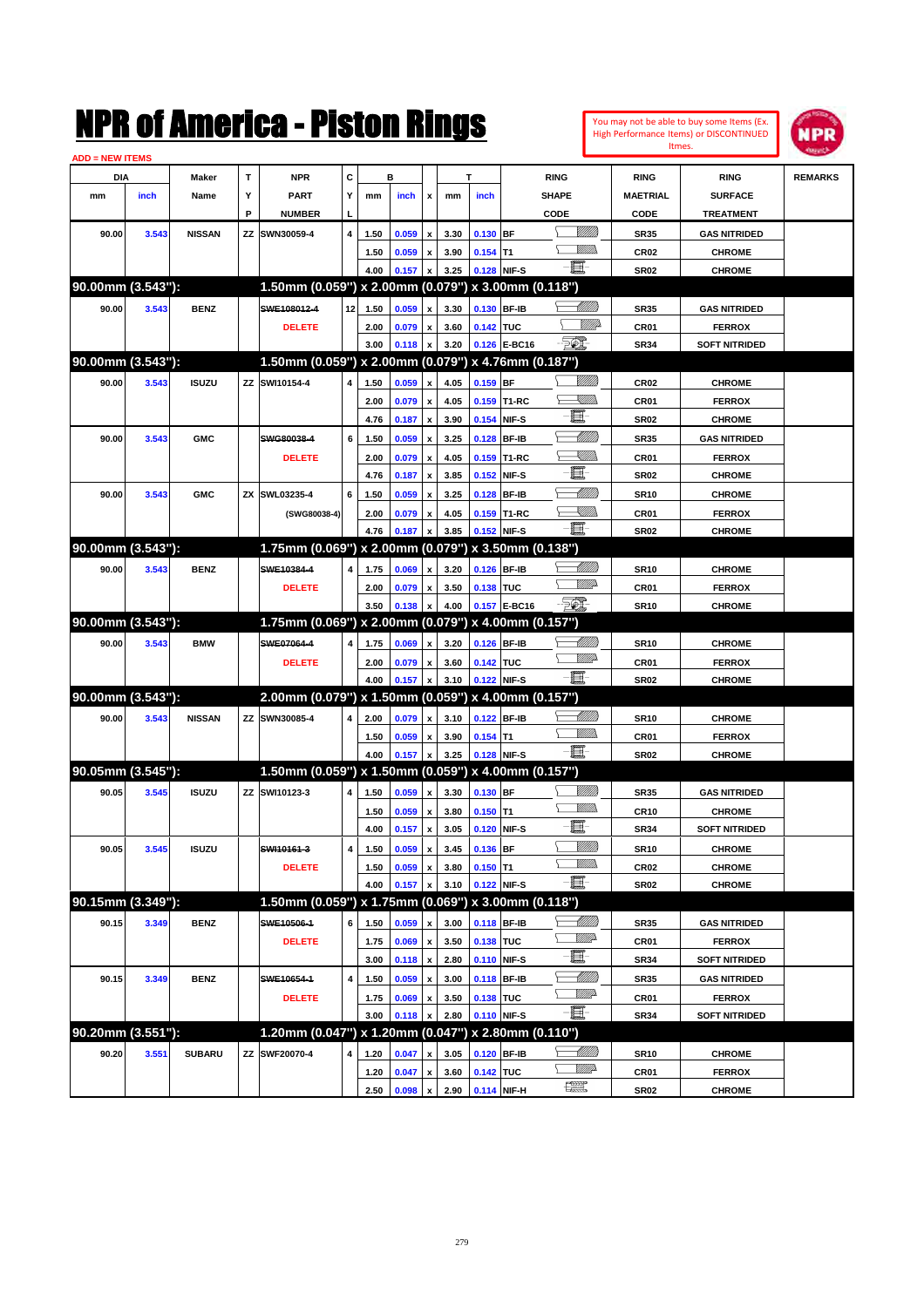|                        |       |               |    | NMK OI AINCrica - Miston Kings                      |    |      |       |                    |      |            |              |                                                                                                                                                                                                                                 |                            |                  | You may not be able to buy some Items (Ex.<br>High Performance Items) or DISCONTINUED | IPR            |
|------------------------|-------|---------------|----|-----------------------------------------------------|----|------|-------|--------------------|------|------------|--------------|---------------------------------------------------------------------------------------------------------------------------------------------------------------------------------------------------------------------------------|----------------------------|------------------|---------------------------------------------------------------------------------------|----------------|
| <b>ADD = NEW ITEMS</b> |       |               |    |                                                     |    |      |       |                    |      |            |              |                                                                                                                                                                                                                                 |                            |                  | Itmes.                                                                                |                |
| DIA                    |       | Maker         | T  | <b>NPR</b>                                          | c  |      | в     |                    |      | т          |              | <b>RING</b>                                                                                                                                                                                                                     |                            | <b>RING</b>      | <b>RING</b>                                                                           | <b>REMARKS</b> |
| mm                     | inch  | Name          | Υ  | <b>PART</b>                                         | Υ  | mm   | inch  | x                  | mm   | inch       |              | SHAPE                                                                                                                                                                                                                           |                            | <b>MAETRIAL</b>  | <b>SURFACE</b>                                                                        |                |
|                        |       |               | P  | <b>NUMBER</b>                                       |    |      |       |                    |      |            |              | CODE                                                                                                                                                                                                                            |                            | CODE             | <b>TREATMENT</b>                                                                      |                |
| 90.00                  | 3.543 | <b>NISSAN</b> |    | ZZ SWN30059-4                                       | 4  | 1.50 | 0.059 | X                  | 3.30 | 0.130 BF   |              |                                                                                                                                                                                                                                 | <u>Villida</u>             | <b>SR35</b>      | <b>GAS NITRIDED</b>                                                                   |                |
|                        |       |               |    |                                                     |    | 1.50 | 0.059 | $\pmb{\mathsf{x}}$ | 3.90 | $0.154$ T1 |              |                                                                                                                                                                                                                                 | <br>Mad                    | <b>CR02</b>      | <b>CHROME</b>                                                                         |                |
|                        |       |               |    |                                                     |    | 4.00 | 0.157 | X                  | 3.25 |            | 0.128 NIF-S  | E.                                                                                                                                                                                                                              |                            | <b>SR02</b>      | <b>CHROME</b>                                                                         |                |
| 90.00mm (3.543"):      |       |               |    | 1.50mm (0.059") x 2.00mm (0.079") x 3.00mm (0.118") |    |      |       |                    |      |            |              |                                                                                                                                                                                                                                 |                            |                  |                                                                                       |                |
| 90.00                  | 3.543 | <b>BENZ</b>   |    | SWE108012-4                                         | 12 | 1.50 | 0.059 | x                  | 3.30 |            | 0.130 BF-IB  |                                                                                                                                                                                                                                 | <u>UMB</u>                 | <b>SR35</b>      | <b>GAS NITRIDED</b>                                                                   |                |
|                        |       |               |    | <b>DELETE</b>                                       |    | 2.00 | 0.079 | $\pmb{\mathsf{x}}$ | 3.60 | 0.142 TUC  |              |                                                                                                                                                                                                                                 | <u>VIIItä</u>              | CR01             | <b>FERROX</b>                                                                         |                |
|                        |       |               |    |                                                     |    | 3.00 | 0.118 | X                  | 3.20 |            | 0.126 E-BC16 | <b>FOX</b>                                                                                                                                                                                                                      |                            | <b>SR34</b>      | <b>SOFT NITRIDED</b>                                                                  |                |
| 90.00mm (3.543"):      |       |               |    | 1.50mm (0.059") x 2.00mm (0.079") x 4.76mm (0.187") |    |      |       |                    |      |            |              |                                                                                                                                                                                                                                 |                            |                  |                                                                                       |                |
| 90.00                  | 3.543 | <b>ISUZU</b>  |    | ZZ SWI10154-4                                       | 4  |      |       | $\mathbf{x}$       |      |            |              |                                                                                                                                                                                                                                 | <u>VIII M</u>              |                  |                                                                                       |                |
|                        |       |               |    |                                                     |    | 1.50 | 0.059 |                    | 4.05 | $0.159$ BF |              |                                                                                                                                                                                                                                 | <u>SUMB</u>                | CR <sub>02</sub> | <b>CHROME</b>                                                                         |                |
|                        |       |               |    |                                                     |    | 2.00 | 0.079 | $\pmb{\mathsf{x}}$ | 4.05 |            | 0.159 T1-RC  | E                                                                                                                                                                                                                               |                            | CR01             | <b>FERROX</b>                                                                         |                |
|                        |       |               |    |                                                     |    | 4.76 | 0.187 | $\mathbf{x}$       | 3.90 |            | 0.154 NIF-S  |                                                                                                                                                                                                                                 |                            | <b>SR02</b>      | <b>CHROME</b>                                                                         |                |
| 90.00                  | 3.543 | <b>GMC</b>    |    | SWG80038-4                                          | 6  | 1.50 | 0.059 | X                  | 3.25 |            | 0.128 BF-IB  |                                                                                                                                                                                                                                 | <u>UMB</u>                 | <b>SR35</b>      | <b>GAS NITRIDED</b>                                                                   |                |
|                        |       |               |    | <b>DELETE</b>                                       |    | 2.00 | 0.079 | X                  | 4.05 | 0.159      | T1-RC        | E.                                                                                                                                                                                                                              | <u>SMM</u>                 | CR01             | <b>FERROX</b>                                                                         |                |
|                        |       |               |    |                                                     |    | 4.76 | 0.187 | X                  | 3.85 |            | 0.152 NIF-S  |                                                                                                                                                                                                                                 |                            | <b>SR02</b>      | <b>CHROME</b>                                                                         |                |
| 90.00                  | 3.543 | <b>GMC</b>    |    | ZX SWL03235-4                                       | 6  | 1.50 | 0.059 | x                  | 3.25 | 0.128      | <b>BF-IB</b> |                                                                                                                                                                                                                                 | <u> UMM</u>                | <b>SR10</b>      | <b>CHROME</b>                                                                         |                |
|                        |       |               |    | (SWG80038-4)                                        |    | 2.00 | 0.079 | X                  | 4.05 |            | 0.159 T1-RC  |                                                                                                                                                                                                                                 | <u>SMM</u>                 | CR01             | <b>FERROX</b>                                                                         |                |
|                        |       |               |    |                                                     |    | 4.76 | 0.187 | x                  | 3.85 |            | 0.152 NIF-S  | -6                                                                                                                                                                                                                              |                            | <b>SR02</b>      | <b>CHROME</b>                                                                         |                |
| 90.00mm (3.543"):      |       |               |    | 1.75mm (0.069") x 2.00mm (0.079") x 3.50mm (0.138") |    |      |       |                    |      |            |              |                                                                                                                                                                                                                                 |                            |                  |                                                                                       |                |
| 90.00                  | 3.543 | <b>BENZ</b>   |    | SWE10384-4                                          | 4  | 1.75 | 0.069 | $\pmb{\mathsf{x}}$ | 3.20 |            | 0.126 BF-IB  |                                                                                                                                                                                                                                 | <u> UMB</u>                | <b>SR10</b>      | <b>CHROME</b>                                                                         |                |
|                        |       |               |    | <b>DELETE</b>                                       |    | 2.00 | 0.079 | $\pmb{\mathsf{x}}$ | 3.50 | 0.138 TUC  |              |                                                                                                                                                                                                                                 | <u>MMP</u>                 | CR01             | <b>FERROX</b>                                                                         |                |
|                        |       |               |    |                                                     |    | 3.50 | 0.138 | X                  | 4.00 |            | 0.157 E-BC16 | FOI.                                                                                                                                                                                                                            |                            | <b>SR10</b>      | <b>CHROME</b>                                                                         |                |
| 90.00mm (3.543"):      |       |               |    | 1.75mm (0.069") x 2.00mm (0.079") x 4.00mm (0.157") |    |      |       |                    |      |            |              |                                                                                                                                                                                                                                 |                            |                  |                                                                                       |                |
| 90.00                  | 3.543 | <b>BMW</b>    |    | SWE07064-4                                          | 4  | 1.75 | 0.069 | $\pmb{\mathsf{x}}$ | 3.20 |            | 0.126 BF-IB  |                                                                                                                                                                                                                                 | <u>UMB</u>                 | <b>SR10</b>      | <b>CHROME</b>                                                                         |                |
|                        |       |               |    | <b>DELETE</b>                                       |    | 2.00 | 0.079 | $\pmb{\mathsf{x}}$ | 3.60 | 0.142 TUC  |              |                                                                                                                                                                                                                                 | <u>MMP</u>                 | CR01             | <b>FERROX</b>                                                                         |                |
|                        |       |               |    |                                                     |    | 4.00 | 0.157 | x                  | 3.10 |            | 0.122 NIF-S  | -81                                                                                                                                                                                                                             |                            | <b>SR02</b>      | <b>CHROME</b>                                                                         |                |
| 90.00mm (3.543"):      |       |               |    | 2.00mm (0.079") x 1.50mm (0.059") x 4.00mm (0.157") |    |      |       |                    |      |            |              |                                                                                                                                                                                                                                 |                            |                  |                                                                                       |                |
| 90.00                  | 3.543 | <b>NISSAN</b> |    | ZZ SWN30085-4                                       | 4  | 2.00 | 0.079 | $\mathbf{x}$       | 3.10 |            | 0.122 BF-IB  |                                                                                                                                                                                                                                 | <u> UMB</u>                | <b>SR10</b>      | <b>CHROME</b>                                                                         |                |
|                        |       |               |    |                                                     |    | 1.50 | 0.059 | $\pmb{\mathsf{x}}$ | 3.90 | $0.154$ T1 |              |                                                                                                                                                                                                                                 | .<br>WWW                   | CR01             | <b>FERROX</b>                                                                         |                |
|                        |       |               |    |                                                     |    | 4.00 | 0.157 | X                  | 3.25 |            | 0.128 NIF-S  | $-\mathbf{H}$ -                                                                                                                                                                                                                 |                            | <b>SR02</b>      | <b>CHROME</b>                                                                         |                |
| 90.05mm (3.545"):      |       |               |    | 1.50mm (0.059") x 1.50mm (0.059") x 4.00mm (0.157") |    |      |       |                    |      |            |              |                                                                                                                                                                                                                                 |                            |                  |                                                                                       |                |
| 90.05                  | 3.545 | <b>ISUZU</b>  | ΖZ | SWI10123-3                                          | 4  | 1.50 | 0.059 | $\pmb{\mathsf{x}}$ | 3.30 | $0.130$ BF |              |                                                                                                                                                                                                                                 | WMM)                       | <b>SR35</b>      | <b>GAS NITRIDED</b>                                                                   |                |
|                        |       |               |    |                                                     |    | 1.50 | 0.059 | $\pmb{\mathsf{x}}$ | 3.80 | $0.150$ T1 |              |                                                                                                                                                                                                                                 | <br>Mad                    | <b>CR10</b>      | <b>CHROME</b>                                                                         |                |
|                        |       |               |    |                                                     |    | 4.00 | 0.157 | $\pmb{\mathsf{x}}$ | 3.05 |            | 0.120 NIF-S  | 耳                                                                                                                                                                                                                               |                            | <b>SR34</b>      | <b>SOFT NITRIDED</b>                                                                  |                |
|                        |       |               |    | SWI10161-3                                          | 4  |      |       |                    | 3.45 |            |              |                                                                                                                                                                                                                                 | <u>Milli</u> n             |                  |                                                                                       |                |
| 90.05                  | 3.545 | <b>ISUZU</b>  |    |                                                     |    | 1.50 | 0.059 | $\pmb{\mathsf{x}}$ |      | 0.136 BF   |              |                                                                                                                                                                                                                                 | <u>WMs</u>                 | <b>SR10</b>      | <b>CHROME</b>                                                                         |                |
|                        |       |               |    | <b>DELETE</b>                                       |    | 1.50 | 0.059 | $\pmb{\mathsf{x}}$ | 3.80 | $0.150$ T1 |              | E                                                                                                                                                                                                                               |                            | CR02             | <b>CHROME</b>                                                                         |                |
| 90.15mm (3.349"):      |       |               |    | 1.50mm (0.059") x 1.75mm (0.069") x 3.00mm (0.118") |    | 4.00 | 0.157 | X                  | 3.10 |            | 0.122 NIF-S  |                                                                                                                                                                                                                                 |                            | <b>SR02</b>      | <b>CHROME</b>                                                                         |                |
|                        |       |               |    |                                                     |    |      |       |                    |      |            |              |                                                                                                                                                                                                                                 |                            |                  |                                                                                       |                |
| 90.15                  | 3.349 | <b>BENZ</b>   |    | SWE10506-1                                          | 6  | 1.50 | 0.059 | $\pmb{\mathsf{x}}$ | 3.00 |            | 0.118 BF-IB  |                                                                                                                                                                                                                                 | <u> UMB</u><br><u>WW</u> A | <b>SR35</b>      | <b>GAS NITRIDED</b>                                                                   |                |
|                        |       |               |    | <b>DELETE</b>                                       |    | 1.75 | 0.069 | $\pmb{\mathsf{x}}$ | 3.50 | 0.138 TUC  |              | e de la contrada de la contrada de la contrada de la contrada de la contrada de la contrada de la contrada de<br>Del contrada de la contrada de la contrada de la contrada de la contrada de la contrada de la contrada de la c |                            | CR01             | <b>FERROX</b>                                                                         |                |
|                        |       |               |    |                                                     |    | 3.00 | 0.118 | $\pmb{\mathsf{x}}$ | 2.80 |            | 0.110 NIF-S  |                                                                                                                                                                                                                                 |                            | <b>SR34</b>      | <b>SOFT NITRIDED</b>                                                                  |                |
| 90.15                  | 3.349 | <b>BENZ</b>   |    | SWE10654-1                                          | 4  | 1.50 | 0.059 | x                  | 3.00 |            | 0.118 BF-IB  |                                                                                                                                                                                                                                 |                            | <b>SR35</b>      | <b>GAS NITRIDED</b>                                                                   |                |
|                        |       |               |    | <b>DELETE</b>                                       |    | 1.75 | 0.069 | x                  | 3.50 | 0.138 TUC  |              |                                                                                                                                                                                                                                 | <u>WW</u> A                | CR01             | <b>FERROX</b>                                                                         |                |
|                        |       |               |    |                                                     |    | 3.00 | 0.118 | x                  | 2.80 |            | 0.110 NIF-S  |                                                                                                                                                                                                                                 |                            | <b>SR34</b>      | <b>SOFT NITRIDED</b>                                                                  |                |
| 90.20mm (3.551"):      |       |               |    | 1.20mm (0.047") x 1.20mm (0.047") x 2.80mm (0.110") |    |      |       |                    |      |            |              |                                                                                                                                                                                                                                 |                            |                  |                                                                                       |                |
| 90.20                  | 3.551 | <b>SUBARU</b> |    | ZZ SWF20070-4                                       | 4  | 1.20 | 0.047 | x                  | 3.05 |            | 0.120 BF-IB  |                                                                                                                                                                                                                                 |                            | <b>SR10</b>      | <b>CHROME</b>                                                                         |                |
|                        |       |               |    |                                                     |    | 1.20 | 0.047 | $\pmb{\mathsf{x}}$ | 3.60 | 0.142 TUC  |              |                                                                                                                                                                                                                                 | <u>WW</u> A                | CR01             | <b>FERROX</b>                                                                         |                |
|                        |       |               |    |                                                     |    | 2.50 | 0.098 | $\pmb{\mathsf{x}}$ | 2.90 |            | 0.114 NIF-H  | $f_{\text{max}}^{\text{max}}$                                                                                                                                                                                                   |                            | <b>SR02</b>      | <b>CHROME</b>                                                                         |                |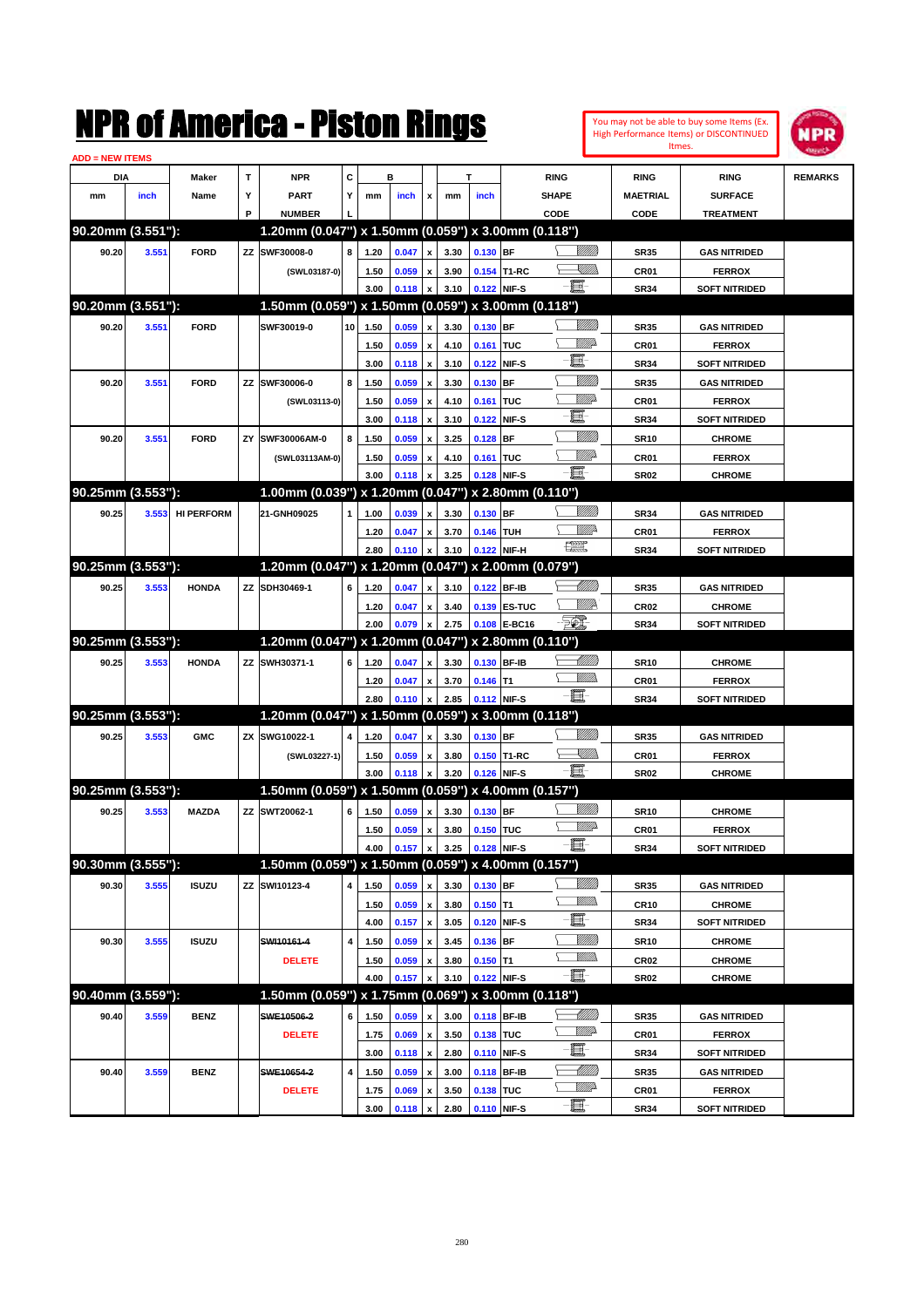

| <b>ADD = NEW ITEMS</b> |       |                   |    |                                                     |    |              |                |                         |              |             |                   |                    |                     |                                       |                |
|------------------------|-------|-------------------|----|-----------------------------------------------------|----|--------------|----------------|-------------------------|--------------|-------------|-------------------|--------------------|---------------------|---------------------------------------|----------------|
| DIA                    |       | Maker             | T  | <b>NPR</b>                                          | С  |              | в              |                         |              | т           |                   | <b>RING</b>        | <b>RING</b>         | <b>RING</b>                           | <b>REMARKS</b> |
| mm                     | inch  | Name              | Υ  | <b>PART</b>                                         | Y  | mm           | inch           | x                       | mm           | inch        |                   | <b>SHAPE</b>       | <b>MAETRIAL</b>     | <b>SURFACE</b>                        |                |
|                        |       |                   | P  | <b>NUMBER</b>                                       |    |              |                |                         |              |             |                   | CODE               | CODE                | <b>TREATMENT</b>                      |                |
| 90.20mm (3.551"):      |       |                   |    | 1.20mm (0.047") x 1.50mm (0.059") x 3.00mm (0.118") |    |              |                |                         |              |             |                   |                    |                     |                                       |                |
| 90.20                  | 3.551 | <b>FORD</b>       |    | ZZ SWF30008-0                                       | 8  | 1.20         | 0.047          | x                       | 3.30         | 0.130 BF    |                   | <u>Villitti</u>    | <b>SR35</b>         | <b>GAS NITRIDED</b>                   |                |
|                        |       |                   |    | (SWL03187-0)                                        |    | 1.50         | 0.059          |                         | 3.90         |             | 0.154 T1-RC       | <u>VM))</u>        | CR <sub>01</sub>    | <b>FERROX</b>                         |                |
|                        |       |                   |    |                                                     |    | 3.00         | 0.118          |                         | 3.10         |             | 0.122 NIF-S       | -8                 | <b>SR34</b>         | <b>SOFT NITRIDED</b>                  |                |
| 90.20mm (3.551"):      |       |                   |    | 1.50mm (0.059") x 1.50mm (0.059") x 3.00mm (0.118") |    |              |                |                         |              |             |                   |                    |                     |                                       |                |
| 90.20                  | 3.551 | <b>FORD</b>       |    | SWF30019-0                                          | 10 | 1.50         | 0.059          | x                       | 3.30         | $0.130$ BF  |                   | <u>Milli</u>       | <b>SR35</b>         | <b>GAS NITRIDED</b>                   |                |
|                        |       |                   |    |                                                     |    | 1.50         | 0.059          | x                       | 4.10         | 0.161 TUC   |                   | <u>MM</u>          | CR01                | <b>FERROX</b>                         |                |
|                        |       |                   |    |                                                     |    | 3.00         | 0.118          | x                       | 3.10         |             | 0.122 NIF-S       | E                  | <b>SR34</b>         | <b>SOFT NITRIDED</b>                  |                |
| 90.20                  | 3.551 | <b>FORD</b>       |    | ZZ SWF30006-0                                       | 8  | 1.50         | 0.059          | x                       | 3.30         | 0.130 BF    |                   | <u>MMM</u>         | <b>SR35</b>         | <b>GAS NITRIDED</b>                   |                |
|                        |       |                   |    | (SWL03113-0)                                        |    | 1.50         | 0.059          | x                       | 4.10         | 0.161 TUC   |                   | <u>MM</u>          | CR01                | <b>FERROX</b>                         |                |
|                        |       |                   |    |                                                     |    | 3.00         | 0.118          | x                       | 3.10         |             | 0.122 NIF-S       | E                  | <b>SR34</b>         | <b>SOFT NITRIDED</b>                  |                |
| 90.20                  | 3.551 | <b>FORD</b>       | ZY | SWF30006AM-0                                        | 8  | 1.50         | 0.059          |                         | 3.25         | $0.128$ BF  |                   | <u>MMM</u>         | <b>SR10</b>         | <b>CHROME</b>                         |                |
|                        |       |                   |    | (SWL03113AM-0)                                      |    | 1.50         | 0.059          | x                       | 4.10         | 0.161 TUC   |                   | <u>MM</u>          | CR01                | <b>FERROX</b>                         |                |
|                        |       |                   |    |                                                     |    | 3.00         | 0.118          |                         | 3.25         |             | 0.128 NIF-S       | -8                 | <b>SR02</b>         | <b>CHROME</b>                         |                |
| 90.25mm (3.553"):      |       |                   |    | 1.00mm (0.039") x 1.20mm (0.047")                   |    |              |                |                         |              |             | x 2.80mm (0.110") |                    |                     |                                       |                |
| 90.25                  | 3.553 | <b>HI PERFORM</b> |    | 21-GNH09025                                         | 1  | 1.00         | 0.039          | x                       | 3.30         | $0.130$ BF  |                   |                    | <b>SR34</b>         | <b>GAS NITRIDED</b>                   |                |
|                        |       |                   |    |                                                     |    | 1.20         | 0.047          | x                       | 3.70         | 0.146 TUH   |                   | ₩₩                 | CR01                | <b>FERROX</b>                         |                |
|                        |       |                   |    |                                                     |    | 2.80         | 0.110          | X                       | 3.10         |             | 0.122 NIF-H       | 鱱                  | <b>SR34</b>         | <b>SOFT NITRIDED</b>                  |                |
| 90.25mm (3.553"):      |       |                   |    | 1.20mm (0.047") x 1.20mm (0.047") x 2.00mm (0.079") |    |              |                |                         |              |             |                   |                    |                     |                                       |                |
| 90.25                  | 3.553 | <b>HONDA</b>      |    | ZZ SDH30469-1                                       | 6  | 1.20         | 0.047          | x                       | 3.10         |             | 0.122 BF-IB       | <u>UMB</u>         | <b>SR35</b>         | <b>GAS NITRIDED</b>                   |                |
|                        |       |                   |    |                                                     |    | 1.20         | 0.047          | x                       | 3.40         |             | 0.139 ES-TUC      | <u>MM</u>          | <b>CR02</b>         | <b>CHROME</b>                         |                |
|                        |       |                   |    |                                                     |    | 2.00         | 0.079          |                         | 2.75         |             | 0.108 E-BC16      | $\mathbb{Z}$       | <b>SR34</b>         | <b>SOFT NITRIDED</b>                  |                |
| 90.25mm (3.553"):      |       |                   |    | 1.20mm (0.047") x 1.20mm (0.047")                   |    |              |                |                         |              |             | x 2.80mm (0.110") |                    |                     |                                       |                |
| 90.25                  | 3.553 | <b>HONDA</b>      |    | ZZ SWH30371-1                                       | 6  | 1.20         | 0.047          | x                       | 3.30         |             | 0.130 BF-IB       | <u>UMB</u>         | <b>SR10</b>         | <b>CHROME</b>                         |                |
|                        |       |                   |    |                                                     |    | 1.20         | 0.047          |                         | 3.70         | $0.146$ T1  |                   | .<br>WWW           | CR01                | <b>FERROX</b>                         |                |
|                        |       |                   |    |                                                     |    | 2.80         | 0.110          | x                       | 2.85         |             | 0.112 NIF-S       | - 1                | <b>SR34</b>         | <b>SOFT NITRIDED</b>                  |                |
| 90.25mm (3.553"):      |       |                   |    | 1.20mm (0.047") x 1.50mm (0.059") x 3.00mm (0.118") |    |              |                |                         |              |             |                   |                    |                     |                                       |                |
| 90.25                  | 3.553 | <b>GMC</b>        |    | ZX SWG10022-1                                       | 4  | 1.20         | 0.047          |                         | 3.30         | $0.130$ BF  |                   | <u>Milli</u> k     | <b>SR35</b>         | <b>GAS NITRIDED</b>                   |                |
|                        |       |                   |    | (SWL03227-1)                                        |    | 1.50         | 0.059          | x                       | 3.80         |             | 0.150 T1-RC       | <u>Sillin</u>      | <b>CR01</b>         | <b>FERROX</b>                         |                |
|                        |       |                   |    |                                                     |    | 3.00         | 0.118          |                         | 3.20         |             | 0.126 NIF-S       | -8                 | <b>SR02</b>         | <b>CHROME</b>                         |                |
| 90.25mm (3.553"):      |       |                   |    | 1.50mm (0.059") x 1.50mm (0.059") x 4.00mm (0.157") |    |              |                |                         |              |             |                   |                    |                     |                                       |                |
| 90.25                  | 3.553 | <b>MAZDA</b>      |    | ZZ SWT20062-1                                       | 6  | 1.50         | 0.059          | x                       | 3.30         | 0.130 BF    |                   | <u>Milli</u> k     | <b>SR10</b>         | <b>CHROME</b>                         |                |
|                        |       |                   |    |                                                     |    | 1.50         | 0.059          | x                       | 3.80         | 0.150 TUC   |                   | <u>WW</u>          | CR01                | <b>FERROX</b>                         |                |
|                        |       |                   |    |                                                     |    | 4.00         | 0.157          | $\pmb{\mathsf{x}}$      | 3.25         | 0.128 NIF-S |                   | Ð.                 | <b>SR34</b>         | <b>SOFT NITRIDED</b>                  |                |
| 90.30mm (3.555"):      |       |                   |    | 1.50mm (0.059") x 1.50mm (0.059") x 4.00mm (0.157") |    |              |                |                         |              |             |                   |                    |                     |                                       |                |
| 90.30                  | 3.555 | <b>ISUZU</b>      |    | ZZ SWI10123-4                                       | 4  | 1.50         | 0.059          | x                       | 3.30         | 0.130 BF    |                   | <u>Milli</u> h     | SR35                | <b>GAS NITRIDED</b>                   |                |
|                        |       |                   |    |                                                     |    | 1.50         | 0.059          | $\pmb{\mathsf{x}}$      | 3.80         | $0.150$ T1  |                   | <u>Willib</u>      | <b>CR10</b>         | <b>CHROME</b>                         |                |
|                        |       |                   |    |                                                     |    | 4.00         | 0.157          | $\pmb{\mathsf{x}}$      | 3.05         |             | 0.120 NIF-S       | E-                 | SR34                | <b>SOFT NITRIDED</b>                  |                |
| 90.30                  | 3.555 | <b>ISUZU</b>      |    | SWI10161-4                                          | 4  | 1.50         | 0.059          | x                       | 3.45         | 0.136 BF    |                   | <u>Millit</u>      | <b>SR10</b>         | <b>CHROME</b>                         |                |
|                        |       |                   |    | <b>DELETE</b>                                       |    | 1.50         | 0.059          | x                       | 3.80         | $0.150$ T1  |                   | <u>MMs</u>         | CR02                | <b>CHROME</b>                         |                |
|                        |       |                   |    |                                                     |    | 4.00         | 0.157          | x                       | 3.10         |             | 0.122 NIF-S       | $-\Xi$ -           | SR02                | <b>CHROME</b>                         |                |
| 90.40mm (3.559"):      |       |                   |    | 1.50mm (0.059") x 1.75mm (0.069") x 3.00mm (0.118") |    |              |                |                         |              |             |                   |                    |                     |                                       |                |
| 90.40                  | 3.559 | <b>BENZ</b>       |    | SWE10506-2                                          | 6  | 1.50         | 0.059          |                         | 3.00         |             | 0.118 BF-IB       | <u>- Milli</u> lli | <b>SR35</b>         | <b>GAS NITRIDED</b>                   |                |
|                        |       |                   |    | <b>DELETE</b>                                       |    | 1.75         | 0.069          | $\pmb{\mathsf{x}}$      | 3.50         | 0.138 TUC   |                   | <u>WW</u>          | CR01                | <b>FERROX</b>                         |                |
|                        |       |                   |    |                                                     |    | 3.00         | 0.118          | $\pmb{\mathsf{x}}$      | 2.80         |             | 0.110 NIF-S       | e de               | SR34                | <b>SOFT NITRIDED</b>                  |                |
| 90.40                  | 3.559 | <b>BENZ</b>       |    | SWE10654-2                                          | 4  | 1.50         | 0.059          |                         | 3.00         |             | 0.118 BF-IB       | <u> MMM</u>        |                     | <b>GAS NITRIDED</b>                   |                |
|                        |       |                   |    |                                                     |    |              |                | x                       |              |             |                   | <u>WW</u>          | SR35                |                                       |                |
|                        |       |                   |    | <b>DELETE</b>                                       |    | 1.75<br>3.00 | 0.069<br>0.118 | x<br>$\pmb{\mathsf{x}}$ | 3.50<br>2.80 | 0.138 TUC   | 0.110 NIF-S       | -a.                | CR01<br><b>SR34</b> | <b>FERROX</b><br><b>SOFT NITRIDED</b> |                |
|                        |       |                   |    |                                                     |    |              |                |                         |              |             |                   |                    |                     |                                       |                |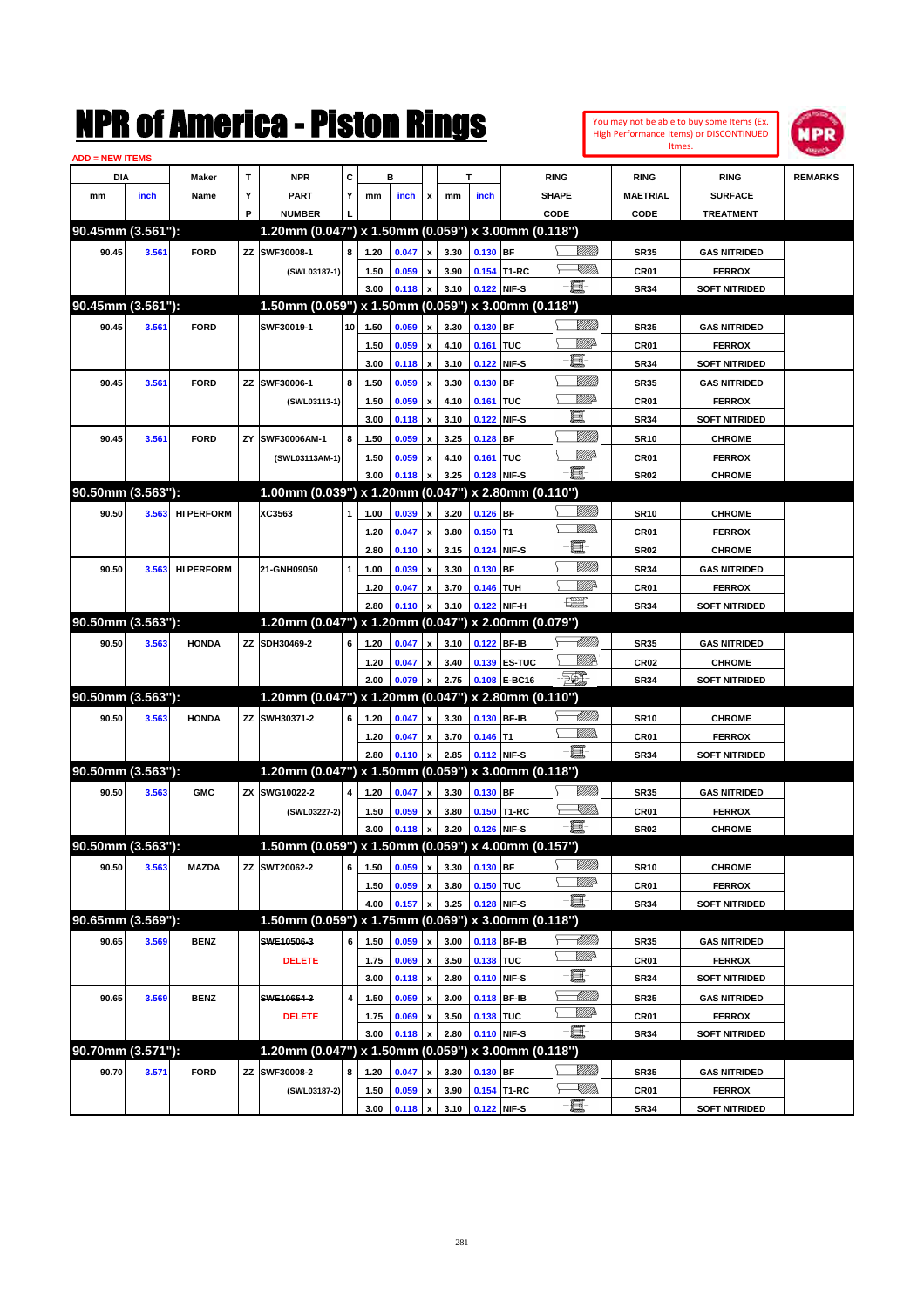|                        |       |                   |    | K OI AMICTICA - PISLON KINGS                        |              |      |       |                           |      |             |                   |               |                 |                  | You may not be able to buy some Items (Ex.<br><b>High Performance Items) or DISCONTINUED</b> | NPR            |
|------------------------|-------|-------------------|----|-----------------------------------------------------|--------------|------|-------|---------------------------|------|-------------|-------------------|---------------|-----------------|------------------|----------------------------------------------------------------------------------------------|----------------|
| <b>ADD = NEW ITEMS</b> |       |                   |    |                                                     |              |      |       |                           |      |             |                   |               |                 | Itmes.           |                                                                                              |                |
| DIA                    |       | Maker             | Τ  | <b>NPR</b>                                          | c            |      | в     |                           |      | т           |                   | <b>RING</b>   |                 | <b>RING</b>      | <b>RING</b>                                                                                  | <b>REMARKS</b> |
| mm                     | inch  | Name              | Y  | PART                                                | Υ            | mm   | inch  | x                         | mm   | inch        |                   | <b>SHAPE</b>  |                 | <b>MAETRIAL</b>  | <b>SURFACE</b>                                                                               |                |
|                        |       |                   | P  | <b>NUMBER</b>                                       |              |      |       |                           |      |             |                   | CODE          |                 | CODE             | <b>TREATMENT</b>                                                                             |                |
| 90.45mm (3.561"):      |       |                   |    | 1.20mm (0.047") x 1.50mm (0.059") x 3.00mm (0.118") |              |      |       |                           |      |             |                   |               |                 |                  |                                                                                              |                |
| 90.45                  | 3.561 | <b>FORD</b>       |    | ZZ SWF30008-1                                       | 8            | 1.20 | 0.047 | $\boldsymbol{\mathsf{x}}$ | 3.30 | $0.130$ BF  |                   |               | <u> UMB</u>     | <b>SR35</b>      | <b>GAS NITRIDED</b>                                                                          |                |
|                        |       |                   |    | (SWL03187-1)                                        |              | 1.50 | 0.059 | $\pmb{\mathsf{x}}$        | 3.90 |             | 0.154 T1-RC       |               | XMM             | CR <sub>01</sub> | <b>FERROX</b>                                                                                |                |
|                        |       |                   |    |                                                     |              | 3.00 | 0.118 | x                         | 3.10 | 0.122 NIF-S |                   | E             |                 | <b>SR34</b>      | <b>SOFT NITRIDED</b>                                                                         |                |
| 90.45mm (3.561"):      |       |                   |    | 1.50mm (0.059") x 1.50mm (0.059") x 3.00mm (0.118") |              |      |       |                           |      |             |                   |               |                 |                  |                                                                                              |                |
| 90.45                  | 3.561 | <b>FORD</b>       |    | SWF30019-1                                          | 10           | 1.50 | 0.059 | $\boldsymbol{\mathsf{x}}$ | 3.30 | 0.130 BF    |                   |               | <u>VIIII</u>    | <b>SR35</b>      | <b>GAS NITRIDED</b>                                                                          |                |
|                        |       |                   |    |                                                     |              | 1.50 | 0.059 | $\pmb{\mathsf{x}}$        | 4.10 | 0.161       | <b>TUC</b>        |               | <u>VIII p</u>   | CR <sub>01</sub> | <b>FERROX</b>                                                                                |                |
|                        |       |                   |    |                                                     |              | 3.00 | 0.118 | $\boldsymbol{\mathsf{x}}$ | 3.10 | 0.122       | NIF-S             | E             |                 | <b>SR34</b>      | <b>SOFT NITRIDED</b>                                                                         |                |
| 90.45                  | 3.561 | <b>FORD</b>       |    | ZZ SWF30006-1                                       | 8            | 1.50 | 0.059 | $\pmb{\mathsf{x}}$        | 3.30 | 0.130       | <b>BF</b>         |               | <u>VIIII</u>    | <b>SR35</b>      | <b>GAS NITRIDED</b>                                                                          |                |
|                        |       |                   |    | (SWL03113-1)                                        |              | 1.50 | 0.059 | $\pmb{\mathsf{x}}$        | 4.10 | 0.161       | <b>TUC</b>        |               | <u>VIII p</u>   | CR01             | <b>FERROX</b>                                                                                |                |
|                        |       |                   |    |                                                     |              | 3.00 | 0.118 | $\pmb{\mathsf{x}}$        | 3.10 | 0.122       | NIF-S             | E             |                 | <b>SR34</b>      | <b>SOFT NITRIDED</b>                                                                         |                |
| 90.45                  | 3.561 | <b>FORD</b>       | ZY | SWF30006AM-1                                        | 8            | 1.50 | 0.059 | $\pmb{\mathsf{x}}$        | 3.25 | 0.128       | <b>BF</b>         |               | <u>VIIII</u>    | <b>SR10</b>      | <b>CHROME</b>                                                                                |                |
|                        |       |                   |    | (SWL03113AM-1)                                      |              | 1.50 | 0.059 | $\pmb{\mathsf{x}}$        | 4.10 | 0.161       | TUC               |               | <u>MM</u>       | CR <sub>01</sub> | <b>FERROX</b>                                                                                |                |
|                        |       |                   |    |                                                     |              | 3.00 | 0.118 | X                         | 3.25 | 0.128 NIF-S |                   | E             |                 | <b>SR02</b>      | <b>CHROME</b>                                                                                |                |
| 90.50mm (3.563"):      |       |                   |    | 1.00mm (0.039") x 1.20mm (0.047") x 2.80mm (0.110") |              |      |       |                           |      |             |                   |               |                 |                  |                                                                                              |                |
| 90.50                  | 3.563 | <b>HI PERFORM</b> |    | XC3563                                              | 1            | 1.00 | 0.039 | $\boldsymbol{\mathsf{x}}$ | 3.20 | $0.126$ BF  |                   |               | <u>Villilli</u> | <b>SR10</b>      | <b>CHROME</b>                                                                                |                |
|                        |       |                   |    |                                                     |              | 1.20 | 0.047 | $\boldsymbol{\mathsf{x}}$ | 3.80 | $0.150$ T1  |                   |               | .<br>WWW        | CR <sub>01</sub> | <b>FERROX</b>                                                                                |                |
|                        |       |                   |    |                                                     |              | 2.80 | 0.110 | $\boldsymbol{\mathsf{x}}$ | 3.15 | 0.124       | NIF-S             | E             |                 | <b>SR02</b>      | <b>CHROME</b>                                                                                |                |
| 90.50                  | 3.563 | <b>HI PERFORM</b> |    | 21-GNH09050                                         | $\mathbf{1}$ | 1.00 | 0.039 | $\pmb{\mathsf{x}}$        | 3.30 | 0.130       | <b>BF</b>         |               | <u>Villilli</u> | <b>SR34</b>      | <b>GAS NITRIDED</b>                                                                          |                |
|                        |       |                   |    |                                                     |              | 1.20 | 0.047 | $\pmb{\mathsf{x}}$        | 3.70 | 0.146       | <b>TUH</b>        |               | <u>Mille</u>    | CR01             | <b>FERROX</b>                                                                                |                |
|                        |       |                   |    |                                                     |              | 2.80 | 0.110 | x                         | 3.10 | 0.122 NIF-H |                   | 漂             |                 | <b>SR34</b>      | <b>SOFT NITRIDED</b>                                                                         |                |
| 90.50mm (3.563"):      |       |                   |    | 1.20mm (0.047") x 1.20mm (0.047")                   |              |      |       |                           |      |             | x 2.00mm (0.079") |               |                 |                  |                                                                                              |                |
| 90.50                  | 3.563 | <b>HONDA</b>      |    | ZZ SDH30469-2                                       | 6            | 1.20 | 0.047 | x                         | 3.10 | 0.122 BF-IB |                   |               | <u> Milli</u>   | <b>SR35</b>      | <b>GAS NITRIDED</b>                                                                          |                |
|                        |       |                   |    |                                                     |              | 1.20 | 0.047 | x                         | 3.40 |             | 0.139 ES-TUC      |               | <u>WW</u> A     | CR <sub>02</sub> | <b>CHROME</b>                                                                                |                |
|                        |       |                   |    |                                                     |              | 2.00 | 0.079 | $\pmb{\mathsf{x}}$        | 2.75 |             | 0.108 E-BC16      | FOI.          |                 | <b>SR34</b>      | <b>SOFT NITRIDED</b>                                                                         |                |
| 90.50mm (3.563"):      |       |                   |    | 1.20mm (0.047") x 1.20mm (0.047")                   |              |      |       |                           |      |             | x 2.80mm (0.110") |               |                 |                  |                                                                                              |                |
| 90.50                  | 3.563 | <b>HONDA</b>      |    | ZZ SWH30371-2                                       | 6            | 1.20 | 0.047 | X                         | 3.30 | 0.130 BF-IB |                   |               | <u> Milli</u>   | <b>SR10</b>      | <b>CHROME</b>                                                                                |                |
|                        |       |                   |    |                                                     |              | 1.20 | 0.047 | $\pmb{\mathsf{x}}$        | 3.70 | $0.146$ T1  |                   |               | <br>Milio       | CR01             | <b>FERROX</b>                                                                                |                |
|                        |       |                   |    |                                                     |              | 2.80 | 0.110 | x                         | 2.85 | 0.112 NIF-S |                   | E             |                 | <b>SR34</b>      | <b>SOFT NITRIDED</b>                                                                         |                |
| 90.50mm (3.563"):      |       |                   |    | 1.20mm (0.047") x 1.50mm (0.059") x 3.00mm (0.118") |              |      |       |                           |      |             |                   |               |                 |                  |                                                                                              |                |
| 90.50                  | 3.563 | <b>GMC</b>        |    | ZX SWG10022-2                                       | 4            | 1.20 | 0.047 | $\boldsymbol{\mathsf{x}}$ | 3.30 | 0.130 BF    |                   |               | <u>VIIII)</u>   | <b>SR35</b>      | <b>GAS NITRIDED</b>                                                                          |                |
|                        |       |                   |    | (SWL03227-2)                                        |              | 1.50 | 0.059 | $\pmb{\mathsf{x}}$        | 3.80 |             | 0.150 T1-RC       |               | <u>Sillin</u>   | CR01             | <b>FERROX</b>                                                                                |                |
|                        |       |                   |    |                                                     |              | 3.00 | 0.118 | $\pmb{\mathsf{x}}$        | 3.20 | 0.126 NIF-S |                   | $-\mathbf{H}$ |                 | <b>SR02</b>      | <b>CHROME</b>                                                                                |                |
| 90.50mm (3.563"):      |       |                   |    | 1.50mm (0.059") x 1.50mm (0.059") x 4.00mm (0.157") |              |      |       |                           |      |             |                   |               |                 |                  |                                                                                              |                |
| 90.50                  | 3.563 | <b>MAZDA</b>      |    | ZZ SWT20062-2                                       | 6            | 1.50 | 0.059 | $\boldsymbol{\mathsf{x}}$ | 3.30 | 0.130 BF    |                   |               | <u>VIIII)</u>   | <b>SR10</b>      | <b>CHROME</b>                                                                                |                |
|                        |       |                   |    |                                                     |              | 1.50 | 0.059 | $\pmb{\mathsf{x}}$        | 3.80 | 0.150 TUC   |                   |               | <u>WW</u>       | CR01             | <b>FERROX</b>                                                                                |                |
|                        |       |                   |    |                                                     |              | 4.00 | 0.157 | $\pmb{\mathsf{x}}$        | 3.25 | 0.128 NIF-S |                   | E             |                 | SR34             | <b>SOFT NITRIDED</b>                                                                         |                |
| 90.65mm (3.569"):      |       |                   |    | 1.50mm (0.059") x 1.75mm (0.069") x 3.00mm (0.118") |              |      |       |                           |      |             |                   |               |                 |                  |                                                                                              |                |
| 90.65                  | 3.569 | <b>BENZ</b>       |    | SWE10506-3                                          | 6            | 1.50 | 0.059 | $\pmb{\mathsf{x}}$        | 3.00 | 0.118 BF-IB |                   |               | <u> UMB</u>     | <b>SR35</b>      | <b>GAS NITRIDED</b>                                                                          |                |
|                        |       |                   |    | <b>DELETE</b>                                       |              | 1.75 | 0.069 | $\pmb{\mathsf{x}}$        | 3.50 | 0.138 TUC   |                   |               | <u>WW</u> A     | CR01             | <b>FERROX</b>                                                                                |                |
|                        |       |                   |    |                                                     |              | 3.00 | 0.118 | $\pmb{\mathsf{x}}$        | 2.80 | 0.110 NIF-S |                   | E             |                 | <b>SR34</b>      | <b>SOFT NITRIDED</b>                                                                         |                |
| 90.65                  | 3.569 | <b>BENZ</b>       |    | SWE10654-3                                          | 4            | 1.50 | 0.059 | $\pmb{\mathsf{x}}$        | 3.00 | 0.118 BF-IB |                   |               | <u> MMN</u>     | <b>SR35</b>      | <b>GAS NITRIDED</b>                                                                          |                |
|                        |       |                   |    | <b>DELETE</b>                                       |              | 1.75 | 0.069 | $\pmb{\mathsf{x}}$        | 3.50 | 0.138 TUC   |                   |               | ₩₩              | CR01             | <b>FERROX</b>                                                                                |                |
|                        |       |                   |    |                                                     |              | 3.00 | 0.118 | x                         | 2.80 | 0.110 NIF-S |                   | 耳             |                 | <b>SR34</b>      | SOFT NITRIDED                                                                                |                |
| 90.70mm (3.571"):      |       |                   |    | 1.20mm (0.047") x 1.50mm (0.059") x 3.00mm (0.118") |              |      |       |                           |      |             |                   |               |                 |                  |                                                                                              |                |
| 90.70                  | 3.571 | <b>FORD</b>       |    | ZZ SWF30008-2                                       | 8            | 1.20 | 0.047 | x                         | 3.30 | 0.130 BF    |                   |               | <u>VIIII</u> )  | <b>SR35</b>      | <b>GAS NITRIDED</b>                                                                          |                |
|                        |       |                   |    | (SWL03187-2)                                        |              | 1.50 | 0.059 | $\pmb{\mathsf{x}}$        | 3.90 |             | 0.154 T1-RC       | e             | <u>Sillin</u>   | CR01             | <b>FERROX</b>                                                                                |                |
|                        |       |                   |    |                                                     |              | 3.00 | 0.118 | $\pmb{\mathsf{x}}$        | 3.10 | 0.122 NIF-S |                   |               |                 | <b>SR34</b>      | <b>SOFT NITRIDED</b>                                                                         |                |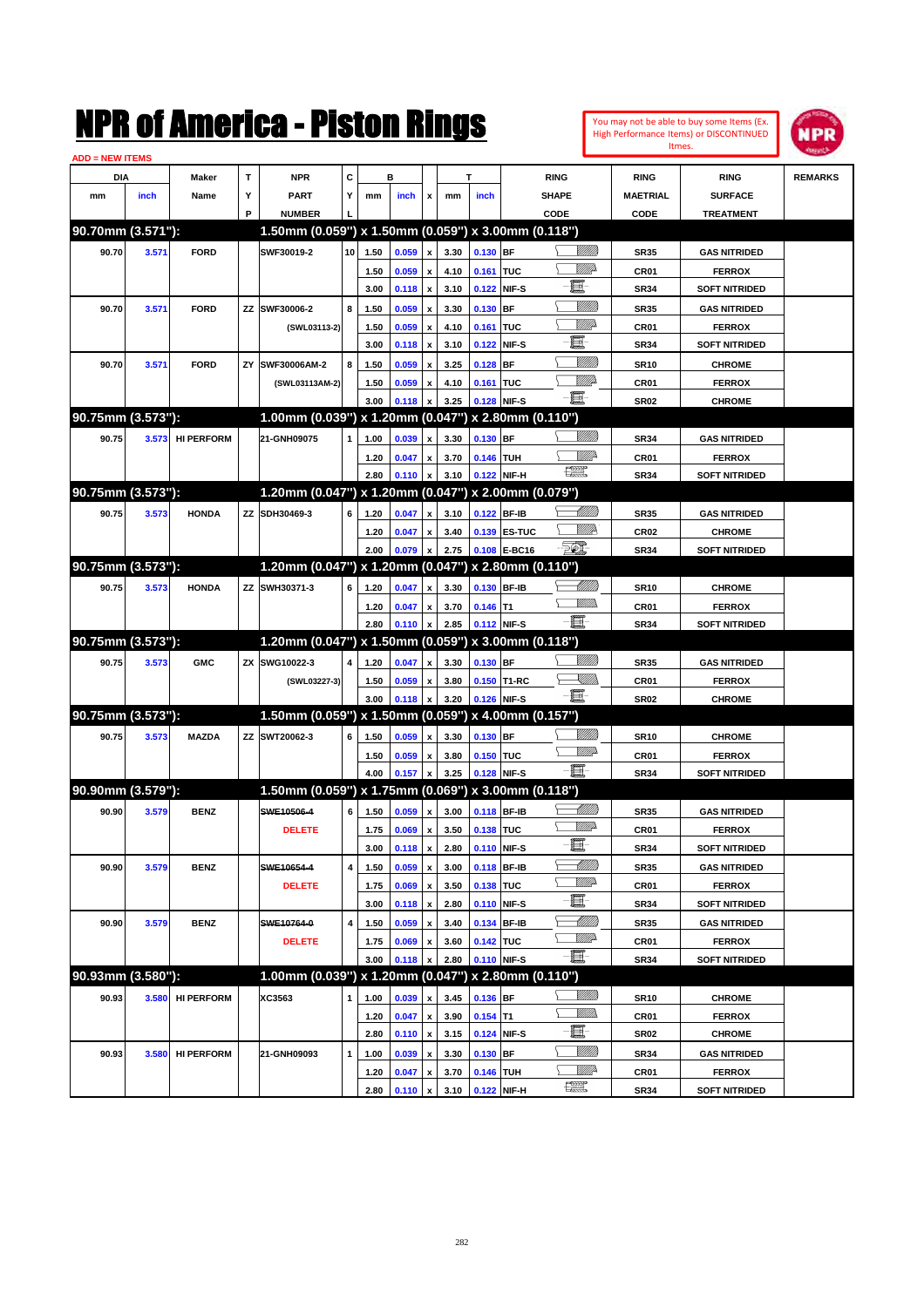| You may not be able to buy some Items (Ex. |
|--------------------------------------------|
| High Performance Items) or DISCONTINUED    |
| Itmes.                                     |



| <b>ADD = NEW ITEMS</b> |       |                   |    |                                                     |                 |              |       |                           |              |             |              |                                                                                                             |                 |                      |                |
|------------------------|-------|-------------------|----|-----------------------------------------------------|-----------------|--------------|-------|---------------------------|--------------|-------------|--------------|-------------------------------------------------------------------------------------------------------------|-----------------|----------------------|----------------|
| DIA                    |       | <b>Maker</b>      | T  | <b>NPR</b>                                          | c               |              | в     |                           |              | т           |              | <b>RING</b>                                                                                                 | <b>RING</b>     | <b>RING</b>          | <b>REMARKS</b> |
| mm                     | inch  | Name              | Υ  | <b>PART</b>                                         | Y               | mm           | inch  | x                         | mm           | inch        |              | <b>SHAPE</b>                                                                                                | <b>MAETRIAL</b> | <b>SURFACE</b>       |                |
|                        |       |                   | P  | <b>NUMBER</b>                                       |                 |              |       |                           |              |             |              | CODE                                                                                                        | CODE            | <b>TREATMENT</b>     |                |
| 90.70mm (3.571"):      |       |                   |    | 1.50mm (0.059") x 1.50mm (0.059") x 3.00mm (0.118") |                 |              |       |                           |              |             |              |                                                                                                             |                 |                      |                |
| 90.70                  | 3.571 | <b>FORD</b>       |    | SWF30019-2                                          | 10 <sub>1</sub> | 1.50         | 0.059 | x                         | 3.30         | 0.130 BF    |              | <u>Villida</u>                                                                                              | <b>SR35</b>     | <b>GAS NITRIDED</b>  |                |
|                        |       |                   |    |                                                     |                 | 1.50         | 0.059 | x                         | 4.10         | 0.161 TUC   |              | <u>MM</u> D                                                                                                 | <b>CR01</b>     | <b>FERROX</b>        |                |
|                        |       |                   |    |                                                     |                 | 3.00         | 0.118 | $\boldsymbol{\mathsf{x}}$ | 3.10         |             | 0.122 NIF-S  | e.                                                                                                          | <b>SR34</b>     | <b>SOFT NITRIDED</b> |                |
| 90.70                  | 3.571 | <b>FORD</b>       | ZZ | SWF30006-2                                          | 8               | 1.50         | 0.059 | x                         | 3.30         | $0.130$ BF  |              | <u>Milli</u> k                                                                                              | <b>SR35</b>     | <b>GAS NITRIDED</b>  |                |
|                        |       |                   |    | (SWL03113-2)                                        |                 | 1.50         | 0.059 | x                         | 4.10         | 0.161 TUC   |              | <u>MM</u> D                                                                                                 | <b>CR01</b>     | <b>FERROX</b>        |                |
|                        |       |                   |    |                                                     |                 | 3.00         | 0.118 | x                         | 3.10         |             | 0.122 NIF-S  | e.                                                                                                          | <b>SR34</b>     | <b>SOFT NITRIDED</b> |                |
| 90.70                  |       | <b>FORD</b>       | ZY | SWF30006AM-2                                        | 8               |              |       |                           |              |             |              | VIII))                                                                                                      |                 |                      |                |
|                        | 3.571 |                   |    |                                                     |                 | 1.50         | 0.059 |                           | 3.25         | $0.128$ BF  |              | <u>MM</u>                                                                                                   | <b>SR10</b>     | <b>CHROME</b>        |                |
|                        |       |                   |    | (SWL03113AM-2)                                      |                 | 1.50<br>3.00 | 0.059 | x                         | 4.10<br>3.25 | 0.161 TUC   | 0.128 NIF-S  | -6                                                                                                          | <b>CR01</b>     | <b>FERROX</b>        |                |
| 90.75mm (3.573"):      |       |                   |    | 1.00mm (0.039") x 1.20mm (0.047") x 2.80mm (0.110") |                 |              | 0.118 |                           |              |             |              |                                                                                                             | <b>SR02</b>     | <b>CHROME</b>        |                |
|                        |       |                   |    |                                                     |                 |              |       |                           |              |             |              |                                                                                                             |                 |                      |                |
| 90.75                  | 3.573 | <b>HI PERFORM</b> |    | 21-GNH09075                                         | 1               | 1.00         | 0.039 | x                         | 3.30         | 0.130 BF    |              |                                                                                                             | <b>SR34</b>     | <b>GAS NITRIDED</b>  |                |
|                        |       |                   |    |                                                     |                 | 1.20         | 0.047 | x                         | 3.70         | 0.146 TUH   |              | <u>Mille</u><br>鱱                                                                                           | <b>CR01</b>     | <b>FERROX</b>        |                |
|                        |       |                   |    |                                                     |                 | 2.80         | 0.110 | $\boldsymbol{x}$          | 3.10         |             | 0.122 NIF-H  |                                                                                                             | <b>SR34</b>     | <b>SOFT NITRIDED</b> |                |
| 90.75mm (3.573"):      |       |                   |    | 1.20mm (0.047") x 1.20mm (0.047") x 2.00mm (0.079") |                 |              |       |                           |              |             |              |                                                                                                             |                 |                      |                |
| 90.75                  | 3.573 | <b>HONDA</b>      |    | ZZ SDH30469-3                                       | 6               | 1.20         | 0.047 | x                         | 3.10         |             | 0.122 BF-IB  | MMB                                                                                                         | <b>SR35</b>     | <b>GAS NITRIDED</b>  |                |
|                        |       |                   |    |                                                     |                 | 1.20         | 0.047 |                           | 3.40         |             | 0.139 ES-TUC | <u>MMA</u>                                                                                                  | <b>CR02</b>     | <b>CHROME</b>        |                |
|                        |       |                   |    |                                                     |                 | 2.00         | 0.079 |                           | 2.75         |             | 0.108 E-BC16 | <u> 50)</u>                                                                                                 | <b>SR34</b>     | <b>SOFT NITRIDED</b> |                |
| 90.75mm (3.573"):      |       |                   |    | 1.20mm (0.047") x 1.20mm (0.047") x 2.80mm (0.110") |                 |              |       |                           |              |             |              |                                                                                                             |                 |                      |                |
| 90.75                  | 3.573 | <b>HONDA</b>      |    | ZZ SWH30371-3                                       | 6               | 1.20         | 0.047 | x                         | 3.30         |             | 0.130 BF-IB  | MMB                                                                                                         | <b>SR10</b>     | <b>CHROME</b>        |                |
|                        |       |                   |    |                                                     |                 | 1.20         | 0.047 | x                         | 3.70         | $0.146$ T1  |              | <br>Milli                                                                                                   | <b>CR01</b>     | <b>FERROX</b>        |                |
|                        |       |                   |    |                                                     |                 | 2.80         | 0.110 |                           | 2.85         |             | 0.112 NIF-S  | - 1                                                                                                         | <b>SR34</b>     | <b>SOFT NITRIDED</b> |                |
| 90.75mm (3.573"):      |       |                   |    | 1.20mm (0.047") x 1.50mm (0.059") x 3.00mm (0.118") |                 |              |       |                           |              |             |              |                                                                                                             |                 |                      |                |
| 90.75                  | 3.573 | <b>GMC</b>        |    | ZX SWG10022-3                                       | 4               | 1.20         | 0.047 | x                         | 3.30         | 0.130 BF    |              | VIII))                                                                                                      | <b>SR35</b>     | <b>GAS NITRIDED</b>  |                |
|                        |       |                   |    | (SWL03227-3)                                        |                 | 1.50         | 0.059 | x                         | 3.80         |             | 0.150 T1-RC  | $\begin{matrix} \begin{matrix} \mathbb{R} & \mathbb{R} \ \mathbb{R} & \mathbb{R} \end{matrix} \end{matrix}$ | <b>CR01</b>     | <b>FERROX</b>        |                |
|                        |       |                   |    |                                                     |                 | 3.00         | 0.118 |                           | 3.20         |             | 0.126 NIF-S  | -日                                                                                                          | <b>SR02</b>     | <b>CHROME</b>        |                |
| 90.75mm (3.573"):      |       |                   |    | 1.50mm (0.059") x 1.50mm (0.059") x 4.00mm (0.157") |                 |              |       |                           |              |             |              |                                                                                                             |                 |                      |                |
| 90.75                  | 3.573 | <b>MAZDA</b>      |    | ZZ SWT20062-3                                       | 6               | 1.50         | 0.059 | x                         | 3.30         | 0.130 BF    |              |                                                                                                             | <b>SR10</b>     | <b>CHROME</b>        |                |
|                        |       |                   |    |                                                     |                 | 1.50         | 0.059 | x                         | 3.80         | 0.150 TUC   |              | <u>WW</u>                                                                                                   | <b>CR01</b>     | <b>FERROX</b>        |                |
|                        |       |                   |    |                                                     |                 | 4.00         | 0.157 |                           | 3.25         |             | 0.128 NIF-S  |                                                                                                             | <b>SR34</b>     | <b>SOFT NITRIDED</b> |                |
| 90.90mm (3.579"):      |       |                   |    | 1.50mm (0.059") x 1.75mm (0.069") x 3.00mm (0.118") |                 |              |       |                           |              |             |              |                                                                                                             |                 |                      |                |
| 90.90                  | 3.579 | <b>BENZ</b>       |    | SWE10506-4                                          | 6               | 1.50         | 0.059 | x                         | 3.00         |             | 0.118 BF-IB  | MMB                                                                                                         | <b>SR35</b>     | <b>GAS NITRIDED</b>  |                |
|                        |       |                   |    | <b>DELETE</b>                                       |                 | 1.75         | 0.069 | x                         | 3.50         | 0.138 TUC   |              | <u>MM</u>                                                                                                   | <b>CR01</b>     | <b>FERROX</b>        |                |
|                        |       |                   |    |                                                     |                 | 3.00         | 0.118 | $\pmb{\mathsf{x}}$        | 2.80         | 0.110 NIF-S |              | E                                                                                                           | SR34            | <b>SOFT NITRIDED</b> |                |
| 90.90                  | 3.579 | <b>BENZ</b>       |    | SWE10654-4                                          | 4               | 1.50         | 0.059 | $\pmb{\mathsf{x}}$        | 3.00         |             | 0.118 BF-IB  | <u> UMM</u>                                                                                                 | <b>SR35</b>     | <b>GAS NITRIDED</b>  |                |
|                        |       |                   |    | <b>DELETE</b>                                       |                 | 1.75         | 0.069 | x                         | 3.50         | 0.138 TUC   |              | ₩₩                                                                                                          | CR01            | <b>FERROX</b>        |                |
|                        |       |                   |    |                                                     |                 | 3.00         | 0.118 | $\pmb{\mathsf{x}}$        | 2.80         |             | 0.110 NIF-S  | E                                                                                                           | SR34            | <b>SOFT NITRIDED</b> |                |
| 90.90                  | 3.579 | <b>BENZ</b>       |    | SWE10764-0                                          | 4               | 1.50         | 0.059 | x                         | 3.40         |             | 0.134 BF-IB  | <u> MMM)</u>                                                                                                | SR35            | <b>GAS NITRIDED</b>  |                |
|                        |       |                   |    | <b>DELETE</b>                                       |                 | 1.75         | 0.069 | x                         | 3.60         | 0.142 TUC   |              | <u>WW</u> A                                                                                                 | CR01            | <b>FERROX</b>        |                |
|                        |       |                   |    |                                                     |                 | 3.00         | 0.118 |                           | 2.80         |             | 0.110 NIF-S  | e                                                                                                           | SR34            | <b>SOFT NITRIDED</b> |                |
| 90.93mm (3.580"):      |       |                   |    | 1.00mm (0.039") x 1.20mm (0.047") x 2.80mm (0.110") |                 |              |       |                           |              |             |              |                                                                                                             |                 |                      |                |
| 90.93                  | 3.580 | <b>HI PERFORM</b> |    | XC3563                                              | $\mathbf{1}$    | 1.00         | 0.039 | x                         | 3.45         | $0.136$ BF  |              | <u>VIIII)</u>                                                                                               | SR10            | <b>CHROME</b>        |                |
|                        |       |                   |    |                                                     |                 | 1.20         | 0.047 | $\pmb{\mathsf{x}}$        | 3.90         | $0.154$ T1  |              | <u>WMW</u>                                                                                                  | CR01            | <b>FERROX</b>        |                |
|                        |       |                   |    |                                                     |                 | 2.80         | 0.110 | $\pmb{\mathsf{x}}$        | 3.15         |             | 0.124 NIF-S  | e.                                                                                                          | SR02            | <b>CHROME</b>        |                |
| 90.93                  | 3.580 | <b>HI PERFORM</b> |    | 21-GNH09093                                         | $\mathbf{1}$    | 1.00         | 0.039 | x                         | 3.30         | 0.130 BF    |              | <u>VIIII)</u>                                                                                               | SR34            | <b>GAS NITRIDED</b>  |                |
|                        |       |                   |    |                                                     |                 | 1.20         | 0.047 |                           | 3.70         | 0.146 TUH   |              | ₩₩                                                                                                          | CR01            | <b>FERROX</b>        |                |
|                        |       |                   |    |                                                     |                 | 2.80         | 0.110 | $\pmb{\mathsf{x}}$        | 3.10         |             | 0.122 NIF-H  | R                                                                                                           | SR34            | <b>SOFT NITRIDED</b> |                |
|                        |       |                   |    |                                                     |                 |              |       |                           |              |             |              |                                                                                                             |                 |                      |                |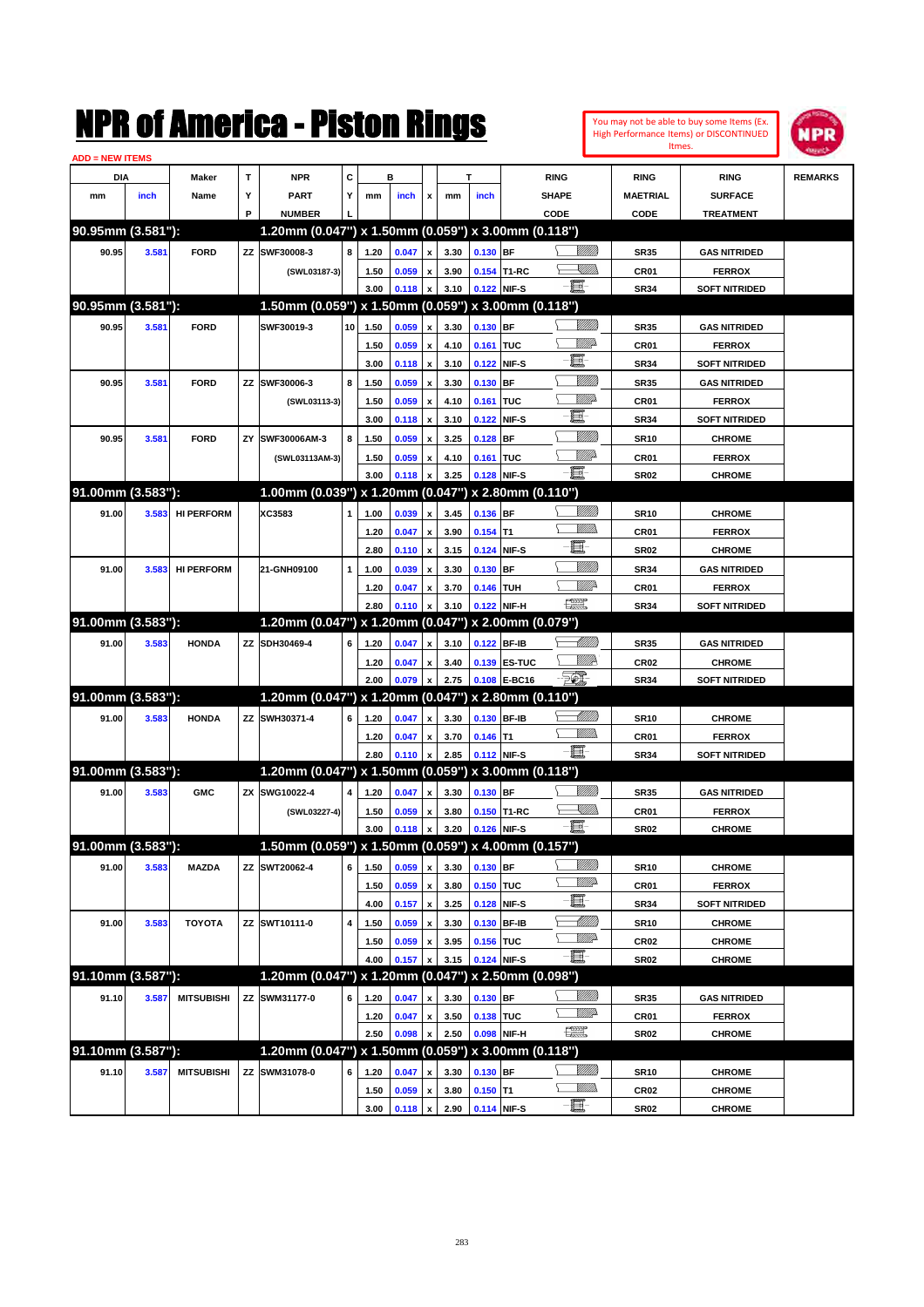| <b>ADD = NEW ITEMS</b> |       |                   |              | NMK OI AMCMICA - MISTON KINGS                       |      |      |       |                           |      |            |              |                                                                                                                                                                                                                                 |                   |                  | You may not be able to buy some Items (Ex.<br>High Performance Items) or DISCONTINUED<br>Itmes. | NPR            |
|------------------------|-------|-------------------|--------------|-----------------------------------------------------|------|------|-------|---------------------------|------|------------|--------------|---------------------------------------------------------------------------------------------------------------------------------------------------------------------------------------------------------------------------------|-------------------|------------------|-------------------------------------------------------------------------------------------------|----------------|
| DIA                    |       | Maker             | $\mathbf{T}$ | <b>NPR</b>                                          | C    |      | в     |                           |      | T          |              | <b>RING</b>                                                                                                                                                                                                                     |                   | <b>RING</b>      | <b>RING</b>                                                                                     | <b>REMARKS</b> |
| mm                     | inch  | Name              | Υ            | <b>PART</b>                                         | Y    | mm   | inch  | x                         | mm   | inch       |              | <b>SHAPE</b>                                                                                                                                                                                                                    |                   | <b>MAETRIAL</b>  | <b>SURFACE</b>                                                                                  |                |
|                        |       |                   | P            | <b>NUMBER</b>                                       |      |      |       |                           |      |            |              | CODE                                                                                                                                                                                                                            |                   | CODE             | <b>TREATMENT</b>                                                                                |                |
| 90.95mm (3.581"):      |       |                   |              | 1.20mm (0.047") x 1.50mm (0.059") x 3.00mm (0.118") |      |      |       |                           |      |            |              |                                                                                                                                                                                                                                 |                   |                  |                                                                                                 |                |
| 90.95                  | 3.581 | <b>FORD</b>       | ZZ           | SWF30008-3                                          | 8    | 1.20 | 0.047 | $\pmb{\mathsf{x}}$        | 3.30 | $0.130$ BF |              |                                                                                                                                                                                                                                 | <u>Villida</u>    | <b>SR35</b>      | <b>GAS NITRIDED</b>                                                                             |                |
|                        |       |                   |              | (SWL03187-3)                                        |      | 1.50 | 0.059 | $\pmb{\mathsf{x}}$        | 3.90 |            | 0.154 T1-RC  |                                                                                                                                                                                                                                 | <u>Sillin</u>     | CR01             | <b>FERROX</b>                                                                                   |                |
|                        |       |                   |              |                                                     |      | 3.00 | 0.118 | X                         | 3.10 |            | 0.122 NIF-S  | E                                                                                                                                                                                                                               |                   | <b>SR34</b>      | <b>SOFT NITRIDED</b>                                                                            |                |
| 90.95mm (3.581"):      |       |                   |              | 1.50mm (0.059") x 1.50mm (0.059") x 3.00mm (0.118") |      |      |       |                           |      |            |              |                                                                                                                                                                                                                                 |                   |                  |                                                                                                 |                |
| 90.95                  | 3.581 | <b>FORD</b>       |              | SWF30019-3                                          | 10 l | 1.50 | 0.059 | $\pmb{\mathsf{x}}$        | 3.30 | 0.130 BF   |              |                                                                                                                                                                                                                                 | <u>VIII M</u>     | <b>SR35</b>      | <b>GAS NITRIDED</b>                                                                             |                |
|                        |       |                   |              |                                                     |      | 1.50 | 0.059 | $\pmb{\mathsf{x}}$        | 4.10 | 0.161      | <b>TUC</b>   |                                                                                                                                                                                                                                 | <u>Willi</u> p    | CR01             | <b>FERROX</b>                                                                                   |                |
|                        |       |                   |              |                                                     |      | 3.00 | 0.118 | $\boldsymbol{\mathsf{x}}$ | 3.10 | 0.122      | NIF-S        | E                                                                                                                                                                                                                               |                   | <b>SR34</b>      | <b>SOFT NITRIDED</b>                                                                            |                |
| 90.95                  | 3.581 | <b>FORD</b>       | ΖZ           | SWF30006-3                                          | 8    | 1.50 | 0.059 | $\pmb{\mathsf{x}}$        | 3.30 | 0.130      | <b>BF</b>    |                                                                                                                                                                                                                                 | <u>VIIII</u>      | <b>SR35</b>      | <b>GAS NITRIDED</b>                                                                             |                |
|                        |       |                   |              | (SWL03113-3)                                        |      | 1.50 | 0.059 | $\pmb{\mathsf{x}}$        | 4.10 | 0.161      | <b>TUC</b>   |                                                                                                                                                                                                                                 | <u>MM</u>         | CR01             | <b>FERROX</b>                                                                                   |                |
|                        |       |                   |              |                                                     |      | 3.00 | 0.118 | $\boldsymbol{\mathsf{x}}$ | 3.10 | 0.122      | NIF-S        | E                                                                                                                                                                                                                               |                   | <b>SR34</b>      | <b>SOFT NITRIDED</b>                                                                            |                |
| 90.95                  | 3.581 | <b>FORD</b>       | ZY           | SWF30006AM-3                                        | 8    | 1.50 | 0.059 | $\pmb{\mathsf{x}}$        | 3.25 | 0.128      | <b>BF</b>    |                                                                                                                                                                                                                                 | VIII))            | <b>SR10</b>      | <b>CHROME</b>                                                                                   |                |
|                        |       |                   |              | (SWL03113AM-3)                                      |      | 1.50 | 0.059 | $\pmb{\mathsf{x}}$        | 4.10 | 0.161      | <b>TUC</b>   |                                                                                                                                                                                                                                 | <u>VIII</u> de    | CR01             | <b>FERROX</b>                                                                                   |                |
|                        |       |                   |              |                                                     |      | 3.00 | 0.118 | x                         | 3.25 | 0.128      | NIF-S        | E                                                                                                                                                                                                                               |                   | <b>SR02</b>      | <b>CHROME</b>                                                                                   |                |
| 91.00mm (3.583"):      |       |                   |              | 1.00mm (0.039") x 1.20mm (0.047") x 2.80mm (0.110") |      |      |       |                           |      |            |              |                                                                                                                                                                                                                                 |                   |                  |                                                                                                 |                |
| 91.00                  | 3.583 | <b>HI PERFORM</b> |              | XC3583                                              | 1    | 1.00 | 0.039 | $\pmb{\mathsf{x}}$        | 3.45 | 0.136 BF   |              |                                                                                                                                                                                                                                 | <u>Villida</u>    | <b>SR10</b>      | <b>CHROME</b>                                                                                   |                |
|                        |       |                   |              |                                                     |      | 1.20 | 0.047 | $\pmb{\mathsf{x}}$        | 3.90 | 0.154      | lT1          |                                                                                                                                                                                                                                 | .<br>MM           | CR01             | <b>FERROX</b>                                                                                   |                |
|                        |       |                   |              |                                                     |      | 2.80 | 0.110 | $\boldsymbol{\mathsf{x}}$ | 3.15 | 0.124      | NIF-S        | E                                                                                                                                                                                                                               |                   | <b>SR02</b>      | <b>CHROME</b>                                                                                   |                |
| 91.00                  | 3.583 | <b>HI PERFORM</b> |              | 21-GNH09100                                         | 1    | 1.00 | 0.039 | $\pmb{\mathsf{x}}$        | 3.30 | 0.130      | <b>BF</b>    |                                                                                                                                                                                                                                 | <u>Villilli</u>   | <b>SR34</b>      | <b>GAS NITRIDED</b>                                                                             |                |
|                        |       |                   |              |                                                     |      | 1.20 | 0.047 | $\pmb{\mathsf{x}}$        | 3.70 | 0.146      | <b>TUH</b>   |                                                                                                                                                                                                                                 | <u>Mille</u>      | CR01             | <b>FERROX</b>                                                                                   |                |
|                        |       |                   |              |                                                     |      | 2.80 | 0.110 | $\boldsymbol{x}$          | 3.10 |            | 0.122 NIF-H  | $f_{\text{max}}^{\text{opp}}$                                                                                                                                                                                                   |                   | <b>SR34</b>      | <b>SOFT NITRIDED</b>                                                                            |                |
| 91.00mm (3.583"):      |       |                   |              | 1.20mm (0.047") x 1.20mm (0.047") x 2.00mm (0.079") |      |      |       |                           |      |            |              |                                                                                                                                                                                                                                 |                   |                  |                                                                                                 |                |
| 91.00                  | 3.583 | <b>HONDA</b>      | ΖZ           | SDH30469-4                                          | 6    | 1.20 | 0.047 | $\pmb{\mathsf{x}}$        | 3.10 |            | 0.122 BF-IB  |                                                                                                                                                                                                                                 | <u> Milli</u> b   | <b>SR35</b>      | <b>GAS NITRIDED</b>                                                                             |                |
|                        |       |                   |              |                                                     |      | 1.20 | 0.047 | $\pmb{\mathsf{x}}$        | 3.40 |            | 0.139 ES-TUC |                                                                                                                                                                                                                                 | <u>MMR</u>        | CR <sub>02</sub> | <b>CHROME</b>                                                                                   |                |
|                        |       |                   |              |                                                     |      | 2.00 | 0.079 | $\pmb{\mathsf{x}}$        | 2.75 |            | 0.108 E-BC16 | FOX.                                                                                                                                                                                                                            |                   | <b>SR34</b>      | <b>SOFT NITRIDED</b>                                                                            |                |
| 91.00mm (3.583"):      |       |                   |              | 1.20mm (0.047") x 1.20mm (0.047") x 2.80mm (0.110") |      |      |       |                           |      |            |              |                                                                                                                                                                                                                                 |                   |                  |                                                                                                 |                |
| 91.00                  | 3.583 | <b>HONDA</b>      | ΖZ           | SWH30371-4                                          | 6    | 1.20 | 0.047 | $\mathbf{x}$              | 3.30 |            | 0.130 BF-IB  |                                                                                                                                                                                                                                 | <u> UMB</u>       | <b>SR10</b>      | <b>CHROME</b>                                                                                   |                |
|                        |       |                   |              |                                                     |      | 1.20 | 0.047 | $\pmb{\mathsf{x}}$        | 3.70 | $0.146$ T1 |              |                                                                                                                                                                                                                                 | .<br>MM           | CR01             | <b>FERROX</b>                                                                                   |                |
|                        |       |                   |              |                                                     |      | 2.80 | 0.110 | $\pmb{\mathsf{x}}$        | 2.85 |            | 0.112 NIF-S  | E.                                                                                                                                                                                                                              |                   | <b>SR34</b>      | <b>SOFT NITRIDED</b>                                                                            |                |
| 91.00mm (3.583"):      |       |                   |              | 1.20mm (0.047") x 1.50mm (0.059") x 3.00mm (0.118") |      |      |       |                           |      |            |              |                                                                                                                                                                                                                                 |                   |                  |                                                                                                 |                |
| 91.00                  | 3.583 | <b>GMC</b>        | ΖX           | SWG10022-4                                          | 4    | 1.20 | 0.047 | $\pmb{\mathsf{x}}$        | 3.30 | 0.130 BF   |              |                                                                                                                                                                                                                                 | VIII))            | <b>SR35</b>      | <b>GAS NITRIDED</b>                                                                             |                |
|                        |       |                   |              | (SWL03227-4)                                        |      | 1.50 | 0.059 | $\boldsymbol{\mathsf{x}}$ | 3.80 |            | 0.150 T1-RC  |                                                                                                                                                                                                                                 | <u>Sillin</u>     | CR01             | <b>FERROX</b>                                                                                   |                |
|                        |       |                   |              |                                                     |      | 3.00 | 0.118 | $\mathbf{x}$              | 3.20 |            | 0.126 NIF-S  | -8                                                                                                                                                                                                                              |                   | <b>SR02</b>      | <b>CHROME</b>                                                                                   |                |
| 91.00mm (3.583"):      |       |                   |              | 1.50mm (0.059") x 1.50mm (0.059") x 4.00mm (0.157") |      |      |       |                           |      |            |              |                                                                                                                                                                                                                                 |                   |                  |                                                                                                 |                |
| 91.00                  | 3.583 | <b>MAZDA</b>      | ΖZ           | SWT20062-4                                          | 6    | 1.50 | 0.059 | $\pmb{\mathsf{x}}$        | 3.30 | 0.130 BF   |              |                                                                                                                                                                                                                                 | <u>VIIII</u> )    | <b>SR10</b>      | <b>CHROME</b>                                                                                   |                |
|                        |       |                   |              |                                                     |      | 1.50 | 0.059 | $\pmb{\mathsf{x}}$        | 3.80 | 0.150 TUC  |              |                                                                                                                                                                                                                                 | <u>WW</u>         | CR01             | <b>FERROX</b>                                                                                   |                |
|                        |       |                   |              |                                                     |      | 4.00 | 0.157 | $\pmb{\mathsf{x}}$        | 3.25 |            | 0.128 NIF-S  | Œ                                                                                                                                                                                                                               |                   | <b>SR34</b>      | <b>SOFT NITRIDED</b>                                                                            |                |
| 91.00                  | 3.583 | <b>TOYOTA</b>     |              | ZZ SWT10111-0                                       | 4    | 1.50 | 0.059 | $\pmb{\mathsf{x}}$        | 3.30 |            | 0.130 BF-IB  |                                                                                                                                                                                                                                 | <u> Milli</u> lli | <b>SR10</b>      | <b>CHROME</b>                                                                                   |                |
|                        |       |                   |              |                                                     |      | 1.50 | 0.059 | $\pmb{\mathsf{x}}$        | 3.95 | 0.156 TUC  |              |                                                                                                                                                                                                                                 | <u>WW</u>         | CR <sub>02</sub> | <b>CHROME</b>                                                                                   |                |
|                        |       |                   |              |                                                     |      | 4.00 | 0.157 | X                         | 3.15 |            | 0.124 NIF-S  | e.                                                                                                                                                                                                                              |                   | <b>SR02</b>      | <b>CHROME</b>                                                                                   |                |
| 91.10mm (3.587"):      |       |                   |              | 1.20mm (0.047") x 1.20mm (0.047") x 2.50mm (0.098") |      |      |       |                           |      |            |              |                                                                                                                                                                                                                                 |                   |                  |                                                                                                 |                |
| 91.10                  | 3.587 | <b>MITSUBISHI</b> |              | ZZ SWM31177-0                                       | 6    | 1.20 | 0.047 | $\pmb{\mathsf{x}}$        | 3.30 | 0.130 BF   |              |                                                                                                                                                                                                                                 | <u>Milli</u> n    | <b>SR35</b>      | <b>GAS NITRIDED</b>                                                                             |                |
|                        |       |                   |              |                                                     |      | 1.20 | 0.047 | $\pmb{\mathsf{x}}$        | 3.50 | 0.138 TUC  |              |                                                                                                                                                                                                                                 | <u>MM</u> do      | CR01             | <b>FERROX</b>                                                                                   |                |
|                        |       |                   |              |                                                     |      | 2.50 | 0.098 | X                         | 2.50 |            | 0.098 NIF-H  | œ                                                                                                                                                                                                                               |                   | <b>SR02</b>      | <b>CHROME</b>                                                                                   |                |
| 91.10mm (3.587"):      |       |                   |              | 1.20mm (0.047") x 1.50mm (0.059") x 3.00mm (0.118") |      |      |       |                           |      |            |              |                                                                                                                                                                                                                                 |                   |                  |                                                                                                 |                |
| 91.10                  | 3.587 | <b>MITSUBISHI</b> |              | ZZ SWM31078-0                                       | 6    | 1.20 | 0.047 | $\pmb{\mathsf{x}}$        | 3.30 | 0.130 BF   |              |                                                                                                                                                                                                                                 | <u>Milli</u> n    | <b>SR10</b>      | <b>CHROME</b>                                                                                   |                |
|                        |       |                   |              |                                                     |      | 1.50 | 0.059 | $\pmb{\mathsf{x}}$        | 3.80 | $0.150$ T1 |              |                                                                                                                                                                                                                                 | <u>MM)</u>        | CR <sub>02</sub> | <b>CHROME</b>                                                                                   |                |
|                        |       |                   |              |                                                     |      | 3.00 | 0.118 | $\pmb{\mathsf{x}}$        | 2.90 |            | 0.114 NIF-S  | e de la contrada de la contrada de la contrada de la contrada de la contrada de la contrada de la contrada de<br>Del contrada de la contrada de la contrada de la contrada de la contrada de la contrada de la contrada de la c |                   | <b>SR02</b>      | <b>CHROME</b>                                                                                   |                |
|                        |       |                   |              |                                                     |      |      |       |                           |      |            |              |                                                                                                                                                                                                                                 |                   |                  |                                                                                                 |                |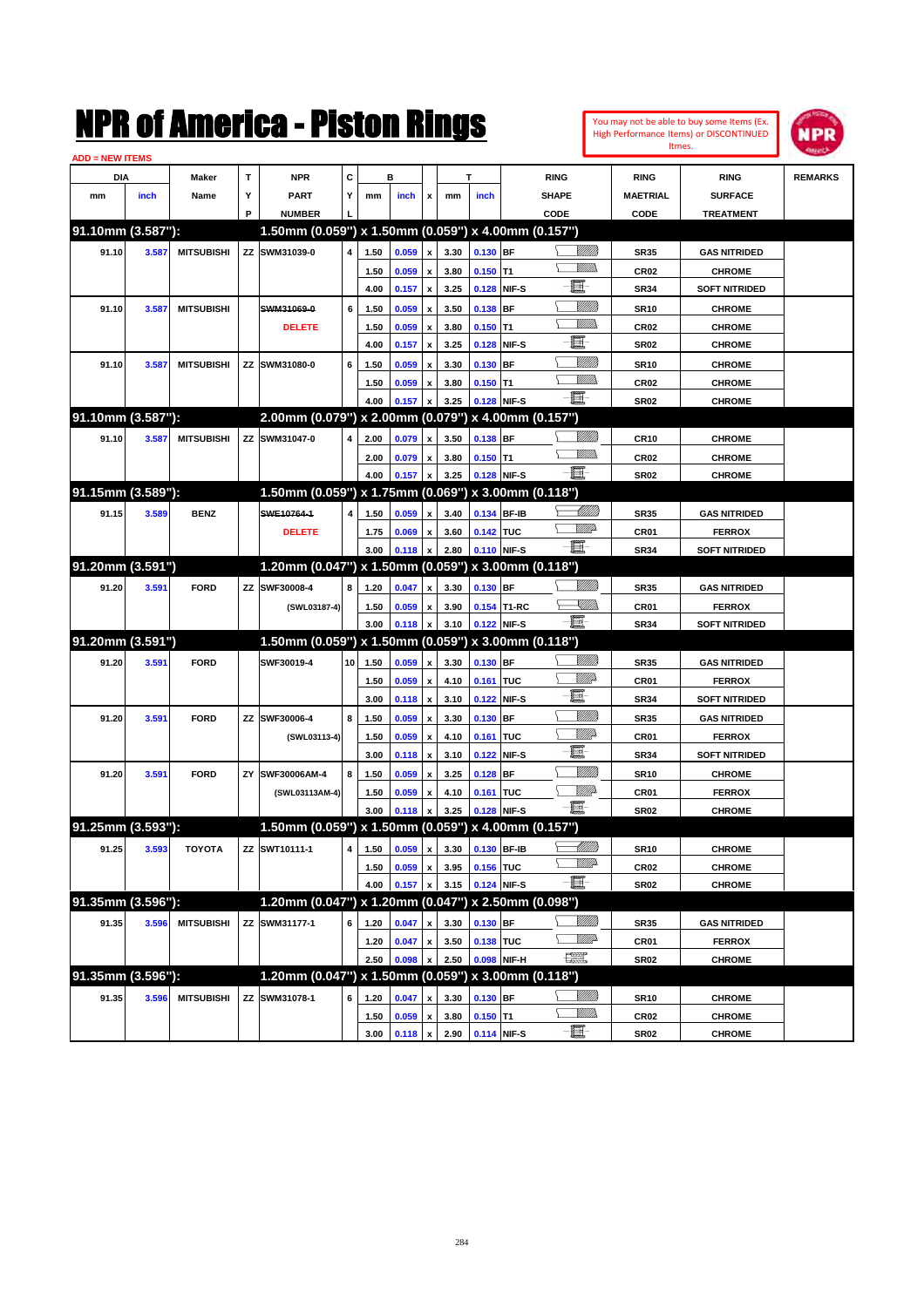|                        |       |                   |              | NMK OI AINCrica - Miston Kings                                       |                         |      |       |                    |      |             |              |                                                                                                                                                                                                                                                                                                                                                                                             |                              |                  | You may not be able to buy some Items (Ex.<br>High Performance Items) or DISCONTINUED<br>Itmes. | pp             |
|------------------------|-------|-------------------|--------------|----------------------------------------------------------------------|-------------------------|------|-------|--------------------|------|-------------|--------------|---------------------------------------------------------------------------------------------------------------------------------------------------------------------------------------------------------------------------------------------------------------------------------------------------------------------------------------------------------------------------------------------|------------------------------|------------------|-------------------------------------------------------------------------------------------------|----------------|
| <b>ADD = NEW ITEMS</b> |       |                   |              |                                                                      |                         |      |       |                    |      |             |              |                                                                                                                                                                                                                                                                                                                                                                                             |                              |                  |                                                                                                 |                |
| DIA                    |       | Maker             | $\mathbf{T}$ | <b>NPR</b>                                                           | C                       |      | в     |                    |      | т           |              | <b>RING</b>                                                                                                                                                                                                                                                                                                                                                                                 |                              | <b>RING</b>      | <b>RING</b>                                                                                     | <b>REMARKS</b> |
| mm                     | inch  | Name              | Y            | <b>PART</b>                                                          | Υ                       | mm   | inch  | x                  | mm   | inch        |              | <b>SHAPE</b>                                                                                                                                                                                                                                                                                                                                                                                |                              | <b>MAETRIAL</b>  | <b>SURFACE</b>                                                                                  |                |
| 91.10mm (3.587"):      |       |                   | P            | <b>NUMBER</b><br>1.50mm (0.059") x 1.50mm (0.059") x 4.00mm (0.157") |                         |      |       |                    |      |             |              | CODE                                                                                                                                                                                                                                                                                                                                                                                        |                              | CODE             | <b>TREATMENT</b>                                                                                |                |
|                        |       |                   |              |                                                                      |                         |      |       |                    |      |             |              |                                                                                                                                                                                                                                                                                                                                                                                             | <u>Sillilli</u>              |                  |                                                                                                 |                |
| 91.10                  | 3.587 | <b>MITSUBISHI</b> |              | ZZ SWM31039-0                                                        | $\overline{4}$          | 1.50 | 0.059 | x                  | 3.30 | $0.130$ BF  |              |                                                                                                                                                                                                                                                                                                                                                                                             | .<br>WWW                     | <b>SR35</b>      | <b>GAS NITRIDED</b>                                                                             |                |
|                        |       |                   |              |                                                                      |                         | 1.50 | 0.059 | X                  | 3.80 | 0.150       | lT1          | E.                                                                                                                                                                                                                                                                                                                                                                                          |                              | CR <sub>02</sub> | <b>CHROME</b>                                                                                   |                |
|                        |       |                   |              |                                                                      |                         | 4.00 | 0.157 | X                  | 3.25 | 0.128       | NIF-S        |                                                                                                                                                                                                                                                                                                                                                                                             |                              | <b>SR34</b>      | <b>SOFT NITRIDED</b>                                                                            |                |
| 91.10                  | 3.587 | <b>MITSUBISHI</b> |              | SWM31069-0                                                           | 6                       | 1.50 | 0.059 | X                  | 3.50 | 0.138       | IBF          |                                                                                                                                                                                                                                                                                                                                                                                             | <u>Milli</u><br><br>Mar      | <b>SR10</b>      | <b>CHROME</b>                                                                                   |                |
|                        |       |                   |              | <b>DELETE</b>                                                        |                         | 1.50 | 0.059 | X                  | 3.80 | 0.150       | T1           | E.                                                                                                                                                                                                                                                                                                                                                                                          |                              | CR <sub>02</sub> | <b>CHROME</b>                                                                                   |                |
|                        |       |                   |              |                                                                      |                         | 4.00 | 0.157 |                    | 3.25 | 0.128       | NIF-S        |                                                                                                                                                                                                                                                                                                                                                                                             |                              | <b>SR02</b>      | <b>CHROME</b>                                                                                   |                |
| 91.10                  | 3.587 | <b>MITSUBISHI</b> | ZZ           | SWM31080-0                                                           | 6                       | 1.50 | 0.059 | X                  | 3.30 | 0.130       | BF           |                                                                                                                                                                                                                                                                                                                                                                                             | <u>MMM</u><br>.<br>WWW       | <b>SR10</b>      | <b>CHROME</b>                                                                                   |                |
|                        |       |                   |              |                                                                      |                         | 1.50 | 0.059 | x                  | 3.80 | 0.150       | T1           | -6-                                                                                                                                                                                                                                                                                                                                                                                         |                              | CR <sub>02</sub> | <b>CHROME</b>                                                                                   |                |
|                        |       |                   |              |                                                                      |                         | 4.00 | 0.157 | $\mathbf{x}$       | 3.25 | 0.128       | NIF-S        |                                                                                                                                                                                                                                                                                                                                                                                             |                              | <b>SR02</b>      | <b>CHROME</b>                                                                                   |                |
| 91.10mm (3.587"):      |       |                   |              | 2.00mm (0.079") x 2.00mm (0.079") x 4.00mm (0.157")                  |                         |      |       |                    |      |             |              |                                                                                                                                                                                                                                                                                                                                                                                             |                              |                  |                                                                                                 |                |
| 91.10                  | 3.587 | <b>MITSUBISHI</b> | <b>ZZ</b>    | SWM31047-0                                                           | 4                       | 2.00 | 0.079 | $\mathbf{x}$       | 3.50 | 0.138 BF    |              |                                                                                                                                                                                                                                                                                                                                                                                             | <u>Milli</u> k<br><br>Mar    | <b>CR10</b>      | <b>CHROME</b>                                                                                   |                |
|                        |       |                   |              |                                                                      |                         | 2.00 | 0.079 | x                  | 3.80 | 0.150       | T1           | -6                                                                                                                                                                                                                                                                                                                                                                                          |                              | CR <sub>02</sub> | <b>CHROME</b>                                                                                   |                |
|                        |       |                   |              |                                                                      |                         | 4.00 | 0.157 | x                  | 3.25 | 0.128       | NIF-S        |                                                                                                                                                                                                                                                                                                                                                                                             |                              | <b>SR02</b>      | <b>CHROME</b>                                                                                   |                |
| 91.15mm (3.589"):      |       |                   |              | 1.50mm (0.059") x 1.75mm (0.069") x 3.00mm (0.118")                  |                         |      |       |                    |      |             |              |                                                                                                                                                                                                                                                                                                                                                                                             |                              |                  |                                                                                                 |                |
| 91.15                  | 3.589 | <b>BENZ</b>       |              | SWE10764-1                                                           | 4                       | 1.50 | 0.059 | x                  | 3.40 | 0.134       | <b>BF-IB</b> |                                                                                                                                                                                                                                                                                                                                                                                             | <u> Milli</u> lli<br>7/////2 | <b>SR35</b>      | <b>GAS NITRIDED</b>                                                                             |                |
|                        |       |                   |              | <b>DELETE</b>                                                        |                         | 1.75 | 0.069 | x                  | 3.60 | 0.142 TUC   |              |                                                                                                                                                                                                                                                                                                                                                                                             |                              | CR01             | <b>FERROX</b>                                                                                   |                |
|                        |       |                   |              |                                                                      |                         | 3.00 | 0.118 | X                  | 2.80 | 0.110       | NIF-S        | $-\mathbf{H}$                                                                                                                                                                                                                                                                                                                                                                               |                              | <b>SR34</b>      | <b>SOFT NITRIDED</b>                                                                            |                |
| 91.20mm (3.591")       |       |                   |              | 1.20mm (0.047") x 1.50mm (0.059") x 3.00mm (0.118")                  |                         |      |       |                    |      |             |              |                                                                                                                                                                                                                                                                                                                                                                                             |                              |                  |                                                                                                 |                |
| 91.20                  | 3.591 | <b>FORD</b>       | <b>ZZ</b>    | SWF30008-4                                                           | 8                       | 1.20 | 0.047 | $\mathbf{x}$       | 3.30 | 0.130 BF    |              |                                                                                                                                                                                                                                                                                                                                                                                             | <u>Milli</u> k               | <b>SR35</b>      | <b>GAS NITRIDED</b>                                                                             |                |
|                        |       |                   |              | (SWL03187-4)                                                         |                         | 1.50 | 0.059 | x                  | 3.90 | 0.154       | T1-RC        |                                                                                                                                                                                                                                                                                                                                                                                             | <u>Sillin</u>                | CR01             | <b>FERROX</b>                                                                                   |                |
|                        |       |                   |              |                                                                      |                         | 3.00 | 0.118 | $\pmb{\mathsf{x}}$ | 3.10 | 0.122       | NIF-S        | -8                                                                                                                                                                                                                                                                                                                                                                                          |                              | <b>SR34</b>      | <b>SOFT NITRIDED</b>                                                                            |                |
| 91.20mm (3.591")       |       |                   |              | 1.50mm (0.059") x 1.50mm (0.059") x 3.00mm (0.118")                  |                         |      |       |                    |      |             |              |                                                                                                                                                                                                                                                                                                                                                                                             |                              |                  |                                                                                                 |                |
| 91.20                  | 3.591 | <b>FORD</b>       |              | SWF30019-4                                                           | 10                      | 1.50 | 0.059 | x                  | 3.30 | 0.130       | <b>BF</b>    |                                                                                                                                                                                                                                                                                                                                                                                             | <u>Milli</u> k               | <b>SR35</b>      | <b>GAS NITRIDED</b>                                                                             |                |
|                        |       |                   |              |                                                                      |                         | 1.50 | 0.059 | x                  | 4.10 | 0.161       | ltuc         |                                                                                                                                                                                                                                                                                                                                                                                             | <u>VIIIt</u> da              | CR <sub>01</sub> | <b>FERROX</b>                                                                                   |                |
|                        |       |                   |              |                                                                      |                         | 3.00 | 0.118 | X                  | 3.10 | 0.122       | NIF-S        | E.                                                                                                                                                                                                                                                                                                                                                                                          |                              | <b>SR34</b>      | <b>SOFT NITRIDED</b>                                                                            |                |
| 91.20                  | 3.591 | <b>FORD</b>       | ZZ           | SWF30006-4                                                           | 8                       | 1.50 | 0.059 | X                  | 3.30 | 0.130       | <b>BF</b>    |                                                                                                                                                                                                                                                                                                                                                                                             | <u>MMM</u>                   | <b>SR35</b>      | <b>GAS NITRIDED</b>                                                                             |                |
|                        |       |                   |              | (SWL03113-4)                                                         |                         | 1.50 | 0.059 | X                  | 4.10 | 0.161       | TUC          |                                                                                                                                                                                                                                                                                                                                                                                             | <u>Willia</u>                | CR01             | <b>FERROX</b>                                                                                   |                |
|                        |       |                   |              |                                                                      |                         | 3.00 | 0.118 | X                  | 3.10 | 0.122       | NIF-S        | E.                                                                                                                                                                                                                                                                                                                                                                                          |                              | <b>SR34</b>      | <b>SOFT NITRIDED</b>                                                                            |                |
| 91.20                  | 3.591 | <b>FORD</b>       | ZY           | SWF30006AM-4                                                         | 8                       | 1.50 | 0.059 | X                  | 3.25 | 0.128       | <b>BF</b>    |                                                                                                                                                                                                                                                                                                                                                                                             | <u>VMM</u>                   | <b>SR10</b>      | <b>CHROME</b>                                                                                   |                |
|                        |       |                   |              | (SWL03113AM-4)                                                       |                         | 1.50 | 0.059 | x                  | 4.10 | 0.161       | TUC          |                                                                                                                                                                                                                                                                                                                                                                                             | <u>WW</u>                    | CR01             | <b>FERROX</b>                                                                                   |                |
|                        |       |                   |              |                                                                      |                         | 3.00 | 0.118 | $\pmb{\mathsf{x}}$ | 3.25 | 0.128       | NIF-S        | 買                                                                                                                                                                                                                                                                                                                                                                                           |                              | <b>SR02</b>      | <b>CHROME</b>                                                                                   |                |
| 91.25mm (3.593"):      |       |                   |              | 1.50mm (0.059") x 1.50mm (0.059") x 4.00mm (0.157")                  |                         |      |       |                    |      |             |              |                                                                                                                                                                                                                                                                                                                                                                                             |                              |                  |                                                                                                 |                |
| 91.25                  | 3.593 | <b>TOYOTA</b>     |              | ZZ SWT10111-1                                                        | $\overline{\mathbf{4}}$ | 1.50 | 0.059 | $\mathbf{x}$       | 3.30 | 0.130 BF-IB |              |                                                                                                                                                                                                                                                                                                                                                                                             | <u> Millitt</u>              | <b>SR10</b>      | <b>CHROME</b>                                                                                   |                |
|                        |       |                   |              |                                                                      |                         | 1.50 | 0.059 | $\pmb{\mathsf{x}}$ | 3.95 | 0.156 TUC   |              |                                                                                                                                                                                                                                                                                                                                                                                             | <u>WW</u>                    | CR <sub>02</sub> | <b>CHROME</b>                                                                                   |                |
|                        |       |                   |              |                                                                      |                         | 4.00 | 0.157 | x                  | 3.15 |             | 0.124 NIF-S  | $-\Xi$ -                                                                                                                                                                                                                                                                                                                                                                                    |                              | <b>SR02</b>      | <b>CHROME</b>                                                                                   |                |
| 91.35mm (3.596"):      |       |                   |              | 1.20mm (0.047") x 1.20mm (0.047") x 2.50mm (0.098")                  |                         |      |       |                    |      |             |              |                                                                                                                                                                                                                                                                                                                                                                                             |                              |                  |                                                                                                 |                |
| 91.35                  | 3.596 | <b>MITSUBISHI</b> |              | ZZ SWM31177-1                                                        | 6                       | 1.20 | 0.047 | x                  | 3.30 | 0.130 BF    |              |                                                                                                                                                                                                                                                                                                                                                                                             | <u>VIIII)</u>                | <b>SR35</b>      | <b>GAS NITRIDED</b>                                                                             |                |
|                        |       |                   |              |                                                                      |                         | 1.20 | 0.047 | $\pmb{\mathsf{x}}$ | 3.50 | 0.138 TUC   |              |                                                                                                                                                                                                                                                                                                                                                                                             | <u>VM</u> D                  | CR01             | <b>FERROX</b>                                                                                   |                |
|                        |       |                   |              |                                                                      |                         | 2.50 | 0.098 | $\mathbf{x}$       | 2.50 | 0.098       | NIF-H        | $\begin{picture}(20,20) \put(0,0){\dashbox{0.5}(20,0){ }} \put(15,0){\circle{10}} \put(25,0){\circle{10}} \put(25,0){\circle{10}} \put(25,0){\circle{10}} \put(25,0){\circle{10}} \put(25,0){\circle{10}} \put(25,0){\circle{10}} \put(25,0){\circle{10}} \put(25,0){\circle{10}} \put(25,0){\circle{10}} \put(25,0){\circle{10}} \put(25,0){\circle{10}} \put(25,0){\circle{10}} \put(25,$ |                              | <b>SR02</b>      | <b>CHROME</b>                                                                                   |                |
| 91.35mm (3.596"):      |       |                   |              | 1.20mm (0.047") x 1.50mm (0.059") x 3.00mm (0.118")                  |                         |      |       |                    |      |             |              |                                                                                                                                                                                                                                                                                                                                                                                             |                              |                  |                                                                                                 |                |
| 91.35                  | 3.596 | <b>MITSUBISHI</b> | ZZ           | SWM31078-1                                                           | 6                       | 1.20 | 0.047 |                    | 3.30 | 0.130 BF    |              |                                                                                                                                                                                                                                                                                                                                                                                             | <u>VIIII)</u>                | <b>SR10</b>      | <b>CHROME</b>                                                                                   |                |
|                        |       |                   |              |                                                                      |                         | 1.50 | 0.059 | x                  | 3.80 | $0.150$ T1  |              |                                                                                                                                                                                                                                                                                                                                                                                             | <u>VMM</u>                   | <b>CR02</b>      | <b>CHROME</b>                                                                                   |                |
|                        |       |                   |              |                                                                      |                         | 3.00 | 0.118 | x                  | 2.90 | 0.114 NIF-S |              | $-\Xi$                                                                                                                                                                                                                                                                                                                                                                                      |                              | <b>SR02</b>      | <b>CHROME</b>                                                                                   |                |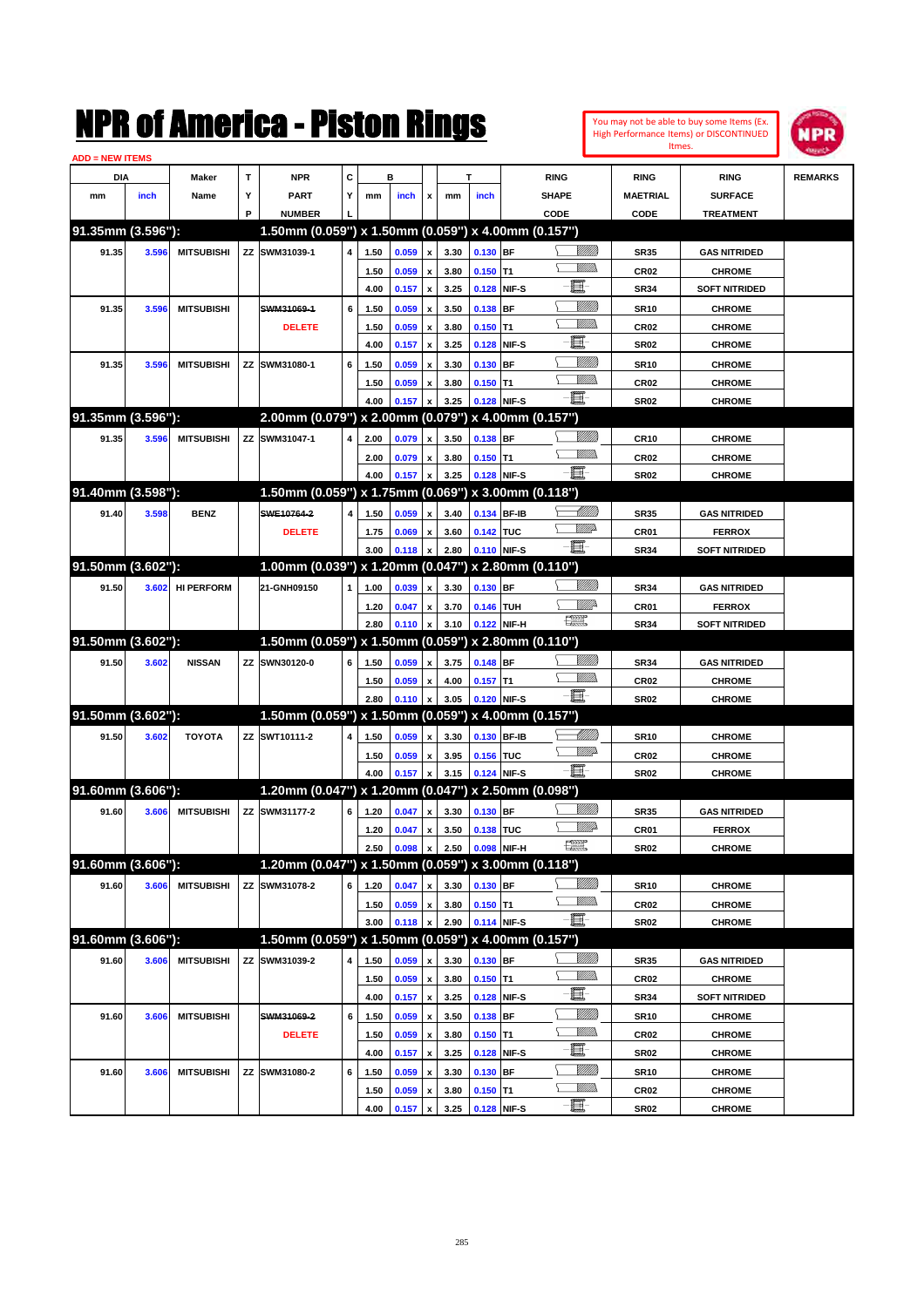| You may not be able to buy some Items (Ex. |
|--------------------------------------------|
| High Performance Items) or DISCONTINUED    |
| Itmes.                                     |



| <b>ADD = NEW ITEMS</b> |       |                   |    |                                                     |   |      |       |                           |      |            |             |                          |                  |                      |                |
|------------------------|-------|-------------------|----|-----------------------------------------------------|---|------|-------|---------------------------|------|------------|-------------|--------------------------|------------------|----------------------|----------------|
| <b>DIA</b>             |       | <b>Maker</b>      | T  | <b>NPR</b>                                          | С |      | в     |                           |      | т          |             | <b>RING</b>              | <b>RING</b>      | <b>RING</b>          | <b>REMARKS</b> |
| mm                     | inch  | Name              | Υ  | <b>PART</b>                                         | Y | mm   | inch  | x                         | mm   | inch       |             | <b>SHAPE</b>             | <b>MAETRIAL</b>  | <b>SURFACE</b>       |                |
|                        |       |                   | P  | <b>NUMBER</b>                                       |   |      |       |                           |      |            |             | CODE                     | CODE             | <b>TREATMENT</b>     |                |
| 91.35mm (3.596"):      |       |                   |    | 1.50mm (0.059") x 1.50mm (0.059") x 4.00mm (0.157") |   |      |       |                           |      |            |             |                          |                  |                      |                |
| 91.35                  | 3.596 | <b>MITSUBISHI</b> |    | ZZ SWM31039-1                                       | 4 | 1.50 | 0.059 | x                         | 3.30 | 0.130 BF   |             | <u> UMB</u>              | <b>SR35</b>      | <b>GAS NITRIDED</b>  |                |
|                        |       |                   |    |                                                     |   | 1.50 | 0.059 |                           | 3.80 | $0.150$ T1 |             |                          | <b>CR02</b>      | <b>CHROME</b>        |                |
|                        |       |                   |    |                                                     |   | 4.00 | 0.157 | $\boldsymbol{\mathsf{x}}$ | 3.25 |            | 0.128 NIF-S | e.                       | <b>SR34</b>      | <b>SOFT NITRIDED</b> |                |
| 91.35                  | 3.596 | <b>MITSUBISHI</b> |    | SWM31069-1                                          | 6 | 1.50 | 0.059 | x                         | 3.50 | $0.138$ BF |             | <u>Milli</u> k           | <b>SR10</b>      | <b>CHROME</b>        |                |
|                        |       |                   |    | <b>DELETE</b>                                       |   | 1.50 | 0.059 | x                         | 3.80 | $0.150$ T1 |             | 9777))                   | <b>CR02</b>      | <b>CHROME</b>        |                |
|                        |       |                   |    |                                                     |   | 4.00 | 0.157 | x                         | 3.25 |            | 0.128 NIF-S | e.                       | <b>SR02</b>      | <b>CHROME</b>        |                |
| 91.35                  | 3.596 | <b>MITSUBISHI</b> |    | ZZ SWM31080-1                                       | 6 | 1.50 | 0.059 |                           | 3.30 | $0.130$ BF |             | <u>Milli</u> k           | <b>SR10</b>      | <b>CHROME</b>        |                |
|                        |       |                   |    |                                                     |   | 1.50 | 0.059 |                           | 3.80 | $0.150$ T1 |             | .<br>MM                  | <b>CR02</b>      | <b>CHROME</b>        |                |
|                        |       |                   |    |                                                     |   | 4.00 | 0.157 |                           | 3.25 |            | 0.128 NIF-S | Ð.                       | <b>SR02</b>      | <b>CHROME</b>        |                |
| 91.35mm (3.596"):      |       |                   |    | 2.00mm (0.079") x 2.00mm (0.079") x 4.00mm (0.157") |   |      |       |                           |      |            |             |                          |                  |                      |                |
| 91.35                  | 3.596 | <b>MITSUBISHI</b> |    | ZZ SWM31047-1                                       | 4 | 2.00 | 0.079 | x                         | 3.50 | 0.138 BF   |             |                          | <b>CR10</b>      | <b>CHROME</b>        |                |
|                        |       |                   |    |                                                     |   | 2.00 | 0.079 | x                         | 3.80 | $0.150$ T1 |             | .<br>MM                  | <b>CR02</b>      | <b>CHROME</b>        |                |
|                        |       |                   |    |                                                     |   | 4.00 | 0.157 |                           | 3.25 |            | 0.128 NIF-S | Ð.                       | <b>SR02</b>      | <b>CHROME</b>        |                |
| 91.40mm (3.598"):      |       |                   |    | 1.50mm (0.059") x 1.75mm (0.069") x 3.00mm (0.118") |   |      |       |                           |      |            |             |                          |                  |                      |                |
| 91.40                  | 3.598 | <b>BENZ</b>       |    | SWE10764-2                                          | 4 | 1.50 | 0.059 | x                         | 3.40 |            | 0.134 BF-IB | MMB                      | <b>SR35</b>      | <b>GAS NITRIDED</b>  |                |
|                        |       |                   |    | <b>DELETE</b>                                       |   | 1.75 | 0.069 | x                         | 3.60 | 0.142 TUC  |             | <u>WWA</u>               | <b>CR01</b>      | <b>FERROX</b>        |                |
|                        |       |                   |    |                                                     |   | 3.00 | 0.118 |                           | 2.80 |            | 0.110 NIF-S | đ.                       | <b>SR34</b>      | <b>SOFT NITRIDED</b> |                |
| 91.50mm (3.602"):      |       |                   |    | 1.00mm (0.039") x 1.20mm (0.047") x 2.80mm (0.110") |   |      |       |                           |      |            |             |                          |                  |                      |                |
| 91.50                  | 3.602 | <b>HI PERFORM</b> |    | 21-GNH09150                                         | 1 | 1.00 | 0.039 | x                         | 3.30 | 0.130 BF   |             |                          | <b>SR34</b>      | <b>GAS NITRIDED</b>  |                |
|                        |       |                   |    |                                                     |   | 1.20 | 0.047 | x                         | 3.70 | 0.146 TUH  |             | <u>Mille</u>             | <b>CR01</b>      | <b>FERROX</b>        |                |
|                        |       |                   |    |                                                     |   | 2.80 | 0.110 |                           | 3.10 |            | 0.122 NIF-H | 鱱                        | <b>SR34</b>      | <b>SOFT NITRIDED</b> |                |
| 91.50mm (3.602"):      |       |                   |    | 1.50mm (0.059") x 1.50mm (0.059") x 2.80mm (0.110") |   |      |       |                           |      |            |             |                          |                  |                      |                |
| 91.50                  | 3.602 | <b>NISSAN</b>     |    | ZZ SWN30120-0                                       | 6 | 1.50 | 0.059 | x                         | 3.75 | 0.148 BF   |             |                          | <b>SR34</b>      | <b>GAS NITRIDED</b>  |                |
|                        |       |                   |    |                                                     |   | 1.50 | 0.059 | x                         | 4.00 | $0.157$ T1 |             | UM)                      | <b>CR02</b>      | <b>CHROME</b>        |                |
|                        |       |                   |    |                                                     |   | 2.80 | 0.110 |                           | 3.05 |            | 0.120 NIF-S | - 1                      | <b>SR02</b>      | <b>CHROME</b>        |                |
| 91.50mm (3.602"):      |       |                   |    | 1.50mm (0.059") x 1.50mm (0.059") x 4.00mm (0.157") |   |      |       |                           |      |            |             |                          |                  |                      |                |
| 91.50                  | 3.602 | <b>TOYOTA</b>     |    | ZZ SWT10111-2                                       | 4 | 1.50 | 0.059 | x                         | 3.30 |            | 0.130 BF-IB | MMB                      | <b>SR10</b>      | <b>CHROME</b>        |                |
|                        |       |                   |    |                                                     |   | 1.50 | 0.059 | x                         | 3.95 | 0.156 TUC  |             | <u>WW</u>                | <b>CR02</b>      | <b>CHROME</b>        |                |
|                        |       |                   |    |                                                     |   | 4.00 | 0.157 |                           | 3.15 |            | 0.124 NIF-S | -8                       | <b>SR02</b>      | <b>CHROME</b>        |                |
| 91.60mm (3.606"):      |       |                   |    | 1.20mm (0.047") x 1.20mm (0.047") x 2.50mm (0.098") |   |      |       |                           |      |            |             |                          |                  |                      |                |
| 91.60                  | 3.606 | <b>MITSUBISHI</b> |    | ZZ SWM31177-2                                       | 6 | 1.20 | 0.047 | x                         | 3.30 | 0.130 BF   |             | VIII))                   | <b>SR35</b>      | <b>GAS NITRIDED</b>  |                |
|                        |       |                   |    |                                                     |   | 1.20 | 0.047 | x                         | 3.50 | 0.138 TUC  |             | ₩₩                       | CR01             | <b>FERROX</b>        |                |
|                        |       |                   |    |                                                     |   | 2.50 | 0.098 | $\pmb{\mathsf{x}}$        | 2.50 |            | 0.098 NIF-H | æ                        | SR02             | <b>CHROME</b>        |                |
| 91.60mm (3.606"):      |       |                   |    | 1.20mm (0.047") x 1.50mm (0.059") x 3.00mm (0.118") |   |      |       |                           |      |            |             |                          |                  |                      |                |
| 91.60                  | 3.606 | <b>MITSUBISHI</b> |    | ZZ SWM31078-2                                       | 6 | 1.20 | 0.047 | x                         | 3.30 | 0.130 BF   |             | <u>MMM</u>               | <b>SR10</b>      | <b>CHROME</b>        |                |
|                        |       |                   |    |                                                     |   | 1.50 | 0.059 | $\pmb{\mathsf{x}}$        | 3.80 | $0.150$ T1 |             | <u>WMW</u><br>-80        | CR02             | <b>CHROME</b>        |                |
|                        |       |                   |    |                                                     |   | 3.00 | 0.118 | x                         | 2.90 |            | 0.114 NIF-S |                          | <b>SR02</b>      | <b>CHROME</b>        |                |
| 91.60mm (3.606"):      |       |                   |    | 1.50mm (0.059") x 1.50mm (0.059") x 4.00mm (0.157") |   |      |       |                           |      |            |             |                          |                  |                      |                |
| 91.60                  | 3.606 | <b>MITSUBISHI</b> |    | ZZ SWM31039-2                                       | 4 | 1.50 | 0.059 | x                         | 3.30 | $0.130$ BF |             | <u>MMM</u>               | SR35             | <b>GAS NITRIDED</b>  |                |
|                        |       |                   |    |                                                     |   | 1.50 | 0.059 | x                         | 3.80 | $0.150$ T1 |             | <u>WMW</u><br>e          | CR <sub>02</sub> | <b>CHROME</b>        |                |
|                        |       |                   |    |                                                     |   | 4.00 | 0.157 | $\pmb{\mathsf{x}}$        | 3.25 |            | 0.128 NIF-S |                          | SR34             | <b>SOFT NITRIDED</b> |                |
| 91.60                  | 3.606 | <b>MITSUBISHI</b> |    | SWM31069-2                                          | 6 | 1.50 | 0.059 | x                         | 3.50 | $0.138$ BF |             | <u>MMM</u><br><u>MM)</u> | SR10             | <b>CHROME</b>        |                |
|                        |       |                   |    | <b>DELETE</b>                                       |   | 1.50 | 0.059 | x                         | 3.80 | $0.150$ T1 |             | e.                       | CR <sub>02</sub> | <b>CHROME</b>        |                |
|                        |       |                   |    |                                                     |   | 4.00 | 0.157 | $\pmb{\mathsf{x}}$        | 3.25 |            | 0.128 NIF-S | <u>MMM</u>               | SR02             | <b>CHROME</b>        |                |
| 91.60                  | 3.606 | <b>MITSUBISHI</b> | ΖZ | SWM31080-2                                          | 6 | 1.50 | 0.059 | x                         | 3.30 | 0.130 BF   |             | <u>WMW</u>               | SR10             | <b>CHROME</b>        |                |
|                        |       |                   |    |                                                     |   | 1.50 | 0.059 | x                         | 3.80 | $0.150$ T1 |             | e                        | CR02             | <b>CHROME</b>        |                |
|                        |       |                   |    |                                                     |   | 4.00 | 0.157 | $\pmb{\mathsf{x}}$        | 3.25 |            | 0.128 NIF-S |                          | SR02             | <b>CHROME</b>        |                |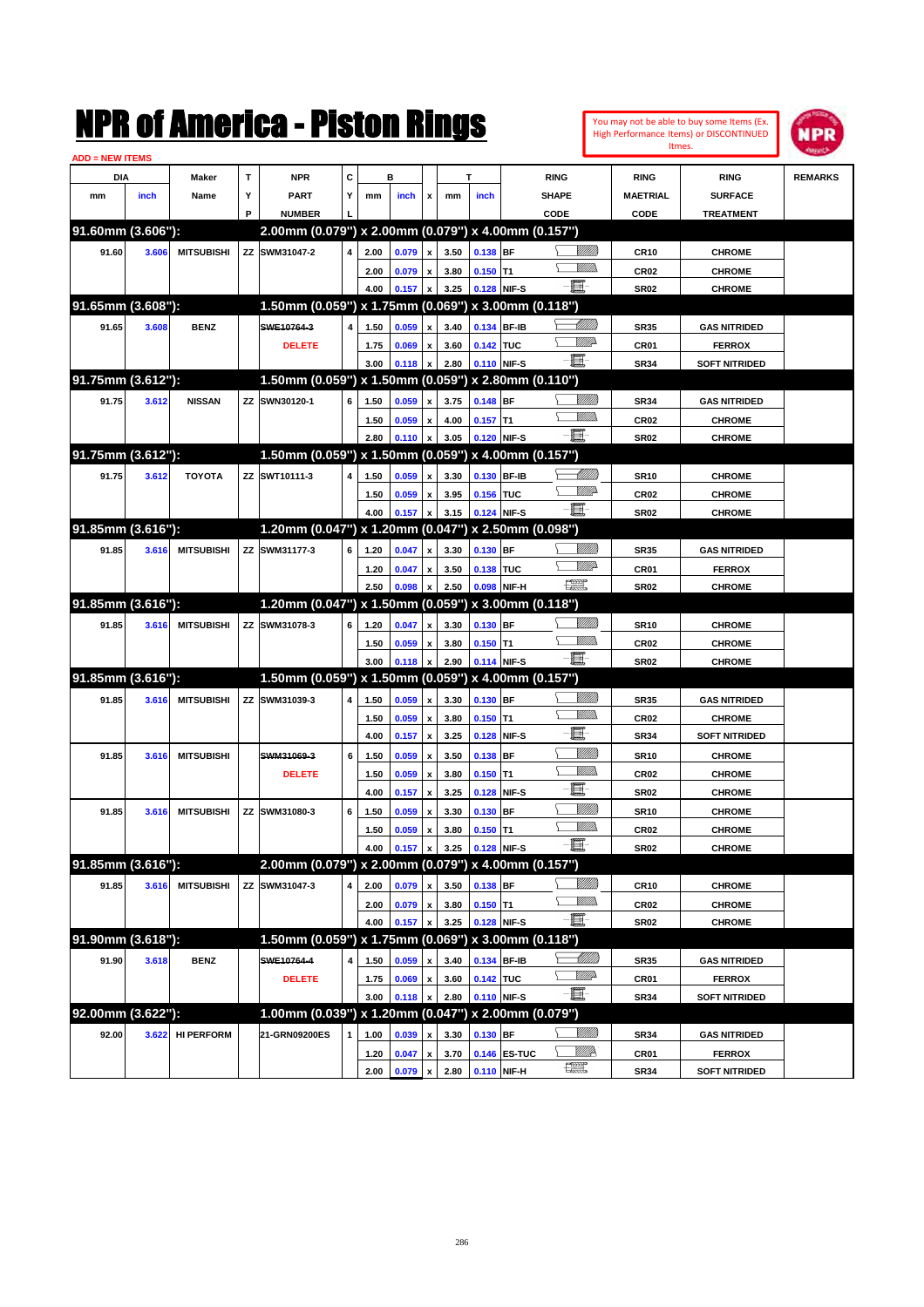| <b>ADD = NEW ITEMS</b> |       |                   |   | NMK OI AINCrica - Miston Kings                         |   |      |       |                           |      |             |              |               |                   | Itmes.           | You may not be able to buy some Items (Ex.<br>High Performance Items) or DISCONTINUED | IPR            |
|------------------------|-------|-------------------|---|--------------------------------------------------------|---|------|-------|---------------------------|------|-------------|--------------|---------------|-------------------|------------------|---------------------------------------------------------------------------------------|----------------|
| DIA                    |       | Maker             | T | <b>NPR</b>                                             | C |      | в     |                           |      | T           |              | <b>RING</b>   |                   | <b>RING</b>      | <b>RING</b>                                                                           | <b>REMARKS</b> |
| mm                     | inch  | Name              | Υ | <b>PART</b>                                            | Y | mm   | inch  | x                         | mm   | inch        |              | <b>SHAPE</b>  |                   | <b>MAETRIAL</b>  | <b>SURFACE</b>                                                                        |                |
|                        |       |                   | P | <b>NUMBER</b>                                          |   |      |       |                           |      |             |              | CODE          |                   | CODE             | <b>TREATMENT</b>                                                                      |                |
| 91.60mm (3.606"):      |       |                   |   | 2.00mm (0.079") x 2.00mm (0.079") x 4.00mm (0.157")    |   |      |       |                           |      |             |              |               |                   |                  |                                                                                       |                |
| 91.60                  | 3.606 | <b>MITSUBISHI</b> |   | ZZ SWM31047-2                                          | 4 | 2.00 | 0.079 | $\pmb{\mathsf{x}}$        | 3.50 | 0.138 BF    |              |               | <u>Villilli</u>   | <b>CR10</b>      | <b>CHROME</b>                                                                         |                |
|                        |       |                   |   |                                                        |   | 2.00 | 0.079 | $\pmb{\mathsf{x}}$        | 3.80 | $0.150$ T1  |              |               | .<br>WWW          | CR <sub>02</sub> | <b>CHROME</b>                                                                         |                |
|                        |       |                   |   |                                                        |   | 4.00 | 0.157 | x                         | 3.25 | 0.128 NIF-S |              | E.            |                   | <b>SR02</b>      | <b>CHROME</b>                                                                         |                |
| 91.65mm (3.608"):      |       |                   |   | 1.50mm (0.059") x 1.75mm (0.069") x 3.00mm (0.118")    |   |      |       |                           |      |             |              |               |                   |                  |                                                                                       |                |
| 91.65                  | 3.608 | <b>BENZ</b>       |   | SWE10764-3                                             | 4 | 1.50 | 0.059 | x                         | 3.40 | 0.134 BF-IB |              |               | <u> MMM</u>       | <b>SR35</b>      | <b>GAS NITRIDED</b>                                                                   |                |
|                        |       |                   |   | <b>DELETE</b>                                          |   | 1.75 | 0.069 | $\pmb{\mathsf{x}}$        | 3.60 | 0.142 TUC   |              |               | VMP               | CR01             | <b>FERROX</b>                                                                         |                |
|                        |       |                   |   |                                                        |   | 3.00 | 0.118 | $\boldsymbol{\mathsf{x}}$ | 2.80 | 0.110 NIF-S |              | E             |                   | <b>SR34</b>      | <b>SOFT NITRIDED</b>                                                                  |                |
| 91.75mm (3.612"):      |       |                   |   | 1.50mm (0.059") x 1.50mm (0.059") x 2.80mm (0.110")    |   |      |       |                           |      |             |              |               |                   |                  |                                                                                       |                |
| 91.75                  | 3.612 | <b>NISSAN</b>     |   | ZZ SWN30120-1                                          | 6 | 1.50 | 0.059 | $\boldsymbol{x}$          | 3.75 | 0.148 BF    |              |               | <u>VIIII</u>      | <b>SR34</b>      | <b>GAS NITRIDED</b>                                                                   |                |
|                        |       |                   |   |                                                        |   | 1.50 | 0.059 | x                         | 4.00 | $0.157$ T1  |              |               | .<br>WWW          | CR <sub>02</sub> | <b>CHROME</b>                                                                         |                |
|                        |       |                   |   |                                                        |   | 2.80 | 0.110 | $\boldsymbol{x}$          | 3.05 | 0.120 NIF-S |              | E.            |                   | <b>SR02</b>      | <b>CHROME</b>                                                                         |                |
| 91.75mm (3.612"):      |       |                   |   | 1.50mm (0.059") x 1.50mm (0.059") x 4.00mm (0.157")    |   |      |       |                           |      |             |              |               |                   |                  |                                                                                       |                |
| 91.75                  | 3.612 | <b>TOYOTA</b>     |   | ZZ SWT10111-3                                          | 4 | 1.50 | 0.059 | $\boldsymbol{x}$          | 3.30 | 0.130 BF-IB |              |               | <u> Milli</u> lli | <b>SR10</b>      | <b>CHROME</b>                                                                         |                |
|                        |       |                   |   |                                                        |   | 1.50 | 0.059 | $\pmb{\mathsf{x}}$        | 3.95 | 0.156 TUC   |              |               | <u>VM</u> D       | CR <sub>02</sub> | <b>CHROME</b>                                                                         |                |
|                        |       |                   |   |                                                        |   | 4.00 | 0.157 | $\boldsymbol{x}$          | 3.15 | 0.124 NIF-S |              | e et          |                   | <b>SR02</b>      | <b>CHROME</b>                                                                         |                |
| 91.85mm (3.616"):      |       |                   |   | 1.20mm (0.047") x 1.20mm (0.047") x 2.50mm (0.098")    |   |      |       |                           |      |             |              |               |                   |                  |                                                                                       |                |
| 91.85                  | 3.616 | <b>MITSUBISHI</b> |   | ZZ SWM31177-3                                          | 6 | 1.20 | 0.047 | x                         | 3.30 | $0.130$ BF  |              |               | <u>VIIII)</u>     | <b>SR35</b>      | <b>GAS NITRIDED</b>                                                                   |                |
|                        |       |                   |   |                                                        |   | 1.20 | 0.047 | $\pmb{\mathsf{x}}$        | 3.50 | 0.138 TUC   |              |               | <br>William       | CR01             | <b>FERROX</b>                                                                         |                |
|                        |       |                   |   |                                                        |   | 2.50 | 0.098 | $\boldsymbol{\mathsf{x}}$ | 2.50 | 0.098       | NIF-H        | $\frac{1}{2}$ |                   | <b>SR02</b>      | <b>CHROME</b>                                                                         |                |
| 91.85mm (3.616"):      |       |                   |   | 1.20mm (0.047") x 1.50mm (0.059") x 3.00mm (0.118")    |   |      |       |                           |      |             |              |               |                   |                  |                                                                                       |                |
| 91.85                  | 3.616 | <b>MITSUBISHI</b> |   | ZZ SWM31078-3                                          | 6 | 1.20 | 0.047 | $\mathbf{x}$              | 3.30 | 0.130 BF    |              |               | <u>VIIII)</u>     | <b>SR10</b>      | <b>CHROME</b>                                                                         |                |
|                        |       |                   |   |                                                        |   | 1.50 | 0.059 | $\pmb{\mathsf{x}}$        | 3.80 | $0.150$ T1  |              |               | .<br>WWW          | CR <sub>02</sub> | <b>CHROME</b>                                                                         |                |
|                        |       |                   |   |                                                        |   | 3.00 | 0.118 | $\mathbf{x}$              | 2.90 | 0.114 NIF-S |              | e et          |                   | <b>SR02</b>      | <b>CHROME</b>                                                                         |                |
| 91.85mm (3.616"):      |       |                   |   | 1.50mm (0.059") x 1.50mm (0.059") x 4.00mm (0.157")    |   |      |       |                           |      |             |              |               |                   |                  |                                                                                       |                |
| 91.85                  | 3.616 | <b>MITSUBISHI</b> |   | ZZ SWM31039-3                                          | 4 | 1.50 | 0.059 | x                         | 3.30 | 0.130 BF    |              |               | <u>VIIII</u>      | <b>SR35</b>      | <b>GAS NITRIDED</b>                                                                   |                |
|                        |       |                   |   |                                                        |   | 1.50 | 0.059 | $\pmb{\mathsf{x}}$        | 3.80 | $0.150$ T1  |              |               | .<br>WWW          | CR <sub>02</sub> | <b>CHROME</b>                                                                         |                |
|                        |       |                   |   |                                                        |   | 4.00 | 0.157 | $\boldsymbol{\mathsf{x}}$ | 3.25 | 0.128       | NIF-S        | E             |                   | <b>SR34</b>      | <b>SOFT NITRIDED</b>                                                                  |                |
| 91.85                  | 3.616 | <b>MITSUBISHI</b> |   | SWM31069-3                                             | 6 | 1.50 | 0.059 | $\pmb{\mathsf{x}}$        | 3.50 | 0.138       | <b>BF</b>    |               | <u>VIIII</u>      | <b>SR10</b>      | <b>CHROME</b>                                                                         |                |
|                        |       |                   |   | <b>DELETE</b>                                          |   | 1.50 | 0.059 | $\pmb{\mathsf{x}}$        | 3.80 | $0.150$ T1  |              |               | .<br>VMD          | CR <sub>02</sub> | <b>CHROME</b>                                                                         |                |
|                        |       |                   |   |                                                        |   | 4.00 | 0.157 | $\boldsymbol{\mathsf{x}}$ | 3.25 | 0.128 NIF-S |              | E             |                   | <b>SR02</b>      | <b>CHROME</b>                                                                         |                |
| 91.85                  | 3.616 | <b>MITSUBISHI</b> |   | ZZ SWM31080-3                                          | 6 | 1.50 | 0.059 | $\pmb{\mathsf{x}}$        | 3.30 | 0.130 BF    |              |               | <u>VIIII</u>      | <b>SR10</b>      | <b>CHROME</b>                                                                         |                |
|                        |       |                   |   |                                                        |   | 1.50 | 0.059 | $\pmb{\mathsf{x}}$        | 3.80 | $0.150$ T1  |              |               | <u>MMs</u>        | <b>CR02</b>      | <b>CHROME</b>                                                                         |                |
|                        |       |                   |   |                                                        |   | 4.00 | 0.157 | x                         | 3.25 | 0.128 NIF-S |              | E.            |                   | <b>SR02</b>      | <b>CHROME</b>                                                                         |                |
| 91.85mm (3.616"):      |       |                   |   | $2.00$ mm (0.079") x 2.00mm (0.079") x 4.00mm (0.157") |   |      |       |                           |      |             |              |               |                   |                  |                                                                                       |                |
| 91.85                  | 3.616 | <b>MITSUBISHI</b> |   | ZZ SWM31047-3                                          | 4 | 2.00 | 0.079 | $\pmb{\mathsf{x}}$        | 3.50 | $0.138$ BF  |              |               | <u>VIIII)</u>     | <b>CR10</b>      | <b>CHROME</b>                                                                         |                |
|                        |       |                   |   |                                                        |   | 2.00 | 0.079 | $\pmb{\mathsf{x}}$        | 3.80 | $0.150$ T1  |              |               | <u>Willida</u>    | <b>CR02</b>      | <b>CHROME</b>                                                                         |                |
|                        |       |                   |   |                                                        |   | 4.00 | 0.157 | X                         | 3.25 | 0.128 NIF-S |              | e.            |                   | <b>SR02</b>      | <b>CHROME</b>                                                                         |                |
| 91.90mm (3.618"):      |       |                   |   | 1.50mm (0.059") x 1.75mm (0.069") x 3.00mm (0.118")    |   |      |       |                           |      |             |              |               |                   |                  |                                                                                       |                |
| 91.90                  | 3.618 | <b>BENZ</b>       |   | SWE10764-4                                             | 4 | 1.50 | 0.059 | $\pmb{\mathsf{x}}$        | 3.40 |             | 0.134 BF-IB  |               | <u> UMB</u>       | <b>SR35</b>      | <b>GAS NITRIDED</b>                                                                   |                |
|                        |       |                   |   | <b>DELETE</b>                                          |   | 1.75 | 0.069 | $\pmb{\mathsf{x}}$        | 3.60 | 0.142 TUC   |              |               | <u>WW</u> A       | CR01             | <b>FERROX</b>                                                                         |                |
|                        |       |                   |   |                                                        |   | 3.00 | 0.118 | $\pmb{\mathsf{x}}$        | 2.80 | 0.110 NIF-S |              | E-            |                   | <b>SR34</b>      | <b>SOFT NITRIDED</b>                                                                  |                |
| 92.00mm (3.622"):      |       |                   |   | 1.00mm (0.039") x 1.20mm (0.047") x 2.00mm (0.079")    |   |      |       |                           |      |             |              |               |                   |                  |                                                                                       |                |
| 92.00                  | 3.622 | <b>HI PERFORM</b> |   | 21-GRN09200ES                                          | 1 | 1.00 | 0.039 | $\pmb{\mathsf{x}}$        | 3.30 | 0.130 BF    |              |               | <u>Villitti</u>   | <b>SR34</b>      | <b>GAS NITRIDED</b>                                                                   |                |
|                        |       |                   |   |                                                        |   | 1.20 | 0.047 | $\pmb{\mathsf{x}}$        | 3.70 |             | 0.146 ES-TUC |               | <u>W///</u>       | CR01             | <b>FERROX</b>                                                                         |                |
|                        |       |                   |   |                                                        |   | 2.00 | 0.079 | $\pmb{\mathsf{x}}$        | 2.80 | 0.110 NIF-H |              | $\frac{1}{2}$ |                   | <b>SR34</b>      | <b>SOFT NITRIDED</b>                                                                  |                |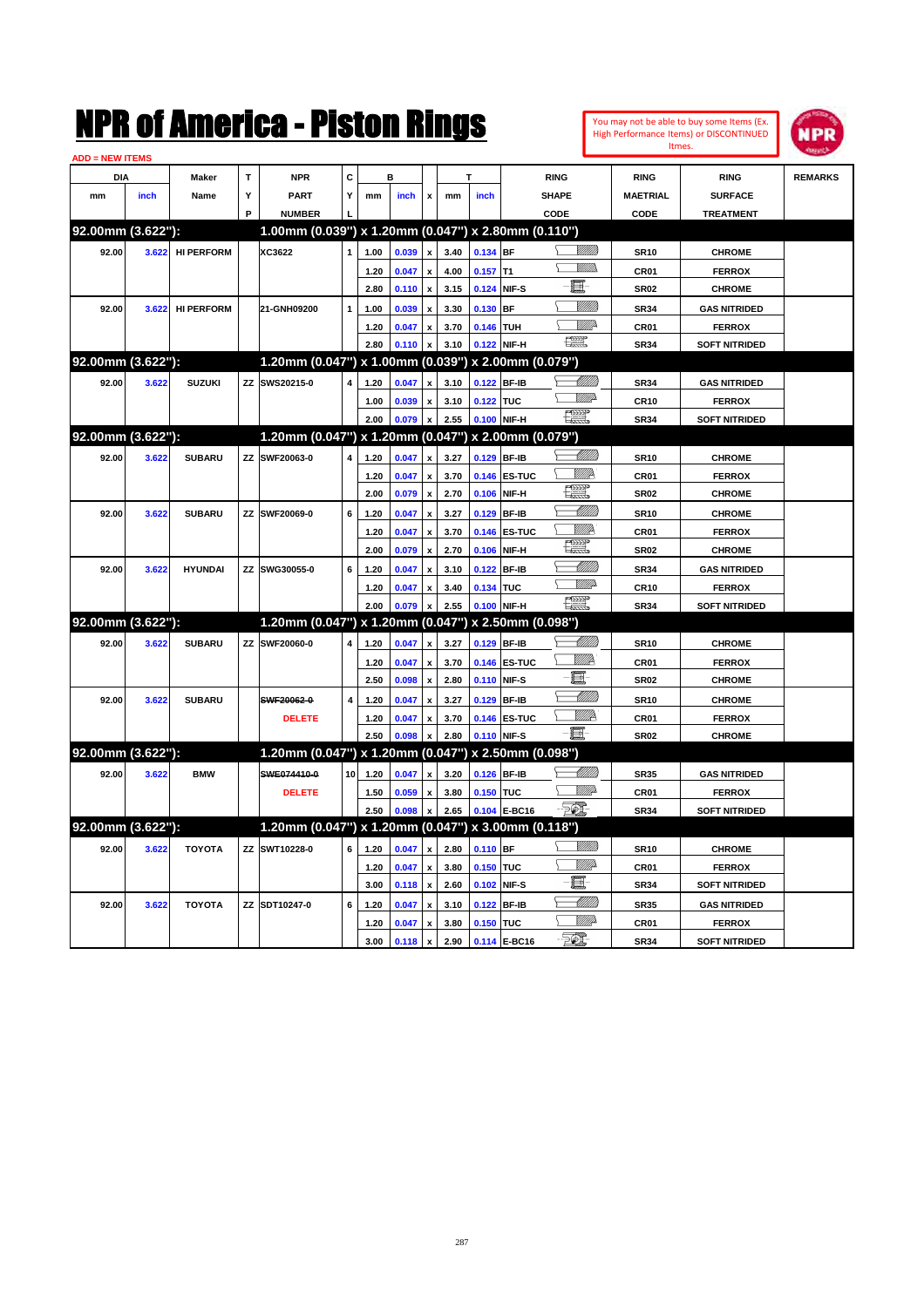|                        |       |                   |    | NMK OI AINCrica - Miston Kings                      |    |      |                |                           |      |            |                                  |                                                                                                                                                                                                                                      |                   |                  | You may not be able to buy some Items (Ex.<br>High Performance Items) or DISCONTINUED<br>Itmes. | IPR            |
|------------------------|-------|-------------------|----|-----------------------------------------------------|----|------|----------------|---------------------------|------|------------|----------------------------------|--------------------------------------------------------------------------------------------------------------------------------------------------------------------------------------------------------------------------------------|-------------------|------------------|-------------------------------------------------------------------------------------------------|----------------|
| <b>ADD = NEW ITEMS</b> |       |                   |    |                                                     |    |      |                |                           |      |            |                                  |                                                                                                                                                                                                                                      |                   |                  |                                                                                                 |                |
| DIA                    |       | Maker             | T  | <b>NPR</b>                                          | C  |      | в              |                           |      | T          |                                  | <b>RING</b>                                                                                                                                                                                                                          |                   | <b>RING</b>      | <b>RING</b>                                                                                     | <b>REMARKS</b> |
| mm                     | inch  | Name              | Υ  | PART                                                | Y  | mm   | inch           | x                         | mm   | inch       |                                  | <b>SHAPE</b>                                                                                                                                                                                                                         |                   | <b>MAETRIAL</b>  | <b>SURFACE</b>                                                                                  |                |
|                        |       |                   | P  | <b>NUMBER</b>                                       |    |      |                |                           |      |            |                                  | CODE                                                                                                                                                                                                                                 |                   | <b>CODE</b>      | <b>TREATMENT</b>                                                                                |                |
| 92.00mm (3.622"):      |       |                   |    | 1.00mm (0.039") x 1.20mm (0.047") x 2.80mm (0.110") |    |      |                |                           |      |            |                                  |                                                                                                                                                                                                                                      |                   |                  |                                                                                                 |                |
| 92.00                  | 3.622 | <b>HI PERFORM</b> |    | XC3622                                              | 1  | 1.00 | 0.039          | x                         | 3.40 | 0.134 BF   |                                  |                                                                                                                                                                                                                                      | <u>Sillilli</u>   | <b>SR10</b>      | <b>CHROME</b>                                                                                   |                |
|                        |       |                   |    |                                                     |    | 1.20 | 0.047          | x                         | 4.00 | $0.157$ T1 |                                  |                                                                                                                                                                                                                                      | 7777).            | CR <sub>01</sub> | <b>FERROX</b>                                                                                   |                |
|                        |       |                   |    |                                                     |    | 2.80 | 0.110          | $\boldsymbol{\mathsf{x}}$ | 3.15 |            | 0.124 NIF-S                      | E                                                                                                                                                                                                                                    |                   | <b>SR02</b>      | <b>CHROME</b>                                                                                   |                |
| 92.00                  | 3.622 | <b>HI PERFORM</b> |    | 21-GNH09200                                         | 1  | 1.00 | 0.039          | x                         | 3.30 | $0.130$ BF |                                  |                                                                                                                                                                                                                                      | <u>VMM</u>        | <b>SR34</b>      | <b>GAS NITRIDED</b>                                                                             |                |
|                        |       |                   |    |                                                     |    | 1.20 | 0.047          | x                         | 3.70 | 0.146 TUH  |                                  |                                                                                                                                                                                                                                      | ₩₩                | CR <sub>01</sub> | <b>FERROX</b>                                                                                   |                |
|                        |       |                   |    |                                                     |    | 2.80 | 0.110          | X                         | 3.10 |            | 0.122 NIF-H                      | 鱱                                                                                                                                                                                                                                    |                   | <b>SR34</b>      | <b>SOFT NITRIDED</b>                                                                            |                |
| 92.00mm (3.622"):      |       |                   |    | 1.20mm (0.047") x 1.00mm (0.039") x 2.00mm (0.079") |    |      |                |                           |      |            |                                  |                                                                                                                                                                                                                                      |                   |                  |                                                                                                 |                |
| 92.00                  | 3.622 | <b>SUZUKI</b>     | ZZ | SWS20215-0                                          | 4  | 1.20 | 0.047          | x                         | 3.10 |            | 0.122 BF-IB                      |                                                                                                                                                                                                                                      | <u> Millil</u>    | <b>SR34</b>      | <b>GAS NITRIDED</b>                                                                             |                |
|                        |       |                   |    |                                                     |    | 1.00 | 0.039          | X                         | 3.10 | 0.122 TUC  |                                  |                                                                                                                                                                                                                                      | <u>MM</u>         | <b>CR10</b>      | <b>FERROX</b>                                                                                   |                |
|                        |       |                   |    |                                                     |    | 2.00 | 0.079          | x                         | 2.55 |            | 0.100 NIF-H                      | H                                                                                                                                                                                                                                    |                   | <b>SR34</b>      | <b>SOFT NITRIDED</b>                                                                            |                |
| 92.00mm (3.622"):      |       |                   |    | 1.20mm (0.047") x 1.20mm (0.047") x 2.00mm (0.079") |    |      |                |                           |      |            |                                  |                                                                                                                                                                                                                                      |                   |                  |                                                                                                 |                |
| 92.00                  | 3.622 | <b>SUBARU</b>     | ZZ | SWF20063-0                                          | 4  | 1.20 | 0.047          | x                         | 3.27 |            | 0.129 BF-IB                      |                                                                                                                                                                                                                                      | <u> Millil</u>    | <b>SR10</b>      | <b>CHROME</b>                                                                                   |                |
|                        |       |                   |    |                                                     |    | 1.20 | 0.047          | x                         | 3.70 |            | 0.146 ES-TUC                     | <u>Willik</u>                                                                                                                                                                                                                        |                   | CR <sub>01</sub> | <b>FERROX</b>                                                                                   |                |
|                        |       |                   |    |                                                     |    | 2.00 | 0.079          | $\boldsymbol{\mathsf{x}}$ | 2.70 | 0.106      | NIF-H                            | H                                                                                                                                                                                                                                    |                   | <b>SR02</b>      | <b>CHROME</b>                                                                                   |                |
| 92.00                  | 3.622 | <b>SUBARU</b>     | ZZ | SWF20069-0                                          | 6  | 1.20 | 0.047          | x                         | 3.27 |            | 0.129 BF-IB                      |                                                                                                                                                                                                                                      | <u> Milli</u>     | <b>SR10</b>      | <b>CHROME</b>                                                                                   |                |
|                        |       |                   |    |                                                     |    | 1.20 | 0.047          | x                         | 3.70 |            | 0.146 ES-TUC                     | <u>Willik</u>                                                                                                                                                                                                                        |                   | CR <sub>01</sub> | <b>FERROX</b>                                                                                   |                |
|                        |       |                   |    |                                                     |    | 2.00 | 0.079          | $\boldsymbol{\mathsf{x}}$ | 2.70 |            | 0.106 NIF-H                      | etter de la poste de la procession de la procession de la procession de la procession de la procession de la p<br>La procession de la procession de la procession de la procession de la procession de la procession de la proce<br> |                   | <b>SR02</b>      | <b>CHROME</b>                                                                                   |                |
| 92.00                  | 3.622 | <b>HYUNDAI</b>    | ZZ | SWG30055-0                                          | 6  | 1.20 | 0.047          | x                         | 3.10 |            | 0.122 BF-IB                      |                                                                                                                                                                                                                                      | <u> Milli</u> ll  | <b>SR34</b>      | <b>GAS NITRIDED</b>                                                                             |                |
|                        |       |                   |    |                                                     |    | 1.20 | 0.047          | X                         | 3.40 | 0.134 TUC  |                                  |                                                                                                                                                                                                                                      | <u>MM</u>         | <b>CR10</b>      | <b>FERROX</b>                                                                                   |                |
|                        |       |                   |    |                                                     |    | 2.00 | 0.079          | X                         | 2.55 |            | 0.100 NIF-H                      | 驅                                                                                                                                                                                                                                    |                   | <b>SR34</b>      | <b>SOFT NITRIDED</b>                                                                            |                |
| 92.00mm (3.622"):      |       |                   |    | 1.20mm (0.047") x 1.20mm (0.047") x 2.50mm (0.098") |    |      |                |                           |      |            |                                  |                                                                                                                                                                                                                                      |                   |                  |                                                                                                 |                |
| 92.00                  | 3.622 | <b>SUBARU</b>     | ZZ | SWF20060-0                                          | 4  | 1.20 | 0.047          | x                         | 3.27 |            | 0.129 BF-IB                      |                                                                                                                                                                                                                                      | <u> Millil</u>    | <b>SR10</b>      | <b>CHROME</b>                                                                                   |                |
|                        |       |                   |    |                                                     |    | 1.20 | 0.047          | x                         | 3.70 |            | 0.146 ES-TUC                     | <u>Willik</u>                                                                                                                                                                                                                        |                   | CR <sub>01</sub> | <b>FERROX</b>                                                                                   |                |
|                        |       |                   |    |                                                     |    | 2.50 | 0.098          | X                         | 2.80 |            | 0.110 NIF-S                      | E.                                                                                                                                                                                                                                   |                   | <b>SR02</b>      | <b>CHROME</b>                                                                                   |                |
| 92.00                  | 3.622 | <b>SUBARU</b>     |    | SWF20062-0                                          | 4  | 1.20 |                | x                         | 3.27 |            | 0.129 BF-IB                      |                                                                                                                                                                                                                                      | <u> UMM</u>       | <b>SR10</b>      | <b>CHROME</b>                                                                                   |                |
|                        |       |                   |    |                                                     |    |      | 0.047          |                           |      |            |                                  |                                                                                                                                                                                                                                      | <u>VIIID</u>      |                  |                                                                                                 |                |
|                        |       |                   |    | <b>DELETE</b>                                       |    | 1.20 | 0.047          | x                         | 3.70 |            | 0.146 ES-TUC                     | Ð.                                                                                                                                                                                                                                   |                   | CR01             | <b>FERROX</b>                                                                                   |                |
| 92.00mm (3.622"):      |       |                   |    | 1.20mm (0.047") x 1.20mm (0.047")                   |    | 2.50 | 0.098          | X                         | 2.80 |            | 0.110 NIF-S<br>x 2.50mm (0.098") |                                                                                                                                                                                                                                      |                   | <b>SR02</b>      | <b>CHROME</b>                                                                                   |                |
|                        |       |                   |    |                                                     |    |      |                |                           |      |            |                                  |                                                                                                                                                                                                                                      | <u> Milli</u> lli |                  |                                                                                                 |                |
| 92.00                  | 3.622 | <b>BMW</b>        |    | SWE074410-0                                         | 10 | 1.20 | 0.047          | x                         | 3.20 |            | 0.126 BF-IB                      |                                                                                                                                                                                                                                      |                   | <b>SR35</b>      | <b>GAS NITRIDED</b>                                                                             |                |
|                        |       |                   |    | <b>DELETE</b>                                       |    | 1.50 | 0.059          | x                         | 3.80 | 0.150 TUC  |                                  | EC)                                                                                                                                                                                                                                  | <u>Willia</u>     | CR01             | <b>FERROX</b>                                                                                   |                |
|                        |       |                   |    |                                                     |    | 2.50 | 0.098          | $\boldsymbol{\mathsf{x}}$ | 2.65 |            | 0.104 E-BC16                     |                                                                                                                                                                                                                                      |                   | <b>SR34</b>      | <b>SOFT NITRIDED</b>                                                                            |                |
| 92.00mm (3.622"):      |       |                   |    | 1.20mm (0.047") x 1.20mm (0.047") x 3.00mm (0.118") |    |      |                |                           |      |            |                                  |                                                                                                                                                                                                                                      |                   |                  |                                                                                                 |                |
| 92.00                  | 3.622 | ΤΟΥΟΤΑ            | ZZ | SWT10228-0                                          | 6  | 1.20 | 0.047          | $\pmb{\mathsf{x}}$        | 2.80 | 0.110 BF   |                                  |                                                                                                                                                                                                                                      | <u>VIIII</u> )    | <b>SR10</b>      | <b>CHROME</b>                                                                                   |                |
|                        |       |                   |    |                                                     |    | 1.20 | 0.047          | $\pmb{\mathsf{x}}$        | 3.80 | 0.150 TUC  |                                  |                                                                                                                                                                                                                                      | <u>WW</u> D       | CR01             | <b>FERROX</b>                                                                                   |                |
|                        |       |                   |    |                                                     |    | 3.00 | $0.118 \times$ |                           | 2.60 |            | 0.102 NIF-S                      | e.                                                                                                                                                                                                                                   |                   | <b>SR34</b>      | <b>SOFT NITRIDED</b>                                                                            |                |
| 92.00                  | 3.622 | ΤΟΥΟΤΑ            |    | ZZ SDT10247-0                                       | 6  | 1.20 | 0.047          | $\pmb{\mathsf{x}}$        | 3.10 |            | 0.122 BF-IB                      |                                                                                                                                                                                                                                      | <u> Milli</u> lli | SR35             | <b>GAS NITRIDED</b>                                                                             |                |
|                        |       |                   |    |                                                     |    | 1.20 | 0.047          | $\pmb{\mathsf{x}}$        | 3.80 | 0.150 TUC  |                                  |                                                                                                                                                                                                                                      | <u>WW</u> D       | CR01             | <b>FERROX</b>                                                                                   |                |
|                        |       |                   |    |                                                     |    | 3.00 | 0.118          | $\mathbf{x}$              | 2.90 |            | 0.114 E-BC16                     | $\mathcal{F}$                                                                                                                                                                                                                        |                   | <b>SR34</b>      | <b>SOFT NITRIDED</b>                                                                            |                |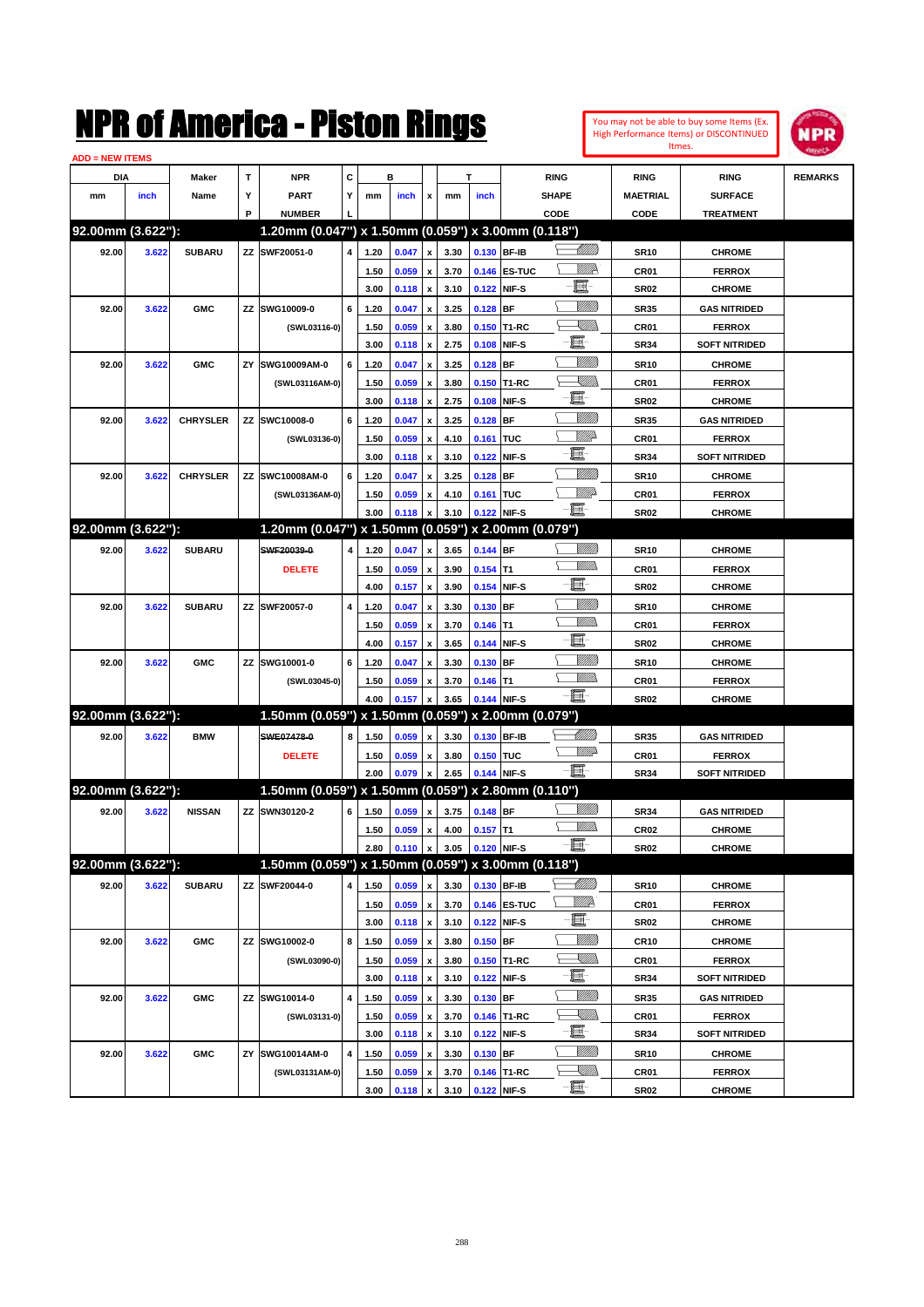| You may not be able to buy some Items (Ex. |
|--------------------------------------------|
| High Performance Items) or DISCONTINUED    |
| Itmes.                                     |



| <b>ADD = NEW ITEMS</b> |       |                 |    |                                                     |   |      |       |                           |      |            |                            |                                                                                                                          |                  |                      |                |
|------------------------|-------|-----------------|----|-----------------------------------------------------|---|------|-------|---------------------------|------|------------|----------------------------|--------------------------------------------------------------------------------------------------------------------------|------------------|----------------------|----------------|
| <b>DIA</b>             |       | <b>Maker</b>    | T  | <b>NPR</b>                                          | С |      | в     |                           |      | т          |                            | <b>RING</b>                                                                                                              | <b>RING</b>      | <b>RING</b>          | <b>REMARKS</b> |
| mm                     | inch  | Name            | Υ  | <b>PART</b>                                         | Y | mm   | inch  | x                         | mm   | inch       |                            | <b>SHAPE</b>                                                                                                             | <b>MAETRIAL</b>  | <b>SURFACE</b>       |                |
|                        |       |                 | P  | <b>NUMBER</b>                                       |   |      |       |                           |      |            |                            | CODE                                                                                                                     | <b>CODE</b>      | <b>TREATMENT</b>     |                |
| 92.00mm (3.622"):      |       |                 |    | 1.20mm (0.047") x 1.50mm (0.059") x 3.00mm (0.118") |   |      |       |                           |      |            |                            |                                                                                                                          |                  |                      |                |
| 92.00                  | 3.622 | <b>SUBARU</b>   |    | ZZ SWF20051-0                                       | 4 | 1.20 | 0.047 | x                         | 3.30 |            | 0.130 BF-IB                |                                                                                                                          | <b>SR10</b>      | <b>CHROME</b>        |                |
|                        |       |                 |    |                                                     |   | 1.50 | 0.059 | x                         | 3.70 |            | 0.146 ES-TUC               | <u>MMR</u>                                                                                                               | CR <sub>01</sub> | <b>FERROX</b>        |                |
|                        |       |                 |    |                                                     |   | 3.00 | 0.118 | x                         | 3.10 |            | 0.122 NIF-S                | E.                                                                                                                       | <b>SR02</b>      | <b>CHROME</b>        |                |
| 92.00                  | 3.622 | <b>GMC</b>      | ZZ | SWG10009-0                                          | 6 | 1.20 | 0.047 |                           | 3.25 | $0.128$ BF |                            | VIII))                                                                                                                   | <b>SR35</b>      | <b>GAS NITRIDED</b>  |                |
|                        |       |                 |    |                                                     |   |      |       | x                         |      |            |                            | <u>XIII)</u>                                                                                                             |                  | <b>FERROX</b>        |                |
|                        |       |                 |    | (SWL03116-0)                                        |   | 1.50 | 0.059 | x                         | 3.80 |            | 0.150 T1-RC<br>0.108 NIF-S | e.                                                                                                                       | <b>CR01</b>      |                      |                |
|                        |       |                 |    |                                                     |   | 3.00 | 0.118 | x                         | 2.75 |            |                            | VIII))                                                                                                                   | <b>SR34</b>      | <b>SOFT NITRIDED</b> |                |
| 92.00                  | 3.622 | <b>GMC</b>      | ZY | SWG10009AM-0                                        | 6 | 1.20 | 0.047 | x                         | 3.25 | $0.128$ BF |                            | <u>XIII)</u>                                                                                                             | <b>SR10</b>      | <b>CHROME</b>        |                |
|                        |       |                 |    | (SWL03116AM-0)                                      |   | 1.50 | 0.059 | x                         | 3.80 |            | 0.150 T1-RC                | e.                                                                                                                       | CR <sub>01</sub> | <b>FERROX</b>        |                |
|                        |       |                 |    |                                                     |   | 3.00 | 0.118 | x                         | 2.75 |            | 0.108 NIF-S                |                                                                                                                          | <b>SR02</b>      | <b>CHROME</b>        |                |
| 92.00                  | 3.622 | <b>CHRYSLER</b> | ΖZ | SWC10008-0                                          | 6 | 1.20 | 0.047 |                           | 3.25 | $0.128$ BF |                            | VIII))                                                                                                                   | <b>SR35</b>      | <b>GAS NITRIDED</b>  |                |
|                        |       |                 |    | (SWL03136-0)                                        |   | 1.50 | 0.059 | x                         | 4.10 | 0.161 TUC  |                            | <u>VIII)</u>                                                                                                             | <b>CR01</b>      | <b>FERROX</b>        |                |
|                        |       |                 |    |                                                     |   | 3.00 | 0.118 | x                         | 3.10 |            | 0.122 NIF-S                | e.                                                                                                                       | <b>SR34</b>      | <b>SOFT NITRIDED</b> |                |
| 92.00                  | 3.622 | <b>CHRYSLER</b> | ΖZ | SWC10008AM-0                                        | 6 | 1.20 | 0.047 |                           | 3.25 | $0.128$ BF |                            | VIII))                                                                                                                   | <b>SR10</b>      | <b>CHROME</b>        |                |
|                        |       |                 |    | (SWL03136AM-0)                                      |   | 1.50 | 0.059 | x                         | 4.10 | 0.161 TUC  |                            | <u>Villit</u> a                                                                                                          | <b>CR01</b>      | <b>FERROX</b>        |                |
|                        |       |                 |    |                                                     |   | 3.00 | 0.118 |                           | 3.10 |            | 0.122 NIF-S                | -E.                                                                                                                      | <b>SR02</b>      | <b>CHROME</b>        |                |
| 92.00mm (3.622"):      |       |                 |    | 1.20mm (0.047") x 1.50mm (0.059") x 2.00mm (0.079") |   |      |       |                           |      |            |                            |                                                                                                                          |                  |                      |                |
| 92.00                  | 3.622 | <b>SUBARU</b>   |    | SWF20039-0                                          | 4 | 1.20 | 0.047 | x                         | 3.65 | 0.144 BF   |                            |                                                                                                                          | <b>SR10</b>      | <b>CHROME</b>        |                |
|                        |       |                 |    | <b>DELETE</b>                                       |   | 1.50 | 0.059 | x                         | 3.90 | $0.154$ T1 |                            | VM))                                                                                                                     | CR <sub>01</sub> | <b>FERROX</b>        |                |
|                        |       |                 |    |                                                     |   | 4.00 | 0.157 | $\boldsymbol{\mathsf{x}}$ | 3.90 |            | 0.154 NIF-S                | e.                                                                                                                       | <b>SR02</b>      | <b>CHROME</b>        |                |
| 92.00                  | 3.622 | <b>SUBARU</b>   |    | ZZ SWF20057-0                                       | 4 | 1.20 | 0.047 | x                         | 3.30 | $0.130$ BF |                            | <u>Milli</u> k                                                                                                           | <b>SR10</b>      | <b>CHROME</b>        |                |
|                        |       |                 |    |                                                     |   | 1.50 | 0.059 | x                         | 3.70 | $0.146$ T1 |                            | <br>Mad                                                                                                                  | <b>CR01</b>      | <b>FERROX</b>        |                |
|                        |       |                 |    |                                                     |   | 4.00 | 0.157 | x                         | 3.65 |            | 0.144 NIF-S                | e.                                                                                                                       | <b>SR02</b>      | <b>CHROME</b>        |                |
| 92.00                  | 3.622 | <b>GMC</b>      |    | ZZ SWG10001-0                                       | 6 | 1.20 | 0.047 |                           | 3.30 | $0.130$ BF |                            | <u>Milli</u> k                                                                                                           | <b>SR10</b>      | <b>CHROME</b>        |                |
|                        |       |                 |    | (SWL03045-0)                                        |   | 1.50 | 0.059 |                           | 3.70 | $0.146$ T1 |                            | .<br>MM                                                                                                                  | <b>CR01</b>      | <b>FERROX</b>        |                |
|                        |       |                 |    |                                                     |   | 4.00 | 0.157 |                           | 3.65 |            | 0.144 NIF-S                | -8                                                                                                                       | <b>SR02</b>      | <b>CHROME</b>        |                |
| 92.00mm (3.622"):      |       |                 |    | 1.50mm (0.059") x 1.50mm (0.059") x 2.00mm (0.079") |   |      |       |                           |      |            |                            |                                                                                                                          |                  |                      |                |
| 92.00                  | 3.622 | <b>BMW</b>      |    | SWE07478-0                                          | 8 | 1.50 | 0.059 | x                         | 3.30 |            | 0.130 BF-IB                | <u>UMB</u>                                                                                                               | <b>SR35</b>      | <b>GAS NITRIDED</b>  |                |
|                        |       |                 |    | <b>DELETE</b>                                       |   | 1.50 | 0.059 | x                         | 3.80 | 0.150 TUC  |                            | <u>WW</u>                                                                                                                | <b>CR01</b>      | <b>FERROX</b>        |                |
|                        |       |                 |    |                                                     |   | 2.00 | 0.079 | x                         | 2.65 |            | 0.144 NIF-S                | -夏-                                                                                                                      | <b>SR34</b>      | <b>SOFT NITRIDED</b> |                |
| 92.00mm (3.622"):      |       |                 |    | 1.50mm (0.059") x 1.50mm (0.059") x 2.80mm (0.110") |   |      |       |                           |      |            |                            |                                                                                                                          |                  |                      |                |
| 92.00                  | 3.622 | <b>NISSAN</b>   |    | ZZ SWN30120-2                                       | 6 | 1.50 | 0.059 | x                         | 3.75 | 0.148 BF   |                            | VIII))                                                                                                                   | <b>SR34</b>      | <b>GAS NITRIDED</b>  |                |
|                        |       |                 |    |                                                     |   | 1.50 | 0.059 | x                         | 4.00 | $0.157$ T1 |                            |                                                                                                                          | CR <sub>02</sub> | <b>CHROME</b>        |                |
|                        |       |                 |    |                                                     |   | 2.80 | 0.110 | $\pmb{\mathsf{x}}$        | 3.05 |            | 0.120 NIF-S                | E                                                                                                                        | SR02             | <b>CHROME</b>        |                |
| 92.00mm (3.622"):      |       |                 |    | 1.50mm (0.059") x 1.50mm (0.059") x 3.00mm (0.118") |   |      |       |                           |      |            |                            |                                                                                                                          |                  |                      |                |
|                        |       | <b>SUBARU</b>   |    | ZZ SWF20044-0                                       | 4 |      |       |                           |      |            | 0.130 BF-IB                | <u> UMM</u>                                                                                                              |                  |                      |                |
| 92.00                  | 3.622 |                 |    |                                                     |   | 1.50 | 0.059 | x                         | 3.30 |            |                            | <u>W//R</u>                                                                                                              | <b>SR10</b>      | <b>CHROME</b>        |                |
|                        |       |                 |    |                                                     |   | 1.50 | 0.059 | $\pmb{\mathsf{x}}$        | 3.70 |            | 0.146 ES-TUC               | E                                                                                                                        | CR01             | <b>FERROX</b>        |                |
|                        |       |                 |    |                                                     |   | 3.00 | 0.118 | X                         | 3.10 |            | 0.122 NIF-S                |                                                                                                                          | SR02             | <b>CHROME</b>        |                |
| 92.00                  | 3.622 | <b>GMC</b>      |    | ZZ SWG10002-0                                       | 8 | 1.50 | 0.059 | x                         | 3.80 | $0.150$ BF |                            | <u>MMM</u>                                                                                                               | CR10             | <b>CHROME</b>        |                |
|                        |       |                 |    | (SWL03090-0)                                        |   | 1.50 | 0.059 | x                         | 3.80 |            | 0.150 T1-RC                | <u>XMM d</u><br>⊢                                                                                                        | CR01             | <b>FERROX</b>        |                |
|                        |       |                 |    |                                                     |   | 3.00 | 0.118 | $\pmb{\mathsf{x}}$        | 3.10 |            | 0.122 NIF-S                | e.                                                                                                                       | SR34             | <b>SOFT NITRIDED</b> |                |
| 92.00                  | 3.622 | <b>GMC</b>      |    | ZZ SWG10014-0                                       | 4 | 1.50 | 0.059 | x                         | 3.30 | $0.130$ BF |                            | VIII))                                                                                                                   | SR35             | <b>GAS NITRIDED</b>  |                |
|                        |       |                 |    | (SWL03131-0)                                        |   | 1.50 | 0.059 | x                         | 3.70 |            | 0.146 T1-RC                | $\begin{matrix} \begin{matrix} \mathbb{R} & \mathbb{R} \ \mathbb{R} & \mathbb{R} \end{matrix} & \mathbb{R} \end{matrix}$ | CR01             | <b>FERROX</b>        |                |
|                        |       |                 |    |                                                     |   | 3.00 | 0.118 | $\pmb{\mathsf{x}}$        | 3.10 |            | 0.122 NIF-S                | e                                                                                                                        | SR34             | <b>SOFT NITRIDED</b> |                |
| 92.00                  | 3.622 | <b>GMC</b>      | ΖY | SWG10014AM-0                                        | 4 | 1.50 | 0.059 | x                         | 3.30 | $0.130$ BF |                            | VIII))                                                                                                                   | SR10             | <b>CHROME</b>        |                |
|                        |       |                 |    | (SWL03131AM-0)                                      |   | 1.50 | 0.059 |                           | 3.70 |            | 0.146 T1-RC                | $\begin{matrix} \begin{matrix} \mathbb{R} & \mathbb{R} \ \mathbb{R} & \mathbb{R} \end{matrix} & \mathbb{R} \end{matrix}$ | CR01             | <b>FERROX</b>        |                |
|                        |       |                 |    |                                                     |   | 3.00 | 0.118 | $\pmb{\mathsf{x}}$        | 3.10 |            | 0.122 NIF-S                | -8                                                                                                                       | <b>SR02</b>      | <b>CHROME</b>        |                |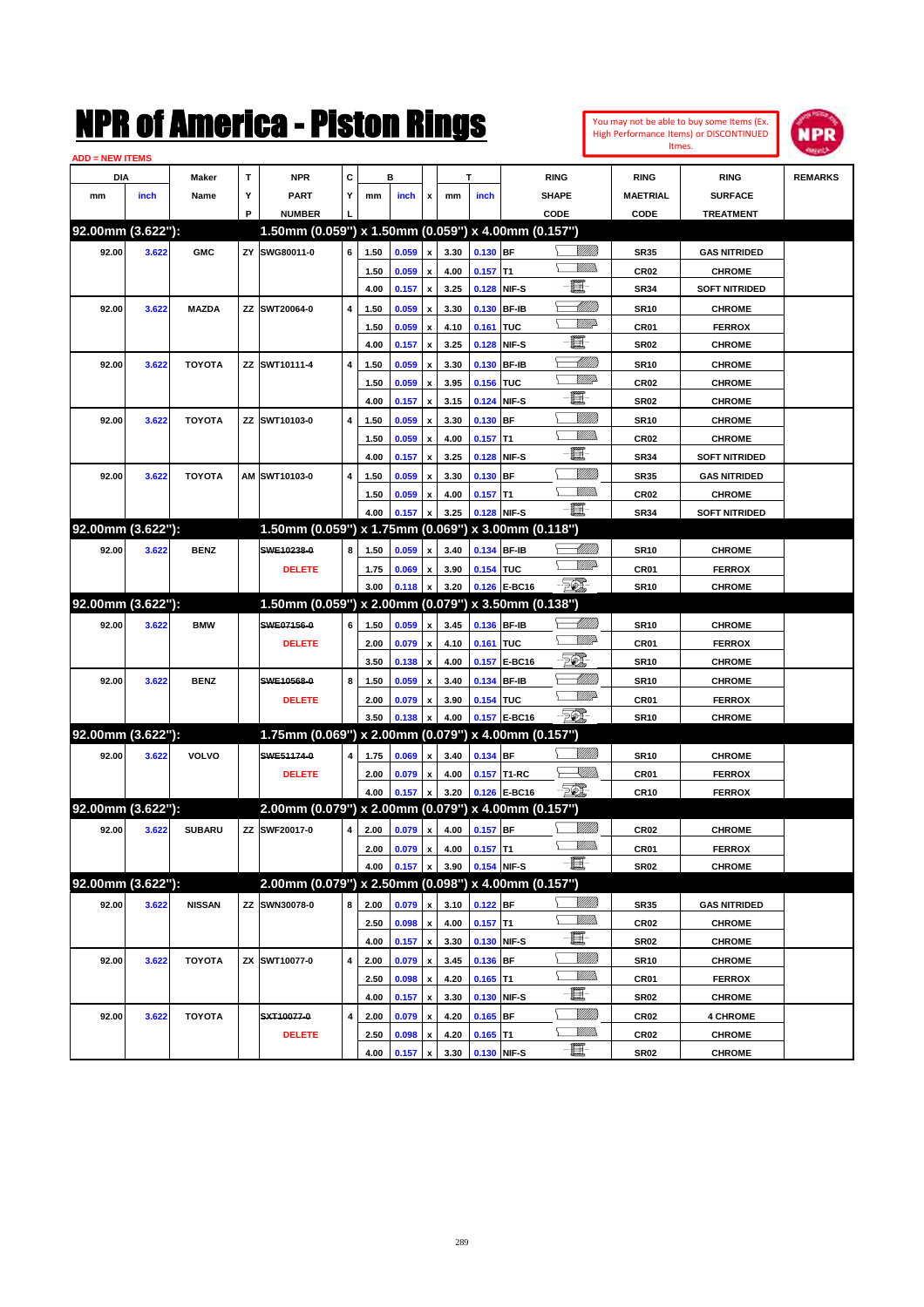| You may not be able to buy some Items (Ex. |
|--------------------------------------------|
| High Performance Items) or DISCONTINUED    |
| Itmes.                                     |



| <b>ADD = NEW ITEMS</b> |       |               |    |                                                     |   |              |                |                           |              |                           |               |                         |                                 |                                |                |
|------------------------|-------|---------------|----|-----------------------------------------------------|---|--------------|----------------|---------------------------|--------------|---------------------------|---------------|-------------------------|---------------------------------|--------------------------------|----------------|
| DIA                    |       | Maker         | T  | <b>NPR</b>                                          | С |              | в              |                           |              | T                         |               | <b>RING</b>             | <b>RING</b>                     | <b>RING</b>                    | <b>REMARKS</b> |
| mm                     | inch  | Name          | Υ  | <b>PART</b>                                         | Y | mm           | inch           | x                         | mm           | inch                      |               | <b>SHAPE</b>            | <b>MAETRIAL</b>                 | <b>SURFACE</b>                 |                |
|                        |       |               | P  | <b>NUMBER</b>                                       |   |              |                |                           |              |                           |               | CODE                    | CODE                            | <b>TREATMENT</b>               |                |
| 92.00mm (3.622"):      |       |               |    | 1.50mm (0.059") x 1.50mm (0.059") x 4.00mm (0.157") |   |              |                |                           |              |                           |               |                         |                                 |                                |                |
| 92.00                  | 3.622 | <b>GMC</b>    | ZY | SWG80011-0                                          | 6 | 1.50         | 0.059          | $\pmb{\mathsf{x}}$        | 3.30         | 0.130 BF                  |               | <u>Sillilli</u>         | <b>SR35</b>                     | <b>GAS NITRIDED</b>            |                |
|                        |       |               |    |                                                     |   | 1.50         | 0.059          | $\pmb{\mathsf{x}}$        | 4.00         | $0.157$ T1                |               | <br>Mad                 | <b>CR02</b>                     | <b>CHROME</b>                  |                |
|                        |       |               |    |                                                     |   | 4.00         | 0.157          | $\pmb{\mathsf{x}}$        | 3.25         | 0.128                     | NIF-S         | E                       | <b>SR34</b>                     | <b>SOFT NITRIDED</b>           |                |
| 92.00                  | 3.622 | <b>MAZDA</b>  | ZZ | SWT20064-0                                          | 4 | 1.50         | 0.059          | x                         | 3.30         | 0.130                     | <b>BF-IB</b>  | <u>UMB</u>              | <b>SR10</b>                     | <b>CHROME</b>                  |                |
|                        |       |               |    |                                                     |   | 1.50         | 0.059          | x                         | 4.10         | 0.161                     | <b>TUC</b>    | <u>WWP</u>              | CR01                            | <b>FERROX</b>                  |                |
|                        |       |               |    |                                                     |   | 4.00         | 0.157          | $\pmb{\mathsf{x}}$        | 3.25         | 0.128                     | NIF-S         | E                       | <b>SR02</b>                     | <b>CHROME</b>                  |                |
| 92.00                  | 3.622 | <b>TOYOTA</b> |    | ZZ SWT10111-4                                       | 4 | 1.50         | 0.059          | x                         | 3.30         | 0.130                     | <b>BF-IB</b>  | <u>UMB</u>              | <b>SR10</b>                     | <b>CHROME</b>                  |                |
|                        |       |               |    |                                                     |   | 1.50         | 0.059          | x                         | 3.95         | 0.156                     | <b>TUC</b>    | <u>WW</u>               | <b>CR02</b>                     | <b>CHROME</b>                  |                |
|                        |       |               |    |                                                     |   | 4.00         | 0.157          | $\pmb{\mathsf{x}}$        | 3.15         | 0.124                     | NIF-S         | 圓                       | <b>SR02</b>                     | <b>CHROME</b>                  |                |
| 92.00                  | 3.622 | <b>TOYOTA</b> |    | ZZ SWT10103-0                                       | 4 | 1.50         | 0.059          | x                         | 3.30         | 0.130                     | <b>BF</b>     | <u>Milli</u> k          | <b>SR10</b>                     | <b>CHROME</b>                  |                |
|                        |       |               |    |                                                     |   | 1.50         | 0.059          | x                         | 4.00         | 0.157                     | T1            | <br>Mar                 | <b>CR02</b>                     | <b>CHROME</b>                  |                |
|                        |       |               |    |                                                     |   | 4.00         | 0.157          | $\pmb{\mathsf{x}}$        | 3.25         | 0.128                     | NIF-S         | 圓                       | <b>SR34</b>                     | <b>SOFT NITRIDED</b>           |                |
| 92.00                  | 3.622 | <b>TOYOTA</b> | AM | SWT10103-0                                          | 4 | 1.50         | 0.059          | x                         | 3.30         | 0.130                     | <b>BF</b>     | <u>Milli</u> k          | <b>SR35</b>                     | <b>GAS NITRIDED</b>            |                |
|                        |       |               |    |                                                     |   | 1.50         | 0.059          | $\boldsymbol{\mathsf{x}}$ | 4.00         | $0.157$ T1                |               | .<br>WWW                | <b>CR02</b>                     | <b>CHROME</b>                  |                |
|                        |       |               |    |                                                     |   | 4.00         | 0.157          | $\boldsymbol{\mathsf{x}}$ | 3.25         | 0.128                     | NIF-S         | -8                      | <b>SR34</b>                     | <b>SOFT NITRIDED</b>           |                |
| 92.00mm (3.622"):      |       |               |    | 1.50mm (0.059") x 1.75mm (0.069") x 3.00mm (0.118") |   |              |                |                           |              |                           |               |                         |                                 |                                |                |
| 92.00                  | 3.622 | <b>BENZ</b>   |    | SWE10238-0                                          | 8 | 1.50         | 0.059          | x                         | 3.40         | 0.134 BF-IB               |               | <u> UMB</u>             | <b>SR10</b>                     | <b>CHROME</b>                  |                |
|                        |       |               |    | <b>DELETE</b>                                       |   | 1.75         | 0.069          | x                         | 3.90         | 0.154 TUC                 |               | <u>WW</u>               | CR01                            | <b>FERROX</b>                  |                |
|                        |       |               |    |                                                     |   | 3.00         | 0.118          | $\boldsymbol{\mathsf{x}}$ | 3.20         | 0.126                     | E-BC16        | - 50).                  | <b>SR10</b>                     | <b>CHROME</b>                  |                |
| 92.00mm (3.622"):      |       |               |    | 1.50mm (0.059") x 2.00mm (0.079") x 3.50mm (0.138") |   |              |                |                           |              |                           |               |                         |                                 |                                |                |
| 92.00                  | 3.622 | <b>BMW</b>    |    | SWE07156-0                                          | 6 | 1.50         | 0.059          | $\pmb{\mathsf{x}}$        | 3.45         | 0.136 BF-IB               |               | <u> Millitt</u>         | <b>SR10</b>                     | <b>CHROME</b>                  |                |
|                        |       |               |    | <b>DELETE</b>                                       |   | 2.00         | 0.079          | $\pmb{\mathsf{x}}$        | 4.10         | 0.161                     | <b>TUC</b>    | <u>WW</u>               | CR01                            | <b>FERROX</b>                  |                |
|                        |       |               |    |                                                     |   | 3.50         | 0.138          | $\pmb{\mathsf{x}}$        | 4.00         | 0.157                     | <b>E-BC16</b> | EQ,                     | <b>SR10</b>                     | <b>CHROME</b>                  |                |
| 92.00                  | 3.622 | <b>BENZ</b>   |    | SWE10568-0                                          | 8 | 1.50         | 0.059          | x                         | 3.40         | 0.134                     | <b>BF-IB</b>  | <u>UMB</u><br><u>WW</u> | <b>SR10</b>                     | <b>CHROME</b>                  |                |
|                        |       |               |    | <b>DELETE</b>                                       |   | 2.00         | 0.079          | x                         | 3.90         | 0.154 TUC                 |               |                         | CR01                            | <b>FERROX</b>                  |                |
|                        |       |               |    |                                                     |   | 3.50         | 0.138          | x                         | 4.00         |                           | 0.157 E-BC16  | - 20)                   | <b>SR10</b>                     | <b>CHROME</b>                  |                |
| 92.00mm (3.622"):      |       |               |    | 1.75mm (0.069") x 2.00mm (0.079") x 4.00mm (0.157") |   |              |                |                           |              |                           |               |                         |                                 |                                |                |
| 92.00                  | 3.622 | VOLVO         |    | SWE51174-0                                          | 4 | 1.75         | 0.069          | $\pmb{\mathsf{x}}$        | 3.40         | 0.134 BF                  |               | VIIII)                  | <b>SR10</b>                     | <b>CHROME</b>                  |                |
|                        |       |               |    | <b>DELETE</b>                                       |   | 2.00         | 0.079          | x                         | 4.00         |                           | 0.157 T1-RC   | <u>XMM)</u>             | CR01                            | <b>FERROX</b>                  |                |
|                        |       |               |    |                                                     |   | 4.00         | 0.157          | $\boldsymbol{\mathsf{x}}$ | 3.20         |                           | 0.126 E-BC16  | - 201                   | <b>CR10</b>                     | <b>FERROX</b>                  |                |
| 92.00mm (3.622"):      |       |               |    | 2.00mm (0.079") x 2.00mm (0.079") x 4.00mm (0.157") |   |              |                |                           |              |                           |               |                         |                                 |                                |                |
| 92.00                  | 3.622 | <b>SUBARU</b> |    | ZZ SWF20017-0                                       | 4 | 2.00         | 0.079          | $\pmb{\mathsf{x}}$        | 4.00         | $0.157$ BF                |               | 8/1/11)<br>7777).       | CR <sub>02</sub>                | <b>CHROME</b>                  |                |
|                        |       |               |    |                                                     |   | 2.00         | 0.079          | $\boldsymbol{\mathrm{x}}$ | 4.00         | $0.157$ T1                |               | -8                      | CR01                            | <b>FERROX</b>                  |                |
| 92.00mm (3.622"):      |       |               |    |                                                     |   | 4.00         | 0.157          | $\pmb{\mathsf{x}}$        | 3.90         | 0.154 NIF-S               |               |                         | <b>SR02</b>                     | <b>CHROME</b>                  |                |
|                        |       |               |    | 2.00mm (0.079") x 2.50mm (0.098") x 4.00mm (0.157") |   |              |                |                           |              |                           |               |                         |                                 |                                |                |
| 92.00                  | 3.622 | <b>NISSAN</b> |    | ZZ SWN30078-0                                       | 8 | 2.00         | 0.079          | $\pmb{\mathsf{x}}$        | 3.10         | $0.122$ BF                |               | 8/1/11)<br><u>VMM</u>   | <b>SR35</b>                     | <b>GAS NITRIDED</b>            |                |
|                        |       |               |    |                                                     |   | 2.50         | 0.098          | $\pmb{\mathsf{x}}$        | 4.00         | $0.157$ T1                |               | E-                      | CR <sub>02</sub>                | <b>CHROME</b>                  |                |
|                        |       |               |    |                                                     |   | 4.00         | 0.157          | $\pmb{\mathsf{x}}$        | 3.30         | 0.130                     | NIF-S         | <u>Milli</u> h          | <b>SR02</b>                     | <b>CHROME</b>                  |                |
| 92.00                  | 3.622 | <b>TOYOTA</b> |    | ZX SWT10077-0                                       | 4 | 2.00         | 0.079          | $\pmb{\mathsf{x}}$        | 3.45         | 0.136 BF                  |               | <u>MMs</u>              | <b>SR10</b>                     | <b>CHROME</b>                  |                |
|                        |       |               |    |                                                     |   | 2.50         | 0.098          | $\pmb{\mathsf{x}}$        | 4.20         | $0.165$ T1                |               | e.                      | CR01                            | <b>FERROX</b>                  |                |
|                        |       |               |    |                                                     |   | 4.00         | 0.157          | $\pmb{\mathsf{x}}$        | 3.30         | 0.130                     | NIF-S         | <u>Milli</u> h          | <b>SR02</b>                     | <b>CHROME</b>                  |                |
| 92.00                  | 3.622 | <b>TOYOTA</b> |    | SXT10077-0                                          | 4 | 2.00         | 0.079          | $\pmb{\mathsf{x}}$        | 4.20         | $0.165$ BF                |               | <u>MMs</u>              | CR <sub>02</sub>                | <b>4 CHROME</b>                |                |
|                        |       |               |    | <b>DELETE</b>                                       |   | 2.50<br>4.00 | 0.098<br>0.157 | x<br>$\pmb{\mathsf{x}}$   | 4.20<br>3.30 | $0.165$ T1<br>0.130 NIF-S |               | -E                      | CR <sub>02</sub><br><b>SR02</b> | <b>CHROME</b><br><b>CHROME</b> |                |
|                        |       |               |    |                                                     |   |              |                |                           |              |                           |               |                         |                                 |                                |                |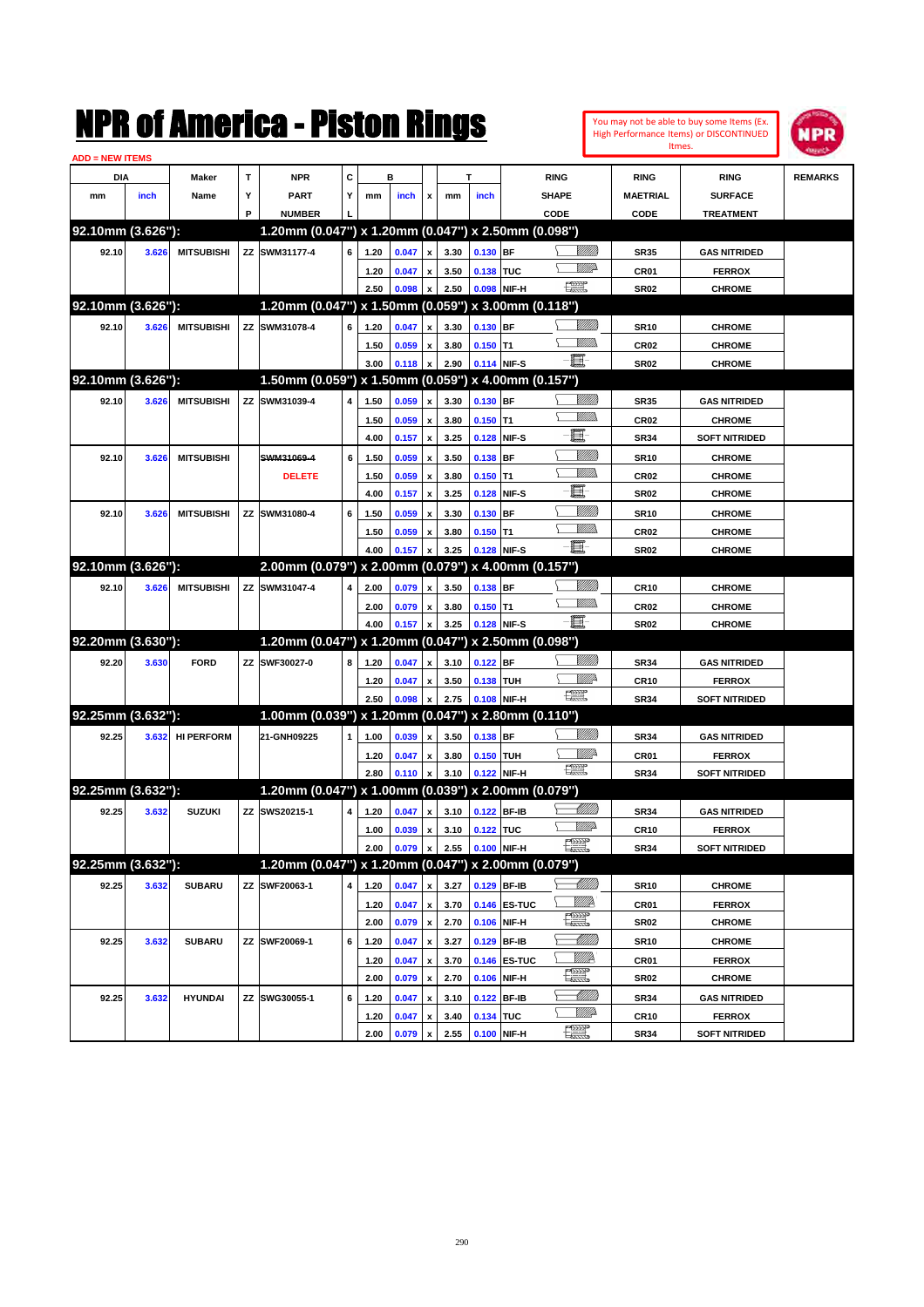|                        |       |                   |   | NMK OI AMCMICA - MISTON KINGS                       |                         |      |                |                           |      |                  |              |                      |                 |                  | You may not be able to buy some Items (Ex.<br>High Performance Items) or DISCONTINUED | NPR            |
|------------------------|-------|-------------------|---|-----------------------------------------------------|-------------------------|------|----------------|---------------------------|------|------------------|--------------|----------------------|-----------------|------------------|---------------------------------------------------------------------------------------|----------------|
| <b>ADD = NEW ITEMS</b> |       |                   |   |                                                     |                         |      |                |                           |      |                  |              |                      |                 |                  | Itmes.                                                                                |                |
| DIA                    |       | Maker             | T | <b>NPR</b>                                          | C                       |      | в              |                           |      | т                |              | <b>RING</b>          |                 | <b>RING</b>      | <b>RING</b>                                                                           | <b>REMARKS</b> |
| mm                     | inch  | Name              | Υ | <b>PART</b>                                         | Υ                       | mm   | inch           | x                         | mm   | inch             |              | <b>SHAPE</b>         |                 | <b>MAETRIAL</b>  | <b>SURFACE</b>                                                                        |                |
|                        |       |                   | P | <b>NUMBER</b>                                       |                         |      |                |                           |      |                  |              | CODE                 |                 | CODE             | <b>TREATMENT</b>                                                                      |                |
| 92.10mm (3.626"):      |       |                   |   | 1.20mm (0.047") x 1.20mm (0.047") x 2.50mm (0.098") |                         |      |                |                           |      |                  |              |                      |                 |                  |                                                                                       |                |
| 92.10                  | 3.626 | <b>MITSUBISHI</b> |   | ZZ SWM31177-4                                       | 6                       | 1.20 | 0.047          | $\pmb{\mathsf{x}}$        | 3.30 | $0.130$ BF       |              |                      | <u>Millitt</u>  | <b>SR35</b>      | <b>GAS NITRIDED</b>                                                                   |                |
|                        |       |                   |   |                                                     |                         | 1.20 | 0.047          | x                         | 3.50 | 0.138 TUC        |              |                      |                 | CR01             | <b>FERROX</b>                                                                         |                |
|                        |       |                   |   |                                                     |                         | 2.50 | 0.098          | $\pmb{\mathsf{x}}$        | 2.50 |                  | 0.098 NIF-H  | $\frac{1}{2}$        |                 | <b>SR02</b>      | <b>CHROME</b>                                                                         |                |
| 92.10mm (3.626"):      |       |                   |   | 1.20mm (0.047") x 1.50mm (0.059") x 3.00mm (0.118") |                         |      |                |                           |      |                  |              |                      |                 |                  |                                                                                       |                |
| 92.10                  | 3.626 | <b>MITSUBISHI</b> |   | ZZ SWM31078-4                                       | 6                       | 1.20 | 0.047          | $\pmb{\mathsf{x}}$        | 3.30 | 0.130 BF         |              |                      | <u>VIIII)</u>   | <b>SR10</b>      | <b>CHROME</b>                                                                         |                |
|                        |       |                   |   |                                                     |                         | 1.50 | 0.059          | $\pmb{\mathsf{x}}$        | 3.80 | $0.150$ T1       |              |                      | .<br>WWW        | CR <sub>02</sub> | <b>CHROME</b>                                                                         |                |
|                        |       |                   |   |                                                     |                         | 3.00 | 0.118          | $\pmb{\mathsf{x}}$        | 2.90 | 0.114 NIF-S      |              | -8                   |                 | <b>SR02</b>      | <b>CHROME</b>                                                                         |                |
| 92.10mm (3.626"):      |       |                   |   | 1.50mm (0.059") x 1.50mm (0.059") x 4.00mm (0.157") |                         |      |                |                           |      |                  |              |                      |                 |                  |                                                                                       |                |
| 92.10                  | 3.626 | <b>MITSUBISHI</b> |   | ZZ SWM31039-4                                       | 4                       | 1.50 | 0.059          | $\pmb{\mathsf{x}}$        | 3.30 | $0.130$ BF       |              |                      | <u>MMM</u>      | <b>SR35</b>      | <b>GAS NITRIDED</b>                                                                   |                |
|                        |       |                   |   |                                                     |                         | 1.50 | 0.059          | $\pmb{\mathsf{x}}$        | 3.80 | $0.150$ T1       |              |                      | .<br>WWW        | CR <sub>02</sub> | <b>CHROME</b>                                                                         |                |
|                        |       |                   |   |                                                     |                         | 4.00 | 0.157          | $\boldsymbol{\mathsf{x}}$ | 3.25 | 0.128 NIF-S      |              | E                    |                 | <b>SR34</b>      | <b>SOFT NITRIDED</b>                                                                  |                |
| 92.10                  | 3.626 | <b>MITSUBISHI</b> |   | SWM31069-4                                          | 6                       | 1.50 | 0.059          | $\pmb{\mathsf{x}}$        | 3.50 | $0.138$ BF       |              |                      | <u>MMW</u>      | <b>SR10</b>      | <b>CHROME</b>                                                                         |                |
|                        |       |                   |   | <b>DELETE</b>                                       |                         | 1.50 | 0.059          | $\pmb{\mathsf{x}}$        | 3.80 | $0.150$ T1       |              |                      | <br>Mar         | CR <sub>02</sub> | <b>CHROME</b>                                                                         |                |
|                        |       |                   |   |                                                     |                         | 4.00 | 0.157          | $\boldsymbol{\mathsf{x}}$ | 3.25 |                  | 0.128 NIF-S  | E                    |                 | <b>SR02</b>      | <b>CHROME</b>                                                                         |                |
| 92.10                  | 3.626 | <b>MITSUBISHI</b> |   | ZZ SWM31080-4                                       | 6                       | 1.50 | 0.059          | x                         | 3.30 | 0.130 BF         |              |                      | <u>MMM</u>      | <b>SR10</b>      | <b>CHROME</b>                                                                         |                |
|                        |       |                   |   |                                                     |                         | 1.50 | 0.059          | $\pmb{\mathsf{x}}$        | 3.80 | $0.150$ T1       |              |                      | .<br>WWW        | CR <sub>02</sub> | <b>CHROME</b>                                                                         |                |
|                        |       |                   |   |                                                     |                         | 4.00 | 0.157          | x                         | 3.25 | 0.128 NIF-S      |              | $-\mathbf{E}$        |                 | <b>SR02</b>      | <b>CHROME</b>                                                                         |                |
| 92.10mm (3.626"):      |       |                   |   | 2.00mm (0.079") x 2.00mm (0.079") x 4.00mm (0.157") |                         |      |                |                           |      |                  |              |                      |                 |                  |                                                                                       |                |
| 92.10                  | 3.626 | <b>MITSUBISHI</b> |   | ZZ SWM31047-4                                       | 4                       | 2.00 | 0.079          | $\pmb{\mathsf{x}}$        | 3.50 | 0.138 BF         |              |                      |                 | <b>CR10</b>      | <b>CHROME</b>                                                                         |                |
|                        |       |                   |   |                                                     |                         | 2.00 | 0.079          | $\pmb{\mathsf{x}}$        | 3.80 | $0.150$ T1       |              |                      | .<br>WWW        | CR <sub>02</sub> | <b>CHROME</b>                                                                         |                |
|                        |       |                   |   |                                                     |                         | 4.00 | 0.157          | x                         | 3.25 | 0.128 NIF-S      |              | $-\mathbf{E}$        |                 | <b>SR02</b>      | <b>CHROME</b>                                                                         |                |
| 92.20mm (3.630"):      |       |                   |   | 1.20mm (0.047") x 1.20mm (0.047") x 2.50mm (0.098") |                         |      |                |                           |      |                  |              |                      |                 |                  |                                                                                       |                |
| 92.20                  | 3.630 | <b>FORD</b>       |   | ZZ SWF30027-0                                       | 8                       | 1.20 | 0.047          | $\pmb{\mathsf{x}}$        | 3.10 | $0.122$ BF       |              |                      | <u>Millitti</u> | <b>SR34</b>      | <b>GAS NITRIDED</b>                                                                   |                |
|                        |       |                   |   |                                                     |                         | 1.20 | 0.047          | $\pmb{\mathsf{x}}$        | 3.50 | 0.138 TUH        |              |                      | ₩₩              | <b>CR10</b>      | <b>FERROX</b>                                                                         |                |
|                        |       |                   |   |                                                     |                         | 2.50 | 0.098          | x                         | 2.75 | 0.108 NIF-H      |              | H                    |                 | <b>SR34</b>      | <b>SOFT NITRIDED</b>                                                                  |                |
| 92.25mm (3.632"):      |       |                   |   | 1.00mm (0.039") x 1.20mm (0.047") x 2.80mm (0.110") |                         |      |                |                           |      |                  |              |                      |                 |                  |                                                                                       |                |
| 92.25                  | 3.632 | <b>HI PERFORM</b> |   | 21-GNH09225                                         | 1                       | 1.00 | 0.039          | $\pmb{\mathsf{x}}$        | 3.50 | $0.138$ BF       |              |                      | <u>Millitti</u> | <b>SR34</b>      | <b>GAS NITRIDED</b>                                                                   |                |
|                        |       |                   |   |                                                     |                         | 1.20 | 0.047          | $\pmb{\mathsf{x}}$        | 3.80 | 0.150 TUH        |              |                      | ₩₩              | CR01             | <b>FERROX</b>                                                                         |                |
|                        |       |                   |   |                                                     |                         | 2.80 | 0.110          | x                         | 3.10 | 0.122 NIF-H      |              | H                    |                 | <b>SR34</b>      | <b>SOFT NITRIDED</b>                                                                  |                |
| 92.25mm (3.632"):      |       |                   |   | 1.20mm (0.047") x 1.00mm (0.039") x 2.00mm (0.079") |                         |      |                |                           |      |                  |              |                      |                 |                  |                                                                                       |                |
| 92.25                  | 3.632 | <b>SUZUKI</b>     |   | ZZ SWS20215-1                                       | $\overline{\mathbf{4}}$ | 1.20 | $0.047 \times$ |                           |      | 3.10 0.122 BF-IB |              |                      | <u>UMB</u>      | <b>SR34</b>      | <b>GAS NITRIDED</b>                                                                   |                |
|                        |       |                   |   |                                                     |                         | 1.00 | 0.039          | $\pmb{\mathsf{x}}$        | 3.10 | 0.122 TUC        |              |                      | <u>MM</u>       | CR10             | <b>FERROX</b>                                                                         |                |
|                        |       |                   |   |                                                     |                         | 2.00 | 0.079          | x                         | 2.55 | 0.100 NIF-H      |              | <b>Form</b>          |                 | <b>SR34</b>      | <b>SOFT NITRIDED</b>                                                                  |                |
| 92.25mm (3.632"):      |       |                   |   | 1.20mm (0.047") x 1.20mm (0.047") x 2.00mm (0.079") |                         |      |                |                           |      |                  |              |                      |                 |                  |                                                                                       |                |
| 92.25                  | 3.632 | <b>SUBARU</b>     |   | ZZ SWF20063-1                                       | 4                       | 1.20 | 0.047          | $\pmb{\mathsf{x}}$        | 3.27 | 0.129 BF-IB      |              |                      | <u> Millito</u> | <b>SR10</b>      | <b>CHROME</b>                                                                         |                |
|                        |       |                   |   |                                                     |                         | 1.20 | 0.047          | $\pmb{\mathsf{x}}$        | 3.70 |                  | 0.146 ES-TUC | WWP                  |                 | CR01             | <b>FERROX</b>                                                                         |                |
|                        |       |                   |   |                                                     |                         | 2.00 | 0.079          | $\pmb{\mathsf{x}}$        | 2.70 |                  | 0.106 NIF-H  | $\frac{1}{\sqrt{2}}$ |                 | <b>SR02</b>      | <b>CHROME</b>                                                                         |                |
| 92.25                  | 3.632 | <b>SUBARU</b>     |   | ZZ SWF20069-1                                       | 6                       | 1.20 | 0.047          | $\pmb{\mathsf{x}}$        | 3.27 |                  | 0.129 BF-IB  |                      | <u> Milli</u>   | <b>SR10</b>      | <b>CHROME</b>                                                                         |                |
|                        |       |                   |   |                                                     |                         | 1.20 | 0.047          | $\pmb{\mathsf{x}}$        | 3.70 |                  | 0.146 ES-TUC | <u>Willik</u>        |                 | CR01             | <b>FERROX</b>                                                                         |                |
|                        |       |                   |   |                                                     |                         | 2.00 | 0.079          | $\pmb{\mathsf{x}}$        | 2.70 |                  | 0.106 NIF-H  | $\frac{1}{\sqrt{2}}$ |                 | SR02             | <b>CHROME</b>                                                                         |                |
| 92.25                  | 3.632 | <b>HYUNDAI</b>    |   | ZZ SWG30055-1                                       | 6                       | 1.20 | 0.047          | $\pmb{\mathsf{x}}$        | 3.10 |                  | 0.122 BF-IB  |                      |                 | <b>SR34</b>      | <b>GAS NITRIDED</b>                                                                   |                |
|                        |       |                   |   |                                                     |                         | 1.20 | 0.047          | $\pmb{\mathsf{x}}$        | 3.40 | 0.134 TUC        |              |                      | ₩₩              | <b>CR10</b>      | <b>FERROX</b>                                                                         |                |
|                        |       |                   |   |                                                     |                         | 2.00 | 0.079          | $\mathbf{x}$              | 2.55 | 0.100 NIF-H      |              | <b>Filip</b>         |                 | <b>SR34</b>      | <b>SOFT NITRIDED</b>                                                                  |                |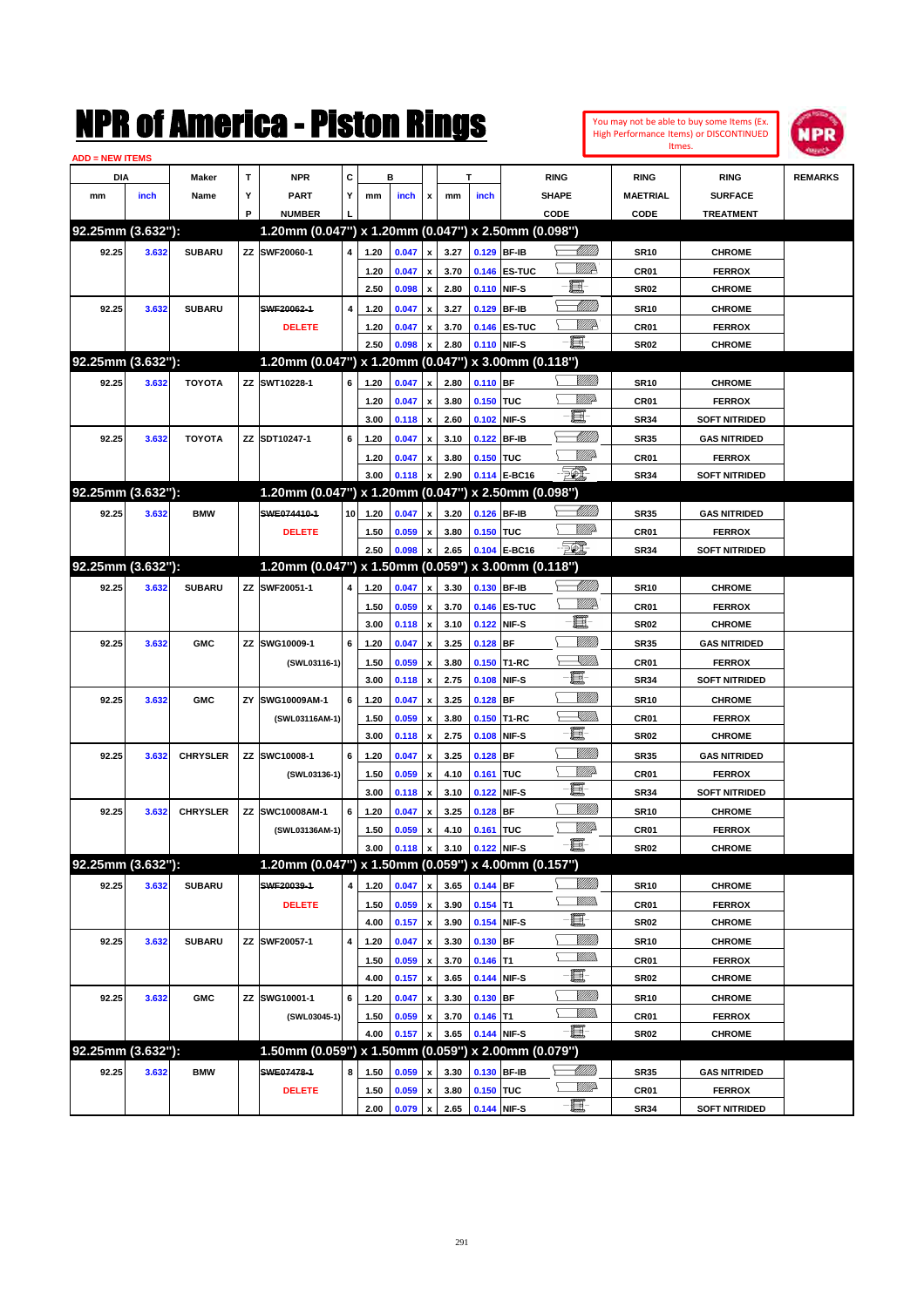| You may not be able to buy some Items (Ex. |
|--------------------------------------------|
| High Performance Items) or DISCONTINUED    |
| Itmes.                                     |



| <b>ADD = NEW ITEMS</b> |                   |                 |    |                                                     |                 |      |       |                           |      |               |              |                 |                  |                      |                |
|------------------------|-------------------|-----------------|----|-----------------------------------------------------|-----------------|------|-------|---------------------------|------|---------------|--------------|-----------------|------------------|----------------------|----------------|
|                        | DIA               | <b>Maker</b>    | T  | <b>NPR</b>                                          | c               |      | в     |                           |      | T             |              | <b>RING</b>     | <b>RING</b>      | <b>RING</b>          | <b>REMARKS</b> |
| mm                     | inch              | Name            | Υ  | <b>PART</b>                                         | Y               | mm   | inch  | x                         | mm   | inch          |              | <b>SHAPE</b>    | <b>MAETRIAL</b>  | <b>SURFACE</b>       |                |
|                        |                   |                 | P  | <b>NUMBER</b>                                       |                 |      |       |                           |      |               |              | CODE            | CODE             | <b>TREATMENT</b>     |                |
|                        | 92.25mm (3.632"): |                 |    | 1.20mm (0.047") x 1.20mm (0.047") x 2.50mm (0.098") |                 |      |       |                           |      |               |              |                 |                  |                      |                |
| 92.25                  | 3.632             | <b>SUBARU</b>   |    | ZZ SWF20060-1                                       | 4               | 1.20 | 0.047 | $\pmb{\mathsf{x}}$        | 3.27 | 0.129 BF-IB   |              |                 | <b>SR10</b>      | <b>CHROME</b>        |                |
|                        |                   |                 |    |                                                     |                 | 1.20 | 0.047 | x                         | 3.70 |               | 0.146 ES-TUC | <u>VIIId</u>    | CR01             | <b>FERROX</b>        |                |
|                        |                   |                 |    |                                                     |                 | 2.50 | 0.098 | $\pmb{\mathsf{x}}$        | 2.80 | 0.110         | NIF-S        | e.              | <b>SR02</b>      | <b>CHROME</b>        |                |
| 92.25                  | 3.632             | <b>SUBARU</b>   |    | SWF20062-1                                          | 4               | 1.20 | 0.047 | x                         | 3.27 | 0.129         | <b>BF-IB</b> | <u> UMM</u>     | <b>SR10</b>      | <b>CHROME</b>        |                |
|                        |                   |                 |    | <b>DELETE</b>                                       |                 | 1.20 | 0.047 | x                         | 3.70 |               | 0.146 ES-TUC | <u>Willia</u>   | <b>CR01</b>      | <b>FERROX</b>        |                |
|                        |                   |                 |    |                                                     |                 | 2.50 | 0.098 | x                         | 2.80 | 0.110         | NIF-S        | - Ei            | SR <sub>02</sub> | <b>CHROME</b>        |                |
|                        | 92.25mm (3.632"): |                 |    | 1.20mm (0.047") x 1.20mm (0.047") x 3.00mm (0.118") |                 |      |       |                           |      |               |              |                 |                  |                      |                |
| 92.25                  | 3.632             | <b>TOYOTA</b>   |    | ZZ SWT10228-1                                       | 6               | 1.20 | 0.047 | x                         | 2.80 | $0.110$ BF    |              |                 | <b>SR10</b>      | <b>CHROME</b>        |                |
|                        |                   |                 |    |                                                     |                 | 1.20 | 0.047 | x                         | 3.80 | 0.150 TUC     |              | MMD             | <b>CR01</b>      | <b>FERROX</b>        |                |
|                        |                   |                 |    |                                                     |                 | 3.00 | 0.118 | $\pmb{\mathsf{x}}$        | 2.60 | 0.102         | NIF-S        | E               | <b>SR34</b>      | <b>SOFT NITRIDED</b> |                |
| 92.25                  | 3.632             | <b>TOYOTA</b>   |    | ZZ SDT10247-1                                       | 6               | 1.20 | 0.047 | x                         | 3.10 | 0.122         | <b>BF-IB</b> | Millitti        | <b>SR35</b>      | <b>GAS NITRIDED</b>  |                |
|                        |                   |                 |    |                                                     |                 | 1.20 | 0.047 | x                         | 3.80 | 0.150 TUC     |              | MMD             | <b>CR01</b>      | <b>FERROX</b>        |                |
|                        |                   |                 |    |                                                     |                 | 3.00 | 0.118 | x                         | 2.90 | 0.114         | E-BC16       | FO)             | <b>SR34</b>      | <b>SOFT NITRIDED</b> |                |
|                        | 92.25mm (3.632"): |                 |    | 1.20mm (0.047") x 1.20mm (0.047") x 2.50mm (0.098") |                 |      |       |                           |      |               |              |                 |                  |                      |                |
| 92.25                  | 3.632             | <b>BMW</b>      |    | SWE074410-1                                         | 10 <sup>1</sup> | 1.20 | 0.047 | x                         | 3.20 | 0.126 BF-IB   |              | Willib          | <b>SR35</b>      | <b>GAS NITRIDED</b>  |                |
|                        |                   |                 |    | <b>DELETE</b>                                       |                 | 1.50 | 0.059 | x                         | 3.80 | 0.150 TUC     |              | MMD             | <b>CR01</b>      | <b>FERROX</b>        |                |
|                        |                   |                 |    |                                                     |                 | 2.50 | 0.098 | $\boldsymbol{x}$          | 2.65 | 0.104         | E-BC16       | FO)             | <b>SR34</b>      | <b>SOFT NITRIDED</b> |                |
|                        | 92.25mm (3.632"): |                 |    | 1.20mm (0.047") x 1.50mm (0.059") x 3.00mm (0.118") |                 |      |       |                           |      |               |              |                 |                  |                      |                |
| 92.25                  | 3.632             | <b>SUBARU</b>   |    | ZZ SWF20051-1                                       | 4               | 1.20 | 0.047 | $\pmb{\mathsf{x}}$        | 3.30 | 0.130 BF-IB   |              | <u>UMB</u>      | <b>SR10</b>      | <b>CHROME</b>        |                |
|                        |                   |                 |    |                                                     |                 | 1.50 | 0.059 | x                         | 3.70 |               | 0.146 ES-TUC | <u>MMP</u>      | <b>CR01</b>      | <b>FERROX</b>        |                |
|                        |                   |                 |    |                                                     |                 | 3.00 | 0.118 | $\pmb{\mathsf{x}}$        | 3.10 | 0.122         | NIF-S        | E               | <b>SR02</b>      | <b>CHROME</b>        |                |
| 92.25                  | 3.632             | <b>GMC</b>      |    | ZZ SWG10009-1                                       | 6               | 1.20 | 0.047 | x                         | 3.25 | 0.128         | <b>BF</b>    | VIII))          | <b>SR35</b>      | <b>GAS NITRIDED</b>  |                |
|                        |                   |                 |    | (SWL03116-1)                                        |                 | 1.50 | 0.059 | x                         | 3.80 | 0.150         | T1-RC        | <u>Sillin</u>   | <b>CR01</b>      | <b>FERROX</b>        |                |
|                        |                   |                 |    |                                                     |                 | 3.00 | 0.118 | $\boldsymbol{\mathsf{x}}$ | 2.75 | 0.108         | NIF-S        | e               | <b>SR34</b>      | <b>SOFT NITRIDED</b> |                |
| 92.25                  | 3.632             | <b>GMC</b>      | ΖY | SWG10009AM-1                                        | 6               | 1.20 | 0.047 | x                         | 3.25 | 0.128         | <b>BF</b>    | VIII))          | <b>SR10</b>      | <b>CHROME</b>        |                |
|                        |                   |                 |    | (SWL03116AM-1)                                      |                 | 1.50 | 0.059 | x                         | 3.80 | 0.150         | T1-RC        | XIII))          | <b>CR01</b>      | <b>FERROX</b>        |                |
|                        |                   |                 |    |                                                     |                 | 3.00 | 0.118 | $\boldsymbol{\mathsf{x}}$ | 2.75 | 0.108         | NIF-S        | ·ii             | <b>SR02</b>      | <b>CHROME</b>        |                |
| 92.25                  | 3.632             | <b>CHRYSLER</b> |    | ZZ SWC10008-1                                       | 6               | 1.20 | 0.047 | x                         | 3.25 | 0.128         | BF           | VIII))          | <b>SR35</b>      | <b>GAS NITRIDED</b>  |                |
|                        |                   |                 |    | (SWL03136-1)                                        |                 | 1.50 | 0.059 | x                         | 4.10 | 0.161         | <b>TUC</b>   | MMD             | <b>CR01</b>      | <b>FERROX</b>        |                |
|                        |                   |                 |    |                                                     |                 | 3.00 | 0.118 | $\pmb{\mathsf{x}}$        | 3.10 | 0.122         | NIF-S        | e.              | <b>SR34</b>      | <b>SOFT NITRIDED</b> |                |
| 92.25                  | 3.632             | <b>CHRYSLER</b> |    | ZZ SWC10008AM-1                                     | 6               | 1.20 | 0.047 | x                         | 3.25 | 0.128         | BF           | 7777))          | <b>SR10</b>      | <b>CHROME</b>        |                |
|                        |                   |                 |    | (SWL03136AM-1)                                      |                 | 1.50 | 0.059 | х                         | 4.10 | 0.161 TUC     |              | <u>Villit</u> a | CR01             | <b>FERROX</b>        |                |
|                        |                   |                 |    |                                                     |                 | 3.00 | 0.118 | $\pmb{\mathsf{x}}$        | 3.10 | $0.122$ NIF-S |              | ·bi             | SR02             | <b>CHROME</b>        |                |
|                        | 92.25mm (3.632"): |                 |    | 1.20mm (0.047") x 1.50mm (0.059") x 4.00mm (0.157") |                 |      |       |                           |      |               |              |                 |                  |                      |                |
| 92.25                  | 3.632             | <b>SUBARU</b>   |    | SWF20039-1                                          | 4               | 1.20 | 0.047 | $\pmb{\mathsf{x}}$        | 3.65 | 0.144 BF      |              | 8/1/11)         | <b>SR10</b>      | <b>CHROME</b>        |                |
|                        |                   |                 |    | <b>DELETE</b>                                       |                 | 1.50 | 0.059 | $\pmb{\mathsf{x}}$        | 3.90 | $0.154$ T1    |              | <u>WMW</u>      | CR01             | <b>FERROX</b>        |                |
|                        |                   |                 |    |                                                     |                 | 4.00 | 0.157 | $\pmb{\mathsf{x}}$        | 3.90 | 0.154         | NIF-S        | E               | SR <sub>02</sub> | <b>CHROME</b>        |                |
| 92.25                  | 3.632             | <b>SUBARU</b>   |    | ZZ SWF20057-1                                       | 4               | 1.20 | 0.047 | $\pmb{\mathsf{x}}$        | 3.30 | 0.130         | BF           | <u>VIIII</u> )  | <b>SR10</b>      | <b>CHROME</b>        |                |
|                        |                   |                 |    |                                                     |                 | 1.50 | 0.059 | x                         | 3.70 | $0.146$ T1    |              | <u>WMs</u>      | CR01             | <b>FERROX</b>        |                |
|                        |                   |                 |    |                                                     |                 | 4.00 | 0.157 | $\pmb{\mathsf{x}}$        | 3.65 | 0.144         | NIF-S        | E               | SR <sub>02</sub> | <b>CHROME</b>        |                |
| 92.25                  | 3.632             | <b>GMC</b>      |    | ZZ SWG10001-1                                       | 6               | 1.20 | 0.047 | x                         | 3.30 | 0.130         | BF           | <u>VIIII</u> )  | <b>SR10</b>      | <b>CHROME</b>        |                |
|                        |                   |                 |    | (SWL03045-1)                                        |                 | 1.50 | 0.059 | x                         | 3.70 | $0.146$ T1    |              | <u>MMs</u>      | CR01             | <b>FERROX</b>        |                |
|                        |                   |                 |    |                                                     |                 | 4.00 | 0.157 | $\pmb{\mathsf{x}}$        | 3.65 | 0.144 NIF-S   |              | $-\blacksquare$ | SR <sub>02</sub> | <b>CHROME</b>        |                |
|                        | 92.25mm (3.632"): |                 |    | 1.50mm (0.059") x 1.50mm (0.059") x 2.00mm (0.079") |                 |      |       |                           |      |               |              |                 |                  |                      |                |
| 92.25                  | 3.632             | <b>BMW</b>      |    | SWE07478-1                                          | 8               | 1.50 | 0.059 | x                         | 3.30 | 0.130         | <b>BF-IB</b> | <u> Milli</u> b | <b>SR35</b>      | <b>GAS NITRIDED</b>  |                |
|                        |                   |                 |    | <b>DELETE</b>                                       |                 | 1.50 | 0.059 | $\pmb{\mathsf{x}}$        | 3.80 | 0.150 TUC     |              | <u>VM</u> D-    | CR01             | <b>FERROX</b>        |                |
|                        |                   |                 |    |                                                     |                 | 2.00 | 0.079 | $\pmb{\mathsf{x}}$        | 2.65 | 0.144 NIF-S   |              | $-\blacksquare$ | <b>SR34</b>      | <b>SOFT NITRIDED</b> |                |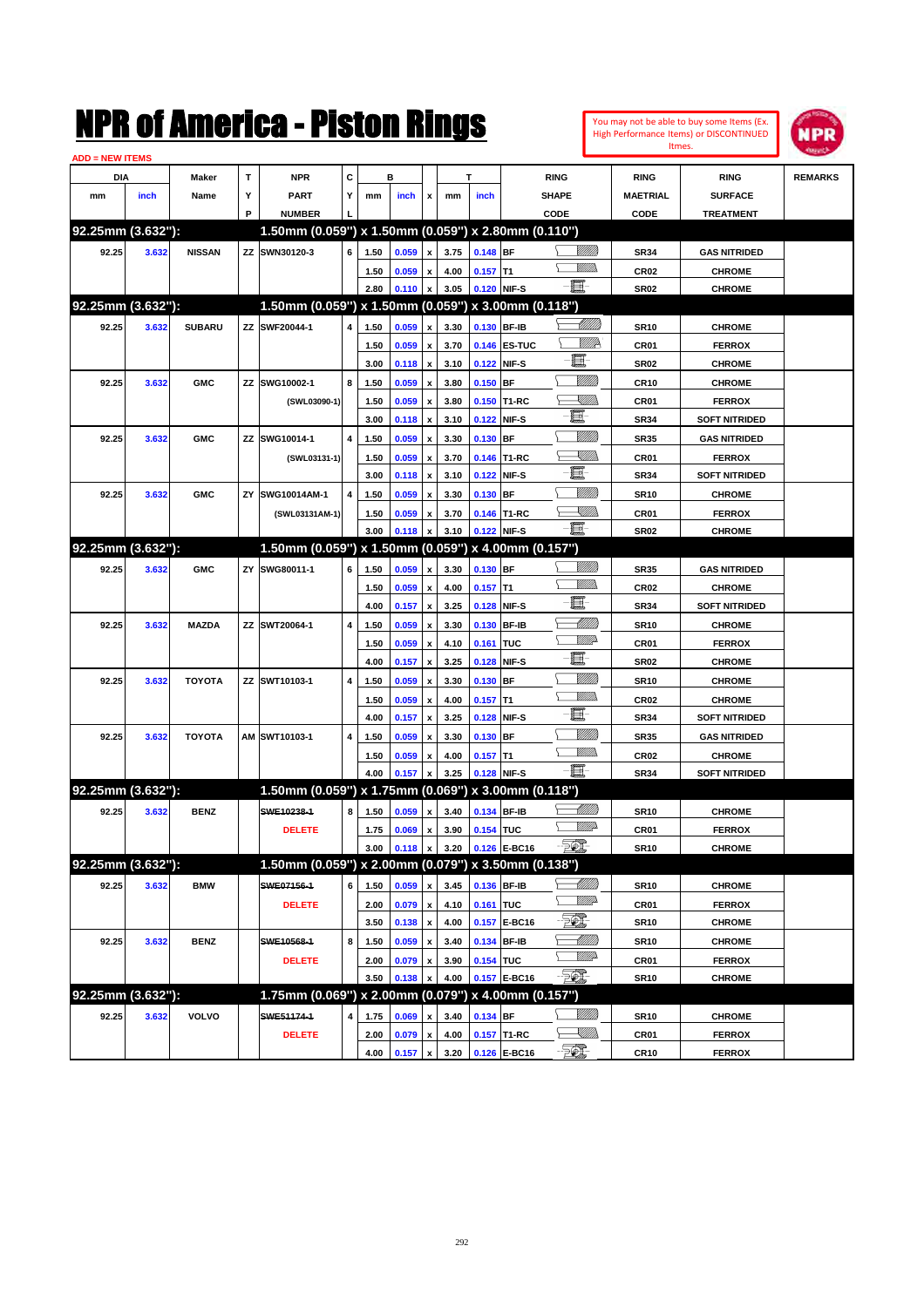| <b>ADD = NEW ITEMS</b> |       |               |    |                                                     |                |      |                  |                           |      |            |              |                                                                      |                  |                      |                |
|------------------------|-------|---------------|----|-----------------------------------------------------|----------------|------|------------------|---------------------------|------|------------|--------------|----------------------------------------------------------------------|------------------|----------------------|----------------|
| <b>DIA</b>             |       | Maker         | T  | <b>NPR</b>                                          | С              |      | в                |                           |      | т          |              | <b>RING</b>                                                          | <b>RING</b>      | <b>RING</b>          | <b>REMARKS</b> |
| mm                     | inch  | Name          | Υ  | <b>PART</b>                                         | Y              | mm   | inch             | x                         | mm   | inch       |              | <b>SHAPE</b>                                                         | <b>MAETRIAL</b>  | <b>SURFACE</b>       |                |
|                        |       |               | P  | <b>NUMBER</b>                                       |                |      |                  |                           |      |            |              | CODE                                                                 | CODE             | <b>TREATMENT</b>     |                |
| 92.25mm (3.632"):      |       |               |    | 1.50mm (0.059") x 1.50mm (0.059") x 2.80mm (0.110") |                |      |                  |                           |      |            |              |                                                                      |                  |                      |                |
| 92.25                  | 3.632 | <b>NISSAN</b> |    | ZZ SWN30120-3                                       | 6              | 1.50 | 0.059            | $\pmb{\mathsf{x}}$        | 3.75 | $0.148$ BF |              | <u>Sillilli</u>                                                      | <b>SR34</b>      | <b>GAS NITRIDED</b>  |                |
|                        |       |               |    |                                                     |                | 1.50 | 0.059            | $\mathbf x$               | 4.00 | $0.157$ T1 |              | .<br>Willia                                                          | <b>CR02</b>      | <b>CHROME</b>        |                |
|                        |       |               |    |                                                     |                | 2.80 | 0.110            | $\pmb{\mathsf{x}}$        | 3.05 |            | 0.120 NIF-S  | 圓                                                                    | <b>SR02</b>      | <b>CHROME</b>        |                |
| 92.25mm (3.632"):      |       |               |    | 1.50mm (0.059") x 1.50mm (0.059") x 3.00mm (0.118") |                |      |                  |                           |      |            |              |                                                                      |                  |                      |                |
| 92.25                  | 3.632 | <b>SUBARU</b> |    | ZZ SWF20044-1                                       | 4              | 1.50 | 0.059            | x                         | 3.30 |            | 0.130 BF-IB  |                                                                      | <b>SR10</b>      | <b>CHROME</b>        |                |
|                        |       |               |    |                                                     |                | 1.50 | 0.059            | x                         | 3.70 |            | 0.146 ES-TUC | WWA                                                                  | CR01             | <b>FERROX</b>        |                |
|                        |       |               |    |                                                     |                | 3.00 | 0.118            | $\pmb{\mathsf{x}}$        | 3.10 |            | 0.122 NIF-S  | e.                                                                   | <b>SR02</b>      | <b>CHROME</b>        |                |
| 92.25                  | 3.632 | <b>GMC</b>    |    | ZZ SWG10002-1                                       | 8              | 1.50 | 0.059            | $\pmb{\mathsf{x}}$        | 3.80 | $0.150$ BF |              | <u>VIIII</u> )                                                       | <b>CR10</b>      | <b>CHROME</b>        |                |
|                        |       |               |    | (SWL03090-1)                                        |                | 1.50 | 0.059            | x                         | 3.80 |            | 0.150 T1-RC  | <u> Millibr</u>                                                      | CR <sub>01</sub> | <b>FERROX</b>        |                |
|                        |       |               |    |                                                     |                | 3.00 | 0.118            | $\pmb{\mathsf{x}}$        | 3.10 | 0.122      | NIF-S        | e.                                                                   | <b>SR34</b>      | <b>SOFT NITRIDED</b> |                |
| 92.25                  | 3.632 | <b>GMC</b>    |    | ZZ SWG10014-1                                       | 4              | 1.50 | 0.059            | $\boldsymbol{\mathsf{x}}$ | 3.30 | $0.130$ BF |              | <u>VIIII</u> )                                                       | <b>SR35</b>      | <b>GAS NITRIDED</b>  |                |
|                        |       |               |    | (SWL03131-1)                                        |                | 1.50 | 0.059            | x                         | 3.70 |            | 0.146 T1-RC  | <u> Millis</u>                                                       | CR <sub>01</sub> | <b>FERROX</b>        |                |
|                        |       |               |    |                                                     |                | 3.00 | 0.118            | $\pmb{\mathsf{x}}$        | 3.10 |            | 0.122 NIF-S  | e.                                                                   | <b>SR34</b>      | <b>SOFT NITRIDED</b> |                |
| 92.25                  | 3.632 | <b>GMC</b>    | ΖY | SWG10014AM-1                                        | 4              | 1.50 | 0.059            | $\boldsymbol{\mathsf{x}}$ | 3.30 | $0.130$ BF |              | <u>VIIII</u> )                                                       | <b>SR10</b>      | <b>CHROME</b>        |                |
|                        |       |               |    | (SWL03131AM-1)                                      |                | 1.50 | 0.059            | x                         | 3.70 |            | 0.146 T1-RC  | <u>XMMs</u>                                                          | CR01             | <b>FERROX</b>        |                |
|                        |       |               |    |                                                     |                | 3.00 | 0.118            | x                         | 3.10 |            | 0.122 NIF-S  | e de                                                                 | <b>SR02</b>      | <b>CHROME</b>        |                |
| 92.25mm (3.632"):      |       |               |    | 1.50mm (0.059") x 1.50mm (0.059") x 4.00mm (0.157") |                |      |                  |                           |      |            |              |                                                                      |                  |                      |                |
| 92.25                  | 3.632 | <b>GMC</b>    | ΖY | SWG80011-1                                          | 6              | 1.50 | 0.059            | x                         | 3.30 | $0.130$ BF |              | <u>Milli</u> n                                                       | <b>SR35</b>      | <b>GAS NITRIDED</b>  |                |
|                        |       |               |    |                                                     |                | 1.50 | 0.059            | $\pmb{\mathsf{x}}$        | 4.00 | $0.157$ T1 |              | <u>MM)</u>                                                           | <b>CR02</b>      | <b>CHROME</b>        |                |
|                        |       |               |    |                                                     |                | 4.00 | 0.157            | $\pmb{\mathsf{x}}$        | 3.25 |            | 0.128 NIF-S  | E                                                                    | <b>SR34</b>      | <b>SOFT NITRIDED</b> |                |
| 92.25                  | 3.632 | <b>MAZDA</b>  |    | ZZ SWT20064-1                                       | 4              | 1.50 | 0.059            | x                         | 3.30 |            | 0.130 BF-IB  | <u> MMM</u>                                                          | <b>SR10</b>      | <b>CHROME</b>        |                |
|                        |       |               |    |                                                     |                | 1.50 | 0.059            | x                         | 4.10 | 0.161      | <b>TUC</b>   | <u>MM</u>                                                            | CR01             | <b>FERROX</b>        |                |
|                        |       |               |    |                                                     |                | 4.00 | 0.157            | $\pmb{\mathsf{x}}$        | 3.25 |            | 0.128 NIF-S  | E                                                                    | <b>SR02</b>      | <b>CHROME</b>        |                |
| 92.25                  | 3.632 | <b>TOYOTA</b> |    | ZZ SWT10103-1                                       | 4              | 1.50 | 0.059            | x                         | 3.30 | $0.130$ BF |              | <u>VIIII</u> )                                                       | <b>SR10</b>      | <b>CHROME</b>        |                |
|                        |       |               |    |                                                     |                | 1.50 | 0.059            | $\pmb{\mathsf{x}}$        | 4.00 | $0.157$ T1 |              | <u>MMW</u>                                                           | <b>CR02</b>      | <b>CHROME</b>        |                |
|                        |       |               |    |                                                     |                | 4.00 | 0.157            | x                         | 3.25 |            | 0.128 NIF-S  | E                                                                    | <b>SR34</b>      | <b>SOFT NITRIDED</b> |                |
| 92.25                  | 3.632 | <b>TOYOTA</b> |    | AM SWT10103-1                                       | 4              | 1.50 | 0.059            | x                         | 3.30 | $0.130$ BF |              | <u>VIIII</u> )                                                       | <b>SR35</b>      | <b>GAS NITRIDED</b>  |                |
|                        |       |               |    |                                                     |                | 1.50 | 0.059            | x                         | 4.00 | $0.157$ T1 |              | <u>UMB</u>                                                           | <b>CR02</b>      | <b>CHROME</b>        |                |
|                        |       |               |    |                                                     |                | 4.00 | 0.157            | x                         | 3.25 |            | 0.128 NIF-S  | 圓                                                                    | <b>SR34</b>      | <b>SOFT NITRIDED</b> |                |
| 92.25mm (3.632"):      |       |               |    | 1.50mm (0.059") x 1.75mm (0.069") x 3.00mm (0.118") |                |      |                  |                           |      |            |              |                                                                      |                  |                      |                |
| 92.25                  | 3.632 | <b>BENZ</b>   |    | SWE10238-1                                          | 8              | 1.50 | 0.059            | $\pmb{\mathsf{x}}$        | 3.40 |            | 0.134 BF-IB  | <u> UMB</u>                                                          | <b>SR10</b>      | <b>CHROME</b>        |                |
|                        |       |               |    | <b>DELETE</b>                                       |                | 1.75 | 0.069            | $\pmb{\mathsf{x}}$        | 3.90 | 0.154 TUC  |              | <u>WW</u>                                                            | CR01             | <b>FERROX</b>        |                |
|                        |       |               |    |                                                     |                | 3.00 | $0.118$ $\times$ |                           | 3.20 |            | 0.126 E-BC16 | $-500$                                                               | SR <sub>10</sub> | <b>CHROME</b>        |                |
| 92.25mm (3.632"):      |       |               |    | 1.50mm (0.059") x 2.00mm (0.079") x 3.50mm (0.138") |                |      |                  |                           |      |            |              |                                                                      |                  |                      |                |
| 92.25                  | 3.632 | <b>BMW</b>    |    | SWE07156-1                                          | 6 <sup>1</sup> | 1.50 | 0.059            | $\pmb{\mathsf{x}}$        | 3.45 |            | 0.136 BF-IB  |                                                                      | <b>SR10</b>      | <b>CHROME</b>        |                |
|                        |       |               |    | <b>DELETE</b>                                       |                | 2.00 | 0.079 x          |                           | 4.10 | 0.161 TUC  |              | <u>WW</u> A                                                          | CR01             | <b>FERROX</b>        |                |
|                        |       |               |    |                                                     |                | 3.50 | 0.138            | $\pmb{\mathsf{x}}$        | 4.00 |            | 0.157 E-BC16 | FO)                                                                  | <b>SR10</b>      | <b>CHROME</b>        |                |
| 92.25                  | 3.632 | <b>BENZ</b>   |    | SWE10568-1                                          | 8              | 1.50 | 0.059            | $\pmb{\mathsf{x}}$        | 3.40 |            | 0.134 BF-IB  | <u> Millito</u>                                                      | <b>SR10</b>      | <b>CHROME</b>        |                |
|                        |       |               |    | <b>DELETE</b>                                       |                | 2.00 | 0.079            | $\pmb{\mathsf{x}}$        | 3.90 | 0.154 TUC  |              | <u>VMD</u>                                                           | CR01             | <b>FERROX</b>        |                |
|                        |       |               |    |                                                     |                | 3.50 | 0.138            | x                         | 4.00 |            | 0.157 E-BC16 | - 50),                                                               | <b>SR10</b>      | <b>CHROME</b>        |                |
| 92.25mm (3.632"):      |       |               |    | 1.75mm (0.069") x 2.00mm (0.079") x 4.00mm (0.157") |                |      |                  |                           |      |            |              |                                                                      |                  |                      |                |
| 92.25                  | 3.632 | <b>VOLVO</b>  |    | SWE51174-1                                          | 4              | 1.75 | 0.069            | $\pmb{\mathsf{x}}$        | 3.40 | 0.134 BF   |              | <u>MMS</u>                                                           | <b>SR10</b>      | <b>CHROME</b>        |                |
|                        |       |               |    | <b>DELETE</b>                                       |                | 2.00 | 0.079            | $\pmb{\mathsf{x}}$        | 4.00 |            | 0.157 T1-RC  | $\begin{matrix} \begin{matrix} \mathbb{W} \end{matrix} \end{matrix}$ | CR01             | <b>FERROX</b>        |                |
|                        |       |               |    |                                                     |                | 4.00 | 0.157            | $\pmb{\mathsf{x}}$        | 3.20 |            | 0.126 E-BC16 | - Tom                                                                | <b>CR10</b>      | <b>FERROX</b>        |                |
|                        |       |               |    |                                                     |                |      |                  |                           |      |            |              |                                                                      |                  |                      |                |

You may not be able to buy some Items (Ex. High Performance Items) or DISCONTINUED Itmes.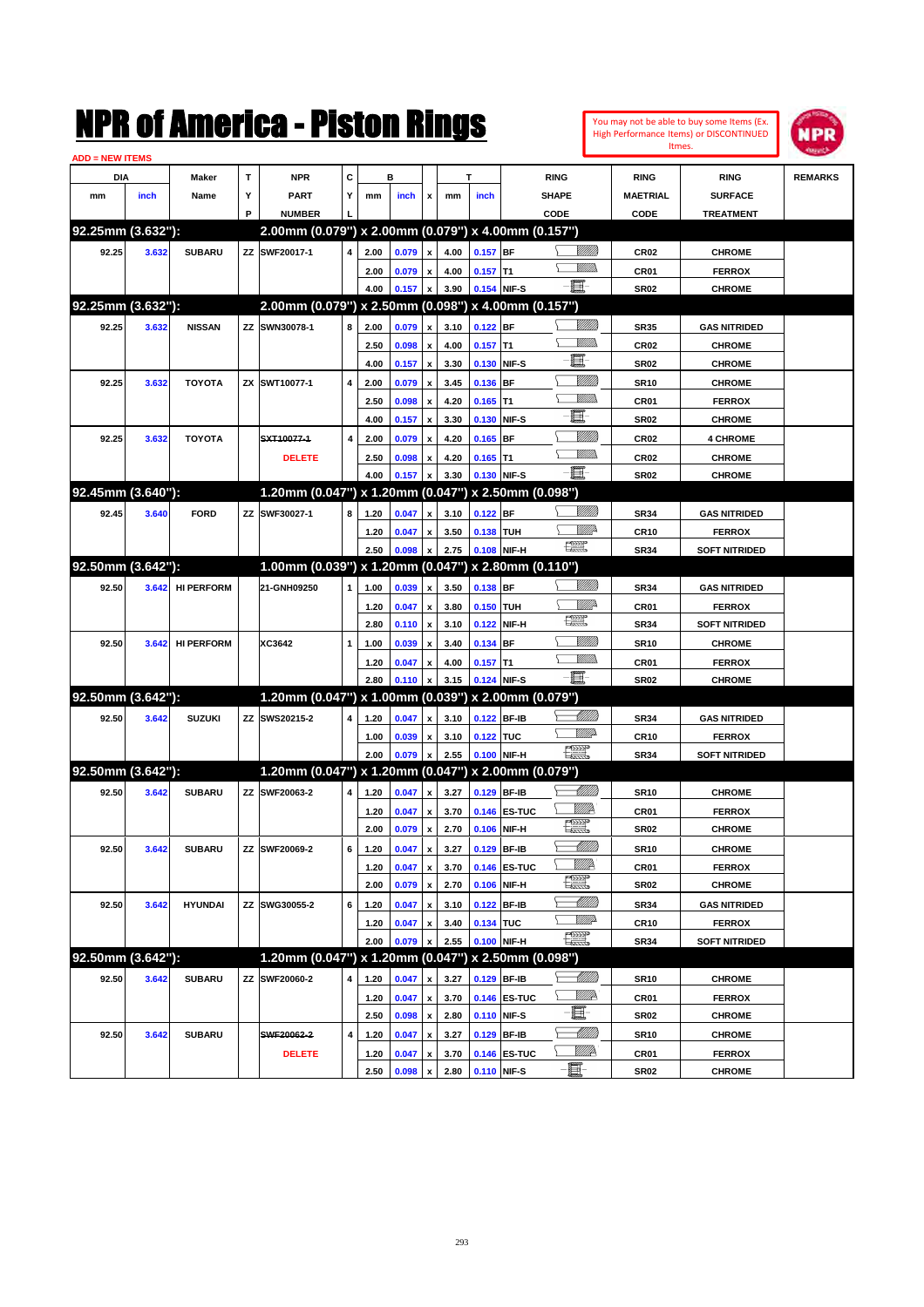|                        |       |                   |   | NMK OI AINCrica - Miston Kings                      |   |              |                |                           |              |             |              |                          |                   |                  | You may not be able to buy some Items (Ex.<br>High Performance Items) or DISCONTINUED | NPR            |
|------------------------|-------|-------------------|---|-----------------------------------------------------|---|--------------|----------------|---------------------------|--------------|-------------|--------------|--------------------------|-------------------|------------------|---------------------------------------------------------------------------------------|----------------|
| <b>ADD = NEW ITEMS</b> |       |                   |   |                                                     |   |              |                |                           |              |             |              |                          |                   |                  | Itmes.                                                                                |                |
| DIA                    |       | Maker             | T | <b>NPR</b>                                          | C |              | в              |                           |              | т           |              | <b>RING</b>              |                   | <b>RING</b>      | <b>RING</b>                                                                           | <b>REMARKS</b> |
| mm                     | inch  | Name              | Υ | <b>PART</b>                                         | Y | mm           | inch           | x                         | mm           | inch        |              | <b>SHAPE</b>             |                   | <b>MAETRIAL</b>  | <b>SURFACE</b>                                                                        |                |
|                        |       |                   | P | <b>NUMBER</b>                                       |   |              |                |                           |              |             |              | CODE                     |                   | CODE             | <b>TREATMENT</b>                                                                      |                |
| 92.25mm (3.632"):      |       |                   |   | 2.00mm (0.079") x 2.00mm (0.079") x 4.00mm (0.157") |   |              |                |                           |              |             |              |                          |                   |                  |                                                                                       |                |
| 92.25                  | 3.632 | <b>SUBARU</b>     |   | ZZ SWF20017-1                                       | 4 | 2.00         | 0.079          | x                         | 4.00         | $0.157$ BF  |              |                          | <u>Millitt</u>    | CR <sub>02</sub> | <b>CHROME</b>                                                                         |                |
|                        |       |                   |   |                                                     |   | 2.00         | 0.079          | $\boldsymbol{\mathsf{x}}$ | 4.00         | $0.157$ T1  |              |                          | <br>Mar           | CR01             | <b>FERROX</b>                                                                         |                |
|                        |       |                   |   |                                                     |   | 4.00         | 0.157          | x                         | 3.90         | 0.154 NIF-S |              | $-\mathbf{E}$            |                   | <b>SR02</b>      | <b>CHROME</b>                                                                         |                |
| 92.25mm (3.632"):      |       |                   |   | 2.00mm (0.079") x 2.50mm (0.098") x 4.00mm (0.157") |   |              |                |                           |              |             |              |                          |                   |                  |                                                                                       |                |
| 92.25                  | 3.632 | <b>NISSAN</b>     |   | ZZ SWN30078-1                                       | 8 | 2.00         | 0.079          | x                         | 3.10         | $0.122$ BF  |              |                          |                   | <b>SR35</b>      | <b>GAS NITRIDED</b>                                                                   |                |
|                        |       |                   |   |                                                     |   | 2.50         | 0.098          | $\boldsymbol{\mathsf{x}}$ | 4.00         | $0.157$ T1  |              |                          | .<br>WWW          | <b>CR02</b>      | <b>CHROME</b>                                                                         |                |
|                        |       |                   |   |                                                     |   | 4.00         | 0.157          | $\boldsymbol{\mathsf{x}}$ | 3.30         |             | 0.130 NIF-S  | E                        |                   | <b>SR02</b>      | <b>CHROME</b>                                                                         |                |
| 92.25                  | 3.632 | <b>TOYOTA</b>     |   | ZX SWT10077-1                                       | 4 | 2.00         | 0.079          | x                         | 3.45         | 0.136 BF    |              |                          | <u>MMM</u>        | <b>SR10</b>      | <b>CHROME</b>                                                                         |                |
|                        |       |                   |   |                                                     |   | 2.50         | 0.098          | $\boldsymbol{\mathsf{x}}$ | 4.20         | $0.165$ T1  |              |                          | .<br>WWW          | CR01             | <b>FERROX</b>                                                                         |                |
|                        |       |                   |   |                                                     |   | 4.00         | 0.157          | $\boldsymbol{\mathsf{x}}$ | 3.30         |             | 0.130 NIF-S  | E                        |                   | <b>SR02</b>      | <b>CHROME</b>                                                                         |                |
| 92.25                  | 3.632 | <b>TOYOTA</b>     |   | SXT10077-1                                          | 4 | 2.00         | 0.079          | $\boldsymbol{\mathsf{x}}$ | 4.20         | $0.165$ BF  |              |                          | <u>MMM</u>        | <b>CR02</b>      | <b>4 CHROME</b>                                                                       |                |
|                        |       |                   |   | <b>DELETE</b>                                       |   | 2.50         | 0.098          | x                         | 4.20         | $0.165$ T1  |              |                          | <br>Mar           | CR <sub>02</sub> | <b>CHROME</b>                                                                         |                |
|                        |       |                   |   |                                                     |   | 4.00         | 0.157          | X                         | 3.30         |             | 0.130 NIF-S  | e et                     |                   | <b>SR02</b>      | <b>CHROME</b>                                                                         |                |
| 92.45mm (3.640"):      |       |                   |   | 1.20mm (0.047") x 1.20mm (0.047") x 2.50mm (0.098") |   |              |                |                           |              |             |              |                          |                   |                  |                                                                                       |                |
| 92.45                  | 3.640 | <b>FORD</b>       |   | ZZ SWF30027-1                                       | 8 | 1.20         | 0.047          | x                         | 3.10         | $0.122$ BF  |              |                          | <u>Millitti</u>   | <b>SR34</b>      | <b>GAS NITRIDED</b>                                                                   |                |
|                        |       |                   |   |                                                     |   | 1.20         | 0.047          | X                         | 3.50         | 0.138 TUH   |              |                          | <u>Mille</u>      | <b>CR10</b>      | <b>FERROX</b>                                                                         |                |
|                        |       |                   |   |                                                     |   | 2.50         | 0.098          | X                         | 2.75         |             | 0.108 NIF-H  | $\frac{1}{2}$            |                   | <b>SR34</b>      | <b>SOFT NITRIDED</b>                                                                  |                |
| 92.50mm (3.642"):      |       |                   |   | 1.00mm (0.039") x 1.20mm (0.047") x 2.80mm (0.110") |   |              |                |                           |              |             |              |                          |                   |                  |                                                                                       |                |
| 92.50                  | 3.642 | <b>HI PERFORM</b> |   | 21-GNH09250                                         | 1 | 1.00         | 0.039          | X                         | 3.50         | 0.138 BF    |              |                          | <u>Millitt</u>    | <b>SR34</b>      | <b>GAS NITRIDED</b>                                                                   |                |
|                        |       |                   |   |                                                     |   | 1.20         | 0.047          | $\boldsymbol{\mathsf{x}}$ | 3.80         | 0.150 TUH   |              |                          | ₩₩                | CR <sub>01</sub> | <b>FERROX</b>                                                                         |                |
|                        |       |                   |   |                                                     |   | 2.80         | 0.110          | $\boldsymbol{\mathsf{x}}$ | 3.10         |             | 0.122 NIF-H  | <b>The Second Second</b> |                   | <b>SR34</b>      | <b>SOFT NITRIDED</b>                                                                  |                |
| 92.50                  | 3.642 | <b>HI PERFORM</b> |   | XC3642                                              | 1 | 1.00         | 0.039          | x                         | 3.40         | 0.134 BF    |              |                          | <u>Millil</u>     | <b>SR10</b>      | <b>CHROME</b>                                                                         |                |
|                        |       |                   |   |                                                     |   | 1.20         | 0.047          | x                         | 4.00         | $0.157$ T1  |              |                          | .<br>WWW          | CR01             | <b>FERROX</b>                                                                         |                |
|                        |       |                   |   |                                                     |   | 2.80         | 0.110          |                           | 3.15         |             | 0.124 NIF-S  | $-\mathbf{E}$            |                   | <b>SR02</b>      | <b>CHROME</b>                                                                         |                |
| 92.50mm (3.642"):      |       |                   |   | 1.20mm (0.047") x 1.00mm (0.039") x 2.00mm (0.079") |   |              |                |                           |              |             |              |                          |                   |                  |                                                                                       |                |
| 92.50                  | 3.642 | <b>SUZUKI</b>     |   | ZZ SWS20215-2                                       | 4 | 1.20         | 0.047          | x                         | 3.10         |             | 0.122 BF-IB  |                          | <u> Millitt</u>   | <b>SR34</b>      | <b>GAS NITRIDED</b>                                                                   |                |
|                        |       |                   |   |                                                     |   | 1.00         | 0.039          | x                         | 3.10         | 0.122 TUC   |              |                          | <u>WW</u>         | <b>CR10</b>      | <b>FERROX</b>                                                                         |                |
|                        |       |                   |   |                                                     |   | 2.00         | 0.079          | $\boldsymbol{\mathsf{x}}$ | 2.55         |             | 0.100 NIF-H  | <b>Team</b>              |                   | <b>SR34</b>      | <b>SOFT NITRIDED</b>                                                                  |                |
| 92.50mm (3.642"):      |       |                   |   | 1.20mm (0.047") x 1.20mm (0.047") x 2.00mm (0.079") |   |              |                |                           |              |             |              |                          |                   |                  |                                                                                       |                |
| 92.50                  | 3.642 | <b>SUBARU</b>     |   | ZZ SWF20063-2                                       | 4 | 1.20         | 0.047          | $\mathbf{x}$              | 3.27         | 0.129 BF-IB |              |                          | <u> Millitt</u>   | <b>SR10</b>      | <b>CHROME</b>                                                                         |                |
|                        |       |                   |   |                                                     |   | 1.20         | $0.047 \times$ |                           | 3.70         |             | 0.146 ES-TUC |                          | ₩₩                | CR01             |                                                                                       |                |
|                        |       |                   |   |                                                     |   | 2.00         | 0.079          | $\boldsymbol{\mathsf{x}}$ | 2.70         |             | 0.106 NIF-H  | <b>RAND</b>              |                   | SR02             | <b>FERROX</b><br><b>CHROME</b>                                                        |                |
| 92.50                  | 3.642 | <b>SUBARU</b>     |   | ZZ SWF20069-2                                       | 6 | 1.20         |                | $\pmb{\mathsf{x}}$        | 3.27         |             | 0.129 BF-IB  |                          | <u> Milli</u>     | <b>SR10</b>      | <b>CHROME</b>                                                                         |                |
|                        |       |                   |   |                                                     |   |              | 0.047          | $\pmb{\mathsf{x}}$        |              |             | 0.146 ES-TUC | <u>Willik</u>            |                   | CR01             | <b>FERROX</b>                                                                         |                |
|                        |       |                   |   |                                                     |   | 1.20<br>2.00 | 0.047<br>0.079 | $\boldsymbol{\mathsf{x}}$ | 3.70<br>2.70 |             | 0.106 NIF-H  | $\frac{1}{\sqrt{2}}$     |                   | SR02             | <b>CHROME</b>                                                                         |                |
|                        |       |                   |   |                                                     |   |              |                |                           |              |             |              |                          | <u> Milli</u> lli |                  |                                                                                       |                |
| 92.50                  | 3.642 | <b>HYUNDAI</b>    |   | ZZ SWG30055-2                                       | 6 | 1.20         | 0.047          | $\pmb{\mathsf{x}}$        | 3.10         |             | 0.122 BF-IB  |                          | ₩₩                | <b>SR34</b>      | <b>GAS NITRIDED</b>                                                                   |                |
|                        |       |                   |   |                                                     |   | 1.20         | 0.047          | x                         | 3.40         | 0.134 TUC   |              | <b>PERIOD</b>            |                   | CR10             | <b>FERROX</b>                                                                         |                |
| 92.50mm (3.642"):      |       |                   |   | 1.20mm (0.047") x 1.20mm (0.047") x 2.50mm (0.098") |   | 2.00         | 0.079          | X                         | 2.55         |             | 0.100 NIF-H  |                          |                   | <b>SR34</b>      | <b>SOFT NITRIDED</b>                                                                  |                |
|                        |       |                   |   |                                                     |   |              |                |                           |              |             |              |                          | <u> Milli</u> b   |                  |                                                                                       |                |
| 92.50                  | 3.642 | <b>SUBARU</b>     |   | ZZ SWF20060-2                                       | 4 | 1.20         | 0.047          | X                         | 3.27         |             | 0.129 BF-IB  |                          | <u>Willi</u> A    | <b>SR10</b>      | <b>CHROME</b>                                                                         |                |
|                        |       |                   |   |                                                     |   | 1.20         | 0.047          | X                         | 3.70         |             | 0.146 ES-TUC | E-                       |                   | CR01             | <b>FERROX</b>                                                                         |                |
|                        |       |                   |   |                                                     |   | 2.50         | 0.098          | $\pmb{\mathsf{x}}$        | 2.80         |             | 0.110 NIF-S  |                          | <u> Millill</u>   | <b>SR02</b>      | <b>CHROME</b>                                                                         |                |
| 92.50                  | 3.642 | <b>SUBARU</b>     |   | SWF20062-2                                          | 4 | 1.20         | 0.047          | x                         | 3.27         |             | 0.129 BF-IB  |                          | <u>WWA</u>        | <b>SR10</b>      | <b>CHROME</b>                                                                         |                |
|                        |       |                   |   | <b>DELETE</b>                                       |   | 1.20         | 0.047          | x                         | 3.70         |             | 0.146 ES-TUC | E-                       |                   | CR01             | <b>FERROX</b>                                                                         |                |
|                        |       |                   |   |                                                     |   | 2.50         | 0.098          | x                         | 2.80         | 0.110 NIF-S |              |                          |                   | <b>SR02</b>      | <b>CHROME</b>                                                                         |                |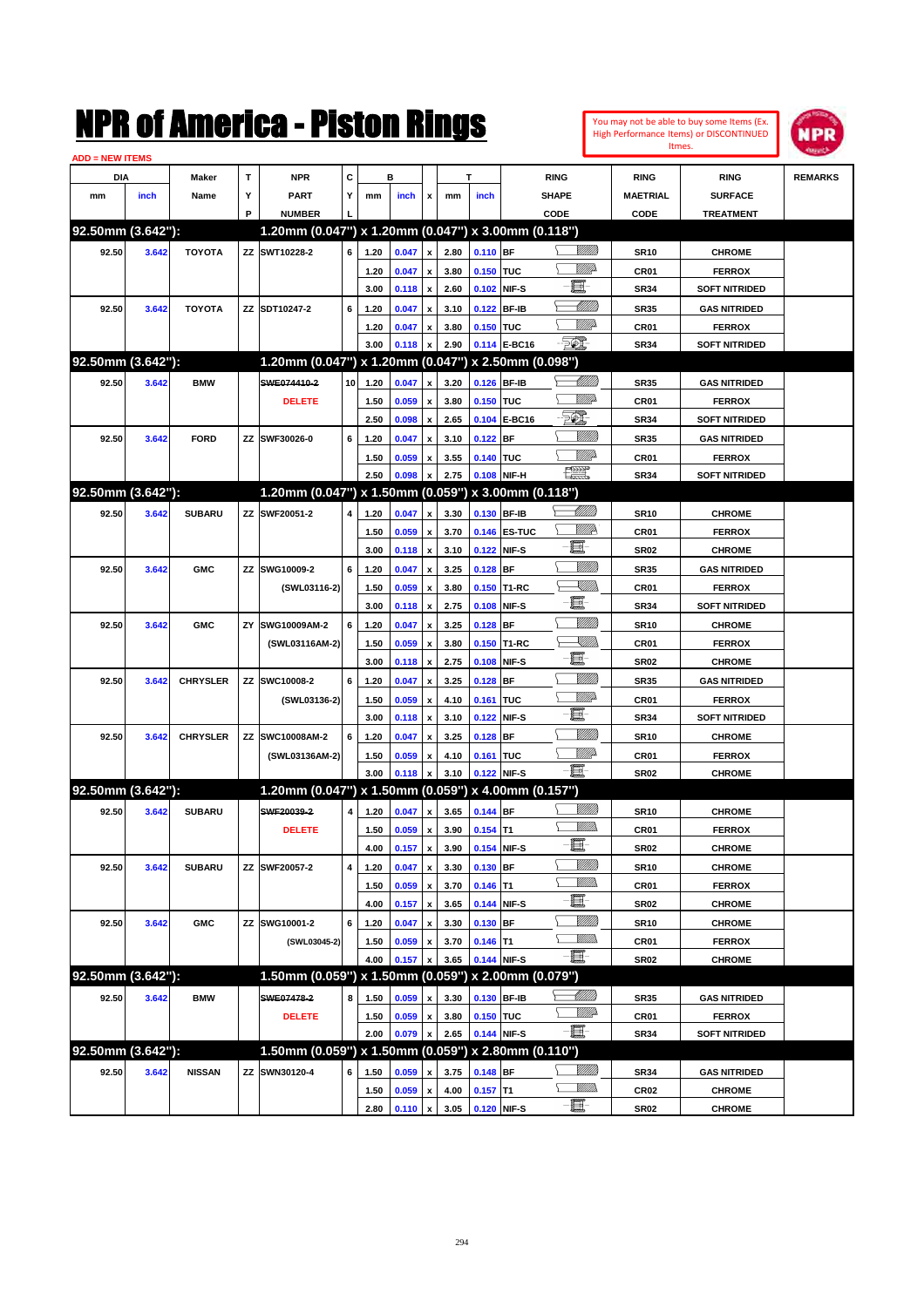| You may not be able to buy some Items (Ex. |
|--------------------------------------------|
| High Performance Items) or DISCONTINUED    |
| Itmes.                                     |



| <b>ADD = NEW ITEMS</b> |       |                 |    |                                                     |                 |      |       |                           |      |            |              |                                                                                                                                                                                                                                 |                  |                      |                |
|------------------------|-------|-----------------|----|-----------------------------------------------------|-----------------|------|-------|---------------------------|------|------------|--------------|---------------------------------------------------------------------------------------------------------------------------------------------------------------------------------------------------------------------------------|------------------|----------------------|----------------|
| DIA                    |       | <b>Maker</b>    | T  | <b>NPR</b>                                          | С               |      | в     |                           |      | т          |              | <b>RING</b>                                                                                                                                                                                                                     | <b>RING</b>      | <b>RING</b>          | <b>REMARKS</b> |
| mm                     | inch  | Name            | Υ  | <b>PART</b>                                         | Y               | mm   | inch  | x                         | mm   | inch       |              | <b>SHAPE</b>                                                                                                                                                                                                                    | <b>MAETRIAL</b>  | <b>SURFACE</b>       |                |
|                        |       |                 | P  | <b>NUMBER</b>                                       |                 |      |       |                           |      |            |              | CODE                                                                                                                                                                                                                            | <b>CODE</b>      | <b>TREATMENT</b>     |                |
| 92.50mm (3.642"):      |       |                 |    | 1.20mm (0.047") x 1.20mm (0.047") x 3.00mm (0.118") |                 |      |       |                           |      |            |              |                                                                                                                                                                                                                                 |                  |                      |                |
| 92.50                  | 3.642 | <b>TOYOTA</b>   |    | ZZ SWT10228-2                                       | 6               | 1.20 | 0.047 | $\pmb{\mathsf{x}}$        | 2.80 | 0.110 BF   |              | <u> UMB</u>                                                                                                                                                                                                                     | <b>SR10</b>      | <b>CHROME</b>        |                |
|                        |       |                 |    |                                                     |                 | 1.20 | 0.047 | x                         | 3.80 | 0.150 TUC  |              | <u>MMP</u>                                                                                                                                                                                                                      | CR <sub>01</sub> | <b>FERROX</b>        |                |
|                        |       |                 |    |                                                     |                 | 3.00 | 0.118 | $\pmb{\mathsf{x}}$        | 2.60 |            | 0.102 NIF-S  | E                                                                                                                                                                                                                               | <b>SR34</b>      | <b>SOFT NITRIDED</b> |                |
| 92.50                  | 3.642 | <b>TOYOTA</b>   |    | ZZ SDT10247-2                                       | 6               | 1.20 | 0.047 | x                         | 3.10 | 0.122      | BF-IB        | Millit                                                                                                                                                                                                                          | <b>SR35</b>      | <b>GAS NITRIDED</b>  |                |
|                        |       |                 |    |                                                     |                 | 1.20 | 0.047 | x                         | 3.80 | 0.150 TUC  |              | <u>MMP</u>                                                                                                                                                                                                                      | CR <sub>01</sub> | <b>FERROX</b>        |                |
|                        |       |                 |    |                                                     |                 | 3.00 | 0.118 | x                         | 2.90 |            | 0.114 E-BC16 | EC.                                                                                                                                                                                                                             | <b>SR34</b>      | <b>SOFT NITRIDED</b> |                |
| 92.50mm (3.642"):      |       |                 |    | 1.20mm (0.047") x 1.20mm (0.047")                   |                 |      |       |                           |      |            |              | x 2.50mm (0.098")                                                                                                                                                                                                               |                  |                      |                |
| 92.50                  | 3.642 | <b>BMW</b>      |    | SWE074410-2                                         | 10 <sup>1</sup> | 1.20 | 0.047 | X                         | 3.20 |            | 0.126 BF-IB  | <u>UMB</u>                                                                                                                                                                                                                      | <b>SR35</b>      | <b>GAS NITRIDED</b>  |                |
|                        |       |                 |    | <b>DELETE</b>                                       |                 | 1.50 | 0.059 | x                         | 3.80 | 0.150 TUC  |              | MMD                                                                                                                                                                                                                             | CR <sub>01</sub> | <b>FERROX</b>        |                |
|                        |       |                 |    |                                                     |                 | 2.50 | 0.098 | $\boldsymbol{\mathsf{x}}$ | 2.65 |            | 0.104 E-BC16 | <b>FOX</b>                                                                                                                                                                                                                      | <b>SR34</b>      | <b>SOFT NITRIDED</b> |                |
| 92.50                  | 3.642 | <b>FORD</b>     |    | ZZ SWF30026-0                                       | 6               | 1.20 | 0.047 | x                         | 3.10 | 0.122      | <b>BF</b>    |                                                                                                                                                                                                                                 | <b>SR35</b>      | <b>GAS NITRIDED</b>  |                |
|                        |       |                 |    |                                                     |                 | 1.50 | 0.059 | x                         | 3.55 | 0.140 TUC  |              | MMP                                                                                                                                                                                                                             | CR <sub>01</sub> | <b>FERROX</b>        |                |
|                        |       |                 |    |                                                     |                 | 2.50 | 0.098 | $\boldsymbol{\mathsf{x}}$ | 2.75 |            | 0.108 NIF-H  | H                                                                                                                                                                                                                               | <b>SR34</b>      | <b>SOFT NITRIDED</b> |                |
| 92.50mm (3.642"):      |       |                 |    | 1.20mm (0.047") x 1.50mm (0.059") x 3.00mm (0.118") |                 |      |       |                           |      |            |              |                                                                                                                                                                                                                                 |                  |                      |                |
| 92.50                  | 3.642 | <b>SUBARU</b>   |    | ZZ SWF20051-2                                       | 4               | 1.20 | 0.047 | X                         | 3.30 |            | 0.130 BF-IB  | Millitt                                                                                                                                                                                                                         | <b>SR10</b>      | <b>CHROME</b>        |                |
|                        |       |                 |    |                                                     |                 | 1.50 | 0.059 | x                         | 3.70 |            | 0.146 ES-TUC | <u>Willie</u>                                                                                                                                                                                                                   | CR01             | <b>FERROX</b>        |                |
|                        |       |                 |    |                                                     |                 | 3.00 | 0.118 | $\pmb{\mathsf{x}}$        | 3.10 |            | 0.122 NIF-S  | E.                                                                                                                                                                                                                              | <b>SR02</b>      | <b>CHROME</b>        |                |
| 92.50                  | 3.642 | <b>GMC</b>      |    | ZZ SWG10009-2                                       | 6               | 1.20 | 0.047 | X                         | 3.25 | $0.128$ BF |              | <u>VIIII)</u>                                                                                                                                                                                                                   | <b>SR35</b>      | <b>GAS NITRIDED</b>  |                |
|                        |       |                 |    | (SWL03116-2)                                        |                 | 1.50 | 0.059 | X                         | 3.80 |            | 0.150 T1-RC  | <u>XMWs</u>                                                                                                                                                                                                                     | CR <sub>01</sub> | <b>FERROX</b>        |                |
|                        |       |                 |    |                                                     |                 | 3.00 | 0.118 | $\boldsymbol{\mathsf{x}}$ | 2.75 | 0.108      | NIF-S        | E                                                                                                                                                                                                                               | <b>SR34</b>      | <b>SOFT NITRIDED</b> |                |
| 92.50                  | 3.642 | <b>GMC</b>      | ΖY | SWG10009AM-2                                        | 6               | 1.20 | 0.047 | X                         | 3.25 | $0.128$ BF |              | <u>VIIII)</u>                                                                                                                                                                                                                   | <b>SR10</b>      | <b>CHROME</b>        |                |
|                        |       |                 |    | (SWL03116AM-2)                                      |                 | 1.50 | 0.059 | x                         | 3.80 |            | 0.150 T1-RC  | <u>XMWs</u>                                                                                                                                                                                                                     | CR <sub>01</sub> | <b>FERROX</b>        |                |
|                        |       |                 |    |                                                     |                 | 3.00 | 0.118 | $\boldsymbol{\mathsf{x}}$ | 2.75 | 0.108      | NIF-S        | E                                                                                                                                                                                                                               | <b>SR02</b>      | <b>CHROME</b>        |                |
| 92.50                  | 3.642 | <b>CHRYSLER</b> |    | ZZ SWC10008-2                                       | 6               | 1.20 | 0.047 | X                         | 3.25 | $0.128$ BF |              | <u>VIIII)</u>                                                                                                                                                                                                                   | <b>SR35</b>      | <b>GAS NITRIDED</b>  |                |
|                        |       |                 |    | (SWL03136-2)                                        |                 | 1.50 | 0.059 | x                         | 4.10 | 0.161 TUC  |              | <u>MM</u> D                                                                                                                                                                                                                     | CR <sub>01</sub> | <b>FERROX</b>        |                |
|                        |       |                 |    |                                                     |                 | 3.00 | 0.118 | $\boldsymbol{\mathsf{x}}$ | 3.10 | 0.122      | NIF-S        | E                                                                                                                                                                                                                               | <b>SR34</b>      | <b>SOFT NITRIDED</b> |                |
| 92.50                  | 3.642 | <b>CHRYSLER</b> |    | ZZ SWC10008AM-2                                     | 6               | 1.20 | 0.047 | X                         | 3.25 | $0.128$ BF |              | <u>VIIII)</u>                                                                                                                                                                                                                   | <b>SR10</b>      | <b>CHROME</b>        |                |
|                        |       |                 |    | (SWL03136AM-2)                                      |                 | 1.50 | 0.059 | x                         | 4.10 | 0.161 TUC  |              | <u>MM</u>                                                                                                                                                                                                                       | CR <sub>01</sub> | <b>FERROX</b>        |                |
|                        |       |                 |    |                                                     |                 | 3.00 | 0.118 | x                         | 3.10 |            | 0.122 NIF-S  | e.                                                                                                                                                                                                                              | <b>SR02</b>      | <b>CHROME</b>        |                |
| 92.50mm (3.642"):      |       |                 |    | 1.20mm (0.047") x 1.50mm (0.059") x 4.00mm (0.157") |                 |      |       |                           |      |            |              |                                                                                                                                                                                                                                 |                  |                      |                |
| 92.50                  | 3.642 | <b>SUBARU</b>   |    | SWF20039-2                                          | 4               | 1.20 | 0.047 | X                         | 3.65 | 0.144 BF   |              | <u>VIIII)</u>                                                                                                                                                                                                                   | <b>SR10</b>      | <b>CHROME</b>        |                |
|                        |       |                 |    | <b>DELETE</b>                                       |                 | 1.50 | 0.059 | x                         | 3.90 | $0.154$ T1 |              | UM)                                                                                                                                                                                                                             | CR <sub>01</sub> | <b>FERROX</b>        |                |
|                        |       |                 |    |                                                     |                 | 4.00 | 0.157 | $\pmb{\mathsf{x}}$        | 3.90 |            | 0.154 NIF-S  | e.                                                                                                                                                                                                                              | SR02             | <b>CHROME</b>        |                |
| 92.50                  | 3.642 | <b>SUBARU</b>   |    | ZZ SWF20057-2                                       | 4               | 1.20 | 0.047 | $\pmb{\mathsf{x}}$        | 3.30 | 0.130 BF   |              | <u>MMW</u>                                                                                                                                                                                                                      | <b>SR10</b>      | <b>CHROME</b>        |                |
|                        |       |                 |    |                                                     |                 | 1.50 | 0.059 | $\pmb{\mathsf{x}}$        | 3.70 | $0.146$ T1 |              | <u>MMD</u>                                                                                                                                                                                                                      | CR <sub>01</sub> | <b>FERROX</b>        |                |
|                        |       |                 |    |                                                     |                 | 4.00 | 0.157 | $\pmb{\mathsf{x}}$        | 3.65 |            | 0.144 NIF-S  | e de la contrada de la contrada de la contrada de la contrada de la contrada de la contrada de la contrada de<br>Del contrada de la contrada de la contrada de la contrada de la contrada de la contrada de la contrada de la c | SR02             | <b>CHROME</b>        |                |
| 92.50                  | 3.642 | <b>GMC</b>      |    | ZZ SWG10001-2                                       | 6               | 1.20 | 0.047 | X                         | 3.30 | 0.130 BF   |              | <u>VIIII)</u>                                                                                                                                                                                                                   | <b>SR10</b>      | <b>CHROME</b>        |                |
|                        |       |                 |    | (SWL03045-2)                                        |                 | 1.50 | 0.059 | x                         | 3.70 | $0.146$ T1 |              | <u>MMD</u>                                                                                                                                                                                                                      | CR01             | <b>FERROX</b>        |                |
|                        |       |                 |    |                                                     |                 | 4.00 | 0.157 | X                         | 3.65 |            | 0.144 NIF-S  | -8                                                                                                                                                                                                                              | SR02             | <b>CHROME</b>        |                |
| 92.50mm (3.642"):      |       |                 |    | 1.50mm (0.059") x 1.50mm (0.059") x 2.00mm (0.079") |                 |      |       |                           |      |            |              |                                                                                                                                                                                                                                 |                  |                      |                |
| 92.50                  | 3.642 | <b>BMW</b>      |    | SWE07478-2                                          | 8               | 1.50 | 0.059 | x                         | 3.30 |            | 0.130 BF-IB  | <u> Millitti</u>                                                                                                                                                                                                                | <b>SR35</b>      | <b>GAS NITRIDED</b>  |                |
|                        |       |                 |    | <b>DELETE</b>                                       |                 | 1.50 | 0.059 | x                         | 3.80 | 0.150 TUC  |              | <u>VMD</u>                                                                                                                                                                                                                      | CR <sub>01</sub> | <b>FERROX</b>        |                |
|                        |       |                 |    |                                                     |                 | 2.00 | 0.079 | $\pmb{\mathsf{x}}$        | 2.65 |            | 0.144 NIF-S  | -80                                                                                                                                                                                                                             | SR34             | <b>SOFT NITRIDED</b> |                |
| 92.50mm (3.642"):      |       |                 |    | 1.50mm (0.059") x 1.50mm (0.059") x 2.80mm (0.110") |                 |      |       |                           |      |            |              |                                                                                                                                                                                                                                 |                  |                      |                |
| 92.50                  | 3.642 | <b>NISSAN</b>   |    | ZZ SWN30120-4                                       | 6               | 1.50 | 0.059 |                           | 3.75 | $0.148$ BF |              | <u>Milli</u> n                                                                                                                                                                                                                  | SR34             | <b>GAS NITRIDED</b>  |                |
|                        |       |                 |    |                                                     |                 | 1.50 | 0.059 | x                         | 4.00 | $0.157$ T1 |              | <u>MM)</u>                                                                                                                                                                                                                      | CR02             | <b>CHROME</b>        |                |
|                        |       |                 |    |                                                     |                 | 2.80 | 0.110 | $\mathbf x$               | 3.05 |            | 0.120 NIF-S  | -E-                                                                                                                                                                                                                             | <b>SR02</b>      | <b>CHROME</b>        |                |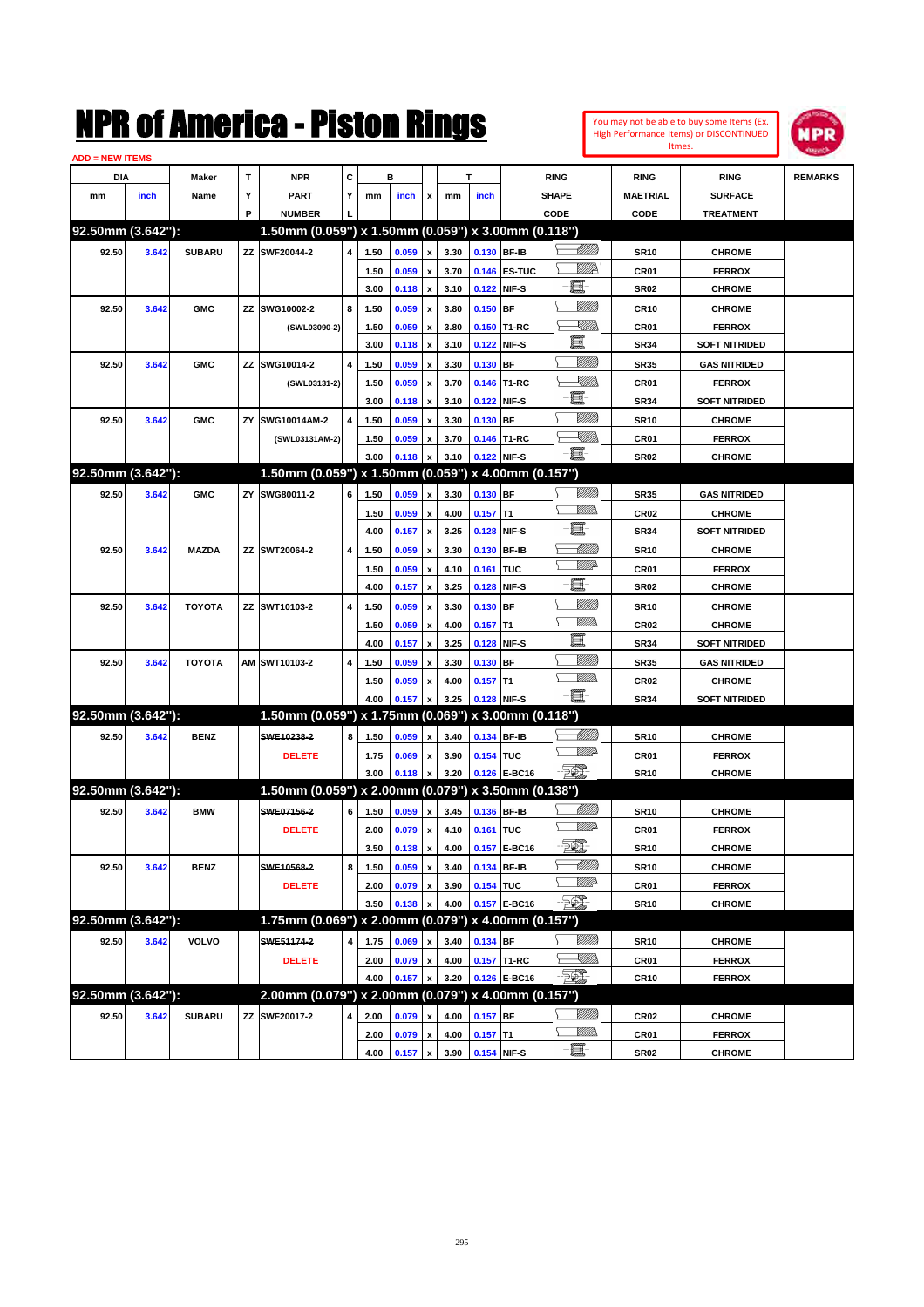

| <b>ADD = NEW ITEMS</b> |       |               |    |                                                     |                |              |       |                           |              |             |              |                         |                  |                                |                |
|------------------------|-------|---------------|----|-----------------------------------------------------|----------------|--------------|-------|---------------------------|--------------|-------------|--------------|-------------------------|------------------|--------------------------------|----------------|
| DIA                    |       | Maker         | т  | <b>NPR</b>                                          | C              |              | в     |                           |              | т           |              | <b>RING</b>             | <b>RING</b>      | <b>RING</b>                    | <b>REMARKS</b> |
| mm                     | inch  | Name          | Y  | <b>PART</b>                                         | Y              | mm           | inch  | x                         | mm           | inch        |              | <b>SHAPE</b>            | <b>MAETRIAL</b>  | <b>SURFACE</b>                 |                |
|                        |       |               | P  | <b>NUMBER</b>                                       |                |              |       |                           |              |             |              | CODE                    | CODE             | <b>TREATMENT</b>               |                |
| 92.50mm (3.642"):      |       |               |    | 1.50mm (0.059") x 1.50mm (0.059") x 3.00mm (0.118") |                |              |       |                           |              |             |              |                         |                  |                                |                |
| 92.50                  | 3.642 | <b>SUBARU</b> |    | ZZ SWF20044-2                                       | 4              | 1.50         | 0.059 | $\pmb{\mathsf{x}}$        | 3.30         |             | 0.130 BF-IB  | <u> UMM</u>             | <b>SR10</b>      | <b>CHROME</b>                  |                |
|                        |       |               |    |                                                     |                | 1.50         | 0.059 | x                         | 3.70         |             | 0.146 ES-TUC | <u>WW</u> A             | CR01             | <b>FERROX</b>                  |                |
|                        |       |               |    |                                                     |                | 3.00         | 0.118 | x                         | 3.10         | 0.122       | NIF-S        | E                       | <b>SR02</b>      | <b>CHROME</b>                  |                |
| 92.50                  | 3.642 | <b>GMC</b>    |    | ZZ SWG10002-2                                       | 8              | 1.50         | 0.059 | x                         | 3.80         | 0.150       | BF           | VIII))                  | <b>CR10</b>      | <b>CHROME</b>                  |                |
|                        |       |               |    | (SWL03090-2)                                        |                | 1.50         | 0.059 | x                         | 3.80         | 0.150       | T1-RC        | <u> Millibr</u>         | CR01             | <b>FERROX</b>                  |                |
|                        |       |               |    |                                                     |                | 3.00         | 0.118 | x                         | 3.10         | 0.122       | NIF-S        | ·ii                     | <b>SR34</b>      | <b>SOFT NITRIDED</b>           |                |
| 92.50                  | 3.642 | <b>GMC</b>    |    | ZZ SWG10014-2                                       | $\overline{4}$ | 1.50         | 0.059 | x                         | 3.30         | 0.130       | BF           |                         | <b>SR35</b>      | <b>GAS NITRIDED</b>            |                |
|                        |       |               |    | (SWL03131-2)                                        |                | 1.50         | 0.059 | x                         | 3.70         | 0.146       | T1-RC        | XMM                     | CR01             | <b>FERROX</b>                  |                |
|                        |       |               |    |                                                     |                | 3.00         | 0.118 | x                         | 3.10         | 0.122       | NIF-S        | e                       | <b>SR34</b>      | <b>SOFT NITRIDED</b>           |                |
| 92.50                  | 3.642 | <b>GMC</b>    | ΖY | SWG10014AM-2                                        | $\overline{4}$ | 1.50         | 0.059 | x                         | 3.30         | 0.130       | BF           | VIII))                  | <b>SR10</b>      | <b>CHROME</b>                  |                |
|                        |       |               |    | (SWL03131AM-2)                                      |                | 1.50         | 0.059 | x                         | 3.70         |             | 0.146 T1-RC  | <u>Sillin</u>           | CR01             | <b>FERROX</b>                  |                |
|                        |       |               |    |                                                     |                | 3.00         | 0.118 | x                         | 3.10         | 0.122       | NIF-S        | -8                      | SR <sub>02</sub> | <b>CHROME</b>                  |                |
| 92.50mm (3.642"):      |       |               |    | 1.50mm (0.059") x 1.50mm (0.059") x 4.00mm (0.157") |                |              |       |                           |              |             |              |                         |                  |                                |                |
| 92.50                  | 3.642 | <b>GMC</b>    |    | ZY SWG80011-2                                       | 6              | 1.50         | 0.059 | $\pmb{\mathsf{x}}$        | 3.30         | 0.130       | <b>BF</b>    | VIII))                  | <b>SR35</b>      | <b>GAS NITRIDED</b>            |                |
|                        |       |               |    |                                                     |                | 1.50         | 0.059 |                           | 4.00         | 0.157       | T1           | .<br>WWW                | <b>CR02</b>      | <b>CHROME</b>                  |                |
|                        |       |               |    |                                                     |                | 4.00         | 0.157 | x<br>x                    | 3.25         | 0.128       | NIF-S        | E.                      | <b>SR34</b>      | <b>SOFT NITRIDED</b>           |                |
| 92.50                  |       |               |    | ZZ SWT20064-2                                       | 4              |              | 0.059 |                           | 3.30         | 0.130       | <b>BF-IB</b> | <u>UMB</u>              | <b>SR10</b>      |                                |                |
|                        | 3.642 | <b>MAZDA</b>  |    |                                                     |                | 1.50         |       | x                         |              |             | <b>TUC</b>   | <u>WWP</u>              |                  | <b>CHROME</b><br><b>FERROX</b> |                |
|                        |       |               |    |                                                     |                | 1.50<br>4.00 | 0.059 | x                         | 4.10<br>3.25 | 0.161       | NIF-S        | e                       | CR01             | <b>CHROME</b>                  |                |
|                        |       |               |    |                                                     | $\overline{4}$ |              | 0.157 | x                         |              | 0.128       |              | <u>MMW</u>              | <b>SR02</b>      |                                |                |
| 92.50                  | 3.642 | <b>TOYOTA</b> |    | ZZ SWT10103-2                                       |                | 1.50         | 0.059 | x                         | 3.30         | 0.130       | BF           | .<br>WWW                | <b>SR10</b>      | <b>CHROME</b>                  |                |
|                        |       |               |    |                                                     |                | 1.50         | 0.059 | x                         | 4.00         | 0.157       | T1           | 圓                       | <b>CR02</b>      | <b>CHROME</b>                  |                |
|                        |       |               |    |                                                     |                | 4.00         | 0.157 | x                         | 3.25         | 0.128       | NIF-S        | <u>Milli</u> k          | <b>SR34</b>      | <b>SOFT NITRIDED</b>           |                |
| 92.50                  | 3.642 | <b>TOYOTA</b> |    | AM SWT10103-2                                       | $\overline{4}$ | 1.50         | 0.059 | x                         | 3.30         | 0.130       | <b>BF</b>    | .<br>WWW                | <b>SR35</b>      | <b>GAS NITRIDED</b>            |                |
|                        |       |               |    |                                                     |                | 1.50         | 0.059 | x                         | 4.00         | 0.157       | T1           | -8                      | <b>CR02</b>      | <b>CHROME</b>                  |                |
| 92.50mm (3.642"):      |       |               |    | 1.50mm (0.059") x 1.75mm (0.069") x 3.00mm (0.118") |                | 4.00         | 0.157 | x                         | 3.25         | 0.128       | NIF-S        |                         | <b>SR34</b>      | <b>SOFT NITRIDED</b>           |                |
|                        |       |               |    |                                                     |                |              |       |                           |              |             |              | <u> UMB</u>             |                  |                                |                |
| 92.50                  | 3.642 | <b>BENZ</b>   |    | SWE10238-2                                          | 8              | 1.50         | 0.059 | $\boldsymbol{\mathsf{x}}$ | 3.40         |             | 0.134 BF-IB  | <u>WW</u>               | <b>SR10</b>      | <b>CHROME</b>                  |                |
|                        |       |               |    | <b>DELETE</b>                                       |                | 1.75         | 0.069 | х                         | 3.90         | 0.154 TUC   |              | <b>EQL</b>              | CR01             | <b>FERROX</b>                  |                |
| 92.50mm (3.642"):      |       |               |    |                                                     |                | 3.00         | 0.118 | x                         | 3.20         | 0.126       | E-BC16       |                         | <b>SR10</b>      | <b>CHROME</b>                  |                |
|                        |       |               |    | 1.50mm (0.059") x 2.00mm (0.079") x 3.50mm (0.138") |                |              |       |                           |              |             |              |                         |                  |                                |                |
| 92.50                  | 3.642 | <b>BMW</b>    |    | SWE07156-2                                          | 6              | 1.50         | 0.059 | $\pmb{\mathsf{x}}$        | 3.45         |             | 0.136 BF-IB  | <u>UMB</u><br><u>MM</u> | <b>SR10</b>      | <b>CHROME</b>                  |                |
|                        |       |               |    | <b>DELETE</b>                                       |                | 2.00         | 0.079 | х                         | 4.10         | 0.161 TUC   |              |                         | CR01             | <b>FERROX</b>                  |                |
|                        |       |               |    |                                                     |                | 3.50         | 0.138 | $\pmb{\mathsf{x}}$        | 4.00         |             | 0.157 E-BC16 | <u> 50)</u>             | <b>SR10</b>      | <b>CHROME</b>                  |                |
| 92.50                  | 3.642 | <b>BENZ</b>   |    | SWE10568-2                                          | 8              | 1.50         | 0.059 | $\pmb{\mathsf{x}}$        | 3.40         |             | 0.134 BF-IB  | <u> UMM</u>             | <b>SR10</b>      | <b>CHROME</b>                  |                |
|                        |       |               |    | <b>DELETE</b>                                       |                | 2.00         | 0.079 | $\pmb{\mathsf{x}}$        | 3.90         | 0.154 TUC   |              | <u>MM</u> D             | CR01             | <b>FERROX</b>                  |                |
|                        |       |               |    |                                                     |                | 3.50         | 0.138 | x                         | 4.00         |             | 0.157 E-BC16 | EO)                     | <b>SR10</b>      | <b>CHROME</b>                  |                |
| 92.50mm (3.642"):      |       |               |    | 1.75mm (0.069") x 2.00mm (0.079") x 4.00mm (0.157") |                |              |       |                           |              |             |              |                         |                  |                                |                |
| 92.50                  | 3.642 | <b>VOLVO</b>  |    | SWE51174-2                                          | 4              | 1.75         | 0.069 | $\pmb{\mathsf{x}}$        | 3.40         | 0.134 BF    |              | <u>MMM</u>              | <b>SR10</b>      | <b>CHROME</b>                  |                |
|                        |       |               |    | <b>DELETE</b>                                       |                | 2.00         | 0.079 | $\pmb{\mathsf{x}}$        | 4.00         |             | 0.157 T1-RC  | <u>- Millio</u>         | CR01             | <b>FERROX</b>                  |                |
|                        |       |               |    |                                                     |                | 4.00         | 0.157 | $\pmb{\mathsf{x}}$        | 3.20         |             | 0.126 E-BC16 | -561                    | CR <sub>10</sub> | <b>FERROX</b>                  |                |
| 92.50mm (3.642"):      |       |               |    | 2.00mm (0.079") x 2.00mm (0.079") x 4.00mm (0.157") |                |              |       |                           |              |             |              |                         |                  |                                |                |
| 92.50                  | 3.642 | <b>SUBARU</b> |    | ZZ SWF20017-2                                       | 4              | 2.00         | 0.079 | $\pmb{\mathsf{x}}$        | 4.00         | $0.157$ BF  |              | <u>MMM</u>              | CR02             | <b>CHROME</b>                  |                |
|                        |       |               |    |                                                     |                | 2.00         | 0.079 | $\pmb{\mathsf{x}}$        | 4.00         | $0.157$ T1  |              | <u>Willib</u>           | CR01             | <b>FERROX</b>                  |                |
|                        |       |               |    |                                                     |                | 4.00         | 0.157 | $\pmb{\mathsf{x}}$        | 3.90         | 0.154 NIF-S |              | E-                      | <b>SR02</b>      | <b>CHROME</b>                  |                |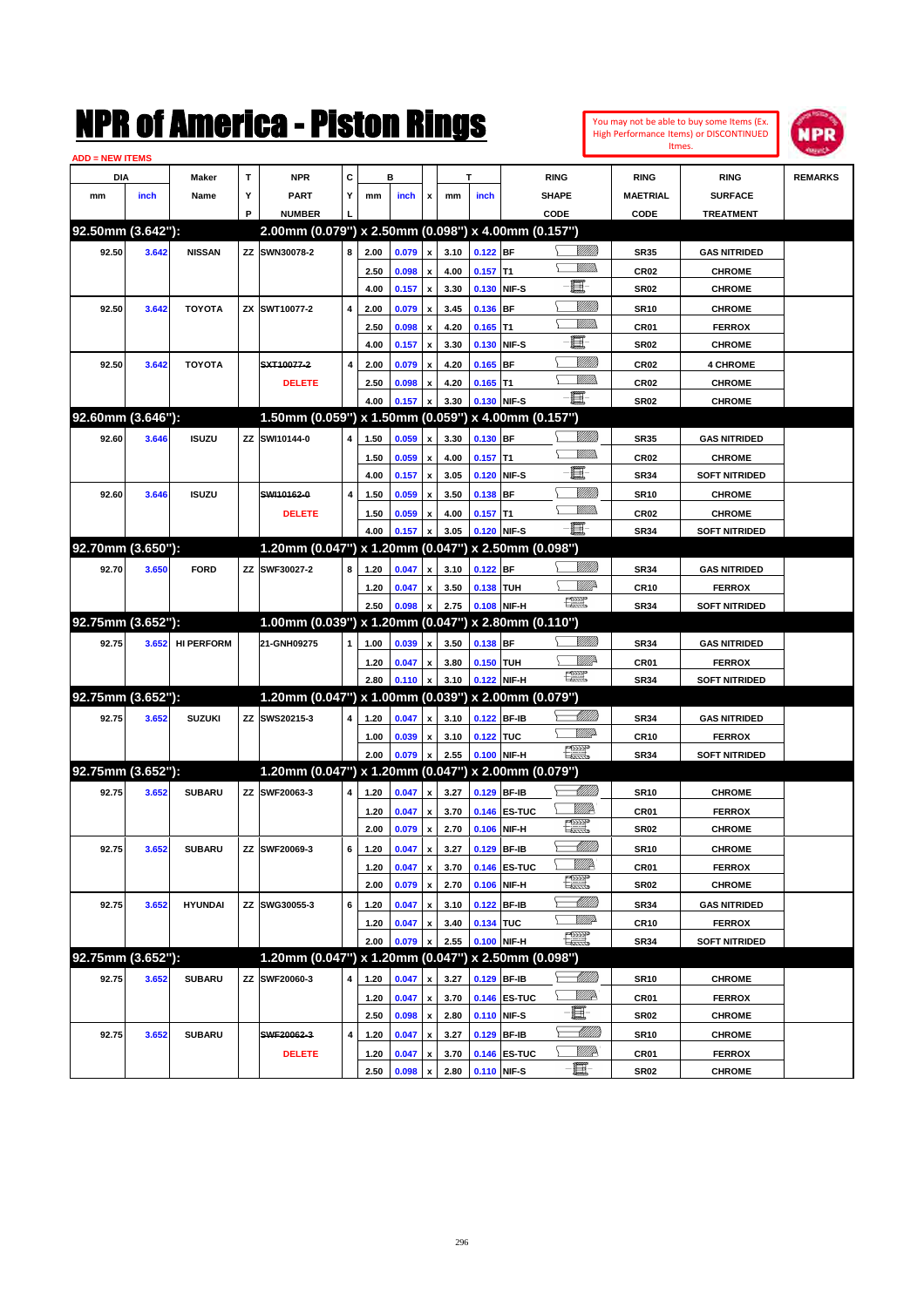

| <b>ADD = NEW ITEMS</b> |       |                   |    |                                                     |   |              |                |                    |              |            |                   |                                                                                                                                                                                                                                      |                 |                      |                |
|------------------------|-------|-------------------|----|-----------------------------------------------------|---|--------------|----------------|--------------------|--------------|------------|-------------------|--------------------------------------------------------------------------------------------------------------------------------------------------------------------------------------------------------------------------------------|-----------------|----------------------|----------------|
| DIA                    |       | <b>Maker</b>      | т  | <b>NPR</b>                                          | С |              | в              |                    |              | т          |                   | <b>RING</b>                                                                                                                                                                                                                          | <b>RING</b>     | <b>RING</b>          | <b>REMARKS</b> |
| mm                     | inch  | Name              | Υ  | <b>PART</b>                                         | Y | mm           | inch           | x                  | mm           | inch       |                   | <b>SHAPE</b>                                                                                                                                                                                                                         | <b>MAETRIAL</b> | <b>SURFACE</b>       |                |
|                        |       |                   | P  | <b>NUMBER</b>                                       |   |              |                |                    |              |            |                   | CODE                                                                                                                                                                                                                                 | CODE            | <b>TREATMENT</b>     |                |
| 92.50mm (3.642"):      |       |                   |    | 2.00mm (0.079") x 2.50mm (0.098") x 4.00mm (0.157") |   |              |                |                    |              |            |                   |                                                                                                                                                                                                                                      |                 |                      |                |
| 92.50                  | 3.642 | <b>NISSAN</b>     |    | ZZ SWN30078-2                                       | 8 | 2.00         | 0.079          | x                  | 3.10         | $0.122$ BF |                   | <u> UMB</u>                                                                                                                                                                                                                          | <b>SR35</b>     | <b>GAS NITRIDED</b>  |                |
|                        |       |                   |    |                                                     |   | 2.50         | 0.098          |                    | 4.00         | $0.157$ T1 |                   | 7777).                                                                                                                                                                                                                               | <b>CR02</b>     | <b>CHROME</b>        |                |
|                        |       |                   |    |                                                     |   | 4.00         | 0.157          | $\pmb{\mathsf{x}}$ | 3.30         |            | 0.130 NIF-S       | E                                                                                                                                                                                                                                    | <b>SR02</b>     | <b>CHROME</b>        |                |
| 92.50                  | 3.642 | <b>TOYOTA</b>     |    | ZX SWT10077-2                                       | 4 | 2.00         | 0.079          | x                  | 3.45         | 0.136 BF   |                   | <u>MMM</u>                                                                                                                                                                                                                           | <b>SR10</b>     | <b>CHROME</b>        |                |
|                        |       |                   |    |                                                     |   | 2.50         | 0.098          | x                  | 4.20         | $0.165$ T1 |                   | .<br>MM                                                                                                                                                                                                                              | CR01            | <b>FERROX</b>        |                |
|                        |       |                   |    |                                                     |   | 4.00         | 0.157          | x                  | 3.30         |            | 0.130 NIF-S       | e.                                                                                                                                                                                                                                   | <b>SR02</b>     | <b>CHROME</b>        |                |
| 92.50                  | 3.642 | <b>TOYOTA</b>     |    | SXT10077-2                                          | 4 | 2.00         | 0.079          |                    | 4.20         | $0.165$ BF |                   | <u>Milli</u> k                                                                                                                                                                                                                       | <b>CR02</b>     | <b>4 CHROME</b>      |                |
|                        |       |                   |    | <b>DELETE</b>                                       |   | 2.50         | 0.098          | x                  | 4.20         | $0.165$ T1 |                   | .<br>MM                                                                                                                                                                                                                              | <b>CR02</b>     | <b>CHROME</b>        |                |
|                        |       |                   |    |                                                     |   | 4.00         | 0.157          |                    | 3.30         |            | 0.130 NIF-S       | -80                                                                                                                                                                                                                                  | <b>SR02</b>     | <b>CHROME</b>        |                |
| 92.60mm (3.646"):      |       |                   |    | 1.50mm (0.059") x 1.50mm (0.059") x 4.00mm (0.157") |   |              |                |                    |              |            |                   |                                                                                                                                                                                                                                      |                 |                      |                |
| 92.60                  | 3.646 | <b>ISUZU</b>      |    | ZZ SWI10144-0                                       | 4 | 1.50         | 0.059          | x                  | 3.30         | 0.130 BF   |                   | <u>Milli</u> k                                                                                                                                                                                                                       | <b>SR35</b>     | <b>GAS NITRIDED</b>  |                |
|                        |       |                   |    |                                                     |   | 1.50         | 0.059          |                    | 4.00         | $0.157$ T1 |                   | .<br>MM                                                                                                                                                                                                                              | <b>CR02</b>     | <b>CHROME</b>        |                |
|                        |       |                   |    |                                                     |   | 4.00         | 0.157          | $\pmb{\mathsf{x}}$ | 3.05         |            | 0.120 NIF-S       | E                                                                                                                                                                                                                                    | <b>SR34</b>     | <b>SOFT NITRIDED</b> |                |
| 92.60                  | 3.646 | <b>ISUZU</b>      |    | SWI10162-0                                          | 4 | 1.50         | 0.059          |                    | 3.50         | 0.138 BF   |                   | <u>MMM</u>                                                                                                                                                                                                                           | <b>SR10</b>     | <b>CHROME</b>        |                |
|                        |       |                   |    | <b>DELETE</b>                                       |   | 1.50         | 0.059          | x                  | 4.00         | $0.157$ T1 |                   | .<br>MM                                                                                                                                                                                                                              | <b>CR02</b>     | <b>CHROME</b>        |                |
|                        |       |                   |    |                                                     |   | 4.00         | 0.157          |                    | 3.05         |            | 0.120 NIF-S       | -80                                                                                                                                                                                                                                  | <b>SR34</b>     | <b>SOFT NITRIDED</b> |                |
| 92.70mm (3.650"):      |       |                   |    | 1.20mm (0.047") x 1.20mm (0.047")                   |   |              |                |                    |              |            | x 2.50mm (0.098") |                                                                                                                                                                                                                                      |                 |                      |                |
| 92.70                  | 3.650 | <b>FORD</b>       |    | ZZ SWF30027-2                                       | 8 | 1.20         | 0.047          | x                  | 3.10         | $0.122$ BF |                   |                                                                                                                                                                                                                                      | <b>SR34</b>     | <b>GAS NITRIDED</b>  |                |
|                        |       |                   |    |                                                     |   | 1.20         | 0.047          |                    | 3.50         | 0.138 TUH  |                   | ₩₩                                                                                                                                                                                                                                   | <b>CR10</b>     | <b>FERROX</b>        |                |
|                        |       |                   |    |                                                     |   | 2.50         | 0.098          |                    | 2.75         |            | 0.108 NIF-H       | 鱱                                                                                                                                                                                                                                    | <b>SR34</b>     | <b>SOFT NITRIDED</b> |                |
| 92.75mm (3.652"):      |       |                   |    | 1.00mm (0.039") x 1.20mm (0.047") x 2.80mm (0.110") |   |              |                |                    |              |            |                   |                                                                                                                                                                                                                                      |                 |                      |                |
| 92.75                  |       | <b>HI PERFORM</b> |    | 21-GNH09275                                         |   |              |                |                    |              |            |                   | <u>Sillilli</u>                                                                                                                                                                                                                      |                 |                      |                |
|                        | 3.652 |                   |    |                                                     | 1 | 1.00         | 0.039          | x                  | 3.50         | 0.138 BF   |                   | <u>Mille</u>                                                                                                                                                                                                                         | <b>SR34</b>     | <b>GAS NITRIDED</b>  |                |
|                        |       |                   |    |                                                     |   | 1.20<br>2.80 | 0.047<br>0.110 | x                  | 3.80<br>3.10 | 0.150 TUH  | 0.122 NIF-H       | 鱱                                                                                                                                                                                                                                    | CR01            | <b>FERROX</b>        |                |
| 92.75mm (3.652"):      |       |                   |    | 1.20mm (0.047") x 1.00mm (0.039") x 2.00mm (0.079") |   |              |                |                    |              |            |                   |                                                                                                                                                                                                                                      | <b>SR34</b>     | <b>SOFT NITRIDED</b> |                |
|                        |       |                   |    |                                                     |   |              |                |                    |              |            |                   | Millit                                                                                                                                                                                                                               |                 |                      |                |
| 92.75                  | 3.652 | <b>SUZUKI</b>     |    | ZZ SWS20215-3                                       | 4 | 1.20         | 0.047          | x                  | 3.10         |            | 0.122 BF-IB       | <u>MM</u>                                                                                                                                                                                                                            | <b>SR34</b>     | <b>GAS NITRIDED</b>  |                |
|                        |       |                   |    |                                                     |   | 1.00         | 0.039          |                    | 3.10         | 0.122 TUC  |                   | H                                                                                                                                                                                                                                    | <b>CR10</b>     | <b>FERROX</b>        |                |
| 92.75mm (3.652"):      |       |                   |    | 1.20mm (0.047") x 1.20mm (0.047") x 2.00mm (0.079") |   | 2.00         | 0.079          |                    | 2.55         |            | 0.100 NIF-H       |                                                                                                                                                                                                                                      | <b>SR34</b>     | <b>SOFT NITRIDED</b> |                |
|                        |       |                   |    |                                                     |   |              |                |                    |              |            |                   |                                                                                                                                                                                                                                      |                 |                      |                |
| 92.75                  | 3.652 | <b>SUBARU</b>     |    | ZZ SWF20063-3                                       | 4 | 1.20         | 0.047          | x                  | 3.27         |            | 0.129 BF-IB       | Millit<br><u>MMP</u>                                                                                                                                                                                                                 | <b>SR10</b>     | <b>CHROME</b>        |                |
|                        |       |                   |    |                                                     |   | 1.20         | 0.047          |                    | 3.70         |            | 0.146 ES-TUC      | etter de la poste de la procession de la procession de la procession de la procession de la procession de la p<br>La procession de la procession de la procession de la procession de la procession de la procession de la proce<br> | CR01            | <b>FERROX</b>        |                |
|                        |       |                   |    |                                                     |   | 2.00         | 0.079          | x                  | 2.70         |            | 0.106 NIF-H       |                                                                                                                                                                                                                                      | <b>SR02</b>     | <b>CHROME</b>        |                |
| 92.75                  | 3.652 | <b>SUBARU</b>     |    | ZZ SWF20069-3                                       | 6 | 1.20         | 0.047          | x                  | 3.27         |            | 0.129 BF-IB       | Milli                                                                                                                                                                                                                                | <b>SR10</b>     | <b>CHROME</b>        |                |
|                        |       |                   |    |                                                     |   | 1.20         | 0.047          | x                  | 3.70         |            | 0.146 ES-TUC      | <u>Willik</u><br>$\frac{1}{\sqrt{2}}$                                                                                                                                                                                                | CR01            | <b>FERROX</b>        |                |
|                        |       |                   |    |                                                     |   | 2.00         | 0.079          | $\pmb{\mathsf{x}}$ | 2.70         |            | 0.106 NIF-H       |                                                                                                                                                                                                                                      | <b>SR02</b>     | <b>CHROME</b>        |                |
| 92.75                  | 3.652 | <b>HYUNDAI</b>    |    | ZZ SWG30055-3                                       | 6 | 1.20         | 0.047          | x                  | 3.10         |            | 0.122 BF-IB       | <u> Milli</u> lli<br><u>WW</u>                                                                                                                                                                                                       | SR34            | <b>GAS NITRIDED</b>  |                |
|                        |       |                   |    |                                                     |   | 1.20         | 0.047          | x                  | 3.40         | 0.134 TUC  |                   |                                                                                                                                                                                                                                      | <b>CR10</b>     | <b>FERROX</b>        |                |
|                        |       |                   |    |                                                     |   | 2.00         | 0.079          |                    | 2.55         |            | 0.100 NIF-H       | <b>Record</b>                                                                                                                                                                                                                        | SR34            | <b>SOFT NITRIDED</b> |                |
| 92.75mm (3.652"):      |       |                   |    | 1.20mm (0.047") x 1.20mm (0.047")                   |   |              |                |                    |              |            | x 2.50mm (0.098") |                                                                                                                                                                                                                                      |                 |                      |                |
| 92.75                  | 3.652 | <b>SUBARU</b>     | ΖZ | SWF20060-3                                          | 4 | 1.20         | 0.047          | X                  | 3.27         |            | 0.129 BF-IB       | <u> Millitti</u>                                                                                                                                                                                                                     | <b>SR10</b>     | <b>CHROME</b>        |                |
|                        |       |                   |    |                                                     |   | 1.20         | 0.047          | x                  | 3.70         |            | 0.146 ES-TUC      | <u>W//k</u>                                                                                                                                                                                                                          | CR01            | <b>FERROX</b>        |                |
|                        |       |                   |    |                                                     |   | 2.50         | 0.098          | $\pmb{\mathsf{x}}$ | 2.80         |            | 0.110 NIF-S       | E                                                                                                                                                                                                                                    | <b>SR02</b>     | <b>CHROME</b>        |                |
| 92.75                  | 3.652 | <b>SUBARU</b>     |    | SWF20062-3                                          | 4 | 1.20         | 0.047          | x                  | 3.27         |            | 0.129 BF-IB       | <u> UMM</u>                                                                                                                                                                                                                          | SR10            | <b>CHROME</b>        |                |
|                        |       |                   |    | <b>DELETE</b>                                       |   | 1.20         | 0.047          |                    | 3.70         |            | 0.146 ES-TUC      | WWA                                                                                                                                                                                                                                  | CR01            | <b>FERROX</b>        |                |
|                        |       |                   |    |                                                     |   | 2.50         | 0.098          | $\pmb{\mathsf{x}}$ | 2.80         |            | 0.110 NIF-S       | e.                                                                                                                                                                                                                                   | SR02            | <b>CHROME</b>        |                |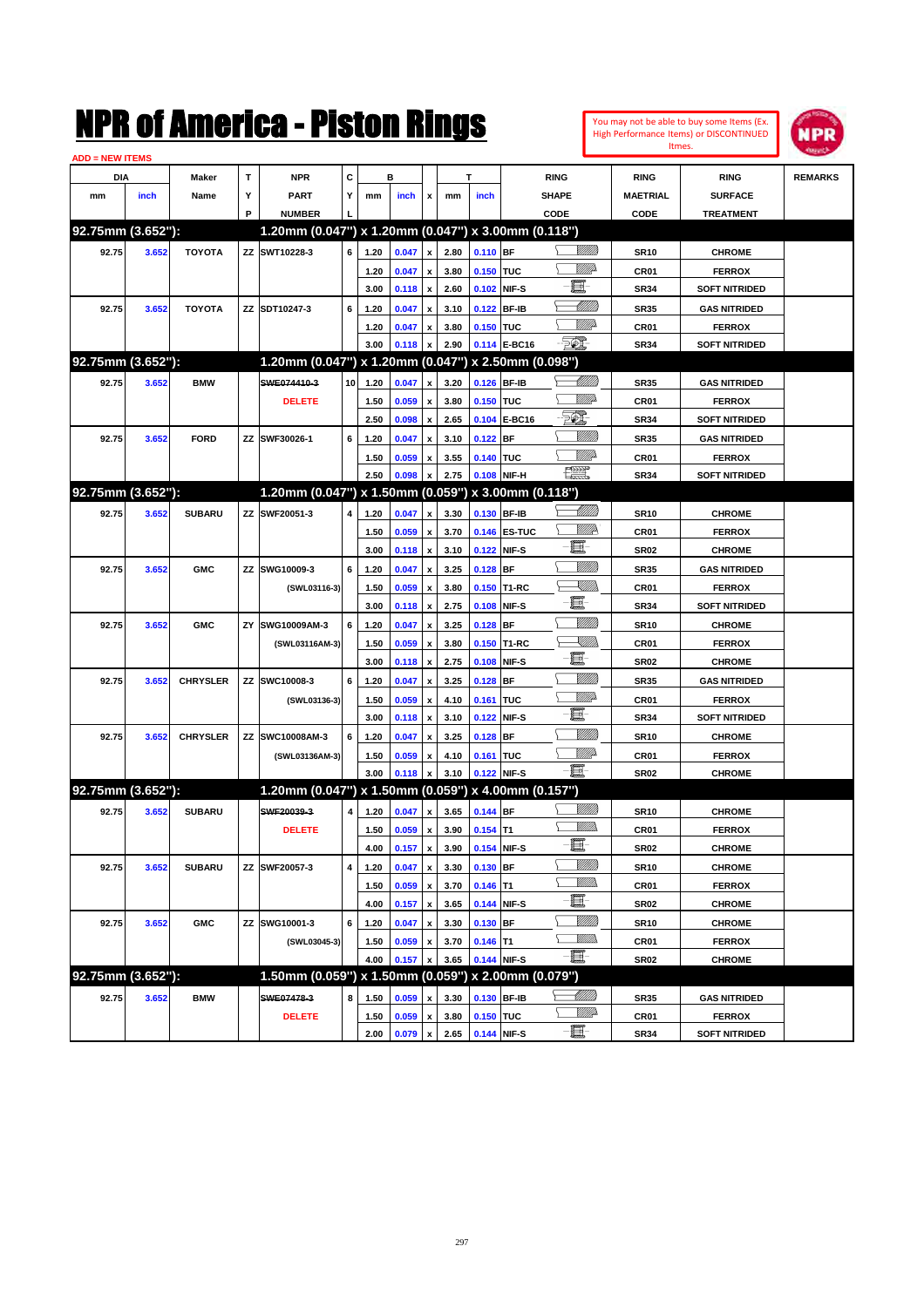| <b>ADD = NEW ITEMS</b> |       |                 |   |                                                     |             |      |             |                    |             |             |                |                   |                 |                      |  |
|------------------------|-------|-----------------|---|-----------------------------------------------------|-------------|------|-------------|--------------------|-------------|-------------|----------------|-------------------|-----------------|----------------------|--|
| DIA                    |       | <b>Maker</b>    | T | <b>NPR</b>                                          | C<br>в<br>T |      |             | <b>RING</b>        | <b>RING</b> | <b>RING</b> | <b>REMARKS</b> |                   |                 |                      |  |
| mm                     | inch  | Name            | Υ | <b>PART</b>                                         | Y           | mm   | <i>inch</i> | x                  | mm          | inch        |                | <b>SHAPE</b>      | <b>MAETRIAL</b> | <b>SURFACE</b>       |  |
|                        |       |                 | P | <b>NUMBER</b>                                       |             |      |             |                    |             |             |                | CODE              | CODE            | <b>TREATMENT</b>     |  |
| 92.75mm (3.652"):      |       |                 |   | 1.20mm (0.047") x 1.20mm (0.047") x 3.00mm (0.118") |             |      |             |                    |             |             |                |                   |                 |                      |  |
| 92.75                  | 3.652 | <b>TOYOTA</b>   |   | ZZ SWT10228-3                                       | 6           | 1.20 | 0.047       | x                  | 2.80        | 0.110 BF    |                | <u>Sillilli</u>   | <b>SR10</b>     | <b>CHROME</b>        |  |
|                        |       |                 |   |                                                     |             |      | 0.047       |                    | 3.80        | 0.150 TUC   |                | MMD               | CR01            | <b>FERROX</b>        |  |
|                        |       |                 |   |                                                     |             | 1.20 |             | x                  |             |             |                | E                 |                 |                      |  |
|                        |       |                 |   |                                                     |             | 3.00 | 0.118       | $\pmb{\mathsf{x}}$ | 2.60        |             | 0.102 NIF-S    | Millit            | <b>SR34</b>     | <b>SOFT NITRIDED</b> |  |
| 92.75                  | 3.652 | <b>TOYOTA</b>   |   | ZZ SDT10247-3                                       | 6           | 1.20 | 0.047       |                    | 3.10        |             | 0.122 BF-IB    | <u>MMP</u>        | <b>SR35</b>     | <b>GAS NITRIDED</b>  |  |
|                        |       |                 |   |                                                     |             | 1.20 | 0.047       | x                  | 3.80        | 0.150 TUC   |                | - 501             | CR01            | <b>FERROX</b>        |  |
|                        |       |                 |   |                                                     |             | 3.00 | 0.118       | $\pmb{\mathsf{x}}$ | 2.90        |             | 0.114 E-BC16   |                   | <b>SR34</b>     | <b>SOFT NITRIDED</b> |  |
| 92.75mm (3.652"):      |       |                 |   | 1.20mm (0.047") x 1.20mm (0.047") x 2.50mm (0.098") |             |      |             |                    |             |             |                |                   |                 |                      |  |
| 92.75                  | 3.652 | <b>BMW</b>      |   | SWE074410-3                                         | 10          | 1.20 | 0.047       | x                  | 3.20        |             | 0.126 BF-IB    | <u> UMB</u>       | <b>SR35</b>     | <b>GAS NITRIDED</b>  |  |
|                        |       |                 |   | <b>DELETE</b>                                       |             | 1.50 | 0.059       |                    | 3.80        | 0.150 TUC   |                | <u>MMP</u>        | CR01            | <b>FERROX</b>        |  |
|                        |       |                 |   |                                                     |             | 2.50 | 0.098       | $\pmb{\mathsf{x}}$ | 2.65        |             | 0.104 E-BC16   | EQ)               | <b>SR34</b>     | <b>SOFT NITRIDED</b> |  |
| 92.75                  | 3.652 | <b>FORD</b>     |   | ZZ SWF30026-1                                       | 6           | 1.20 | 0.047       |                    | 3.10        | 0.122       | <b>BF</b>      |                   | <b>SR35</b>     | <b>GAS NITRIDED</b>  |  |
|                        |       |                 |   |                                                     |             | 1.50 | 0.059       | x                  | 3.55        | 0.140 TUC   |                | MMD               | CR01            | <b>FERROX</b>        |  |
|                        |       |                 |   |                                                     |             | 2.50 | 0.098       | $\pmb{\mathsf{x}}$ | 2.75        |             | 0.108 NIF-H    | <b>FOODP</b>      | <b>SR34</b>     | <b>SOFT NITRIDED</b> |  |
| 92.75mm (3.652"):      |       |                 |   | 1.20mm (0.047") x 1.50mm (0.059") x 3.00mm (0.118") |             |      |             |                    |             |             |                |                   |                 |                      |  |
| 92.75                  | 3.652 | <b>SUBARU</b>   |   | ZZ SWF20051-3                                       | 4           | 1.20 | 0.047       |                    | 3.30        |             | 0.130 BF-IB    |                   | <b>SR10</b>     | <b>CHROME</b>        |  |
|                        |       |                 |   |                                                     |             | 1.50 | 0.059       | x                  | 3.70        |             | 0.146 ES-TUC   | <u>Willia</u>     | CR01            | <b>FERROX</b>        |  |
|                        |       |                 |   |                                                     |             | 3.00 | 0.118       | $\pmb{\mathsf{x}}$ | 3.10        |             | 0.122 NIF-S    | e.                | <b>SR02</b>     | <b>CHROME</b>        |  |
| 92.75                  | 3.652 | <b>GMC</b>      |   | ZZ SWG10009-3                                       | 6           | 1.20 | 0.047       | x                  | 3.25        | 0.128       | <b>BF</b>      | VIIII)            | <b>SR35</b>     | <b>GAS NITRIDED</b>  |  |
|                        |       |                 |   | (SWL03116-3)                                        |             | 1.50 | 0.059       |                    | 3.80        |             | 0.150 T1-RC    | <u>Sillin</u>     | CR01            | <b>FERROX</b>        |  |
|                        |       |                 |   |                                                     |             | 3.00 | 0.118       | $\pmb{\mathsf{x}}$ | 2.75        | 0.108 NIF-S |                | E                 | <b>SR34</b>     | <b>SOFT NITRIDED</b> |  |
| 92.75                  | 3.652 | <b>GMC</b>      |   | ZY SWG10009AM-3                                     | 6           | 1.20 | 0.047       |                    | 3.25        | 0.128       | <b>BF</b>      | <u>VIII M</u>     | <b>SR10</b>     | <b>CHROME</b>        |  |
|                        |       |                 |   | (SWL03116AM-3)                                      |             | 1.50 | 0.059       | x                  | 3.80        |             | 0.150 T1-RC    | <u> Xillin</u>    | CR01            | <b>FERROX</b>        |  |
|                        |       |                 |   |                                                     |             | 3.00 | 0.118       | $\pmb{\mathsf{x}}$ | 2.75        | 0.108       | NIF-S          | E                 | <b>SR02</b>     | <b>CHROME</b>        |  |
| 92.75                  | 3.652 | <b>CHRYSLER</b> |   | ZZ SWC10008-3                                       | 6           | 1.20 | 0.047       |                    | 3.25        | 0.128       | <b>BF</b>      | VIIII)            | <b>SR35</b>     | <b>GAS NITRIDED</b>  |  |
|                        |       |                 |   |                                                     |             |      |             | x                  |             |             |                | <u>MMP</u>        |                 |                      |  |
|                        |       |                 |   | (SWL03136-3)                                        |             | 1.50 | 0.059       |                    | 4.10        | 0.161       | <b>TUC</b>     | E                 | CR01            | <b>FERROX</b>        |  |
|                        |       |                 |   |                                                     |             | 3.00 | 0.118       | $\pmb{\mathsf{x}}$ | 3.10        | 0.122 NIF-S |                | VIIII)            | <b>SR34</b>     | <b>SOFT NITRIDED</b> |  |
| 92.75                  | 3.652 | <b>CHRYSLER</b> |   | ZZ SWC10008AM-3                                     | 6           | 1.20 | 0.047       |                    | 3.25        | 0.128       | BF             |                   | <b>SR10</b>     | <b>CHROME</b>        |  |
|                        |       |                 |   | (SWL03136AM-3)                                      |             | 1.50 | 0.059       | x                  | 4.10        | 0.161 TUC   |                | Mille             | CR01            | <b>FERROX</b>        |  |
|                        |       |                 |   |                                                     |             | 3.00 | 0.118       | $\pmb{\mathsf{x}}$ | 3.10        |             | 0.122 NIF-S    | E                 | <b>SR02</b>     | <b>CHROME</b>        |  |
| 92.75mm (3.652"):      |       |                 |   | 1.20mm (0.047") x 1.50mm (0.059") x 4.00mm (0.157") |             |      |             |                    |             |             |                |                   |                 |                      |  |
| 92.75                  | 3.652 | <b>SUBARU</b>   |   | SWF20039-3                                          | 4           | 1.20 | 0.047       | $\pmb{\mathsf{x}}$ | 3.65        | 0.144 BF    |                |                   | <b>SR10</b>     | <b>CHROME</b>        |  |
|                        |       |                 |   | <b>DELETE</b>                                       |             | 1.50 | 0.059       | $\pmb{\mathsf{x}}$ | 3.90        | $0.154$ T1  |                | <u>VM</u> D.      | CR01            | <b>FERROX</b>        |  |
|                        |       |                 |   |                                                     |             | 4.00 | 0.157       | $\mathbf{x}$       | 3.90        |             | 0.154 NIF-S    | e.                | <b>SR02</b>     | <b>CHROME</b>        |  |
| 92.75                  | 3.652 | <b>SUBARU</b>   |   | ZZ SWF20057-3                                       | 4           | 1.20 | 0.047       | $\pmb{\mathsf{x}}$ | 3.30        | 0.130 BF    |                |                   | <b>SR10</b>     | <b>CHROME</b>        |  |
|                        |       |                 |   |                                                     |             | 1.50 | 0.059       |                    | 3.70        | $0.146$ T1  |                | <u>Willib</u>     | CR01            | <b>FERROX</b>        |  |
|                        |       |                 |   |                                                     |             | 4.00 | 0.157       | $\pmb{\mathsf{x}}$ | 3.65        |             | 0.144 NIF-S    | E                 | <b>SR02</b>     | <b>CHROME</b>        |  |
| 92.75                  | 3.652 | <b>GMC</b>      |   | ZZ SWG10001-3                                       | 6           | 1.20 | 0.047       |                    | 3.30        | $0.130$ BF  |                | <u>VIIII</u> )    | <b>SR10</b>     | <b>CHROME</b>        |  |
|                        |       |                 |   | (SWL03045-3)                                        |             | 1.50 | 0.059       | x                  | 3.70        | $0.146$ T1  |                | <u>MMs</u>        | CR01            | <b>FERROX</b>        |  |
|                        |       |                 |   |                                                     |             | 4.00 | 0.157       | $\pmb{\mathsf{x}}$ | 3.65        |             | 0.144 NIF-S    | $\Box$            | <b>SR02</b>     | <b>CHROME</b>        |  |
| 92.75mm (3.652"):      |       |                 |   | 1.50mm (0.059") x 1.50mm (0.059") x 2.00mm (0.079") |             |      |             |                    |             |             |                |                   |                 |                      |  |
| 92.75                  | 3.652 | <b>BMW</b>      |   | SWE07478-3                                          | 8           | 1.50 | 0.059       |                    | 3.30        |             | 0.130 BF-IB    | <u>- Millid</u> d | <b>SR35</b>     | <b>GAS NITRIDED</b>  |  |
|                        |       |                 |   | <b>DELETE</b>                                       |             | 1.50 | 0.059       |                    | 3.80        | 0.150 TUC   |                | <u>VMD</u>        | CR01            | <b>FERROX</b>        |  |
|                        |       |                 |   |                                                     |             | 2.00 | 0.079       | $\pmb{\mathsf{x}}$ | 2.65        | 0.144 NIF-S |                | $\Box$            | <b>SR34</b>     | <b>SOFT NITRIDED</b> |  |
|                        |       |                 |   |                                                     |             |      |             |                    |             |             |                |                   |                 |                      |  |

You may not be able to buy some Items (Ex. High Performance Items) or DISCONTINUED Itmes.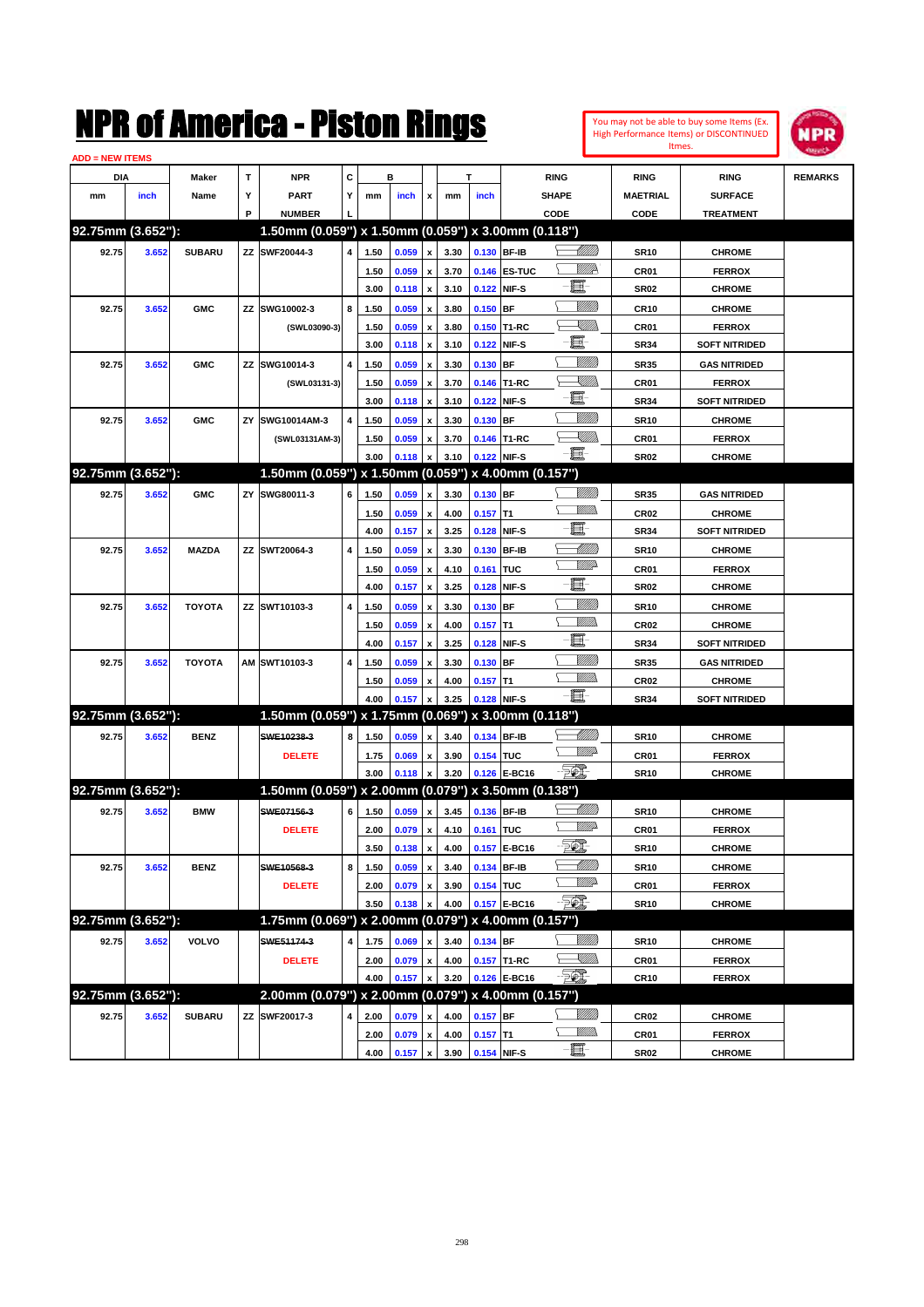

| <b>ADD = NEW ITEMS</b> |       |               |    |                                                        |   |      |       |                    |      |             |                   |                 |                  |                      |                |
|------------------------|-------|---------------|----|--------------------------------------------------------|---|------|-------|--------------------|------|-------------|-------------------|-----------------|------------------|----------------------|----------------|
| <b>DIA</b>             |       | <b>Maker</b>  | т  | <b>NPR</b>                                             | С |      | в     |                    |      | т           |                   | <b>RING</b>     | <b>RING</b>      | <b>RING</b>          | <b>REMARKS</b> |
| mm                     | inch  | Name          | Y  | <b>PART</b>                                            | Υ | mm   | inch  | x                  | mm   | inch        |                   | <b>SHAPE</b>    | <b>MAETRIAL</b>  | <b>SURFACE</b>       |                |
|                        |       |               | P  | <b>NUMBER</b>                                          |   |      |       |                    |      |             |                   | CODE            | CODE             | <b>TREATMENT</b>     |                |
| 92.75mm (3.652"):      |       |               |    | 1.50mm (0.059") x 1.50mm (0.059") x 3.00mm (0.118")    |   |      |       |                    |      |             |                   |                 |                  |                      |                |
| 92.75                  | 3.652 | <b>SUBARU</b> |    | ZZ SWF20044-3                                          | 4 | 1.50 | 0.059 | $\pmb{\mathsf{x}}$ | 3.30 |             | 0.130 BF-IB       | <u> Millitt</u> | <b>SR10</b>      | <b>CHROME</b>        |                |
|                        |       |               |    |                                                        |   | 1.50 | 0.059 | x                  | 3.70 |             | 0.146 ES-TUC      | <u>MMR</u>      | CR01             | <b>FERROX</b>        |                |
|                        |       |               |    |                                                        |   | 3.00 | 0.118 | x                  | 3.10 |             | 0.122 NIF-S       | E               | <b>SR02</b>      | <b>CHROME</b>        |                |
| 92.75                  | 3.652 | <b>GMC</b>    |    | ZZ SWG10002-3                                          | 8 | 1.50 | 0.059 | x                  | 3.80 | 0.150       | BF                | VIII))          | <b>CR10</b>      | <b>CHROME</b>        |                |
|                        |       |               |    | (SWL03090-3)                                           |   | 1.50 | 0.059 | x                  | 3.80 |             | 0.150 T1-RC       | <u>XIII)</u>    | CR01             | <b>FERROX</b>        |                |
|                        |       |               |    |                                                        |   | 3.00 | 0.118 | x                  | 3.10 |             | 0.122 NIF-S       | e.              | <b>SR34</b>      | <b>SOFT NITRIDED</b> |                |
| 92.75                  | 3.652 | <b>GMC</b>    | ΖZ | SWG10014-3                                             | 4 | 1.50 | 0.059 | x                  | 3.30 | 0.130       | BF                | VIII))          | <b>SR35</b>      | <b>GAS NITRIDED</b>  |                |
|                        |       |               |    | (SWL03131-3)                                           |   | 1.50 | 0.059 | x                  | 3.70 |             | 0.146 T1-RC       | <u>VIII)</u>    | CR01             | <b>FERROX</b>        |                |
|                        |       |               |    |                                                        |   | 3.00 | 0.118 | x                  | 3.10 |             | 0.122 NIF-S       | e               | <b>SR34</b>      | <b>SOFT NITRIDED</b> |                |
| 92.75                  | 3.652 | <b>GMC</b>    | ΖY | SWG10014AM-3                                           | 4 | 1.50 | 0.059 | x                  | 3.30 | 0.130       | <b>BF</b>         | VIII))          | <b>SR10</b>      | <b>CHROME</b>        |                |
|                        |       |               |    | (SWL03131AM-3)                                         |   | 1.50 | 0.059 | x                  | 3.70 |             | 0.146 T1-RC       | <u> Killida</u> | CR01             | <b>FERROX</b>        |                |
|                        |       |               |    |                                                        |   | 3.00 | 0.118 | x                  | 3.10 | 0.122 NIF-S |                   | -日              | <b>SR02</b>      | <b>CHROME</b>        |                |
| 92.75mm (3.652"):      |       |               |    | 1.50mm (0.059") x 1.50mm (0.059")                      |   |      |       |                    |      |             | x 4.00mm (0.157") |                 |                  |                      |                |
| 92.75                  | 3.652 | <b>GMC</b>    | ΖY | SWG80011-3                                             | 6 | 1.50 | 0.059 | x                  | 3.30 | $0.130$ BF  |                   |                 | <b>SR35</b>      | <b>GAS NITRIDED</b>  |                |
|                        |       |               |    |                                                        |   | 1.50 | 0.059 | x                  | 4.00 | $0.157$ T1  |                   | .<br>VMD        | <b>CR02</b>      | <b>CHROME</b>        |                |
|                        |       |               |    |                                                        |   | 4.00 | 0.157 | x                  | 3.25 | 0.128       | NIF-S             | E               | <b>SR34</b>      | <b>SOFT NITRIDED</b> |                |
| 92.75                  | 3.652 | <b>MAZDA</b>  |    | ZZ SWT20064-3                                          | 4 | 1.50 | 0.059 | x                  | 3.30 | 0.130       | <b>BF-IB</b>      | <u> UMM</u>     | <b>SR10</b>      | <b>CHROME</b>        |                |
|                        |       |               |    |                                                        |   | 1.50 | 0.059 | x                  | 4.10 | 0.161       | TUC               | <u>WWP</u>      | CR01             | <b>FERROX</b>        |                |
|                        |       |               |    |                                                        |   | 4.00 | 0.157 | x                  | 3.25 | 0.128       | NIF-S             | E               | <b>SR02</b>      | <b>CHROME</b>        |                |
| 92.75                  | 3.652 | <b>TOYOTA</b> |    | ZZ SWT10103-3                                          | 4 | 1.50 | 0.059 | x                  | 3.30 | 0.130       | BF                | <u>MMM</u>      | <b>SR10</b>      | <b>CHROME</b>        |                |
|                        |       |               |    |                                                        |   | 1.50 | 0.059 | x                  | 4.00 | 0.157       | T1                | VM))            | <b>CR02</b>      | <b>CHROME</b>        |                |
|                        |       |               |    |                                                        |   | 4.00 | 0.157 | x                  | 3.25 | 0.128       | NIF-S             | E               | <b>SR34</b>      | <b>SOFT NITRIDED</b> |                |
| 92.75                  | 3.652 | <b>TOYOTA</b> |    | AM SWT10103-3                                          | 4 | 1.50 | 0.059 | x                  | 3.30 | 0.130       | BF                | VIII))          | <b>SR35</b>      | <b>GAS NITRIDED</b>  |                |
|                        |       |               |    |                                                        |   | 1.50 | 0.059 | x                  | 4.00 | $0.157$ T1  |                   | <br>Milio       | <b>CR02</b>      | <b>CHROME</b>        |                |
|                        |       |               |    |                                                        |   | 4.00 | 0.157 | x                  | 3.25 | 0.128 NIF-S |                   | -8              | <b>SR34</b>      | <b>SOFT NITRIDED</b> |                |
| 92.75mm (3.652"):      |       |               |    | 1.50mm (0.059") x 1.75mm (0.069") x 3.00mm (0.118")    |   |      |       |                    |      |             |                   |                 |                  |                      |                |
| 92.75                  | 3.652 | <b>BENZ</b>   |    | SWE10238-3                                             | 8 | 1.50 | 0.059 | x                  | 3.40 | 0.134 BF-IB |                   | <u>UMB</u>      | <b>SR10</b>      | <b>CHROME</b>        |                |
|                        |       |               |    | <b>DELETE</b>                                          |   | 1.75 | 0.069 | x                  | 3.90 | 0.154 TUC   |                   | <u>WWP</u>      | CR01             | <b>FERROX</b>        |                |
|                        |       |               |    |                                                        |   | 3.00 | 0.118 | x                  | 3.20 |             | 0.126 E-BC16      | - 50).          | <b>SR10</b>      | <b>CHROME</b>        |                |
| 92.75mm (3.652"):      |       |               |    | 1.50mm (0.059") x 2.00mm (0.079") x 3.50mm (0.138")    |   |      |       |                    |      |             |                   |                 |                  |                      |                |
| 92.75                  | 3.652 | <b>BMW</b>    |    | SWE07156-3                                             | 6 | 1.50 | 0.059 | x                  | 3.45 | 0.136 BF-IB |                   | <u>UMB</u>      | <b>SR10</b>      | <b>CHROME</b>        |                |
|                        |       |               |    | <b>DELETE</b>                                          |   | 2.00 | 0.079 | x                  | 4.10 | 0.161 TUC   |                   | <u>VMD</u>      | CR01             | <b>FERROX</b>        |                |
|                        |       |               |    |                                                        |   | 3.50 | 0.138 | $\pmb{\mathsf{x}}$ | 4.00 |             | 0.157 E-BC16      | $\mathbb{Z}$    | <b>SR10</b>      | <b>CHROME</b>        |                |
| 92.75                  | 3.652 | <b>BENZ</b>   |    | SWE10568-3                                             | 8 | 1.50 | 0.059 | x                  | 3.40 |             | 0.134 BF-IB       | <u> MMN</u>     | <b>SR10</b>      | <b>CHROME</b>        |                |
|                        |       |               |    | <b>DELETE</b>                                          |   | 2.00 | 0.079 | x                  | 3.90 | 0.154 TUC   |                   | <u>MMP</u>      | CR01             | <b>FERROX</b>        |                |
|                        |       |               |    |                                                        |   | 3.50 | 0.138 | x                  | 4.00 |             | 0.157 E-BC16      | - 201           | <b>SR10</b>      | <b>CHROME</b>        |                |
| 92.75mm (3.652"):      |       |               |    | 1.75mm (0.069") x 2.00mm (0.079") x 4.00mm (0.157")    |   |      |       |                    |      |             |                   |                 |                  |                      |                |
| 92.75                  | 3.652 | <b>VOLVO</b>  |    | SWE51174-3                                             | 4 | 1.75 | 0.069 | x                  | 3.40 | 0.134 BF    |                   | <u>MMS</u>      | <b>SR10</b>      | <b>CHROME</b>        |                |
|                        |       |               |    | <b>DELETE</b>                                          |   | 2.00 | 0.079 | $\pmb{\mathsf{x}}$ | 4.00 |             | 0.157 T1-RC       | ZMM).           | CR01             | <b>FERROX</b>        |                |
|                        |       |               |    |                                                        |   | 4.00 | 0.157 | x                  | 3.20 |             | 0.126 E-BC16      | - 20)           | <b>CR10</b>      | <b>FERROX</b>        |                |
| 92.75mm (3.652"):      |       |               |    | $2.00$ mm (0.079") x 2.00mm (0.079") x 4.00mm (0.157") |   |      |       |                    |      |             |                   |                 |                  |                      |                |
| 92.75                  | 3.652 | <b>SUBARU</b> |    | ZZ SWF20017-3                                          | 4 | 2.00 | 0.079 | x                  | 4.00 | $0.157$ BF  |                   | <u>MMS</u>      | CR <sub>02</sub> | <b>CHROME</b>        |                |
|                        |       |               |    |                                                        |   | 2.00 | 0.079 | $\pmb{\mathsf{x}}$ | 4.00 | $0.157$ T1  |                   | <u>MMs</u>      | CR01             | <b>FERROX</b>        |                |
|                        |       |               |    |                                                        |   | 4.00 | 0.157 | $\pmb{\mathsf{x}}$ | 3.90 | 0.154 NIF-S |                   | $-\blacksquare$ | <b>SR02</b>      | <b>CHROME</b>        |                |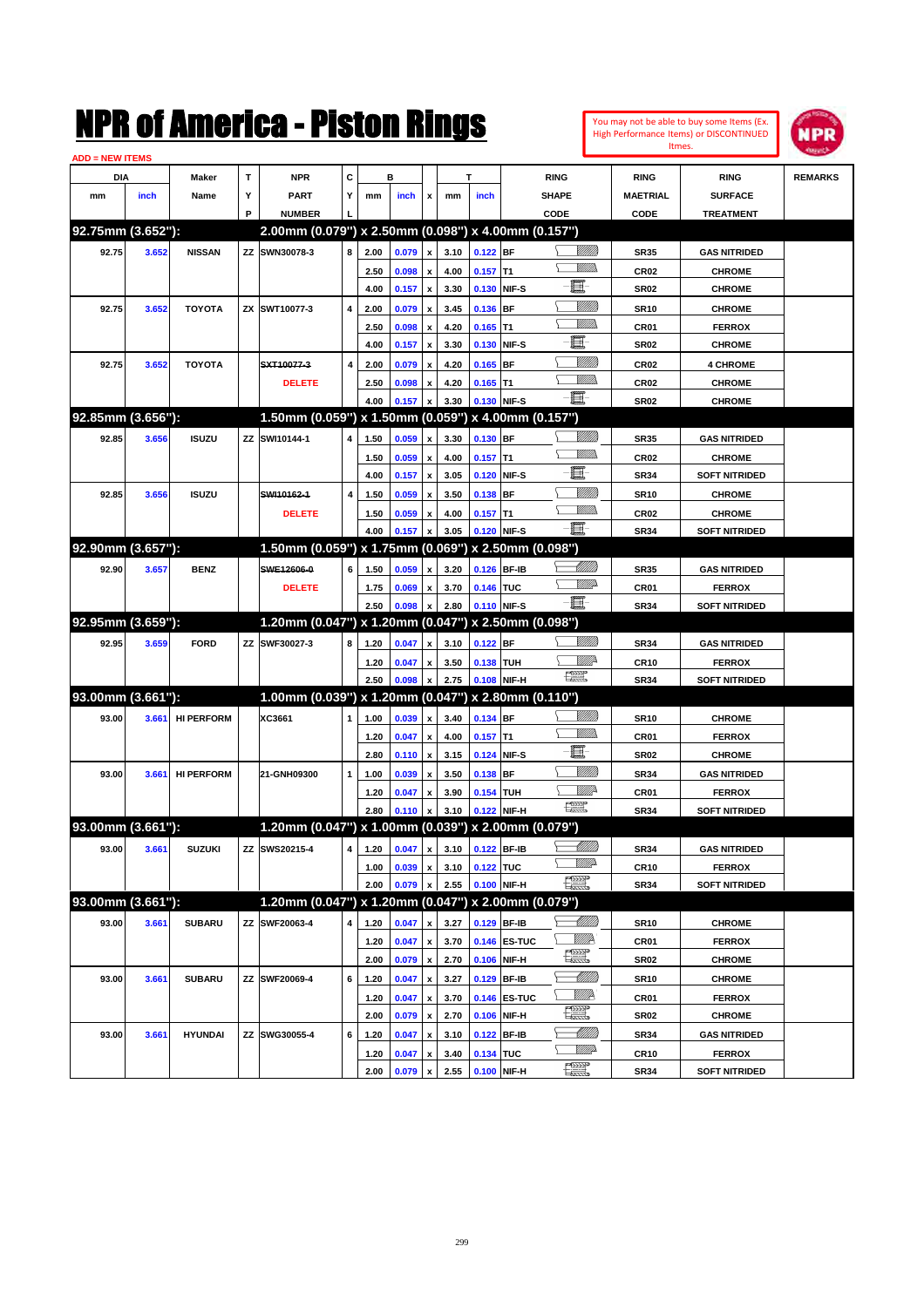

| <b>ADD = NEW ITEMS</b> |       |                   |    |                                                     |   |      |       |                    |                                 |            |              |                      |                 |                      |                |
|------------------------|-------|-------------------|----|-----------------------------------------------------|---|------|-------|--------------------|---------------------------------|------------|--------------|----------------------|-----------------|----------------------|----------------|
| DIA                    |       | Maker             | т  | <b>NPR</b>                                          | С |      | в     |                    |                                 | т          |              | <b>RING</b>          | <b>RING</b>     | <b>RING</b>          | <b>REMARKS</b> |
| mm                     | inch  | Name              | Υ  | <b>PART</b>                                         | Y | mm   | inch  | x                  | mm                              | inch       |              | <b>SHAPE</b>         | <b>MAETRIAL</b> | <b>SURFACE</b>       |                |
|                        |       |                   | P  | <b>NUMBER</b>                                       |   |      |       |                    |                                 |            |              | CODE                 | CODE            | <b>TREATMENT</b>     |                |
| 92.75mm (3.652"):      |       |                   |    | 2.00mm (0.079") x 2.50mm (0.098") x 4.00mm (0.157") |   |      |       |                    |                                 |            |              |                      |                 |                      |                |
| 92.75                  | 3.652 | <b>NISSAN</b>     |    | ZZ SWN30078-3                                       | 8 | 2.00 | 0.079 | x                  | 3.10                            | $0.122$ BF |              | <u> UMB</u>          | <b>SR35</b>     | <b>GAS NITRIDED</b>  |                |
|                        |       |                   |    |                                                     |   | 2.50 | 0.098 |                    | 4.00                            | $0.157$ T1 |              | <br>Mad              | <b>CR02</b>     | <b>CHROME</b>        |                |
|                        |       |                   |    |                                                     |   | 4.00 | 0.157 | x                  | 3.30                            |            | 0.130 NIF-S  | E                    | <b>SR02</b>     | <b>CHROME</b>        |                |
| 92.75                  | 3.652 | <b>TOYOTA</b>     |    | ZX SWT10077-3                                       | 4 | 2.00 | 0.079 |                    | 3.45                            | 0.136 BF   |              | <u>MMM</u>           | <b>SR10</b>     | <b>CHROME</b>        |                |
|                        |       |                   |    |                                                     |   | 2.50 | 0.098 | x                  | 4.20                            | $0.165$ T1 |              | <u>MMW</u>           | CR01            | <b>FERROX</b>        |                |
|                        |       |                   |    |                                                     |   | 4.00 | 0.157 | x                  | 3.30                            |            | 0.130 NIF-S  | e.                   | <b>SR02</b>     | <b>CHROME</b>        |                |
| 92.75                  | 3.652 | <b>TOYOTA</b>     |    | SXT10077-3                                          | 4 | 2.00 | 0.079 |                    | 4.20                            | $0.165$ BF |              | <u>Milli</u> k       | <b>CR02</b>     | <b>4 CHROME</b>      |                |
|                        |       |                   |    | <b>DELETE</b>                                       |   | 2.50 | 0.098 | x                  | 4.20                            | $0.165$ T1 |              | .<br>MM              | <b>CR02</b>     | <b>CHROME</b>        |                |
|                        |       |                   |    |                                                     |   | 4.00 | 0.157 |                    | 3.30                            |            | 0.130 NIF-S  | -篇-                  | <b>SR02</b>     | <b>CHROME</b>        |                |
| 92.85mm (3.656"):      |       |                   |    | 1.50mm (0.059") x 1.50mm (0.059") x 4.00mm (0.157") |   |      |       |                    |                                 |            |              |                      |                 |                      |                |
| 92.85                  | 3.656 | <b>ISUZU</b>      |    | ZZ SWI10144-1                                       | 4 | 1.50 | 0.059 | x                  | 3.30                            | $0.130$ BF |              | <u>Milli</u> k       | <b>SR35</b>     | <b>GAS NITRIDED</b>  |                |
|                        |       |                   |    |                                                     |   | 1.50 | 0.059 |                    | 4.00                            | $0.157$ T1 |              | .<br>WWW             | <b>CR02</b>     | <b>CHROME</b>        |                |
|                        |       |                   |    |                                                     |   | 4.00 | 0.157 | x                  | 3.05                            |            | 0.120 NIF-S  | E                    | <b>SR34</b>     | <b>SOFT NITRIDED</b> |                |
| 92.85                  | 3.656 | <b>ISUZU</b>      |    | SWI10162-1                                          | 4 | 1.50 | 0.059 |                    | 3.50                            | $0.138$ BF |              | <u>MMM</u>           | <b>SR10</b>     | <b>CHROME</b>        |                |
|                        |       |                   |    | <b>DELETE</b>                                       |   | 1.50 | 0.059 |                    | 4.00                            | $0.157$ T1 |              | <u>MMW</u>           | <b>CR02</b>     | <b>CHROME</b>        |                |
|                        |       |                   |    |                                                     |   | 4.00 | 0.157 |                    | 3.05                            |            | 0.120 NIF-S  | -篇-                  | <b>SR34</b>     | <b>SOFT NITRIDED</b> |                |
| 92.90mm (3.657"):      |       |                   |    | 1.50mm (0.059") x 1.75mm (0.069") x 2.50mm (0.098") |   |      |       |                    |                                 |            |              |                      |                 |                      |                |
| 92.90                  | 3.657 | <b>BENZ</b>       |    | SWE12606-0                                          | 6 | 1.50 | 0.059 | x                  | 3.20                            |            | 0.126 BF-IB  | <u> Millits</u>      | <b>SR35</b>     | <b>GAS NITRIDED</b>  |                |
|                        |       |                   |    | <b>DELETE</b>                                       |   | 1.75 | 0.069 |                    | 3.70                            | 0.146 TUC  |              | <u>WW</u>            | CR01            | <b>FERROX</b>        |                |
|                        |       |                   |    |                                                     |   | 2.50 | 0.098 |                    | 2.80                            |            | 0.110 NIF-S  | -8                   | <b>SR34</b>     | <b>SOFT NITRIDED</b> |                |
| 92.95mm (3.659"):      |       |                   |    | 1.20mm (0.047") x 1.20mm (0.047") x 2.50mm (0.098") |   |      |       |                    |                                 |            |              |                      |                 |                      |                |
| 92.95                  | 3.659 | <b>FORD</b>       | ΖZ | SWF30027-3                                          | 8 | 1.20 | 0.047 |                    | 3.10                            | $0.122$ BF |              | <u>VIIII)</u>        | <b>SR34</b>     | <b>GAS NITRIDED</b>  |                |
|                        |       |                   |    |                                                     |   | 1.20 | 0.047 | x                  | 3.50                            | 0.138 TUH  |              | <u>Mille</u>         | <b>CR10</b>     | <b>FERROX</b>        |                |
|                        |       |                   |    |                                                     |   | 2.50 | 0.098 |                    | 2.75                            |            | 0.108 NIF-H  | 鱱                    | <b>SR34</b>     | <b>SOFT NITRIDED</b> |                |
| 93.00mm (3.661"):      |       |                   |    | 1.00mm (0.039") x 1.20mm (0.047") x 2.80mm (0.110") |   |      |       |                    |                                 |            |              |                      |                 |                      |                |
| 93.00                  | 3.661 | <b>HI PERFORM</b> |    | XC3661                                              | 1 | 1.00 | 0.039 | x                  | 3.40                            | 0.134 BF   |              | <u>Villitti</u>      | <b>SR10</b>     | <b>CHROME</b>        |                |
|                        |       |                   |    |                                                     |   | 1.20 | 0.047 |                    | 4.00                            | $0.157$ T1 |              | .<br>MM              | CR01            | <b>FERROX</b>        |                |
|                        |       |                   |    |                                                     |   | 2.80 | 0.110 | x                  | 3.15                            |            | 0.124 NIF-S  | E                    | <b>SR02</b>     | <b>CHROME</b>        |                |
| 93.00                  | 3.661 | <b>HI PERFORM</b> |    | 21-GNH09300                                         | 1 | 1.00 | 0.039 |                    | 3.50                            | 0.138 BF   |              | <u>VIIII)</u>        | <b>SR34</b>     | <b>GAS NITRIDED</b>  |                |
|                        |       |                   |    |                                                     |   | 1.20 | 0.047 | x                  | 3.90                            | 0.154 TUH  |              | <u>Willi</u> r       | CR01            | <b>FERROX</b>        |                |
|                        |       |                   |    |                                                     |   | 2.80 | 0.110 |                    | 3.10                            |            | 0.122 NIF-H  | 鱱                    | <b>SR34</b>     | <b>SOFT NITRIDED</b> |                |
| 93.00mm (3.661"):      |       |                   |    | 1.20mm (0.047") x 1.00mm (0.039") x 2.00mm (0.079") |   |      |       |                    |                                 |            |              |                      |                 |                      |                |
| 93.00                  | 3.661 | <b>SUZUKI</b>     |    | ZZ SWS20215-4                                       |   |      |       |                    | 4 1.20 0.047 x 3.10 0.122 BF-IB |            |              |                      | <b>SR34</b>     | <b>GAS NITRIDED</b>  |                |
|                        |       |                   |    |                                                     |   | 1.00 | 0.039 | x                  | 3.10                            | 0.122 TUC  |              | <u>WW</u>            | CR10            | <b>FERROX</b>        |                |
|                        |       |                   |    |                                                     |   | 2.00 | 0.079 | x                  | 2.55                            |            | 0.100 NIF-H  | $\frac{1}{2}$        | SR34            | <b>SOFT NITRIDED</b> |                |
| 93.00mm (3.661"):      |       |                   |    | 1.20mm (0.047") x 1.20mm (0.047") x 2.00mm (0.079") |   |      |       |                    |                                 |            |              |                      |                 |                      |                |
| 93.00                  | 3.661 | <b>SUBARU</b>     |    | ZZ SWF20063-4                                       | 4 | 1.20 | 0.047 | x                  | 3.27                            |            | 0.129 BF-IB  |                      | <b>SR10</b>     | <b>CHROME</b>        |                |
|                        |       |                   |    |                                                     |   | 1.20 | 0.047 | x                  | 3.70                            |            | 0.146 ES-TUC | WWA                  | CR01            | <b>FERROX</b>        |                |
|                        |       |                   |    |                                                     |   | 2.00 | 0.079 | $\pmb{\mathsf{x}}$ | 2.70                            |            | 0.106 NIF-H  | $\frac{1}{\sqrt{2}}$ | <b>SR02</b>     | <b>CHROME</b>        |                |
| 93.00                  | 3.661 | <b>SUBARU</b>     |    | ZZ SWF20069-4                                       | 6 | 1.20 | 0.047 | x                  | 3.27                            |            | 0.129 BF-IB  | <u> Milli</u> lli    | <b>SR10</b>     | <b>CHROME</b>        |                |
|                        |       |                   |    |                                                     |   | 1.20 | 0.047 | x                  | 3.70                            |            | 0.146 ES-TUC | WWA                  | CR01            | <b>FERROX</b>        |                |
|                        |       |                   |    |                                                     |   | 2.00 | 0.079 | $\pmb{\mathsf{x}}$ | 2.70                            |            | 0.106 NIF-H  | <b>The Second</b>    | <b>SR02</b>     | <b>CHROME</b>        |                |
| 93.00                  | 3.661 | <b>HYUNDAI</b>    |    | ZZ SWG30055-4                                       | 6 | 1.20 | 0.047 | x                  | 3.10                            |            | 0.122 BF-IB  | <u> Milli</u> lli    | SR34            | <b>GAS NITRIDED</b>  |                |
|                        |       |                   |    |                                                     |   | 1.20 | 0.047 |                    | 3.40                            | 0.134 TUC  |              | <u>VMD</u>           | <b>CR10</b>     | <b>FERROX</b>        |                |
|                        |       |                   |    |                                                     |   | 2.00 | 0.079 | $\pmb{\mathsf{x}}$ | 2.55                            |            | 0.100 NIF-H  | H                    | SR34            | <b>SOFT NITRIDED</b> |                |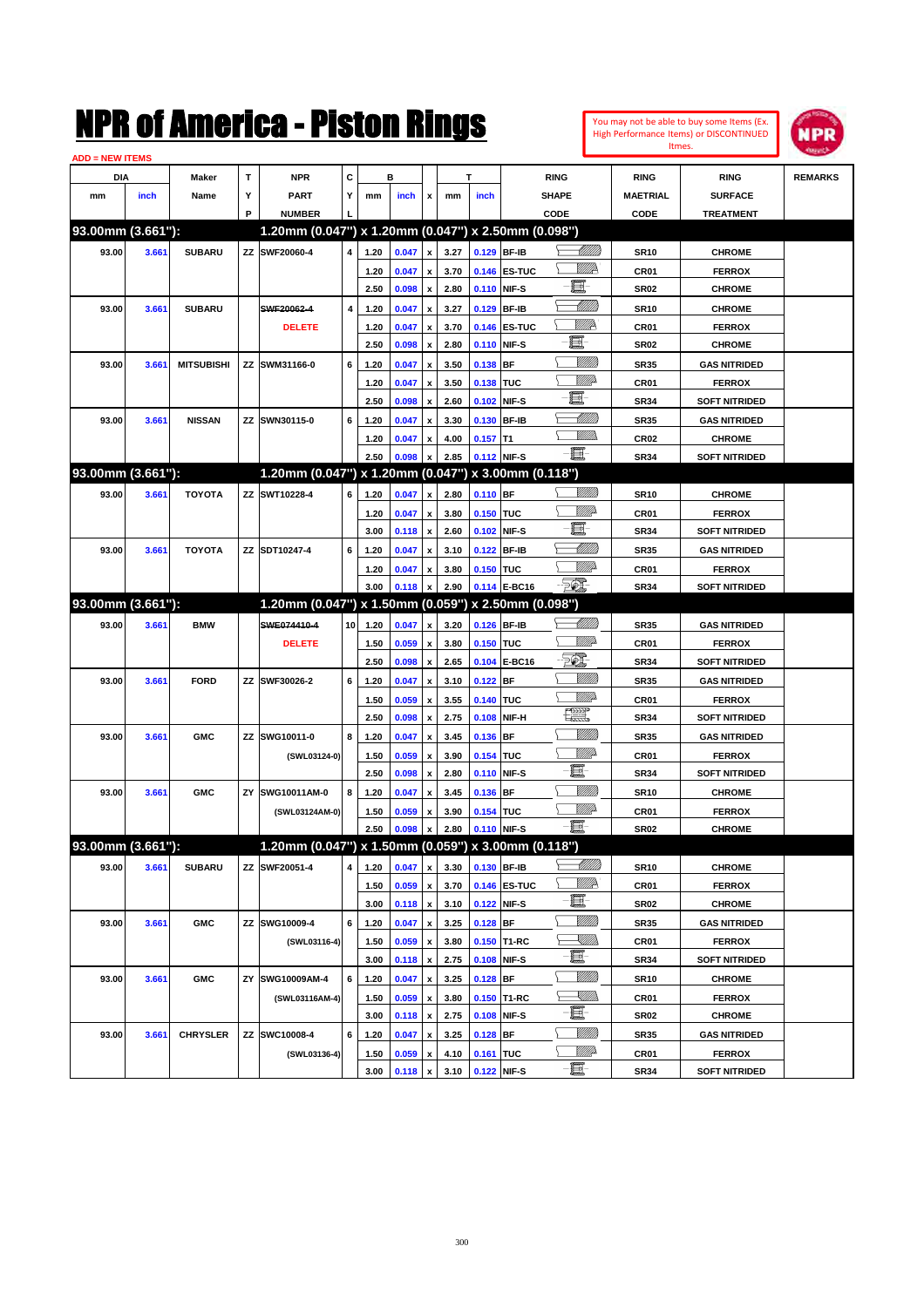

| <b>ADD = NEW ITEMS</b> |       |                   |    |                                                     |                 |      |                |                         |      |             |              |                 |                 |                      |                |
|------------------------|-------|-------------------|----|-----------------------------------------------------|-----------------|------|----------------|-------------------------|------|-------------|--------------|-----------------|-----------------|----------------------|----------------|
| DIA                    |       | <b>Maker</b>      | т  | <b>NPR</b>                                          | C               |      | в              |                         |      | T           |              | <b>RING</b>     | <b>RING</b>     | <b>RING</b>          | <b>REMARKS</b> |
| mm                     | inch  | Name              | Υ  | PART                                                | Y               | mm   | inch           | x                       | mm   | inch        |              | <b>SHAPE</b>    | <b>MAETRIAL</b> | <b>SURFACE</b>       |                |
|                        |       |                   | P  | <b>NUMBER</b>                                       |                 |      |                |                         |      |             |              | CODE            | <b>CODE</b>     | <b>TREATMENT</b>     |                |
| 93.00mm (3.661"):      |       |                   |    | 1.20mm (0.047") x 1.20mm (0.047") x 2.50mm (0.098") |                 |      |                |                         |      |             |              |                 |                 |                      |                |
| 93.00                  | 3.661 | <b>SUBARU</b>     |    | ZZ SWF20060-4                                       | 4               | 1.20 | 0.047          | $\pmb{\mathsf{x}}$      | 3.27 |             | 0.129 BF-IB  | <u> MMS</u>     | <b>SR10</b>     | <b>CHROME</b>        |                |
|                        |       |                   |    |                                                     |                 | 1.20 | 0.047          | x                       | 3.70 |             | 0.146 ES-TUC | <u>VMP</u>      | CR01            | <b>FERROX</b>        |                |
|                        |       |                   |    |                                                     |                 | 2.50 | 0.098          | $\pmb{\mathsf{x}}$      | 2.80 | 0.110 NIF-S |              | Œ               | <b>SR02</b>     | <b>CHROME</b>        |                |
| 93.00                  | 3.661 | <b>SUBARU</b>     |    | SWF20062-4                                          | 4               | 1.20 | 0.047          | x                       | 3.27 |             | 0.129 BF-IB  | <u> Millill</u> | <b>SR10</b>     | <b>CHROME</b>        |                |
|                        |       |                   |    | <b>DELETE</b>                                       |                 | 1.20 | 0.047          | X                       | 3.70 |             | 0.146 ES-TUC | <u>Willik</u>   | CR01            | <b>FERROX</b>        |                |
|                        |       |                   |    |                                                     |                 | 2.50 | 0.098          | $\pmb{\mathsf{x}}$      | 2.80 |             | 0.110 NIF-S  | e               | <b>SR02</b>     | <b>CHROME</b>        |                |
| 93.00                  | 3.661 | <b>MITSUBISHI</b> |    | ZZ SWM31166-0                                       | 6               | 1.20 | 0.047          | X                       | 3.50 | 0.138 BF    |              | <u>VIIII)</u>   | <b>SR35</b>     | <b>GAS NITRIDED</b>  |                |
|                        |       |                   |    |                                                     |                 | 1.20 | 0.047          | X                       | 3.50 | 0.138 TUC   |              | <u>MMP</u>      | CR01            | <b>FERROX</b>        |                |
|                        |       |                   |    |                                                     |                 | 2.50 | 0.098          | $\pmb{\mathsf{x}}$      | 2.60 |             | 0.102 NIF-S  | E               | <b>SR34</b>     | <b>SOFT NITRIDED</b> |                |
| 93.00                  | 3.661 | <b>NISSAN</b>     |    | ZZ SWN30115-0                                       | 6               | 1.20 | 0.047          | x                       | 3.30 |             | 0.130 BF-IB  | <u> UMM</u>     | <b>SR35</b>     | <b>GAS NITRIDED</b>  |                |
|                        |       |                   |    |                                                     |                 | 1.20 | 0.047          | X                       | 4.00 | $0.157$ T1  |              | .<br>MM         | <b>CR02</b>     | <b>CHROME</b>        |                |
|                        |       |                   |    |                                                     |                 | 2.50 | 0.098          | x                       | 2.85 | 0.112 NIF-S |              | -80             | <b>SR34</b>     | <b>SOFT NITRIDED</b> |                |
| 93.00mm (3.661"):      |       |                   |    | 1.20mm (0.047") x 1.20mm (0.047") x 3.00mm (0.118") |                 |      |                |                         |      |             |              |                 |                 |                      |                |
| 93.00                  | 3.661 | <b>TOYOTA</b>     |    | ZZ SWT10228-4                                       | 6               | 1.20 | 0.047          | x                       | 2.80 | 0.110 BF    |              | <u>Sillilli</u> | <b>SR10</b>     | <b>CHROME</b>        |                |
|                        |       |                   |    |                                                     |                 | 1.20 | 0.047          | $\pmb{\mathsf{x}}$      | 3.80 | 0.150 TUC   |              | <u>MMP</u>      | CR01            | <b>FERROX</b>        |                |
|                        |       |                   |    |                                                     |                 | 3.00 | 0.118          | $\pmb{\mathsf{x}}$      | 2.60 |             | 0.102 NIF-S  | e.              | <b>SR34</b>     | <b>SOFT NITRIDED</b> |                |
| 93.00                  | 3.661 | <b>TOYOTA</b>     |    | ZZ SDT10247-4                                       | 6               | 1.20 | 0.047          | x                       | 3.10 |             | 0.122 BF-IB  | Millit          | <b>SR35</b>     | <b>GAS NITRIDED</b>  |                |
|                        |       |                   |    |                                                     |                 | 1.20 | 0.047          | x                       | 3.80 | 0.150 TUC   |              | <u>Mille</u> d  | CR01            | <b>FERROX</b>        |                |
|                        |       |                   |    |                                                     |                 | 3.00 | 0.118          | x                       | 2.90 |             | 0.114 E-BC16 | ES.             | <b>SR34</b>     | <b>SOFT NITRIDED</b> |                |
| 93.00mm (3.661"):      |       |                   |    | 1.20mm (0.047") x 1.50mm (0.059") x 2.50mm (0.098") |                 |      |                |                         |      |             |              |                 |                 |                      |                |
| 93.00                  | 3.661 | <b>BMW</b>        |    | SWE074410-4                                         | 10 <sub>1</sub> | 1.20 | 0.047          | x                       | 3.20 |             | 0.126 BF-IB  |                 | <b>SR35</b>     | <b>GAS NITRIDED</b>  |                |
|                        |       |                   |    | <b>DELETE</b>                                       |                 | 1.50 | 0.059          | x                       | 3.80 | 0.150 TUC   |              | MMD             | CR01            | <b>FERROX</b>        |                |
|                        |       |                   |    |                                                     |                 | 2.50 | 0.098          | $\pmb{\mathsf{x}}$      | 2.65 |             | 0.104 E-BC16 | <b>FOX</b>      | <b>SR34</b>     | <b>SOFT NITRIDED</b> |                |
| 93.00                  | 3.661 | <b>FORD</b>       |    | ZZ SWF30026-2                                       | 6               | 1.20 | 0.047          | x                       | 3.10 | $0.122$ BF  |              | <u>Sillilli</u> | <b>SR35</b>     | <b>GAS NITRIDED</b>  |                |
|                        |       |                   |    |                                                     |                 | 1.50 | 0.059          | x                       | 3.55 | 0.140 TUC   |              | MMP             | CR01            | <b>FERROX</b>        |                |
|                        |       |                   |    |                                                     |                 | 2.50 | 0.098          | x                       | 2.75 | 0.108       | NIF-H        | H               | <b>SR34</b>     | <b>SOFT NITRIDED</b> |                |
| 93.00                  | 3.661 | <b>GMC</b>        |    | ZZ SWG10011-0                                       | 8               | 1.20 | 0.047          | x                       | 3.45 | 0.136 BF    |              | <u>Milli</u>    | <b>SR35</b>     | <b>GAS NITRIDED</b>  |                |
|                        |       |                   |    | (SWL03124-0)                                        |                 | 1.50 | 0.059          | x                       | 3.90 | 0.154 TUC   |              | <u>MM</u>       | CR01            | <b>FERROX</b>        |                |
|                        |       |                   |    |                                                     |                 | 2.50 | 0.098          | x                       | 2.80 |             | 0.110 NIF-S  | E               | <b>SR34</b>     | <b>SOFT NITRIDED</b> |                |
| 93.00                  | 3.661 | <b>GMC</b>        | ΖY | SWG10011AM-0                                        | 8               | 1.20 | 0.047          | x                       | 3.45 | 0.136 BF    |              | <u>Milli</u> k  | <b>SR10</b>     | <b>CHROME</b>        |                |
|                        |       |                   |    | (SWL03124AM-0)                                      |                 | 1.50 | 0.059          | x                       | 3.90 | 0.154 TUC   |              | <u>MMP</u>      | CR01            | <b>FERROX</b>        |                |
|                        |       |                   |    |                                                     |                 | 2.50 | 0.098          | $\pmb{\mathsf{x}}$      | 2.80 | 0.110 NIF-S |              | e.              | <b>SR02</b>     | <b>CHROME</b>        |                |
| 93.00mm (3.661"):      |       |                   |    | 1.20mm (0.047") x 1.50mm (0.059") x 3.00mm (0.118") |                 |      |                |                         |      |             |              |                 |                 |                      |                |
| 93.00                  | 3.661 | <b>SUBARU</b>     |    | ZZ SWF20051-4                                       | 4               | 1.20 | 0.047          | $\pmb{\mathsf{x}}$      | 3.30 |             | 0.130 BF-IB  | <u>UMM</u>      | <b>SR10</b>     | <b>CHROME</b>        |                |
|                        |       |                   |    |                                                     |                 | 1.50 | 0.059          | $\pmb{\mathsf{x}}$      | 3.70 |             | 0.146 ES-TUC | <u>VIIIt</u> ti | CR01            | <b>FERROX</b>        |                |
|                        |       |                   |    |                                                     |                 | 3.00 | 0.118          | $\pmb{\mathsf{x}}$      | 3.10 |             | 0.122 NIF-S  | E.              | <b>SR02</b>     | <b>CHROME</b>        |                |
| 93.00                  | 3.661 | <b>GMC</b>        |    | ZZ SWG10009-4                                       | 6               | 1.20 | 0.047          | x                       | 3.25 | $0.128$ BF  |              | <u>Milli</u> k  | <b>SR35</b>     | <b>GAS NITRIDED</b>  |                |
|                        |       |                   |    | (SWL03116-4)                                        |                 | 1.50 | 0.059          | $\pmb{\mathsf{x}}$      | 3.80 |             | 0.150 T1-RC  | <u>Sillin</u>   | CR01            | <b>FERROX</b>        |                |
|                        |       |                   |    |                                                     |                 | 3.00 | 0.118          | $\pmb{\mathsf{x}}$      | 2.75 |             | 0.108 NIF-S  | e               | <b>SR34</b>     | <b>SOFT NITRIDED</b> |                |
| 93.00                  | 3.661 | <b>GMC</b>        | ΖY | SWG10009AM-4                                        | 6               | 1.20 | 0.047          |                         | 3.25 | $0.128$ BF  |              | <u>VMM</u>      | <b>SR10</b>     | <b>CHROME</b>        |                |
|                        |       |                   |    | (SWL03116AM-4)                                      |                 | 1.50 | 0.059          | X<br>$\pmb{\mathsf{x}}$ | 3.80 |             | 0.150 T1-RC  | <u>Killin</u>   | CR01            | <b>FERROX</b>        |                |
|                        |       |                   |    |                                                     |                 | 3.00 | 0.118          | $\pmb{\mathsf{x}}$      | 2.75 | 0.108 NIF-S |              | e               | <b>SR02</b>     | <b>CHROME</b>        |                |
| 93.00                  | 3.661 | <b>CHRYSLER</b>   |    | ZZ SWC10008-4                                       | 6               | 1.20 | 0.047          |                         | 3.25 | $0.128$ BF  |              | <u>VMM</u>      | <b>SR35</b>     | <b>GAS NITRIDED</b>  |                |
|                        |       |                   |    | (SWL03136-4)                                        |                 | 1.50 | 0.059          | x                       | 4.10 | 0.161 TUC   |              | <u>VIIIt</u> da | CR01            | <b>FERROX</b>        |                |
|                        |       |                   |    |                                                     |                 | 3.00 | $0.118 \times$ | x                       | 3.10 | 0.122 NIF-S |              | e               | <b>SR34</b>     | <b>SOFT NITRIDED</b> |                |
|                        |       |                   |    |                                                     |                 |      |                |                         |      |             |              |                 |                 |                      |                |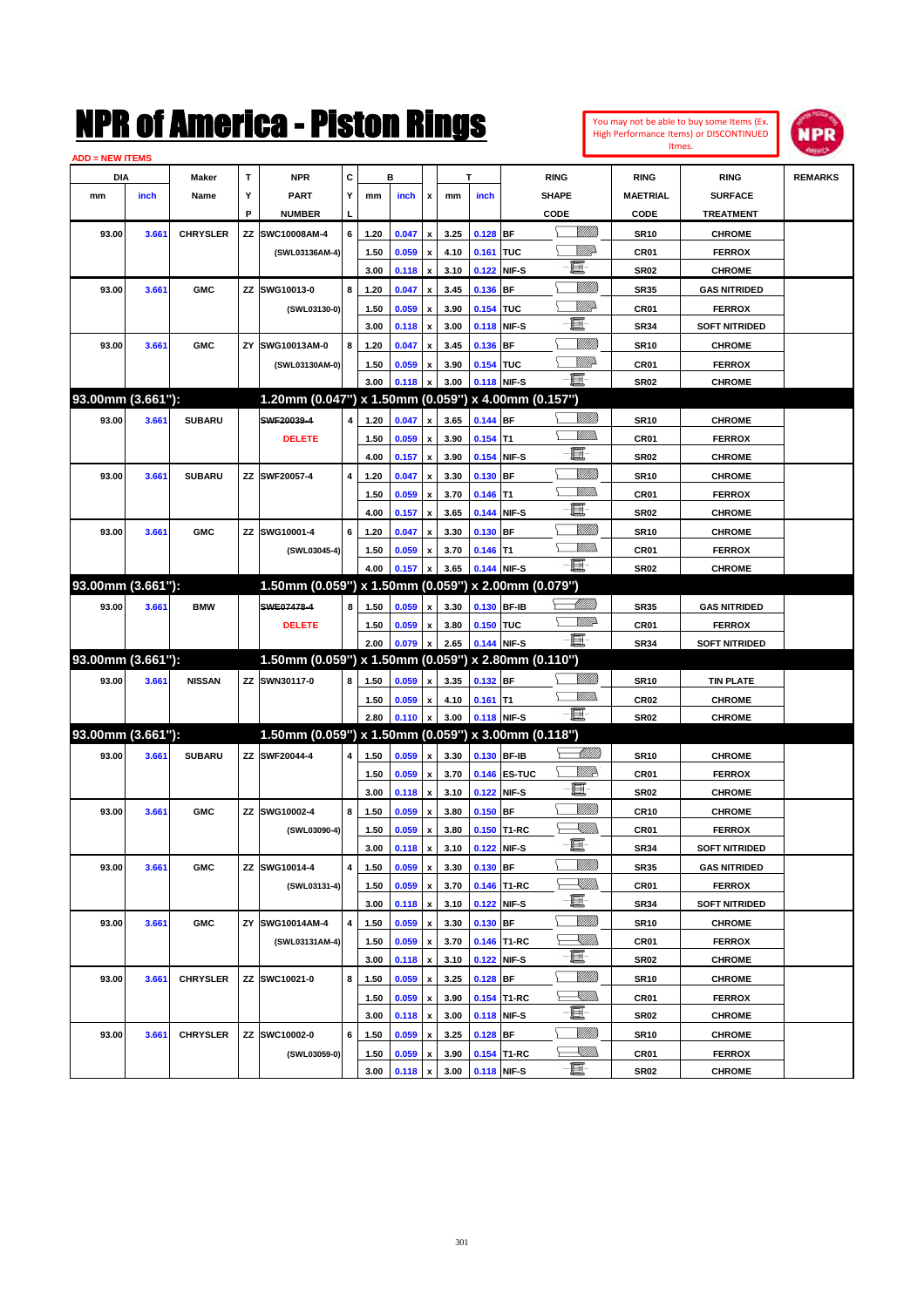| You may not be able to buy some Items (Ex.     |
|------------------------------------------------|
| <b>High Performance Items) or DISCONTINUED</b> |
| Itmes.                                         |



| <b>ADD = NEW ITEMS</b> |       |                 |    |                                                     |   |      |       |                           |      |            |              |                                                           |                  |                      |                |
|------------------------|-------|-----------------|----|-----------------------------------------------------|---|------|-------|---------------------------|------|------------|--------------|-----------------------------------------------------------|------------------|----------------------|----------------|
| <b>DIA</b>             |       | Maker           | Т  | <b>NPR</b>                                          | С |      | в     |                           |      | T          |              | <b>RING</b>                                               | <b>RING</b>      | <b>RING</b>          | <b>REMARKS</b> |
| mm                     | inch  | Name            | Υ  | <b>PART</b>                                         | Y | mm   | inch  | х                         | mm   | inch       |              | <b>SHAPE</b>                                              | <b>MAETRIAL</b>  | <b>SURFACE</b>       |                |
|                        |       |                 | P  | <b>NUMBER</b>                                       | L |      |       |                           |      |            |              | CODE                                                      | <b>CODE</b>      | <b>TREATMENT</b>     |                |
| 93.00                  | 3.661 | <b>CHRYSLER</b> | ΖZ | SWC10008AM-4                                        | 6 | 1.20 | 0.047 | x                         | 3.25 | $0.128$ BF |              | <br>Viited                                                | <b>SR10</b>      | <b>CHROME</b>        |                |
|                        |       |                 |    | (SWL03136AM-4)                                      |   | 1.50 | 0.059 | $\pmb{\mathsf{x}}$        | 4.10 | 0.161 TUC  |              | VIII)D                                                    | CR01             | <b>FERROX</b>        |                |
|                        |       |                 |    |                                                     |   | 3.00 | 0.118 | x                         | 3.10 |            | 0.122 NIF-S  | 頁                                                         | <b>SR02</b>      | <b>CHROME</b>        |                |
| 93.00                  | 3.661 | <b>GMC</b>      | ΖZ | SWG10013-0                                          | 8 | 1.20 | 0.047 | x                         | 3.45 | 0.136 BF   |              | <u>VIII M</u>                                             | <b>SR35</b>      | <b>GAS NITRIDED</b>  |                |
|                        |       |                 |    | (SWL03130-0)                                        |   | 1.50 | 0.059 | x                         | 3.90 | 0.154 TUC  |              | <u>MM</u> D                                               | CR01             | <b>FERROX</b>        |                |
|                        |       |                 |    |                                                     |   | 3.00 | 0.118 | x                         | 3.00 |            | 0.118 NIF-S  | e.                                                        | <b>SR34</b>      | <b>SOFT NITRIDED</b> |                |
| 93.00                  | 3.661 | <b>GMC</b>      | ΖY | SWG10013AM-0                                        | 8 | 1.20 | 0.047 | x                         | 3.45 | 0.136 BF   |              | <u>VIII M</u>                                             | <b>SR10</b>      | <b>CHROME</b>        |                |
|                        |       |                 |    | (SWL03130AM-0)                                      |   | 1.50 | 0.059 | x                         | 3.90 | 0.154 TUC  |              | <u>VIIIt</u> da                                           | CR01             | <b>FERROX</b>        |                |
|                        |       |                 |    |                                                     |   | 3.00 | 0.118 |                           | 3.00 |            | 0.118 NIF-S  | Ð.                                                        | <b>SR02</b>      | <b>CHROME</b>        |                |
| 93.00mm (3.661"):      |       |                 |    | 1.20mm (0.047") x 1.50mm (0.059") x 4.00mm (0.157") |   |      |       |                           |      |            |              |                                                           |                  |                      |                |
| 93.00                  | 3.661 | <b>SUBARU</b>   |    | SWF20039-4                                          | 4 | 1.20 | 0.047 | $\boldsymbol{\mathsf{x}}$ | 3.65 | 0.144 BF   |              | <u>Milli</u> n                                            | <b>SR10</b>      | <b>CHROME</b>        |                |
|                        |       |                 |    | <b>DELETE</b>                                       |   | 1.50 | 0.059 | x                         | 3.90 | $0.154$ T1 |              | .<br>MM                                                   | CR01             | <b>FERROX</b>        |                |
|                        |       |                 |    |                                                     |   | 4.00 | 0.157 | x                         | 3.90 |            | 0.154 NIF-S  | 圓                                                         | <b>SR02</b>      | <b>CHROME</b>        |                |
| 93.00                  | 3.661 | <b>SUBARU</b>   |    | ZZ SWF20057-4                                       | 4 | 1.20 | 0.047 | x                         | 3.30 | $0.130$ BF |              | <u>VIII M</u>                                             | <b>SR10</b>      | <b>CHROME</b>        |                |
|                        |       |                 |    |                                                     |   | 1.50 | 0.059 | x                         | 3.70 | $0.146$ T1 |              | .<br>MM                                                   | CR01             | <b>FERROX</b>        |                |
|                        |       |                 |    |                                                     |   | 4.00 | 0.157 | x                         | 3.65 |            | 0.144 NIF-S  | 圓                                                         | <b>SR02</b>      | <b>CHROME</b>        |                |
| 93.00                  | 3.661 | <b>GMC</b>      | ΖZ | SWG10001-4                                          | 6 | 1.20 | 0.047 | x                         | 3.30 | $0.130$ BF |              | <u>VIII M</u>                                             | <b>SR10</b>      | <b>CHROME</b>        |                |
|                        |       |                 |    | (SWL03045-4)                                        |   | 1.50 | 0.059 | x                         | 3.70 | $0.146$ T1 |              | <u>MM</u>                                                 | CR01             | <b>FERROX</b>        |                |
|                        |       |                 |    |                                                     |   | 4.00 | 0.157 |                           | 3.65 |            | 0.144 NIF-S  | ·ii                                                       | <b>SR02</b>      | <b>CHROME</b>        |                |
| 93.00mm (3.661"):      |       |                 |    | 1.50mm (0.059") x 1.50mm (0.059") x 2.00mm (0.079") |   |      |       |                           |      |            |              |                                                           |                  |                      |                |
| 93.00                  | 3.661 | <b>BMW</b>      |    | SWE07478-4                                          | 8 | 1.50 | 0.059 | $\pmb{\mathsf{x}}$        | 3.30 |            | 0.130 BF-IB  | <u> UMB</u>                                               | <b>SR35</b>      | <b>GAS NITRIDED</b>  |                |
|                        |       |                 |    | <b>DELETE</b>                                       |   | 1.50 | 0.059 | x                         | 3.80 | 0.150 TUC  |              | <u>WW</u>                                                 | <b>CR01</b>      | <b>FERROX</b>        |                |
|                        |       |                 |    |                                                     |   | 2.00 | 0.079 |                           | 2.65 |            | 0.144 NIF-S  | - 1                                                       | <b>SR34</b>      | <b>SOFT NITRIDED</b> |                |
| 93.00mm (3.661"):      |       |                 |    | 1.50mm (0.059") x 1.50mm (0.059") x 2.80mm (0.110") |   |      |       |                           |      |            |              |                                                           |                  |                      |                |
| 93.00                  | 3.661 | <b>NISSAN</b>   |    | ZZ SWN30117-0                                       | 8 | 1.50 | 0.059 | x                         | 3.35 | 0.132 BF   |              | <u>MMS</u>                                                | <b>SR10</b>      | <b>TIN PLATE</b>     |                |
|                        |       |                 |    |                                                     |   | 1.50 | 0.059 | x                         | 4.10 | $0.161$ T1 |              | <u>MM</u>                                                 | CR <sub>02</sub> | <b>CHROME</b>        |                |
|                        |       |                 |    |                                                     |   | 2.80 | 0.110 |                           | 3.00 |            | 0.118 NIF-S  | -日                                                        | <b>SR02</b>      | <b>CHROME</b>        |                |
| 93.00mm (3.661"):      |       |                 |    | 1.50mm (0.059") x 1.50mm (0.059") x 3.00mm (0.118") |   |      |       |                           |      |            |              |                                                           |                  |                      |                |
| 93.00                  | 3.661 | <b>SUBARU</b>   |    | ZZ SWF20044-4                                       | 4 | 1.50 | 0.059 | $\pmb{\mathsf{x}}$        | 3.30 |            | 0.130 BF-IB  |                                                           | <b>SR10</b>      | <b>CHROME</b>        |                |
|                        |       |                 |    |                                                     |   | 1.50 | 0.059 | x                         | 3.70 |            | 0.146 ES-TUC | ₩₩                                                        | <b>CR01</b>      | <b>FERROX</b>        |                |
|                        |       |                 |    |                                                     |   | 3.00 | 0.118 | $\pmb{\mathsf{x}}$        | 3.10 |            | 0.122 NIF-S  | E-                                                        | <b>SR02</b>      | <b>CHROME</b>        |                |
| 93.00                  | 3.661 | <b>GMC</b>      |    | ZZ SWG10002-4                                       | 8 | 1.50 | 0.059 | x                         | 3.80 | $0.150$ BF |              | <u>VIII M</u>                                             | <b>CR10</b>      | <b>CHROME</b>        |                |
|                        |       |                 |    | (SWL03090-4)                                        |   | 1.50 | 0.059 | x                         | 3.80 |            | 0.150 T1-RC  | <u>IMM</u>                                                | CR01             | <b>FERROX</b>        |                |
|                        |       |                 |    |                                                     |   | 3.00 | 0.118 | x                         | 3.10 |            | 0.122 NIF-S  | 圓                                                         | <b>SR34</b>      | <b>SOFT NITRIDED</b> |                |
| 93.00                  | 3.661 | <b>GMC</b>      | ΖZ | SWG10014-4                                          | 4 | 1.50 | 0.059 | $\pmb{\mathsf{x}}$        | 3.30 | $0.130$ BF |              | <u>VIII M</u>                                             | <b>SR35</b>      | <b>GAS NITRIDED</b>  |                |
|                        |       |                 |    | (SWL03131-4)                                        |   | 1.50 | 0.059 | $\pmb{\mathsf{x}}$        | 3.70 |            | 0.146 T1-RC  | <u>XIII))</u>                                             | <b>CR01</b>      | <b>FERROX</b>        |                |
|                        |       |                 |    |                                                     |   | 3.00 | 0.118 | $\pmb{\mathsf{x}}$        | 3.10 |            | 0.122 NIF-S  | e.                                                        | <b>SR34</b>      | <b>SOFT NITRIDED</b> |                |
| 93.00                  | 3.661 | <b>GMC</b>      | ΖY | SWG10014AM-4                                        | 4 | 1.50 | 0.059 | $\pmb{\mathsf{x}}$        | 3.30 | 0.130 BF   |              | <u>VIIII</u> )                                            | <b>SR10</b>      | <b>CHROME</b>        |                |
|                        |       |                 |    | (SWL03131AM-4)                                      |   | 1.50 | 0.059 | $\pmb{\mathsf{x}}$        | 3.70 |            | 0.146 T1-RC  | $\begin{matrix} \begin{matrix} \end{matrix} \end{matrix}$ | CR01             | <b>FERROX</b>        |                |
|                        |       |                 |    |                                                     |   | 3.00 | 0.118 | х                         | 3.10 |            | 0.122 NIF-S  | 圓                                                         | <b>SR02</b>      | <b>CHROME</b>        |                |
| 93.00                  | 3.661 | <b>CHRYSLER</b> |    | ZZ SWC10021-0                                       | 8 | 1.50 | 0.059 | x                         | 3.25 | $0.128$ BF |              | <u>VIIII</u> )                                            | <b>SR10</b>      | <b>CHROME</b>        |                |
|                        |       |                 |    |                                                     |   | 1.50 | 0.059 | $\boldsymbol{\mathsf{x}}$ | 3.90 |            | 0.154 T1-RC  | S SIMBO                                                   | CR01             | <b>FERROX</b>        |                |
|                        |       |                 |    |                                                     |   | 3.00 | 0.118 | $\pmb{\mathsf{x}}$        | 3.00 |            | 0.118 NIF-S  | ·E                                                        | <b>SR02</b>      | <b>CHROME</b>        |                |
| 93.00                  | 3.661 | <b>CHRYSLER</b> |    | ZZ SWC10002-0                                       | 6 | 1.50 | 0.059 | x                         | 3.25 | $0.128$ BF |              | <u>Milli</u> n                                            | <b>SR10</b>      | <b>CHROME</b>        |                |
|                        |       |                 |    | (SWL03059-0)                                        |   | 1.50 | 0.059 | x                         | 3.90 |            | 0.154 T1-RC  | $\begin{matrix} \begin{matrix} \end{matrix} \end{matrix}$ | CR01             | <b>FERROX</b>        |                |
|                        |       |                 |    |                                                     |   | 3.00 | 0.118 | $\pmb{\mathsf{x}}$        | 3.00 |            | 0.118 NIF-S  | ·b                                                        | <b>SR02</b>      | <b>CHROME</b>        |                |
|                        |       |                 |    |                                                     |   |      |       |                           |      |            |              |                                                           |                  |                      |                |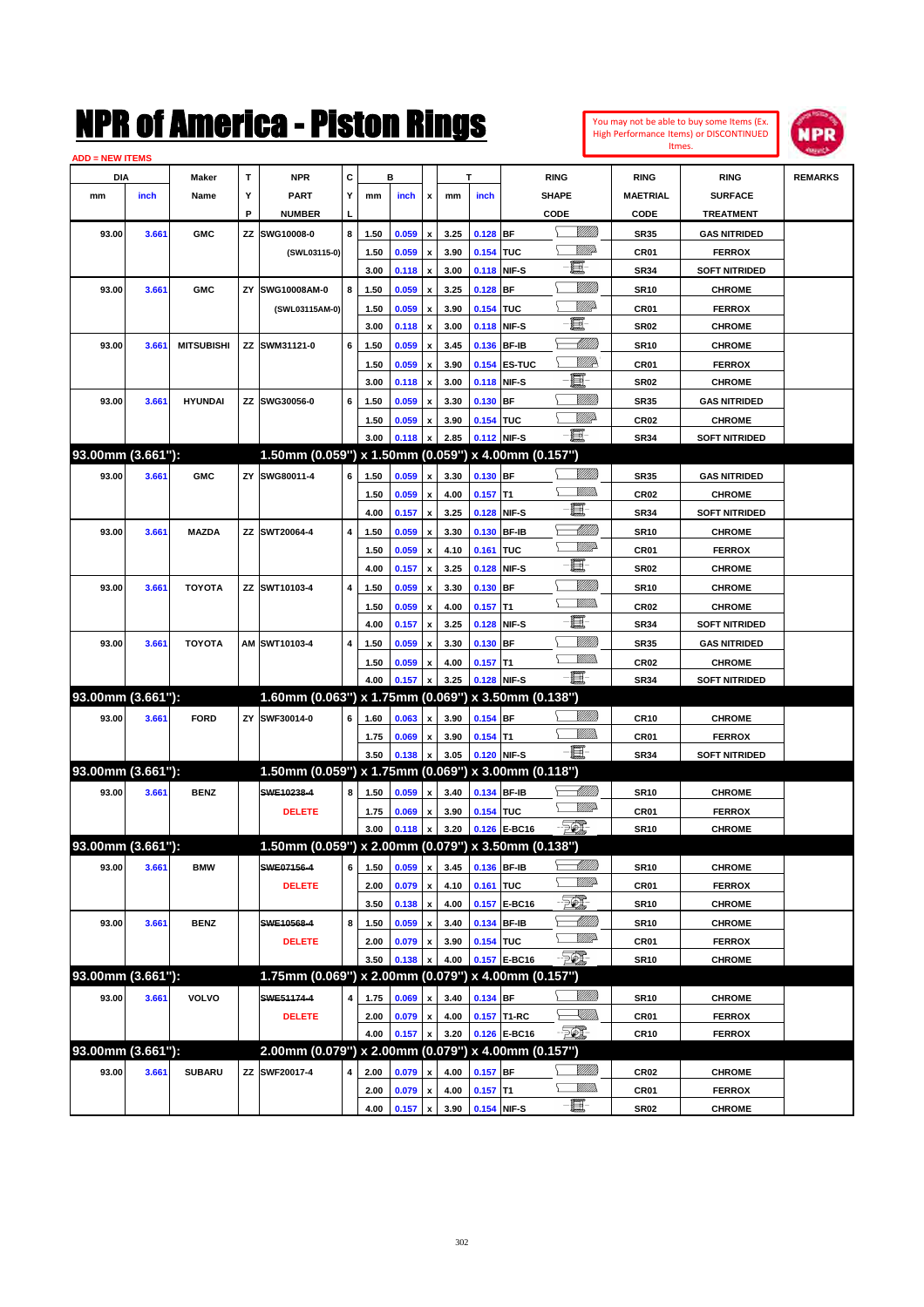| You may not be able to buy some Items (Ex.     |
|------------------------------------------------|
| <b>High Performance Items) or DISCONTINUED</b> |
| Itmes.                                         |



| <b>ADD = NEW ITEMS</b> |       |                   |    |                                                     |   |      |       |                    |      |             |               |                           |                  |                      |                |
|------------------------|-------|-------------------|----|-----------------------------------------------------|---|------|-------|--------------------|------|-------------|---------------|---------------------------|------------------|----------------------|----------------|
| DIA                    |       | Maker             | т  | <b>NPR</b>                                          | С |      | в     |                    |      | т           |               | <b>RING</b>               | <b>RING</b>      | <b>RING</b>          | <b>REMARKS</b> |
| mm                     | inch  | Name              | Y  | <b>PART</b>                                         | Υ | mm   | inch  | x                  | mm   | inch        |               | <b>SHAPE</b>              | <b>MAETRIAL</b>  | <b>SURFACE</b>       |                |
|                        |       |                   | P  | <b>NUMBER</b>                                       | L |      |       |                    |      |             |               | CODE                      | CODE             | <b>TREATMENT</b>     |                |
| 93.00                  | 3.661 | <b>GMC</b>        | ΖZ | SWG10008-0                                          | 8 | 1.50 | 0.059 | $\pmb{\mathsf{x}}$ | 3.25 | $0.128$ BF  |               | <u>VIIIIn</u>             | <b>SR35</b>      | <b>GAS NITRIDED</b>  |                |
|                        |       |                   |    | (SWL03115-0)                                        |   | 1.50 | 0.059 | x                  | 3.90 | 0.154 TUC   |               | <u>Willia</u>             | CR01             | <b>FERROX</b>        |                |
|                        |       |                   |    |                                                     |   | 3.00 | 0.118 | x                  | 3.00 | 0.118       | NIF-S         | e.                        | <b>SR34</b>      | <b>SOFT NITRIDED</b> |                |
| 93.00                  | 3.661 | <b>GMC</b>        | ΖY | SWG10008AM-0                                        | 8 | 1.50 | 0.059 | x                  | 3.25 | 0.128       | BF            | WM)                       | <b>SR10</b>      | <b>CHROME</b>        |                |
|                        |       |                   |    | (SWL03115AM-0)                                      |   | 1.50 | 0.059 | x                  | 3.90 | 0.154       | TUC           | <u>Willia</u>             | CR01             | <b>FERROX</b>        |                |
|                        |       |                   |    |                                                     |   | 3.00 | 0.118 | x                  | 3.00 | 0.118       | NIF-S         | E                         | <b>SR02</b>      | <b>CHROME</b>        |                |
| 93.00                  | 3.661 | <b>MITSUBISHI</b> |    | ZZ SWM31121-0                                       | 6 | 1.50 | 0.059 | x                  | 3.45 | 0.136       | <b>BF-IB</b>  |                           | <b>SR10</b>      | <b>CHROME</b>        |                |
|                        |       |                   |    |                                                     |   | 1.50 | 0.059 | x                  | 3.90 |             | 0.154 ES-TUC  | <u>Willia</u>             | CR01             | <b>FERROX</b>        |                |
|                        |       |                   |    |                                                     |   | 3.00 | 0.118 | x                  | 3.00 | 0.118       | NIF-S         | E                         | <b>SR02</b>      | <b>CHROME</b>        |                |
| 93.00                  | 3.661 | <b>HYUNDAI</b>    |    | ZZ SWG30056-0                                       | 6 | 1.50 | 0.059 | x                  | 3.30 | 0.130       | <b>BF</b>     | <u>Milli</u> k            | <b>SR35</b>      | <b>GAS NITRIDED</b>  |                |
|                        |       |                   |    |                                                     |   | 1.50 | 0.059 | x                  | 3.90 | 0.154       | <b>TUC</b>    | <u>MM</u> A               | <b>CR02</b>      | <b>CHROME</b>        |                |
|                        |       |                   |    |                                                     |   | 3.00 | 0.118 | $\pmb{\mathsf{x}}$ | 2.85 |             | 0.112 NIF-S   | -II -                     | <b>SR34</b>      | <b>SOFT NITRIDED</b> |                |
| 93.00mm (3.661"):      |       |                   |    | 1.50mm (0.059") x 1.50mm (0.059") x 4.00mm (0.157") |   |      |       |                    |      |             |               |                           |                  |                      |                |
| 93.00                  | 3.661 | <b>GMC</b>        | ΖY | SWG80011-4                                          | 6 | 1.50 | 0.059 | $\pmb{\mathsf{x}}$ | 3.30 | $0.130$ BF  |               | <u>MMM</u>                | <b>SR35</b>      | <b>GAS NITRIDED</b>  |                |
|                        |       |                   |    |                                                     |   | 1.50 | 0.059 | x                  | 4.00 | $0.157$ T1  |               | .<br>VMD                  | <b>CR02</b>      | <b>CHROME</b>        |                |
|                        |       |                   |    |                                                     |   | 4.00 | 0.157 | x                  | 3.25 | 0.128       | NIF-S         | E                         | <b>SR34</b>      | <b>SOFT NITRIDED</b> |                |
| 93.00                  | 3.661 | <b>MAZDA</b>      |    | ZZ SWT20064-4                                       | 4 | 1.50 | 0.059 | x                  | 3.30 | 0.130       | <b>BF-IB</b>  | <u> UMB</u>               | <b>SR10</b>      | <b>CHROME</b>        |                |
|                        |       |                   |    |                                                     |   | 1.50 | 0.059 | x                  | 4.10 | 0.161       | TUC           | <u>VMD</u>                | CR01             | <b>FERROX</b>        |                |
|                        |       |                   |    |                                                     |   | 4.00 | 0.157 | x                  | 3.25 | 0.128       | NIF-S         | e                         | <b>SR02</b>      | <b>CHROME</b>        |                |
| 93.00                  | 3.661 | <b>TOYOTA</b>     |    | ZZ SWT10103-4                                       | 4 | 1.50 | 0.059 | x                  | 3.30 | 0.130       | BF            | WM)                       | <b>SR10</b>      | <b>CHROME</b>        |                |
|                        |       |                   |    |                                                     |   | 1.50 | 0.059 | x                  | 4.00 | 0.157       | T1            | .<br>VMD                  | <b>CR02</b>      | <b>CHROME</b>        |                |
|                        |       |                   |    |                                                     |   | 4.00 | 0.157 | x                  | 3.25 | 0.128       | NIF-S         | e                         | <b>SR34</b>      | <b>SOFT NITRIDED</b> |                |
| 93.00                  | 3.661 | <b>TOYOTA</b>     |    | AM SWT10103-4                                       | 4 | 1.50 | 0.059 | x                  | 3.30 | 0.130       | BF            | VIII))                    | <b>SR35</b>      | <b>GAS NITRIDED</b>  |                |
|                        |       |                   |    |                                                     |   | 1.50 | 0.059 | x                  | 4.00 | 0.157       | T1            | .<br>VMD                  | <b>CR02</b>      | <b>CHROME</b>        |                |
|                        |       |                   |    |                                                     |   | 4.00 | 0.157 | x                  | 3.25 | 0.128       | NIF-S         | -8                        | <b>SR34</b>      | <b>SOFT NITRIDED</b> |                |
| 93.00mm (3.661"):      |       |                   |    | 1.60mm (0.063") x 1.75mm (0.069") x 3.50mm (0.138") |   |      |       |                    |      |             |               |                           |                  |                      |                |
| 93.00                  | 3.661 | <b>FORD</b>       |    | ZY SWF30014-0                                       | 6 | 1.60 | 0.063 | $\pmb{\mathsf{x}}$ | 3.90 | $0.154$ BF  |               | WMM)                      | <b>CR10</b>      | <b>CHROME</b>        |                |
|                        |       |                   |    |                                                     |   | 1.75 | 0.069 | x                  | 3.90 | $0.154$ T1  |               | <u>MMD</u>                | CR01             | <b>FERROX</b>        |                |
|                        |       |                   |    |                                                     |   | 3.50 | 0.138 | x                  | 3.05 | 0.120       | NIF-S         | -83                       | <b>SR34</b>      | <b>SOFT NITRIDED</b> |                |
| 93.00mm (3.661"):      |       |                   |    | 1.50mm (0.059") x 1.75mm (0.069") x 3.00mm (0.118") |   |      |       |                    |      |             |               |                           |                  |                      |                |
| 93.00                  | 3.661 | <b>BENZ</b>       |    | SWE10238-4                                          | 8 | 1.50 | 0.059 | $\pmb{\mathsf{x}}$ | 3.40 |             | 0.134 BF-IB   | <u> MM</u> B<br><u>WW</u> | <b>SR10</b>      | <b>CHROME</b>        |                |
|                        |       |                   |    | <b>DELETE</b>                                       |   | 1.75 | 0.069 | x                  | 3.90 | 0.154 TUC   |               |                           | CR01             | <b>FERROX</b>        |                |
|                        |       |                   |    |                                                     |   | 3.00 | 0.118 | $\pmb{\mathsf{x}}$ | 3.20 |             | 0.126 E-BC16  | EQ,                       | <b>SR10</b>      | <b>CHROME</b>        |                |
| 93.00mm (3.661"):      |       |                   |    | 1.50mm (0.059") x 2.00mm (0.079") x 3.50mm (0.138") |   |      |       |                    |      |             |               |                           |                  |                      |                |
| 93.00                  | 3.661 | <b>BMW</b>        |    | SWE07156-4                                          | 6 | 1.50 | 0.059 | $\pmb{\mathsf{x}}$ | 3.45 |             | 0.136 BF-IB   | <u> MMM</u><br><u>WW</u>  | <b>SR10</b>      | <b>CHROME</b>        |                |
|                        |       |                   |    | <b>DELETE</b>                                       |   | 2.00 | 0.079 | $\pmb{\mathsf{x}}$ | 4.10 | 0.161 TUC   |               | ES.                       | CR01             | <b>FERROX</b>        |                |
|                        |       |                   |    |                                                     |   | 3.50 | 0.138 | $\pmb{\mathsf{x}}$ | 4.00 | 0.157       | <b>E-BC16</b> |                           | <b>SR10</b>      | <b>CHROME</b>        |                |
| 93.00                  | 3.661 | <b>BENZ</b>       |    | SWE10568-4                                          | 8 | 1.50 | 0.059 | x                  | 3.40 |             | 0.134 BF-IB   | <u> UMB</u><br><u>WW</u>  | <b>SR10</b>      | <b>CHROME</b>        |                |
|                        |       |                   |    | <b>DELETE</b>                                       |   | 2.00 | 0.079 | x                  | 3.90 | 0.154 TUC   |               | $\mathbb{Z}$              | CR01             | <b>FERROX</b>        |                |
| 93.00mm (3.661"):      |       |                   |    | 1.75mm (0.069") x 2.00mm (0.079") x 4.00mm (0.157") |   | 3.50 | 0.138 |                    | 4.00 |             | 0.157 E-BC16  |                           | <b>SR10</b>      | <b>CHROME</b>        |                |
|                        |       |                   |    |                                                     |   |      |       |                    |      |             |               | <u>MMB</u>                |                  |                      |                |
| 93.00                  | 3.661 | VOLVO             |    | SWE51174-4                                          | 4 | 1.75 | 0.069 | x                  | 3.40 | 0.134 BF    |               |                           | <b>SR10</b>      | <b>CHROME</b>        |                |
|                        |       |                   |    | <b>DELETE</b>                                       |   | 2.00 | 0.079 | $\pmb{\mathsf{x}}$ | 4.00 |             | 0.157 T1-RC   | <u>Sillin</u><br>- 50)    | CR01             | <b>FERROX</b>        |                |
| 93.00mm (3.661"):      |       |                   |    | 2.00mm (0.079") x 2.00mm (0.079") x 4.00mm (0.157") |   | 4.00 | 0.157 | $\pmb{\mathsf{x}}$ | 3.20 |             | 0.126 E-BC16  |                           | <b>CR10</b>      | <b>FERROX</b>        |                |
|                        |       |                   |    |                                                     |   |      |       |                    |      |             |               | <u>VIIII)</u>             |                  |                      |                |
| 93.00                  | 3.661 | <b>SUBARU</b>     |    | ZZ SWF20017-4                                       | 4 | 2.00 | 0.079 | x                  | 4.00 | $0.157$ BF  |               | <u>MMs</u>                | CR <sub>02</sub> | <b>CHROME</b>        |                |
|                        |       |                   |    |                                                     |   | 2.00 | 0.079 | $\pmb{\mathsf{x}}$ | 4.00 | $0.157$ T1  |               | $-\Xi$                    | CR01             | <b>FERROX</b>        |                |
|                        |       |                   |    |                                                     |   | 4.00 | 0.157 | $\pmb{\mathsf{x}}$ | 3.90 | 0.154 NIF-S |               |                           | <b>SR02</b>      | <b>CHROME</b>        |                |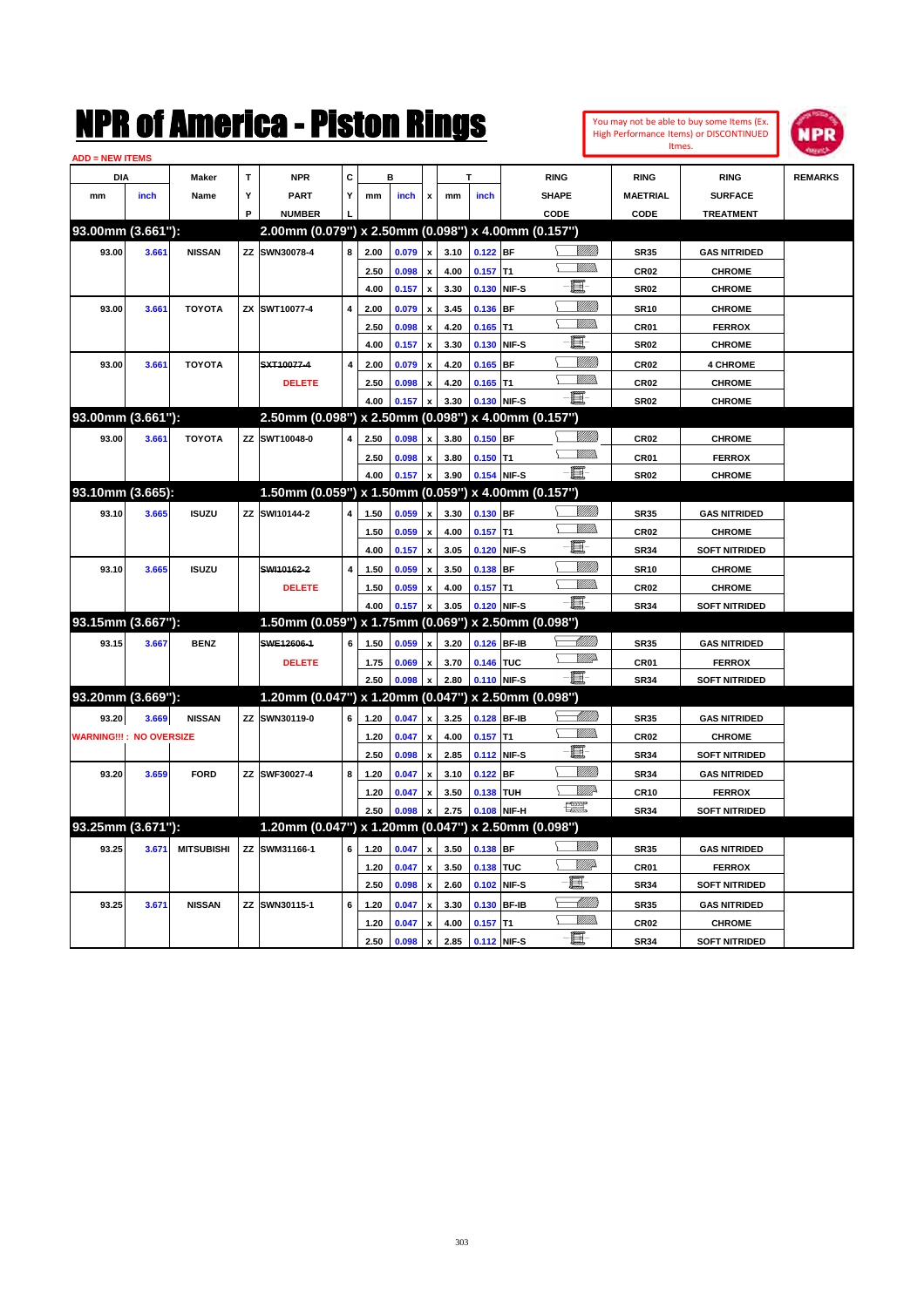**93.25mm (3.671''):** 1.20mm (0.047'') x 1.20mm (0.047'') x 2.50mm (0.098'')<br>93.25 **1.26 1.26 1.20 1.0047** x 1.35 1.38 BF

**93.25 3.671 MITSUBISHI ZZ SWM31166-1 6 1.20 0.047 x 3.50 0.138 BF SR35 GAS NITRIDED**

**93.25 3.671 NISSAN ZZ SWN30115-1 6 1.20 0.047 x 3.30 0.130 BF-IB SR35 GAS NITRIDED**

| <b>ADD = NEW ITEMS</b>         |       |               |   |                                                     |   |      |       |                           |      |             |                 |                  | Itmes.           |                      | <b>Based by</b> |
|--------------------------------|-------|---------------|---|-----------------------------------------------------|---|------|-------|---------------------------|------|-------------|-----------------|------------------|------------------|----------------------|-----------------|
| <b>DIA</b>                     |       | <b>Maker</b>  | T | <b>NPR</b>                                          | C |      | в     |                           |      | т           |                 | <b>RING</b>      | <b>RING</b>      | <b>RING</b>          | <b>REMARKS</b>  |
| mm                             | inch  | Name          | Y | <b>PART</b>                                         | Y | mm   | inch  | x                         | mm   | inch        |                 | <b>SHAPE</b>     | <b>MAETRIAL</b>  | <b>SURFACE</b>       |                 |
|                                |       |               | P | <b>NUMBER</b>                                       |   |      |       |                           |      |             |                 | CODE             | CODE             | <b>TREATMENT</b>     |                 |
| 93.00mm (3.661"):              |       |               |   | 2.00mm (0.079") x 2.50mm (0.098") x 4.00mm (0.157") |   |      |       |                           |      |             |                 |                  |                  |                      |                 |
| 93.00                          | 3.661 | <b>NISSAN</b> |   | ZZ SWN30078-4                                       | 8 | 2.00 | 0.079 | $\pmb{\mathsf{x}}$        | 3.10 | $0.122$ BF  |                 | VIIII            | <b>SR35</b>      | <b>GAS NITRIDED</b>  |                 |
|                                |       |               |   |                                                     |   | 2.50 | 0.098 | $\pmb{\mathsf{x}}$        | 4.00 | $0.157$ T1  |                 | VM))             | CR <sub>02</sub> | <b>CHROME</b>        |                 |
|                                |       |               |   |                                                     |   | 4.00 | 0.157 | $\boldsymbol{\mathsf{x}}$ | 3.30 | 0.130       | NIF-S           | Œ                | <b>SR02</b>      | <b>CHROME</b>        |                 |
| 93.00                          | 3.661 | <b>TOYOTA</b> |   | ZX SWT10077-4                                       | 4 | 2.00 | 0.079 | x                         | 3.45 | 0.136       | <b>BF</b>       | VMM.             | <b>SR10</b>      | <b>CHROME</b>        |                 |
|                                |       |               |   |                                                     |   | 2.50 | 0.098 | $\pmb{\mathsf{x}}$        | 4.20 | 0.165       | IT <sub>1</sub> | .<br>VMD         | CR <sub>01</sub> | <b>FERROX</b>        |                 |
|                                |       |               |   |                                                     |   | 4.00 | 0.157 | $\pmb{\mathsf{x}}$        | 3.30 | 0.130       | NIF-S           | E                | <b>SR02</b>      | <b>CHROME</b>        |                 |
| 93.00                          | 3.661 | <b>TOYOTA</b> |   | SXT10077-4                                          | 4 | 2.00 | 0.079 | $\boldsymbol{x}$          | 4.20 | 0.165       | <b>IBF</b>      | <u>VMM</u>       | CR <sub>02</sub> | <b>4 CHROME</b>      |                 |
|                                |       |               |   | <b>DELETE</b>                                       |   | 2.50 | 0.098 | $\mathbf x$               | 4.20 | $0.165$ T1  |                 | <u>MMs</u>       | CR <sub>02</sub> | <b>CHROME</b>        |                 |
|                                |       |               |   |                                                     |   | 4.00 | 0.157 | $\pmb{\mathsf{x}}$        | 3.30 | 0.130       | NIF-S           | e.               | <b>SR02</b>      | <b>CHROME</b>        |                 |
| 93.00mm (3.661"):              |       |               |   | 2.50mm (0.098") x 2.50mm (0.098") x 4.00mm (0.157") |   |      |       |                           |      |             |                 |                  |                  |                      |                 |
| 93.00                          | 3.661 | <b>TOYOTA</b> |   | ZZ SWT10048-0                                       | 4 | 2.50 | 0.098 | $\mathbf{x}$              | 3.80 | $0.150$ BF  |                 | <u>VMM</u>       | CR <sub>02</sub> | <b>CHROME</b>        |                 |
|                                |       |               |   |                                                     |   | 2.50 | 0.098 | $\mathbf x$               | 3.80 | 0.150       | T1              | .<br>MM          | CR <sub>01</sub> | <b>FERROX</b>        |                 |
|                                |       |               |   |                                                     |   | 4.00 | 0.157 | $\mathbf{x}$              | 3.90 | 0.154       | NIF-S           | -8               | <b>SR02</b>      | <b>CHROME</b>        |                 |
| 93.10mm (3.665):               |       |               |   | 1.50mm (0.059") x 1.50mm (0.059") x 4.00mm (0.157") |   |      |       |                           |      |             |                 |                  |                  |                      |                 |
| 93.10                          | 3.665 | <b>ISUZU</b>  |   | ZZ SWI10144-2                                       | 4 | 1.50 | 0.059 | $\boldsymbol{x}$          | 3.30 | 0.130       | <b>IBF</b>      | VIIII)           | <b>SR35</b>      | <b>GAS NITRIDED</b>  |                 |
|                                |       |               |   |                                                     |   | 1.50 | 0.059 | $\boldsymbol{x}$          | 4.00 | $0.157$ T1  |                 | <u>MM)</u>       | CR <sub>02</sub> | <b>CHROME</b>        |                 |
|                                |       |               |   |                                                     |   | 4.00 | 0.157 | $\boldsymbol{\mathsf{x}}$ | 3.05 | 0.120       | NIF-S           | e                | <b>SR34</b>      | <b>SOFT NITRIDED</b> |                 |
| 93.10                          | 3.665 | <b>ISUZU</b>  |   | SWI10162-2                                          | 4 | 1.50 | 0.059 | x                         | 3.50 | 0.138       | BF              | VIIII            | <b>SR10</b>      | <b>CHROME</b>        |                 |
|                                |       |               |   | <b>DELETE</b>                                       |   | 1.50 | 0.059 | $\mathbf{x}$              | 4.00 | $0.157$ T1  |                 | <u>MMD</u>       | <b>CR02</b>      | <b>CHROME</b>        |                 |
|                                |       |               |   |                                                     |   | 4.00 | 0.157 | $\mathbf{x}$              | 3.05 | 0.120 NIF-S |                 | E.               | <b>SR34</b>      | <b>SOFT NITRIDED</b> |                 |
| 93.15mm (3.667"):              |       |               |   | 1.50mm (0.059") x 1.75mm (0.069") x 2.50mm (0.098") |   |      |       |                           |      |             |                 |                  |                  |                      |                 |
| 93.15                          | 3.667 | <b>BENZ</b>   |   | SWE12606-1                                          | 6 | 1.50 | 0.059 | $\pmb{\mathsf{x}}$        | 3.20 | 0.126 BF-IB |                 | <u> Millill</u>  | <b>SR35</b>      | <b>GAS NITRIDED</b>  |                 |
|                                |       |               |   | <b>DELETE</b>                                       |   | 1.75 | 0.069 | $\pmb{\mathsf{x}}$        | 3.70 | 0.146 TUC   |                 | 7777)            | CR <sub>01</sub> | <b>FERROX</b>        |                 |
|                                |       |               |   |                                                     |   | 2.50 | 0.098 | $\mathbf{x}$              | 2.80 | 0.110 NIF-S |                 | ņ                | <b>SR34</b>      | <b>SOFT NITRIDED</b> |                 |
| 93.20mm (3.669"):              |       |               |   | 1.20mm (0.047") x 1.20mm (0.047") x 2.50mm (0.098") |   |      |       |                           |      |             |                 |                  |                  |                      |                 |
| 93.20                          | 3.669 | <b>NISSAN</b> |   | ZZ SWN30119-0                                       | 6 | 1.20 | 0.047 | $\mathbf{x}$              | 3.25 | 0.128 BF-IB |                 | <u>-MMM</u>      | <b>SR35</b>      | <b>GAS NITRIDED</b>  |                 |
| <b>WARNING!!!: NO OVERSIZE</b> |       |               |   |                                                     |   | 1.20 | 0.047 | $\pmb{\mathsf{x}}$        | 4.00 | $0.157$ T1  |                 | <u>MM)</u>       | CR <sub>02</sub> | <b>CHROME</b>        |                 |
|                                |       |               |   |                                                     |   | 2.50 | 0.098 | $\boldsymbol{\mathsf{x}}$ | 2.85 | 0.112 NIF-S |                 | e.               | <b>SR34</b>      | <b>SOFT NITRIDED</b> |                 |
| 93.20                          | 3.659 | <b>FORD</b>   |   | ZZ SWF30027-4                                       | 8 | 1.20 | 0.047 | $\mathbf{x}$              | 3.10 | $0.122$ BF  |                 | <u>Milli</u> lli | <b>SR34</b>      | <b>GAS NITRIDED</b>  |                 |

**1.20 0.047 x 3.50 0.138 TUH CR10 FERROX 2.50 0.098 x 2.75 0.108 NIF-H SR34 SOFT NITRIDED**

**1.20 0.047 x 3.50 0.138 TUC CR01 FERROX 2.50 0.098 x 2.60 0.102 NIF-S SR34 SOFT NITRIDED**

**1.20 0.047 x 4.00 0.157 T1 CR02 CHROME 2.50 0.098 x 2.85 0.112 NIF-S SR34 SOFT NITRIDED**

You may not be able to buy some Items (Ex. High Performance Items) or DISCONTINUED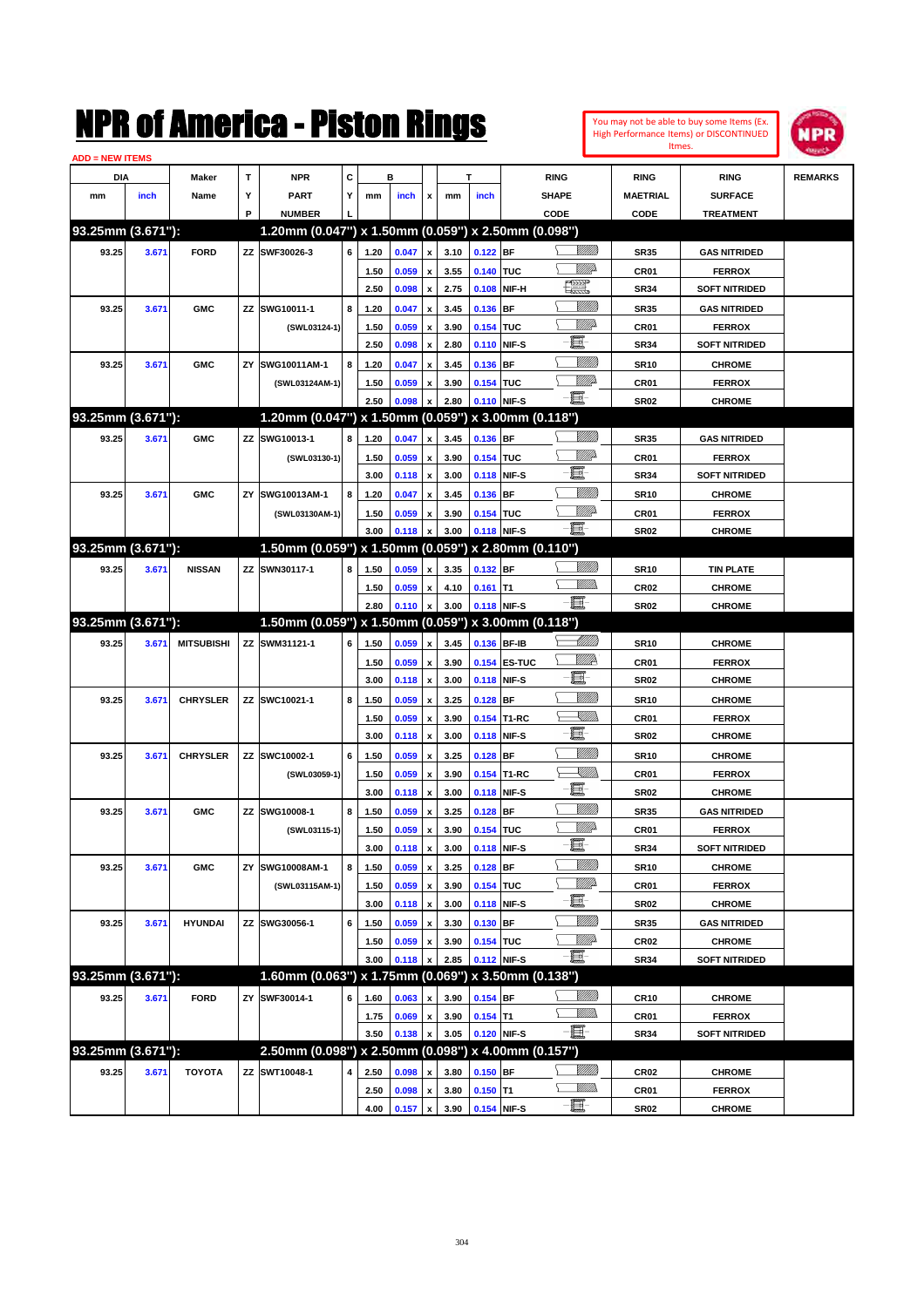| You may not be able to buy some Items (Ex. |
|--------------------------------------------|
| High Performance Items) or DISCONTINUED    |
| Itmes.                                     |



| <b>ADD = NEW ITEMS</b> |       |                   |    |                                                     |   |      |       |                    |      |             |              |                   |                  |                      |                |
|------------------------|-------|-------------------|----|-----------------------------------------------------|---|------|-------|--------------------|------|-------------|--------------|-------------------|------------------|----------------------|----------------|
| DIA                    |       | <b>Maker</b>      | T  | <b>NPR</b>                                          | C |      | в     |                    |      | T           |              | <b>RING</b>       | <b>RING</b>      | <b>RING</b>          | <b>REMARKS</b> |
| mm                     | inch  | Name              | Υ  | <b>PART</b>                                         | Y | mm   | inch  | x                  | mm   | inch        |              | <b>SHAPE</b>      | <b>MAETRIAL</b>  | <b>SURFACE</b>       |                |
|                        |       |                   | P  | <b>NUMBER</b>                                       |   |      |       |                    |      |             |              | CODE              | CODE             | <b>TREATMENT</b>     |                |
| 93.25mm (3.671"):      |       |                   |    | 1.20mm (0.047") x 1.50mm (0.059") x 2.50mm (0.098") |   |      |       |                    |      |             |              |                   |                  |                      |                |
| 93.25                  | 3.671 | <b>FORD</b>       |    | ZZ SWF30026-3                                       | 6 | 1.20 | 0.047 | $\pmb{\mathsf{x}}$ | 3.10 | $0.122$ BF  |              | VIII D            | <b>SR35</b>      | <b>GAS NITRIDED</b>  |                |
|                        |       |                   |    |                                                     |   | 1.50 | 0.059 | $\pmb{\mathsf{x}}$ | 3.55 | 0.140 TUC   |              | MMP               | CR01             | <b>FERROX</b>        |                |
|                        |       |                   |    |                                                     |   | 2.50 | 0.098 | $\pmb{\mathsf{x}}$ | 2.75 |             | 0.108 NIF-H  | H                 | <b>SR34</b>      | <b>SOFT NITRIDED</b> |                |
| 93.25                  | 3.671 | <b>GMC</b>        |    | ZZ SWG10011-1                                       | 8 | 1.20 | 0.047 | x                  | 3.45 | 0.136 BF    |              | <u>Milli</u>      | <b>SR35</b>      | <b>GAS NITRIDED</b>  |                |
|                        |       |                   |    | (SWL03124-1)                                        |   | 1.50 | 0.059 | x                  | 3.90 | 0.154 TUC   |              | <u>MM</u>         | CR01             | <b>FERROX</b>        |                |
|                        |       |                   |    |                                                     |   | 2.50 | 0.098 | $\pmb{\mathsf{x}}$ | 2.80 |             | 0.110 NIF-S  | E                 | <b>SR34</b>      | <b>SOFT NITRIDED</b> |                |
| 93.25                  | 3.671 | <b>GMC</b>        | ZY | SWG10011AM-1                                        | 8 | 1.20 | 0.047 | x                  | 3.45 | 0.136 BF    |              | <u>MMM</u>        | <b>SR10</b>      | <b>CHROME</b>        |                |
|                        |       |                   |    | (SWL03124AM-1)                                      |   | 1.50 | 0.059 | x                  | 3.90 | 0.154 TUC   |              | <u>MM</u>         | CR01             | <b>FERROX</b>        |                |
|                        |       |                   |    |                                                     |   | 2.50 | 0.098 | x                  | 2.80 |             | 0.110 NIF-S  | -8                | <b>SR02</b>      | <b>CHROME</b>        |                |
| 93.25mm (3.671"):      |       |                   |    | 1.20mm (0.047") x 1.50mm (0.059") x 3.00mm (0.118") |   |      |       |                    |      |             |              |                   |                  |                      |                |
| 93.25                  | 3.671 | <b>GMC</b>        |    | ZZ SWG10013-1                                       | 8 | 1.20 | 0.047 | x                  | 3.45 | 0.136 BF    |              | VIII))            | <b>SR35</b>      | <b>GAS NITRIDED</b>  |                |
|                        |       |                   |    | (SWL03130-1)                                        |   | 1.50 | 0.059 | x                  | 3.90 | 0.154 TUC   |              | MMD               | CR01             | <b>FERROX</b>        |                |
|                        |       |                   |    |                                                     |   | 3.00 | 0.118 | $\pmb{\mathsf{x}}$ | 3.00 |             | 0.118 NIF-S  | E                 | <b>SR34</b>      | <b>SOFT NITRIDED</b> |                |
| 93.25                  | 3.671 | <b>GMC</b>        | ZY | SWG10013AM-1                                        | 8 | 1.20 | 0.047 | x                  | 3.45 | 0.136 BF    |              | 7777))            | <b>SR10</b>      | <b>CHROME</b>        |                |
|                        |       |                   |    | (SWL03130AM-1)                                      |   | 1.50 | 0.059 | x                  | 3.90 | 0.154 TUC   |              | MMP               | CR01             | <b>FERROX</b>        |                |
|                        |       |                   |    |                                                     |   | 3.00 | 0.118 | x                  | 3.00 |             | 0.118 NIF-S  | - 1               | <b>SR02</b>      | <b>CHROME</b>        |                |
| 93.25mm (3.671"):      |       |                   |    | 1.50mm (0.059") x 1.50mm (0.059") x 2.80mm (0.110") |   |      |       |                    |      |             |              |                   |                  |                      |                |
| 93.25                  | 3.671 | <b>NISSAN</b>     |    | ZZ SWN30117-1                                       | 8 | 1.50 | 0.059 | x                  | 3.35 | 0.132 BF    |              |                   | <b>SR10</b>      | <b>TIN PLATE</b>     |                |
|                        |       |                   |    |                                                     |   | 1.50 | 0.059 | x                  | 4.10 | $0.161$ T1  |              | .<br>MM           | <b>CR02</b>      | <b>CHROME</b>        |                |
|                        |       |                   |    |                                                     |   | 2.80 | 0.110 | $\pmb{\mathsf{x}}$ | 3.00 |             | 0.118 NIF-S  | - 1               | <b>SR02</b>      | <b>CHROME</b>        |                |
| 93.25mm (3.671"):      |       |                   |    | 1.50mm (0.059") x 1.50mm (0.059") x 3.00mm (0.118") |   |      |       |                    |      |             |              |                   |                  |                      |                |
| 93.25                  | 3.671 | <b>MITSUBISHI</b> |    | ZZ SWM31121-1                                       | 6 | 1.50 | 0.059 | x                  | 3.45 |             | 0.136 BF-IB  | <u> UMM</u>       | <b>SR10</b>      | <b>CHROME</b>        |                |
|                        |       |                   |    |                                                     |   | 1.50 | 0.059 | x                  | 3.90 |             | 0.154 ES-TUC | <u>VMP</u>        | CR01             | <b>FERROX</b>        |                |
|                        |       |                   |    |                                                     |   | 3.00 | 0.118 | $\pmb{\mathsf{x}}$ | 3.00 |             | 0.118 NIF-S  | E.                | <b>SR02</b>      | <b>CHROME</b>        |                |
| 93.25                  | 3.671 | <b>CHRYSLER</b>   |    | ZZ SWC10021-1                                       | 8 | 1.50 | 0.059 | x                  | 3.25 | $0.128$ BF  |              | VIII))            | <b>SR10</b>      | <b>CHROME</b>        |                |
|                        |       |                   |    |                                                     |   | 1.50 | 0.059 | x                  | 3.90 |             | 0.154 T1-RC  | <u>X</u> M)).     | CR01             | <b>FERROX</b>        |                |
|                        |       |                   |    |                                                     |   | 3.00 | 0.118 | $\pmb{\mathsf{x}}$ | 3.00 |             | 0.118 NIF-S  | - II              | <b>SR02</b>      | <b>CHROME</b>        |                |
| 93.25                  | 3.671 | <b>CHRYSLER</b>   |    | ZZ SWC10002-1                                       | 6 | 1.50 | 0.059 | x                  | 3.25 | $0.128$ BF  |              | VIII))            | <b>SR10</b>      | <b>CHROME</b>        |                |
|                        |       |                   |    | (SWL03059-1)                                        |   | 1.50 | 0.059 | x                  | 3.90 |             | 0.154 T1-RC  | <u>XM))</u>       | CR01             | <b>FERROX</b>        |                |
|                        |       |                   |    |                                                     |   | 3.00 | 0.118 | $\pmb{\mathsf{x}}$ | 3.00 |             | 0.118 NIF-S  | - 8               | <b>SR02</b>      | <b>CHROME</b>        |                |
| 93.25                  | 3.671 | <b>GMC</b>        |    | ZZ SWG10008-1                                       | 8 | 1.50 | 0.059 | x                  | 3.25 | $0.128$ BF  |              | VIII))            | <b>SR35</b>      | <b>GAS NITRIDED</b>  |                |
|                        |       |                   |    | (SWL03115-1)                                        |   | 1.50 | 0.059 | x                  | 3.90 | 0.154 TUC   |              | MMD               | CR01             | <b>FERROX</b>        |                |
|                        |       |                   |    |                                                     |   | 3.00 | 0.118 | $\pmb{\mathsf{x}}$ | 3.00 |             | 0.118 NIF-S  | - III -           | <b>SR34</b>      | SOFT NITRIDED        |                |
| 93.25                  | 3.671 | <b>GMC</b>        | ΖY | SWG10008AM-1                                        | 8 | 1.50 | 0.059 | $\pmb{\mathsf{x}}$ | 3.25 | 0.128 BF    |              | VIII))            | <b>SR10</b>      | <b>CHROME</b>        |                |
|                        |       |                   |    | (SWL03115AM-1)                                      |   | 1.50 | 0.059 | $\pmb{\mathsf{x}}$ | 3.90 | 0.154 TUC   |              | <u>MM</u> do      | CR01             | <b>FERROX</b>        |                |
|                        |       |                   |    |                                                     |   | 3.00 | 0.118 | $\pmb{\mathsf{x}}$ | 3.00 |             | 0.118 NIF-S  | e.                | <b>SR02</b>      | <b>CHROME</b>        |                |
| 93.25                  | 3.671 | <b>HYUNDAI</b>    |    | ZZ SWG30056-1                                       | 6 | 1.50 | 0.059 | x                  | 3.30 | 0.130 BF    |              | VIII))            | <b>SR35</b>      | <b>GAS NITRIDED</b>  |                |
|                        |       |                   |    |                                                     |   | 1.50 | 0.059 | x                  | 3.90 | 0.154 TUC   |              | <u>VMP</u>        | <b>CR02</b>      | <b>CHROME</b>        |                |
|                        |       |                   |    |                                                     |   | 3.00 | 0.118 | x                  | 2.85 |             | 0.112 NIF-S  | <b>- 夏</b> -      | <b>SR34</b>      | <b>SOFT NITRIDED</b> |                |
| 93.25mm (3.671"):      |       |                   |    | 1.60mm (0.063") x 1.75mm (0.069")                   |   |      |       |                    |      |             |              | x 3.50mm (0.138") |                  |                      |                |
| 93.25                  | 3.671 | <b>FORD</b>       |    | ZY SWF30014-1                                       | 6 | 1.60 | 0.063 | x                  | 3.90 | $0.154$ BF  |              | <u>MMM</u>        | CR <sub>10</sub> | <b>CHROME</b>        |                |
|                        |       |                   |    |                                                     |   | 1.75 | 0.069 | $\pmb{\mathsf{x}}$ | 3.90 | $0.154$ T1  |              | <u>MMW</u>        | CR01             | <b>FERROX</b>        |                |
|                        |       |                   |    |                                                     |   | 3.50 | 0.138 | x                  | 3.05 |             | 0.120 NIF-S  | -êi               | <b>SR34</b>      | <b>SOFT NITRIDED</b> |                |
| 93.25mm (3.671"):      |       |                   |    | 2.50mm (0.098") x 2.50mm (0.098") x 4.00mm (0.157") |   |      |       |                    |      |             |              |                   |                  |                      |                |
| 93.25                  | 3.671 | <b>TOYOTA</b>     |    | ZZ SWT10048-1                                       | 4 | 2.50 | 0.098 | x                  | 3.80 | $0.150$ BF  |              | <u>Milli</u> n    | <b>CR02</b>      | <b>CHROME</b>        |                |
|                        |       |                   |    |                                                     |   | 2.50 | 0.098 | x                  | 3.80 | $0.150$ T1  |              | <u>Willib</u>     | CR01             | <b>FERROX</b>        |                |
|                        |       |                   |    |                                                     |   | 4.00 | 0.157 | $\pmb{\mathsf{x}}$ | 3.90 | 0.154 NIF-S |              | $-\Xi$            | <b>SR02</b>      | <b>CHROME</b>        |                |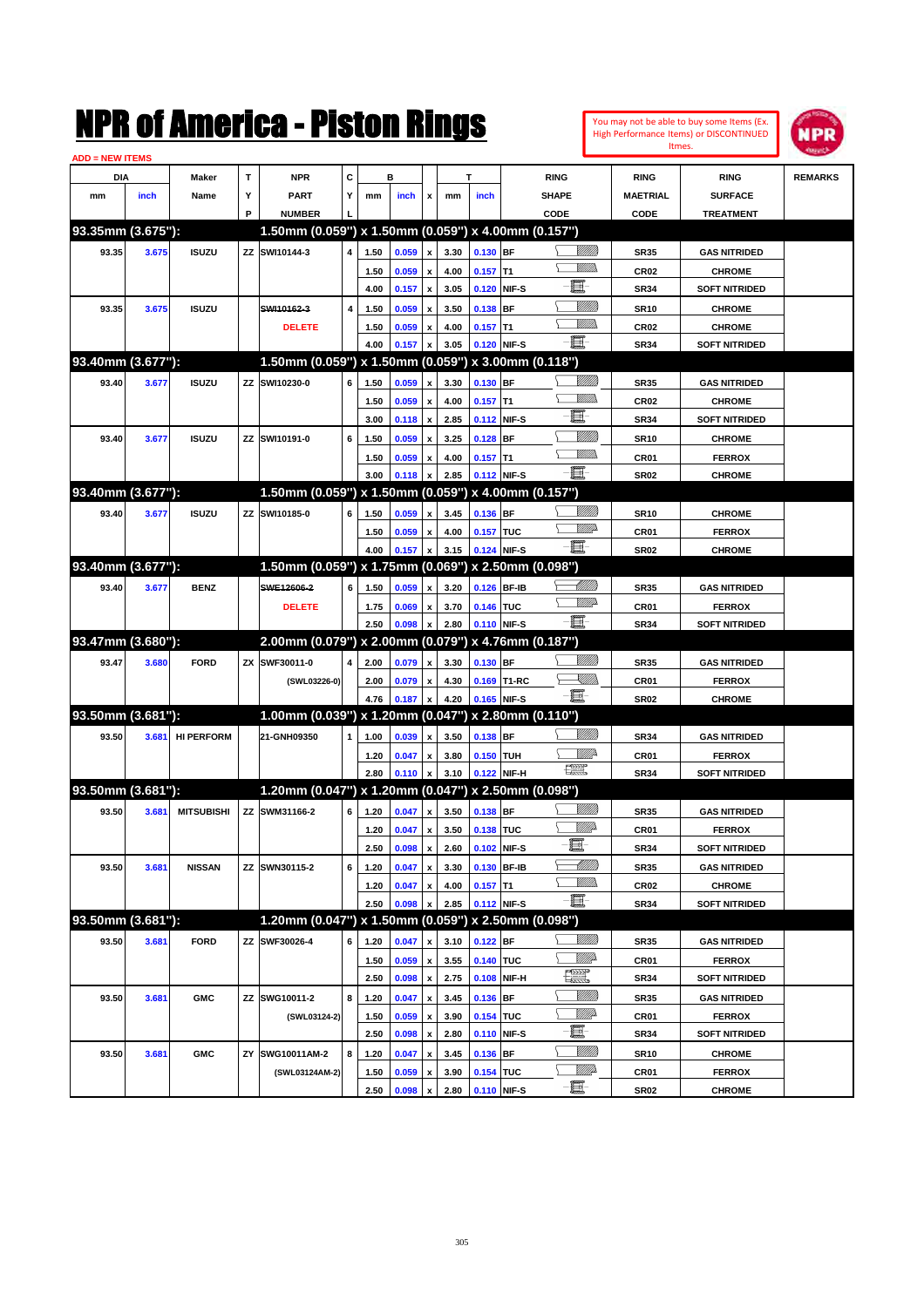| You may not be able to buy some Items (Ex.     |
|------------------------------------------------|
| <b>High Performance Items) or DISCONTINUED</b> |
| Itmes.                                         |



| <b>ADD = NEW ITEMS</b> |       |                   |    |                                                        |                         |      |       |                    |      |             |             |                                                                                                                                                                                                                                                                                                                                                     |                  |                      |                |
|------------------------|-------|-------------------|----|--------------------------------------------------------|-------------------------|------|-------|--------------------|------|-------------|-------------|-----------------------------------------------------------------------------------------------------------------------------------------------------------------------------------------------------------------------------------------------------------------------------------------------------------------------------------------------------|------------------|----------------------|----------------|
| <b>DIA</b>             |       | Maker             | т  | <b>NPR</b>                                             | С                       |      | в     |                    |      | т           |             | <b>RING</b>                                                                                                                                                                                                                                                                                                                                         | <b>RING</b>      | <b>RING</b>          | <b>REMARKS</b> |
| mm                     | inch  | Name              | Υ  | <b>PART</b>                                            | Y                       | mm   | inch  | x                  | mm   | inch        |             | <b>SHAPE</b>                                                                                                                                                                                                                                                                                                                                        | <b>MAETRIAL</b>  | <b>SURFACE</b>       |                |
|                        |       |                   | P  | <b>NUMBER</b>                                          |                         |      |       |                    |      |             |             | CODE                                                                                                                                                                                                                                                                                                                                                | <b>CODE</b>      | <b>TREATMENT</b>     |                |
| 93.35mm (3.675"):      |       |                   |    | 1.50mm (0.059") x 1.50mm (0.059") x 4.00mm (0.157")    |                         |      |       |                    |      |             |             |                                                                                                                                                                                                                                                                                                                                                     |                  |                      |                |
| 93.35                  | 3.675 | <b>ISUZU</b>      |    | ZZ SWI10144-3                                          | $\overline{4}$          | 1.50 | 0.059 | $\pmb{\mathsf{x}}$ | 3.30 | $0.130$ BF  |             |                                                                                                                                                                                                                                                                                                                                                     | <b>SR35</b>      | <b>GAS NITRIDED</b>  |                |
|                        |       |                   |    |                                                        |                         | 1.50 | 0.059 | x                  | 4.00 | $0.157$ T1  |             | <u>VMM</u>                                                                                                                                                                                                                                                                                                                                          | <b>CR02</b>      | <b>CHROME</b>        |                |
|                        |       |                   |    |                                                        |                         | 4.00 | 0.157 | $\pmb{\mathsf{x}}$ | 3.05 |             | 0.120 NIF-S | E                                                                                                                                                                                                                                                                                                                                                   | <b>SR34</b>      | <b>SOFT NITRIDED</b> |                |
| 93.35                  | 3.675 | <b>ISUZU</b>      |    | SWI10162-3                                             | $\overline{\mathbf{4}}$ | 1.50 | 0.059 | x                  | 3.50 | $0.138$ BF  |             | <u>VIIII)</u>                                                                                                                                                                                                                                                                                                                                       | <b>SR10</b>      | <b>CHROME</b>        |                |
|                        |       |                   |    | <b>DELETE</b>                                          |                         | 1.50 | 0.059 | x                  | 4.00 | $0.157$ T1  |             | <u>VMM</u>                                                                                                                                                                                                                                                                                                                                          | <b>CR02</b>      | <b>CHROME</b>        |                |
|                        |       |                   |    |                                                        |                         | 4.00 | 0.157 | X                  | 3.05 |             | 0.120 NIF-S | - 8                                                                                                                                                                                                                                                                                                                                                 | <b>SR34</b>      | <b>SOFT NITRIDED</b> |                |
| 93.40mm (3.677"):      |       |                   |    | 1.50mm (0.059") x 1.50mm (0.059") x 3.00mm (0.118")    |                         |      |       |                    |      |             |             |                                                                                                                                                                                                                                                                                                                                                     |                  |                      |                |
| 93.40                  | 3.677 | <b>ISUZU</b>      |    | ZZ SWI10230-0                                          | 6                       | 1.50 | 0.059 | x                  | 3.30 | $0.130$ BF  |             | <u>Millit</u>                                                                                                                                                                                                                                                                                                                                       | <b>SR35</b>      | <b>GAS NITRIDED</b>  |                |
|                        |       |                   |    |                                                        |                         | 1.50 | 0.059 | $\pmb{\mathsf{x}}$ | 4.00 | $0.157$ T1  |             | <u>MMD</u>                                                                                                                                                                                                                                                                                                                                          | <b>CR02</b>      | <b>CHROME</b>        |                |
|                        |       |                   |    |                                                        |                         | 3.00 | 0.118 | $\pmb{\mathsf{x}}$ | 2.85 |             | 0.112 NIF-S | 圓                                                                                                                                                                                                                                                                                                                                                   | <b>SR34</b>      | <b>SOFT NITRIDED</b> |                |
| 93.40                  | 3.677 | <b>ISUZU</b>      |    | ZZ SWI10191-0                                          | 6                       | 1.50 | 0.059 | x                  | 3.25 | $0.128$ BF  |             | <u>Milli</u> k                                                                                                                                                                                                                                                                                                                                      | <b>SR10</b>      | <b>CHROME</b>        |                |
|                        |       |                   |    |                                                        |                         | 1.50 | 0.059 | x                  | 4.00 | $0.157$ T1  |             | <u>MMD</u>                                                                                                                                                                                                                                                                                                                                          | CR01             | <b>FERROX</b>        |                |
|                        |       |                   |    |                                                        |                         | 3.00 | 0.118 | X                  | 2.85 |             | 0.112 NIF-S | Ð.                                                                                                                                                                                                                                                                                                                                                  | <b>SR02</b>      | <b>CHROME</b>        |                |
| 93.40mm (3.677"):      |       |                   |    | $1.50$ mm (0.059") x 1.50mm (0.059") x 4.00mm (0.157") |                         |      |       |                    |      |             |             |                                                                                                                                                                                                                                                                                                                                                     |                  |                      |                |
| 93.40                  | 3.677 | <b>ISUZU</b>      |    | ZZ SWI10185-0                                          | 6                       | 1.50 | 0.059 | x                  | 3.45 | 0.136 BF    |             | <u>Millit</u>                                                                                                                                                                                                                                                                                                                                       | <b>SR10</b>      | <b>CHROME</b>        |                |
|                        |       |                   |    |                                                        |                         | 1.50 | 0.059 | x                  | 4.00 | 0.157 TUC   |             | <u>MM</u>                                                                                                                                                                                                                                                                                                                                           | CR01             | <b>FERROX</b>        |                |
|                        |       |                   |    |                                                        |                         | 4.00 | 0.157 | X                  | 3.15 |             | 0.124 NIF-S | Ð.                                                                                                                                                                                                                                                                                                                                                  | <b>SR02</b>      | <b>CHROME</b>        |                |
| 93.40mm (3.677"):      |       |                   |    | 1.50mm (0.059") x 1.75mm (0.069") x 2.50mm (0.098")    |                         |      |       |                    |      |             |             |                                                                                                                                                                                                                                                                                                                                                     |                  |                      |                |
| 93.40                  | 3.677 | <b>BENZ</b>       |    | SWE12606-2                                             | 6                       | 1.50 | 0.059 | x                  | 3.20 |             | 0.126 BF-IB | <u>UMB</u>                                                                                                                                                                                                                                                                                                                                          | <b>SR35</b>      | <b>GAS NITRIDED</b>  |                |
|                        |       |                   |    | <b>DELETE</b>                                          |                         | 1.75 | 0.069 | x                  | 3.70 | 0.146 TUC   |             | <u>MM</u>                                                                                                                                                                                                                                                                                                                                           | <b>CR01</b>      | <b>FERROX</b>        |                |
|                        |       |                   |    |                                                        |                         | 2.50 | 0.098 | x                  | 2.80 |             | 0.110 NIF-S | Ð.                                                                                                                                                                                                                                                                                                                                                  | <b>SR34</b>      | <b>SOFT NITRIDED</b> |                |
| 93.47mm (3.680"):      |       |                   |    | 2.00mm (0.079") x 2.00mm (0.079") x 4.76mm (0.187")    |                         |      |       |                    |      |             |             |                                                                                                                                                                                                                                                                                                                                                     |                  |                      |                |
| 93.47                  | 3.680 | <b>FORD</b>       |    | ZX SWF30011-0                                          | 4                       | 2.00 | 0.079 | x                  | 3.30 | 0.130 BF    |             |                                                                                                                                                                                                                                                                                                                                                     | <b>SR35</b>      | <b>GAS NITRIDED</b>  |                |
|                        |       |                   |    | (SWL03226-0)                                           |                         | 2.00 | 0.079 | x                  | 4.30 |             | 0.169 T1-RC | <u>- Millis</u>                                                                                                                                                                                                                                                                                                                                     | CR01             | <b>FERROX</b>        |                |
|                        |       |                   |    |                                                        |                         | 4.76 | 0.187 | X                  | 4.20 |             | 0.165 NIF-S | -bi                                                                                                                                                                                                                                                                                                                                                 | <b>SR02</b>      | <b>CHROME</b>        |                |
| 93.50mm (3.681"):      |       |                   |    | 1.00mm (0.039") x 1.20mm (0.047") x 2.80mm (0.110")    |                         |      |       |                    |      |             |             |                                                                                                                                                                                                                                                                                                                                                     |                  |                      |                |
| 93.50                  | 3.681 | <b>HI PERFORM</b> |    | 21-GNH09350                                            | $\mathbf{1}$            | 1.00 | 0.039 | x                  | 3.50 | 0.138 BF    |             | VIIII)                                                                                                                                                                                                                                                                                                                                              | <b>SR34</b>      | <b>GAS NITRIDED</b>  |                |
|                        |       |                   |    |                                                        |                         | 1.20 | 0.047 | x                  | 3.80 | 0.150 TUH   |             | ₩₩                                                                                                                                                                                                                                                                                                                                                  | CR01             | <b>FERROX</b>        |                |
|                        |       |                   |    |                                                        |                         | 2.80 | 0.110 | X                  | 3.10 |             | 0.122 NIF-H | $\begin{picture}(20,20) \put(0,0){\line(1,0){10}} \put(15,0){\line(1,0){10}} \put(15,0){\line(1,0){10}} \put(15,0){\line(1,0){10}} \put(15,0){\line(1,0){10}} \put(15,0){\line(1,0){10}} \put(15,0){\line(1,0){10}} \put(15,0){\line(1,0){10}} \put(15,0){\line(1,0){10}} \put(15,0){\line(1,0){10}} \put(15,0){\line(1,0){10}} \put(15,0){\line(1$ | <b>SR34</b>      | <b>SOFT NITRIDED</b> |                |
| 93.50mm (3.681"):      |       |                   |    | 1.20mm (0.047") x 1.20mm (0.047") x 2.50mm (0.098")    |                         |      |       |                    |      |             |             |                                                                                                                                                                                                                                                                                                                                                     |                  |                      |                |
|                        |       |                   |    |                                                        |                         |      |       |                    |      |             |             |                                                                                                                                                                                                                                                                                                                                                     |                  |                      |                |
| 93.50                  | 3.681 | <b>MITSUBISHI</b> |    | ZZ SWM31166-2                                          | 6                       | 1.20 | 0.047 | x                  | 3.50 | 0.138 BF    |             | <u>MMP</u>                                                                                                                                                                                                                                                                                                                                          | <b>SR35</b>      | <b>GAS NITRIDED</b>  |                |
|                        |       |                   |    |                                                        |                         | 1.20 | 0.047 | x                  | 3.50 | 0.138 TUC   |             | E.                                                                                                                                                                                                                                                                                                                                                  | CR01             | <b>FERROX</b>        |                |
|                        |       |                   |    |                                                        |                         | 2.50 | 0.098 | $\pmb{\mathsf{x}}$ | 2.60 | 0.102 NIF-S |             |                                                                                                                                                                                                                                                                                                                                                     | <b>SR34</b>      | <b>SOFT NITRIDED</b> |                |
| 93.50                  | 3.681 | <b>NISSAN</b>     |    | ZZ SWN30115-2                                          | 6                       | 1.20 | 0.047 | $\pmb{\mathsf{x}}$ | 3.30 |             | 0.130 BF-IB | <u> MMM</u><br><u>UMB</u>                                                                                                                                                                                                                                                                                                                           | <b>SR35</b>      | <b>GAS NITRIDED</b>  |                |
|                        |       |                   |    |                                                        |                         | 1.20 | 0.047 | x                  | 4.00 | $0.157$ T1  |             | e.                                                                                                                                                                                                                                                                                                                                                  | CR <sub>02</sub> | <b>CHROME</b>        |                |
|                        |       |                   |    |                                                        |                         | 2.50 | 0.098 | x                  | 2.85 |             | 0.112 NIF-S |                                                                                                                                                                                                                                                                                                                                                     | <b>SR34</b>      | <b>SOFT NITRIDED</b> |                |
| 93.50mm (3.681"):      |       |                   |    | 1.20mm (0.047") x 1.50mm (0.059") x 2.50mm (0.098")    |                         |      |       |                    |      |             |             |                                                                                                                                                                                                                                                                                                                                                     |                  |                      |                |
| 93.50                  | 3.681 | <b>FORD</b>       |    | ZZ SWF30026-4                                          | 6                       | 1.20 | 0.047 | X                  | 3.10 | $0.122$ BF  |             |                                                                                                                                                                                                                                                                                                                                                     | <b>SR35</b>      | <b>GAS NITRIDED</b>  |                |
|                        |       |                   |    |                                                        |                         | 1.50 | 0.059 | $\pmb{\mathsf{x}}$ | 3.55 | 0.140 TUC   |             | <u>WW</u> A                                                                                                                                                                                                                                                                                                                                         | CR01             | <b>FERROX</b>        |                |
|                        |       |                   |    |                                                        |                         | 2.50 | 0.098 | $\pmb{\mathsf{x}}$ | 2.75 |             | 0.108 NIF-H | H                                                                                                                                                                                                                                                                                                                                                   | <b>SR34</b>      | <b>SOFT NITRIDED</b> |                |
| 93.50                  | 3.681 | <b>GMC</b>        |    | ZZ SWG10011-2                                          | 8                       | 1.20 | 0.047 | $\pmb{\mathsf{x}}$ | 3.45 | 0.136 BF    |             | <u>Millit</u>                                                                                                                                                                                                                                                                                                                                       | <b>SR35</b>      | <b>GAS NITRIDED</b>  |                |
|                        |       |                   |    | (SWL03124-2)                                           |                         | 1.50 | 0.059 | $\pmb{\mathsf{x}}$ | 3.90 | 0.154 TUC   |             | <u>MMP</u>                                                                                                                                                                                                                                                                                                                                          | CR01             | <b>FERROX</b>        |                |
|                        |       |                   |    |                                                        |                         | 2.50 | 0.098 | $\pmb{\mathsf{x}}$ | 2.80 |             | 0.110 NIF-S | Ë-                                                                                                                                                                                                                                                                                                                                                  | SR34             | <b>SOFT NITRIDED</b> |                |
| 93.50                  | 3.681 | <b>GMC</b>        | ΖY | SWG10011AM-2                                           | 8                       | 1.20 | 0.047 | $\pmb{\mathsf{x}}$ | 3.45 | 0.136 BF    |             | <u>Millit</u>                                                                                                                                                                                                                                                                                                                                       | <b>SR10</b>      | <b>CHROME</b>        |                |
|                        |       |                   |    | (SWL03124AM-2)                                         |                         | 1.50 | 0.059 | x                  | 3.90 | 0.154 TUC   |             | <u>Willi</u> da                                                                                                                                                                                                                                                                                                                                     | CR01             | <b>FERROX</b>        |                |
|                        |       |                   |    |                                                        |                         | 2.50 | 0.098 | $\pmb{\mathsf{x}}$ | 2.80 | 0.110 NIF-S |             | ·b                                                                                                                                                                                                                                                                                                                                                  | <b>SR02</b>      | <b>CHROME</b>        |                |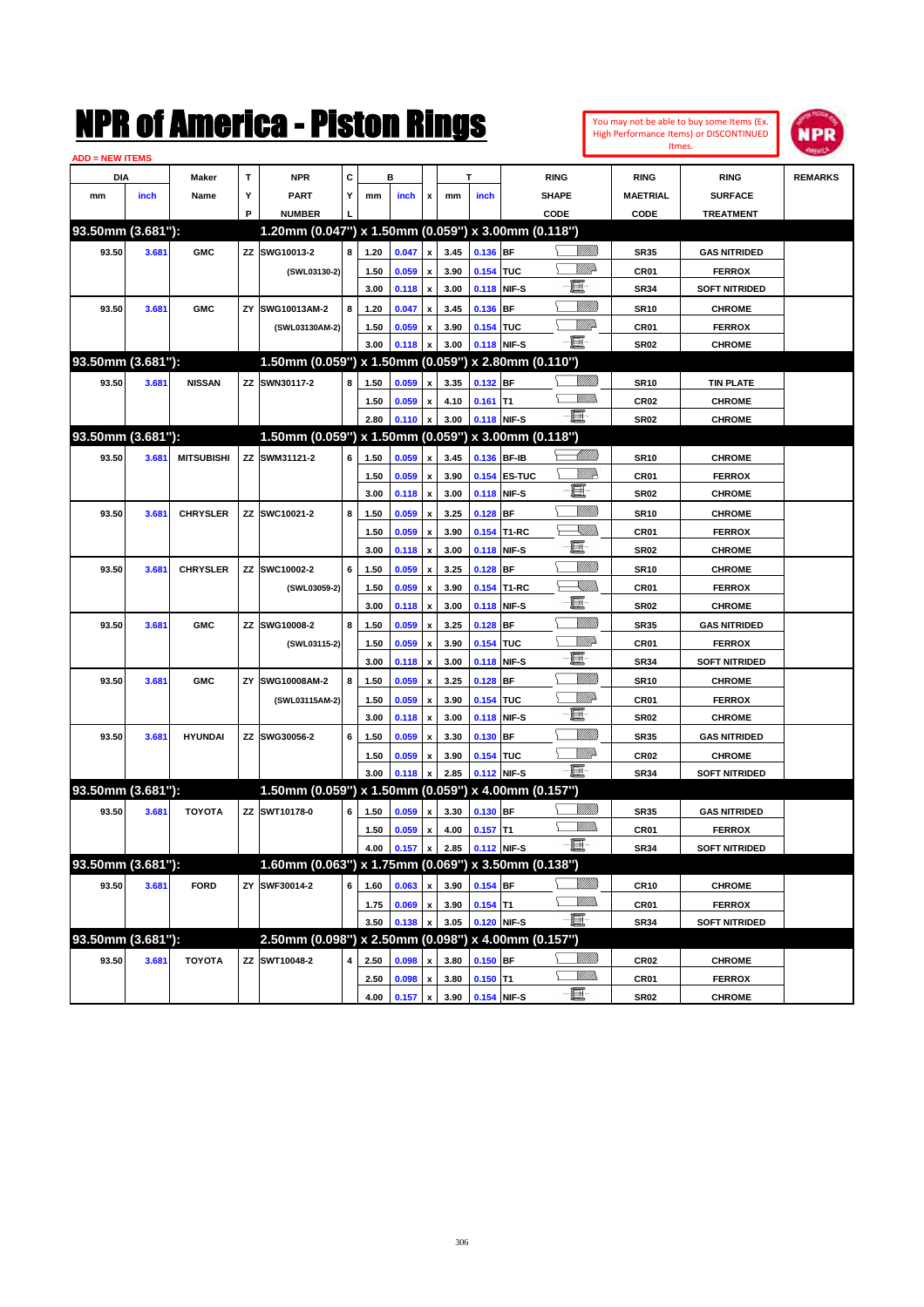

| <b>ADD = NEW ITEMS</b> |       |                   |    |                                                     |   |              |                |                         |              |             |              |                 |                     |                                |                |
|------------------------|-------|-------------------|----|-----------------------------------------------------|---|--------------|----------------|-------------------------|--------------|-------------|--------------|-----------------|---------------------|--------------------------------|----------------|
| DIA                    |       | <b>Maker</b>      | T  | <b>NPR</b>                                          | C |              | в              |                         |              | T           |              | <b>RING</b>     | <b>RING</b>         | <b>RING</b>                    | <b>REMARKS</b> |
| mm                     | inch  | Name              | Υ  | <b>PART</b>                                         | Y | mm           | inch           | x                       | mm           | inch        |              | <b>SHAPE</b>    | <b>MAETRIAL</b>     | <b>SURFACE</b>                 |                |
|                        |       |                   | P  | <b>NUMBER</b>                                       |   |              |                |                         |              |             |              | CODE            | CODE                | <b>TREATMENT</b>               |                |
| 93.50mm (3.681"):      |       |                   |    | 1.20mm (0.047") x 1.50mm (0.059") x 3.00mm (0.118") |   |              |                |                         |              |             |              |                 |                     |                                |                |
| 93.50                  | 3.681 | <b>GMC</b>        |    | ZZ SWG10013-2                                       | 8 | 1.20         | 0.047          | x                       | 3.45         | 0.136 BF    |              | <u>Sillilli</u> | <b>SR35</b>         | <b>GAS NITRIDED</b>            |                |
|                        |       |                   |    | (SWL03130-2)                                        |   | 1.50         | 0.059          | x                       | 3.90         | 0.154 TUC   |              | <u>MMP</u>      | CR01                | <b>FERROX</b>                  |                |
|                        |       |                   |    |                                                     |   | 3.00         | 0.118          | $\pmb{\mathsf{x}}$      | 3.00         |             | 0.118 NIF-S  | E               | <b>SR34</b>         | <b>SOFT NITRIDED</b>           |                |
| 93.50                  | 3.681 | <b>GMC</b>        | ZY | SWG10013AM-2                                        | 8 | 1.20         | 0.047          | x                       | 3.45         | 0.136 BF    |              | <u>Milli</u> k  | <b>SR10</b>         | <b>CHROME</b>                  |                |
|                        |       |                   |    | (SWL03130AM-2)                                      |   | 1.50         | 0.059          | x                       | 3.90         | 0.154 TUC   |              | <u>Willia</u>   | CR01                | <b>FERROX</b>                  |                |
|                        |       |                   |    |                                                     |   | 3.00         | 0.118          | x                       | 3.00         | 0.118 NIF-S |              | -8              | SR <sub>02</sub>    | <b>CHROME</b>                  |                |
| 93.50mm (3.681"):      |       |                   |    | 1.50mm (0.059") x 1.50mm (0.059") x 2.80mm (0.110") |   |              |                |                         |              |             |              |                 |                     |                                |                |
| 93.50                  | 3.681 | <b>NISSAN</b>     |    | ZZ SWN30117-2                                       | 8 | 1.50         | 0.059          | x                       | 3.35         | 0.132 BF    |              | <u>MMW</u>      | <b>SR10</b>         | <b>TIN PLATE</b>               |                |
|                        |       |                   |    |                                                     |   | 1.50         | 0.059          | x                       | 4.10         | $0.161$ T1  |              | .<br>WWW        | <b>CR02</b>         | <b>CHROME</b>                  |                |
|                        |       |                   |    |                                                     |   | 2.80         | 0.110          | x                       | 3.00         |             | 0.118 NIF-S  | -8              | SR <sub>02</sub>    | <b>CHROME</b>                  |                |
| 93.50mm (3.681"):      |       |                   |    | 1.50mm (0.059") x 1.50mm (0.059") x 3.00mm (0.118") |   |              |                |                         |              |             |              |                 |                     |                                |                |
| 93.50                  | 3.681 | <b>MITSUBISHI</b> |    | ZZ SWM31121-2                                       | 6 | 1.50         | 0.059          | x                       | 3.45         | 0.136 BF-IB |              | MMB             | <b>SR10</b>         | <b>CHROME</b>                  |                |
|                        |       |                   |    |                                                     |   | 1.50         | 0.059          | x                       | 3.90         |             | 0.154 ES-TUC | <u>MMR</u>      | CR01                | <b>FERROX</b>                  |                |
|                        |       |                   |    |                                                     |   | 3.00         | 0.118          | x                       | 3.00         |             | 0.118 NIF-S  | e.              | <b>SR02</b>         | <b>CHROME</b>                  |                |
| 93.50                  | 3.681 | <b>CHRYSLER</b>   |    | ZZ SWC10021-2                                       | 8 | 1.50         | 0.059          | x                       | 3.25         | $0.128$ BF  |              | <u>Milli</u> k  | <b>SR10</b>         | <b>CHROME</b>                  |                |
|                        |       |                   |    |                                                     |   | 1.50         | 0.059          | x                       | 3.90         |             | 0.154 T1-RC  | <u>XIII)</u>    | CR01                | <b>FERROX</b>                  |                |
|                        |       |                   |    |                                                     |   | 3.00         | 0.118          | x                       | 3.00         |             | 0.118 NIF-S  | e               | <b>SR02</b>         | <b>CHROME</b>                  |                |
| 93.50                  | 3.681 | <b>CHRYSLER</b>   |    | ZZ SWC10002-2                                       | 6 | 1.50         | 0.059          | x                       | 3.25         | $0.128$ BF  |              | <u>Milli</u> k  | <b>SR10</b>         | <b>CHROME</b>                  |                |
|                        |       |                   |    | (SWL03059-2)                                        |   | 1.50         | 0.059          | x                       | 3.90         |             | 0.154 T1-RC  | <u>Sillin</u>   | CR01                | <b>FERROX</b>                  |                |
|                        |       |                   |    |                                                     |   | 3.00         | 0.118          | x                       | 3.00         | 0.118 NIF-S |              | E               | <b>SR02</b>         | <b>CHROME</b>                  |                |
| 93.50                  | 3.681 | <b>GMC</b>        |    | ZZ SWG10008-2                                       | 8 | 1.50         | 0.059          | x                       | 3.25         | $0.128$ BF  |              | <u>MMW</u>      | <b>SR35</b>         | <b>GAS NITRIDED</b>            |                |
|                        |       |                   |    | (SWL03115-2)                                        |   | 1.50         | 0.059          | x                       | 3.90         | 0.154 TUC   |              | MMD             | <b>CR01</b>         | <b>FERROX</b>                  |                |
|                        |       |                   |    |                                                     |   | 3.00         | 0.118          | x                       | 3.00         | 0.118 NIF-S |              | E               | <b>SR34</b>         | <b>SOFT NITRIDED</b>           |                |
| 93.50                  | 3.681 | <b>GMC</b>        | ZY | SWG10008AM-2                                        | 8 | 1.50         | 0.059          | x                       | 3.25         | $0.128$ BF  |              | <u>MMW</u>      | <b>SR10</b>         | <b>CHROME</b>                  |                |
|                        |       |                   |    | (SWL03115AM-2)                                      |   | 1.50         | 0.059          | x                       | 3.90         | 0.154 TUC   |              | <u>Willia</u>   | CR01                | <b>FERROX</b>                  |                |
|                        |       |                   |    |                                                     |   | 3.00         | 0.118          | x                       | 3.00         | 0.118 NIF-S |              | E               | <b>SR02</b>         | <b>CHROME</b>                  |                |
| 93.50                  | 3.681 | <b>HYUNDAI</b>    |    | ZZ SWG30056-2                                       | 6 | 1.50         | 0.059          |                         | 3.30         | $0.130$ BF  |              | <u>Milli</u> k  | <b>SR35</b>         | <b>GAS NITRIDED</b>            |                |
|                        |       |                   |    |                                                     |   | 1.50         | 0.059          | x                       | 3.90         | 0.154 TUC   |              | <u>Willia</u>   | <b>CR02</b>         | <b>CHROME</b>                  |                |
|                        |       |                   |    |                                                     |   | 3.00         | 0.118          | x                       | 2.85         | 0.112 NIF-S |              | -E.             | <b>SR34</b>         | <b>SOFT NITRIDED</b>           |                |
| 93.50mm (3.681"):      |       |                   |    | 1.50mm (0.059") x 1.50mm (0.059") x 4.00mm (0.157") |   |              |                |                         |              |             |              |                 |                     |                                |                |
| 93.50                  | 3.681 | <b>TOYOTA</b>     |    | ZZ SWT10178-0                                       | 6 | 1.50         | 0.059          | x                       | 3.30         | 0.130 BF    |              | WMM)            | <b>SR35</b>         | <b>GAS NITRIDED</b>            |                |
|                        |       |                   |    |                                                     |   | 1.50         | 0.059          |                         | 4.00         | $0.157$ T1  |              | <br>Mar         | CR01                | <b>FERROX</b>                  |                |
|                        |       |                   |    |                                                     |   | 4.00         | 0.157          | x<br>$\pmb{\mathsf{x}}$ | 2.85         | 0.112 NIF-S |              | - 1             | <b>SR34</b>         | <b>SOFT NITRIDED</b>           |                |
| 93.50mm (3.681"):      |       |                   |    | 1.60mm (0.063") x 1.75mm (0.069") x 3.50mm (0.138") |   |              |                |                         |              |             |              |                 |                     |                                |                |
| 93.50                  | 3.681 | <b>FORD</b>       |    | ZY SWF30014-2                                       | 6 | 1.60         | 0.063          | x                       | 3.90         | 0.154 BF    |              | <u>VIIII</u> )  | <b>CR10</b>         | <b>CHROME</b>                  |                |
|                        |       |                   |    |                                                     |   | 1.75         | 0.069          | $\pmb{\mathsf{x}}$      | 3.90         | $0.154$ T1  |              | <u>MM)</u>      | CR01                | <b>FERROX</b>                  |                |
|                        |       |                   |    |                                                     |   | 3.50         | 0.138          |                         | 3.05         | 0.120 NIF-S |              | -E-             | <b>SR34</b>         | <b>SOFT NITRIDED</b>           |                |
| 93.50mm (3.681"):      |       |                   |    | 2.50mm (0.098") x 2.50mm (0.098") x 4.00mm (0.157") |   |              |                |                         |              |             |              |                 |                     |                                |                |
| 93.50                  | 3.681 | <b>TOYOTA</b>     |    | ZZ SWT10048-2                                       | 4 |              | 0.098          |                         |              | $0.150$ BF  |              | <u>VIII))</u>   |                     |                                |                |
|                        |       |                   |    |                                                     |   | 2.50         |                | x                       | 3.80         | $0.150$ T1  |              | <u>Willida</u>  | CR02                | <b>CHROME</b>                  |                |
|                        |       |                   |    |                                                     |   | 2.50<br>4.00 | 0.098<br>0.157 | x<br>$\pmb{\mathsf{x}}$ | 3.80<br>3.90 | 0.154 NIF-S |              | $-\Xi$ -        | CR01<br><b>SR02</b> | <b>FERROX</b><br><b>CHROME</b> |                |
|                        |       |                   |    |                                                     |   |              |                |                         |              |             |              |                 |                     |                                |                |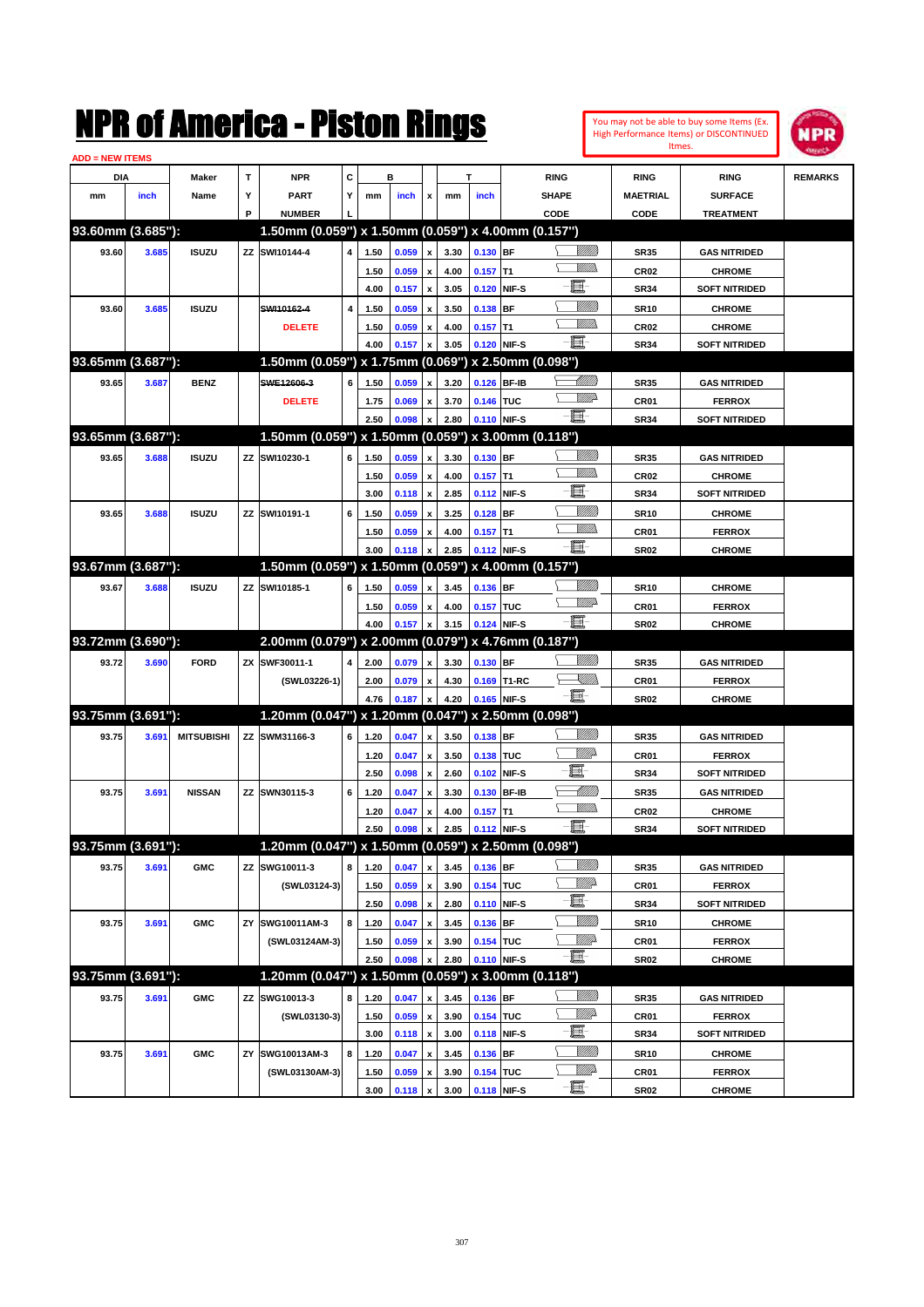| You may not be able to buy some Items (Ex. |
|--------------------------------------------|
| High Performance Items) or DISCONTINUED    |
| Itmes.                                     |



| <b>ADD = NEW ITEMS</b> |       |                   |    |                                                     |                         |      |       |                           |      |             |             |                   |                 |                      |                |
|------------------------|-------|-------------------|----|-----------------------------------------------------|-------------------------|------|-------|---------------------------|------|-------------|-------------|-------------------|-----------------|----------------------|----------------|
| DIA                    |       | <b>Maker</b>      | T  | <b>NPR</b>                                          | С                       |      | в     |                           |      | т           |             | <b>RING</b>       | <b>RING</b>     | <b>RING</b>          | <b>REMARKS</b> |
| mm                     | inch  | Name              | Υ  | <b>PART</b>                                         | Y                       | mm   | inch  | x                         | mm   | inch        |             | <b>SHAPE</b>      | <b>MAETRIAL</b> | <b>SURFACE</b>       |                |
|                        |       |                   | P  | <b>NUMBER</b>                                       |                         |      |       |                           |      |             |             | CODE              | CODE            | <b>TREATMENT</b>     |                |
| 93.60mm (3.685"):      |       |                   |    | 1.50mm (0.059") x 1.50mm (0.059") x 4.00mm (0.157") |                         |      |       |                           |      |             |             |                   |                 |                      |                |
| 93.60                  | 3.685 | <b>ISUZU</b>      | ΖZ | SWI10144-4                                          | $\overline{\mathbf{4}}$ | 1.50 | 0.059 | $\pmb{\mathsf{x}}$        | 3.30 | $0.130$ BF  |             | <u>Sillilli</u>   | <b>SR35</b>     | <b>GAS NITRIDED</b>  |                |
|                        |       |                   |    |                                                     |                         | 1.50 | 0.059 | x                         | 4.00 | $0.157$ T1  |             | <br>Mad           | <b>CR02</b>     | <b>CHROME</b>        |                |
|                        |       |                   |    |                                                     |                         | 4.00 | 0.157 | X                         | 3.05 | 0.120 NIF-S |             | E                 | <b>SR34</b>     | <b>SOFT NITRIDED</b> |                |
| 93.60                  | 3.685 | <b>ISUZU</b>      |    | SWI10162-4                                          | $\overline{\mathbf{4}}$ | 1.50 | 0.059 | x                         | 3.50 | 0.138 BF    |             | <u>Milli</u> k    | <b>SR10</b>     | <b>CHROME</b>        |                |
|                        |       |                   |    | <b>DELETE</b>                                       |                         | 1.50 | 0.059 | x                         | 4.00 | $0.157$ T1  |             | <u>MM)</u>        | <b>CR02</b>     | <b>CHROME</b>        |                |
|                        |       |                   |    |                                                     |                         | 4.00 | 0.157 | X                         | 3.05 | 0.120 NIF-S |             | - 1               | <b>SR34</b>     | <b>SOFT NITRIDED</b> |                |
| 93.65mm (3.687"):      |       |                   |    | 1.50mm (0.059") x 1.75mm (0.069") x 2.50mm (0.098") |                         |      |       |                           |      |             |             |                   |                 |                      |                |
| 93.65                  | 3.687 | <b>BENZ</b>       |    | SWE12606-3                                          | 6                       | 1.50 | 0.059 | x                         | 3.20 | 0.126 BF-IB |             | <u> Millits</u>   | <b>SR35</b>     | <b>GAS NITRIDED</b>  |                |
|                        |       |                   |    | <b>DELETE</b>                                       |                         | 1.75 | 0.069 | x                         | 3.70 | 0.146 TUC   |             | <u>WW</u>         | CR01            | <b>FERROX</b>        |                |
|                        |       |                   |    |                                                     |                         | 2.50 | 0.098 | $\boldsymbol{x}$          | 2.80 | 0.110 NIF-S |             | -e-               | <b>SR34</b>     | <b>SOFT NITRIDED</b> |                |
| 93.65mm (3.687"):      |       |                   |    | 1.50mm (0.059") x 1.50mm (0.059") x 3.00mm (0.118") |                         |      |       |                           |      |             |             |                   |                 |                      |                |
|                        |       |                   |    |                                                     | 6                       |      |       |                           |      |             |             | <u>Milli</u> k    |                 |                      |                |
| 93.65                  | 3.688 | <b>ISUZU</b>      | ΖZ | SWI10230-1                                          |                         | 1.50 | 0.059 | X                         | 3.30 | $0.130$ BF  |             | <br>Mar           | <b>SR35</b>     | <b>GAS NITRIDED</b>  |                |
|                        |       |                   |    |                                                     |                         | 1.50 | 0.059 | x                         | 4.00 | $0.157$ T1  |             | E                 | <b>CR02</b>     | <b>CHROME</b>        |                |
|                        |       |                   |    |                                                     |                         | 3.00 | 0.118 | $\pmb{\mathsf{x}}$        | 2.85 | 0.112 NIF-S |             | <u>MMM</u>        | <b>SR34</b>     | <b>SOFT NITRIDED</b> |                |
| 93.65                  | 3.688 | <b>ISUZU</b>      | ΖZ | SWI10191-1                                          | 6                       | 1.50 | 0.059 | X                         | 3.25 | $0.128$ BF  |             | <br>Mar           | <b>SR10</b>     | <b>CHROME</b>        |                |
|                        |       |                   |    |                                                     |                         | 1.50 | 0.059 | x                         | 4.00 | $0.157$ T1  |             | - 1               | CR01            | <b>FERROX</b>        |                |
|                        |       |                   |    |                                                     |                         | 3.00 | 0.118 | $\boldsymbol{x}$          | 2.85 | 0.112 NIF-S |             |                   | <b>SR02</b>     | <b>CHROME</b>        |                |
| 93.67mm (3.687"):      |       |                   |    | 1.50mm (0.059") x 1.50mm (0.059") x 4.00mm (0.157") |                         |      |       |                           |      |             |             |                   |                 |                      |                |
| 93.67                  | 3.688 | <b>ISUZU</b>      | ΖZ | SWI10185-1                                          | 6                       | 1.50 | 0.059 | x                         | 3.45 | 0.136 BF    |             | <u>Milli</u>      | <b>SR10</b>     | <b>CHROME</b>        |                |
|                        |       |                   |    |                                                     |                         | 1.50 | 0.059 | x                         | 4.00 | 0.157 TUC   |             | <u>WW</u>         | CR01            | <b>FERROX</b>        |                |
|                        |       |                   |    |                                                     |                         | 4.00 | 0.157 | X                         | 3.15 | 0.124 NIF-S |             | -8                | <b>SR02</b>     | <b>CHROME</b>        |                |
| 93.72mm (3.690"):      |       |                   |    | 2.00mm (0.079") x 2.00mm (0.079") x 4.76mm (0.187") |                         |      |       |                           |      |             |             |                   |                 |                      |                |
| 93.72                  | 3.690 | <b>FORD</b>       | ZX | SWF30011-1                                          | $\overline{\mathbf{4}}$ | 2.00 | 0.079 | $\pmb{\mathsf{x}}$        | 3.30 | $0.130$ BF  |             | <u>Milli</u>      | <b>SR35</b>     | <b>GAS NITRIDED</b>  |                |
|                        |       |                   |    | (SWL03226-1)                                        |                         | 2.00 | 0.079 | x                         | 4.30 |             | 0.169 T1-RC | <u>VM))</u>       | CR01            | <b>FERROX</b>        |                |
|                        |       |                   |    |                                                     |                         | 4.76 | 0.187 | $\boldsymbol{x}$          | 4.20 | 0.165 NIF-S |             | - III.            | <b>SR02</b>     | <b>CHROME</b>        |                |
| 93.75mm (3.691"):      |       |                   |    | 1.20mm $(0.047")$ x 1.20mm $(0.047")$               |                         |      |       |                           |      |             |             | x 2.50mm (0.098") |                 |                      |                |
| 93.75                  | 3.691 | <b>MITSUBISHI</b> |    | ZZ SWM31166-3                                       | 6                       | 1.20 | 0.047 | $\pmb{\mathsf{x}}$        | 3.50 | 0.138 BF    |             | <u>VIIII)</u>     | <b>SR35</b>     | <b>GAS NITRIDED</b>  |                |
|                        |       |                   |    |                                                     |                         | 1.20 | 0.047 | x                         | 3.50 | 0.138 TUC   |             | <u>MMP</u>        | CR01            | <b>FERROX</b>        |                |
|                        |       |                   |    |                                                     |                         | 2.50 | 0.098 | $\boldsymbol{\mathsf{x}}$ | 2.60 | 0.102 NIF-S |             | E                 | <b>SR34</b>     | <b>SOFT NITRIDED</b> |                |
| 93.75                  | 3.691 | <b>NISSAN</b>     | ΖZ | SWN30115-3                                          | 6                       | 1.20 | 0.047 | x                         | 3.30 | 0.130 BF-IB |             | MMM               | <b>SR35</b>     | <b>GAS NITRIDED</b>  |                |
|                        |       |                   |    |                                                     |                         | 1.20 | 0.047 | x                         | 4.00 | $0.157$ T1  |             | <br>Mar           | <b>CR02</b>     | <b>CHROME</b>        |                |
|                        |       |                   |    |                                                     |                         | 2.50 | 0.098 | $\pmb{\mathsf{x}}$        | 2.85 | 0.112 NIF-S |             | ·ii               | <b>SR34</b>     | <b>SOFT NITRIDED</b> |                |
| 93.75mm (3.691"):      |       |                   |    | 1.20mm (0.047") x 1.50mm (0.059") x 2.50mm (0.098") |                         |      |       |                           |      |             |             |                   |                 |                      |                |
| 93.75                  |       |                   |    |                                                     |                         |      |       |                           |      |             |             |                   |                 |                      |                |
|                        | 3.691 | <b>GMC</b>        |    | ZZ SWG10011-3                                       | 8                       | 1.20 | 0.047 | $\pmb{\mathsf{x}}$        | 3.45 | $0.136$ BF  |             | <u>Milli</u> k    | <b>SR35</b>     | <b>GAS NITRIDED</b>  |                |
|                        |       |                   |    | (SWL03124-3)                                        |                         | 1.50 | 0.059 | $\pmb{\mathsf{x}}$        | 3.90 | 0.154 TUC   |             | <u>Willi</u> b    | CR01            | <b>FERROX</b>        |                |
|                        |       |                   |    |                                                     |                         | 2.50 | 0.098 | $\pmb{\mathsf{x}}$        | 2.80 | 0.110 NIF-S |             | E                 | <b>SR34</b>     | <b>SOFT NITRIDED</b> |                |
| 93.75                  | 3.691 | <b>GMC</b>        | ΖY | SWG10011AM-3                                        | 8                       | 1.20 | 0.047 | $\pmb{\mathsf{x}}$        | 3.45 | $0.136$ BF  |             | <u>VMM)</u>       | <b>SR10</b>     | <b>CHROME</b>        |                |
|                        |       |                   |    | (SWL03124AM-3)                                      |                         | 1.50 | 0.059 | x                         | 3.90 | 0.154 TUC   |             | <u>MM</u> do      | CR01            | <b>FERROX</b>        |                |
|                        |       |                   |    |                                                     |                         | 2.50 | 0.098 | x                         | 2.80 | 0.110 NIF-S |             | e.                | <b>SR02</b>     | <b>CHROME</b>        |                |
| 93.75mm (3.691"):      |       |                   |    | 1.20mm (0.047") x 1.50mm (0.059") x 3.00mm (0.118") |                         |      |       |                           |      |             |             |                   |                 |                      |                |
| 93.75                  | 3.691 | <b>GMC</b>        |    | ZZ SWG10013-3                                       | 8                       | 1.20 | 0.047 | x                         | 3.45 | $0.136$ BF  |             | <u>VMM</u>        | <b>SR35</b>     | <b>GAS NITRIDED</b>  |                |
|                        |       |                   |    | (SWL03130-3)                                        |                         | 1.50 | 0.059 | $\pmb{\mathsf{x}}$        | 3.90 | 0.154 TUC   |             | <u>VIIIt</u> da   | CR01            | <b>FERROX</b>        |                |
|                        |       |                   |    |                                                     |                         | 3.00 | 0.118 | $\pmb{\mathsf{x}}$        | 3.00 | 0.118 NIF-S |             | E                 | <b>SR34</b>     | <b>SOFT NITRIDED</b> |                |
| 93.75                  | 3.691 | <b>GMC</b>        | ΖY | SWG10013AM-3                                        | 8                       | 1.20 | 0.047 | x                         | 3.45 | $0.136$ BF  |             | <u>VMM</u>        | <b>SR10</b>     | <b>CHROME</b>        |                |
|                        |       |                   |    | (SWL03130AM-3)                                      |                         | 1.50 | 0.059 | x                         | 3.90 | 0.154 TUC   |             | <i><u>MMÞ</u></i> | CR01            | <b>FERROX</b>        |                |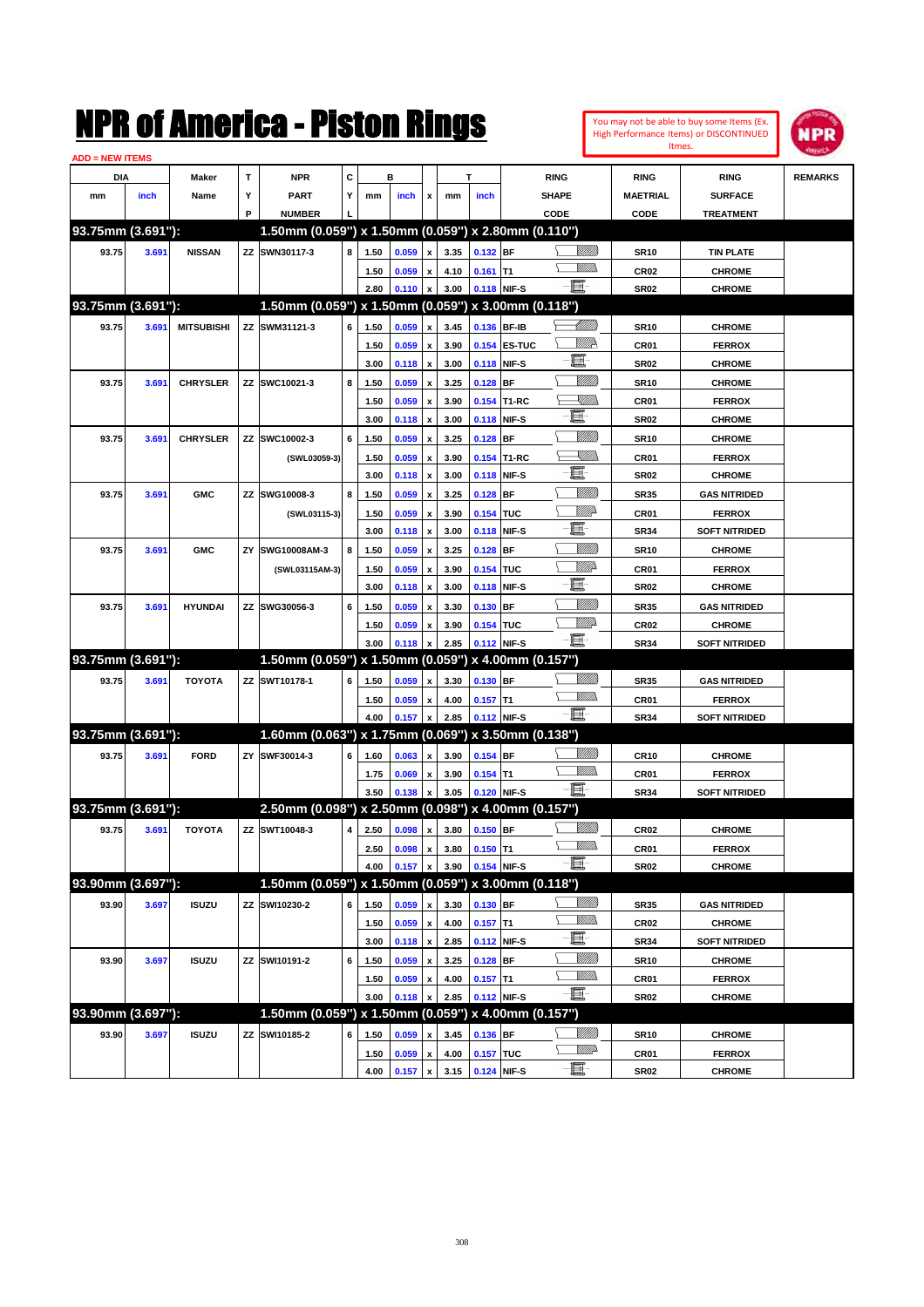| <u> ADD = NEW ITEMS</u> |       |                   |    | NMK OI AINCrica - Miston Kings                      |   |      |       |                           |              |             |              |              |                   |                                 | You may not be able to buy some Items (Ex.<br><b>High Performance Items) or DISCONTINUED</b><br>Itmes. | <b>NPR</b>     |
|-------------------------|-------|-------------------|----|-----------------------------------------------------|---|------|-------|---------------------------|--------------|-------------|--------------|--------------|-------------------|---------------------------------|--------------------------------------------------------------------------------------------------------|----------------|
| DIA                     |       | Maker             | T  | <b>NPR</b>                                          | C |      | в     |                           |              | T           |              | <b>RING</b>  |                   | <b>RING</b>                     | <b>RING</b>                                                                                            | <b>REMARKS</b> |
| mm                      | inch  | Name              | Υ  | <b>PART</b>                                         | Y | mm   | inch  | x                         | mm           | inch        |              | <b>SHAPE</b> |                   | <b>MAETRIAL</b>                 | <b>SURFACE</b>                                                                                         |                |
|                         |       |                   | P  | <b>NUMBER</b>                                       |   |      |       |                           |              |             |              | CODE         |                   | CODE                            | <b>TREATMENT</b>                                                                                       |                |
| 93.75mm (3.691"):       |       |                   |    | 1.50mm (0.059") x 1.50mm (0.059") x 2.80mm (0.110") |   |      |       |                           |              |             |              |              |                   |                                 |                                                                                                        |                |
| 93.75                   | 3.691 | <b>NISSAN</b>     |    | ZZ SWN30117-3                                       | 8 | 1.50 | 0.059 | $\pmb{\mathsf{x}}$        | 3.35         | 0.132 BF    |              |              | <u>Sillilli</u>   | <b>SR10</b>                     | <b>TIN PLATE</b>                                                                                       |                |
|                         |       |                   |    |                                                     |   | 1.50 | 0.059 | $\pmb{\mathsf{x}}$        | 4.10         | $0.161$ T1  |              |              | VMM)              | CR <sub>02</sub>                | <b>CHROME</b>                                                                                          |                |
|                         |       |                   |    |                                                     |   | 2.80 | 0.110 | x                         | 3.00         |             | 0.118 NIF-S  | E            |                   | <b>SR02</b>                     | <b>CHROME</b>                                                                                          |                |
| 93.75mm (3.691"):       |       |                   |    | 1.50mm (0.059") x 1.50mm (0.059") x 3.00mm (0.118") |   |      |       |                           |              |             |              |              |                   |                                 |                                                                                                        |                |
| 93.75                   | 3.691 | <b>MITSUBISHI</b> |    | ZZ SWM31121-3                                       | 6 | 1.50 | 0.059 | $\pmb{\mathsf{x}}$        | 3.45         | 0.136 BF-IB |              |              | <u> Milli</u> lli | <b>SR10</b>                     | <b>CHROME</b>                                                                                          |                |
|                         |       |                   |    |                                                     |   | 1.50 | 0.059 | $\pmb{\mathsf{x}}$        | 3.90         |             | 0.154 ES-TUC |              | <u>Willik</u>     | CR01                            | <b>FERROX</b>                                                                                          |                |
|                         |       |                   |    |                                                     |   | 3.00 | 0.118 | X                         | 3.00         |             | 0.118 NIF-S  | E.           |                   | <b>SR02</b>                     | <b>CHROME</b>                                                                                          |                |
| 93.75                   | 3.691 | <b>CHRYSLER</b>   |    | ZZ SWC10021-3                                       | 8 | 1.50 | 0.059 | $\pmb{\mathsf{x}}$        | 3.25         | $0.128$ BF  |              |              | <u>Milli</u> k    | <b>SR10</b>                     | <b>CHROME</b>                                                                                          |                |
|                         |       |                   |    |                                                     |   | 1.50 | 0.059 | $\pmb{\mathsf{x}}$        | 3.90         |             | 0.154 T1-RC  |              | <u>Sillin</u>     | CR01                            | <b>FERROX</b>                                                                                          |                |
|                         |       |                   |    |                                                     |   | 3.00 | 0.118 | x                         | 3.00         |             | 0.118 NIF-S  | E            |                   | <b>SR02</b>                     | <b>CHROME</b>                                                                                          |                |
| 93.75                   | 3.691 | <b>CHRYSLER</b>   |    | ZZ SWC10002-3                                       | 6 | 1.50 | 0.059 | x                         | 3.25         | 0.128 BF    |              |              | <u>Milli</u> k    | <b>SR10</b>                     | <b>CHROME</b>                                                                                          |                |
|                         |       |                   |    | (SWL03059-3)                                        |   | 1.50 | 0.059 | $\pmb{\mathsf{x}}$        | 3.90         |             | 0.154 T1-RC  |              | <u>I</u> MB       | CR01                            | <b>FERROX</b>                                                                                          |                |
|                         |       |                   |    |                                                     |   | 3.00 | 0.118 | X                         | 3.00         |             | 0.118 NIF-S  | E            |                   | <b>SR02</b>                     | <b>CHROME</b>                                                                                          |                |
| 93.75                   | 3.691 | <b>GMC</b>        | ZZ | SWG10008-3                                          | 8 | 1.50 | 0.059 | $\pmb{\mathsf{x}}$        | 3.25         | $0.128$ BF  |              |              | <u>Milli</u> k    | <b>SR35</b>                     | <b>GAS NITRIDED</b>                                                                                    |                |
|                         |       |                   |    | (SWL03115-3)                                        |   | 1.50 | 0.059 | $\pmb{\mathsf{x}}$        | 3.90         | 0.154       | TUC          |              | <u>MMP</u>        | CR01                            | <b>FERROX</b>                                                                                          |                |
|                         |       |                   |    |                                                     |   | 3.00 | 0.118 | x                         | 3.00         |             | 0.118 NIF-S  | E.           |                   | <b>SR34</b>                     | <b>SOFT NITRIDED</b>                                                                                   |                |
| 93.75                   | 3.691 | <b>GMC</b>        | ZY | SWG10008AM-3                                        | 8 | 1.50 | 0.059 | $\pmb{\mathsf{x}}$        | 3.25         | 0.128       | <b>BF</b>    |              | <u>MMM</u>        | <b>SR10</b>                     | <b>CHROME</b>                                                                                          |                |
|                         |       |                   |    | (SWL03115AM-3)                                      |   | 1.50 | 0.059 | $\pmb{\mathsf{x}}$        | 3.90         | 0.154       | TUC          |              | <u>VIIID</u>      | CR01                            | <b>FERROX</b>                                                                                          |                |
|                         |       |                   |    |                                                     |   | 3.00 | 0.118 | $\boldsymbol{\mathsf{x}}$ | 3.00         |             | 0.118 NIF-S  | E            |                   | <b>SR02</b>                     | <b>CHROME</b>                                                                                          |                |
| 93.75                   | 3.691 | <b>HYUNDAI</b>    |    | ZZ SWG30056-3                                       | 6 | 1.50 | 0.059 | $\pmb{\mathsf{x}}$        | 3.30         | 0.130 BF    |              |              | <u>Milli</u> k    | <b>SR35</b>                     | <b>GAS NITRIDED</b>                                                                                    |                |
|                         |       |                   |    |                                                     |   | 1.50 | 0.059 | $\pmb{\mathsf{x}}$        | 3.90         | 0.154 TUC   |              |              | <u>MMP</u>        | CR <sub>02</sub>                | <b>CHROME</b>                                                                                          |                |
|                         |       |                   |    |                                                     |   | 3.00 | 0.118 | x                         | 2.85         |             | 0.112 NIF-S  | E            |                   | <b>SR34</b>                     | <b>SOFT NITRIDED</b>                                                                                   |                |
| 93.75mm (3.691"):       |       |                   |    | 1.50mm (0.059") x 1.50mm (0.059") x 4.00mm (0.157") |   |      |       |                           |              |             |              |              |                   |                                 |                                                                                                        |                |
| 93.75                   | 3.691 | <b>TOYOTA</b>     |    | ZZ SWT10178-1                                       | 6 | 1.50 | 0.059 | $\boldsymbol{x}$          | 3.30         | 0.130 BF    |              |              | <u>Milli</u> k    | <b>SR35</b>                     | <b>GAS NITRIDED</b>                                                                                    |                |
|                         |       |                   |    |                                                     |   | 1.50 | 0.059 | $\pmb{\mathsf{x}}$        | 4.00         | $0.157$ T1  |              |              | CMM)              | CR01                            | <b>FERROX</b>                                                                                          |                |
|                         |       |                   |    |                                                     |   | 4.00 | 0.157 | x                         | 2.85         |             | 0.112 NIF-S  | E.           |                   | <b>SR34</b>                     | <b>SOFT NITRIDED</b>                                                                                   |                |
| 93.75mm (3.691"):       |       |                   |    | 1.60mm (0.063") x 1.75mm (0.069") x 3.50mm (0.138") |   |      |       |                           |              |             |              |              |                   |                                 |                                                                                                        |                |
| 93.75                   | 3.691 | <b>FORD</b>       | ΖY | SWF30014-3                                          | 6 | 1.60 | 0.063 | $\mathbf{x}$              | 3.90         | 0.154 BF    |              |              | <u>VMM</u>        | <b>CR10</b>                     | <b>CHROME</b>                                                                                          |                |
|                         |       |                   |    |                                                     |   | 1.75 | 0.069 | $\pmb{\mathsf{x}}$        | 3.90         | $0.154$ T1  |              |              | VMM.              | CR01                            | <b>FERROX</b>                                                                                          |                |
|                         |       |                   |    |                                                     |   | 3.50 | 0.138 | $\pmb{\mathsf{x}}$        | 3.05         |             | 0.120 NIF-S  | 買            |                   | <b>SR34</b>                     | <b>SOFT NITRIDED</b>                                                                                   |                |
| 93.75mm (3.691"):       |       |                   |    | 2.50mm (0.098") x 2.50mm (0.098") x 4.00mm (0.157") |   |      |       |                           |              |             |              |              |                   |                                 |                                                                                                        |                |
| 93.75                   | 3.691 | <b>TOYOTA</b>     |    | ZZ SWT10048-3                                       | 4 | 2.50 | 0.098 | $\pmb{\mathsf{x}}$        | 3.80         | $0.150$ BF  |              |              | <u>Milli</u> h    | CR <sub>02</sub>                | <b>CHROME</b>                                                                                          |                |
|                         |       |                   |    |                                                     |   | 2.50 | 0.098 | $\pmb{\mathsf{x}}$        | 3.80         | $0.150$ T1  |              |              | <u>MMs</u>        | CR01                            | <b>FERROX</b>                                                                                          |                |
|                         |       |                   |    |                                                     |   | 4.00 | 0.157 | $\pmb{\mathsf{x}}$        | 3.90         |             | 0.154 NIF-S  | $-\Xi$       |                   | <b>SR02</b>                     | <b>CHROME</b>                                                                                          |                |
| 93.90mm (3.697"):       |       |                   |    | 1.50mm (0.059") x 1.50mm (0.059") x 3.00mm (0.118") |   |      |       |                           |              |             |              |              |                   |                                 |                                                                                                        |                |
| 93.90                   |       |                   | ZZ | SWI10230-2                                          | 6 |      |       |                           |              | 0.130 BF    |              |              | <u>VIIII)</u>     |                                 |                                                                                                        |                |
|                         | 3.697 | <b>ISUZU</b>      |    |                                                     |   | 1.50 | 0.059 | $\pmb{\mathsf{x}}$        | 3.30         | $0.157$ T1  |              | V            | <u>MM)</u>        | <b>SR35</b>                     | <b>GAS NITRIDED</b>                                                                                    |                |
|                         |       |                   |    |                                                     |   | 1.50 | 0.059 | $\pmb{\mathsf{x}}$        | 4.00<br>2.85 |             | 0.112 NIF-S  | E.           |                   | CR <sub>02</sub><br><b>SR34</b> | <b>CHROME</b><br><b>SOFT NITRIDED</b>                                                                  |                |
|                         |       |                   |    |                                                     |   | 3.00 | 0.118 | $\pmb{\mathsf{x}}$        |              |             |              |              | <u>VIIII)</u>     |                                 |                                                                                                        |                |
| 93.90                   | 3.697 | <b>ISUZU</b>      |    | ZZ SWI10191-2                                       | 6 | 1.50 | 0.059 | $\pmb{\mathsf{x}}$        | 3.25         | 0.128 BF    |              |              | <u>MMD</u>        | <b>SR10</b>                     | <b>CHROME</b>                                                                                          |                |
|                         |       |                   |    |                                                     |   | 1.50 | 0.059 | $\pmb{\mathsf{x}}$        | 4.00         | $0.157$ T1  |              | Ð.           |                   | CR01                            | <b>FERROX</b>                                                                                          |                |
| 93.90mm (3.697"):       |       |                   |    | 1.50mm (0.059") x 1.50mm (0.059") x 4.00mm (0.157") |   | 3.00 | 0.118 | x                         | 2.85         |             | 0.112 NIF-S  |              |                   | <b>SR02</b>                     | <b>CHROME</b>                                                                                          |                |
|                         |       |                   |    |                                                     |   |      |       |                           |              |             |              |              | <u>VIIII)</u>     |                                 |                                                                                                        |                |
| 93.90                   | 3.697 | <b>ISUZU</b>      |    | ZZ SWI10185-2                                       | 6 | 1.50 | 0.059 | x                         | 3.45         | 0.136 BF    |              |              | <u>WW</u> A       | <b>SR10</b>                     | <b>CHROME</b>                                                                                          |                |
|                         |       |                   |    |                                                     |   | 1.50 | 0.059 | $\pmb{\mathsf{x}}$        | 4.00         | 0.157 TUC   |              | e            |                   | CR01                            | <b>FERROX</b>                                                                                          |                |
|                         |       |                   |    |                                                     |   | 4.00 | 0.157 | $\pmb{\mathsf{x}}$        | 3.15         |             | 0.124 NIF-S  |              |                   | <b>SR02</b>                     | <b>CHROME</b>                                                                                          |                |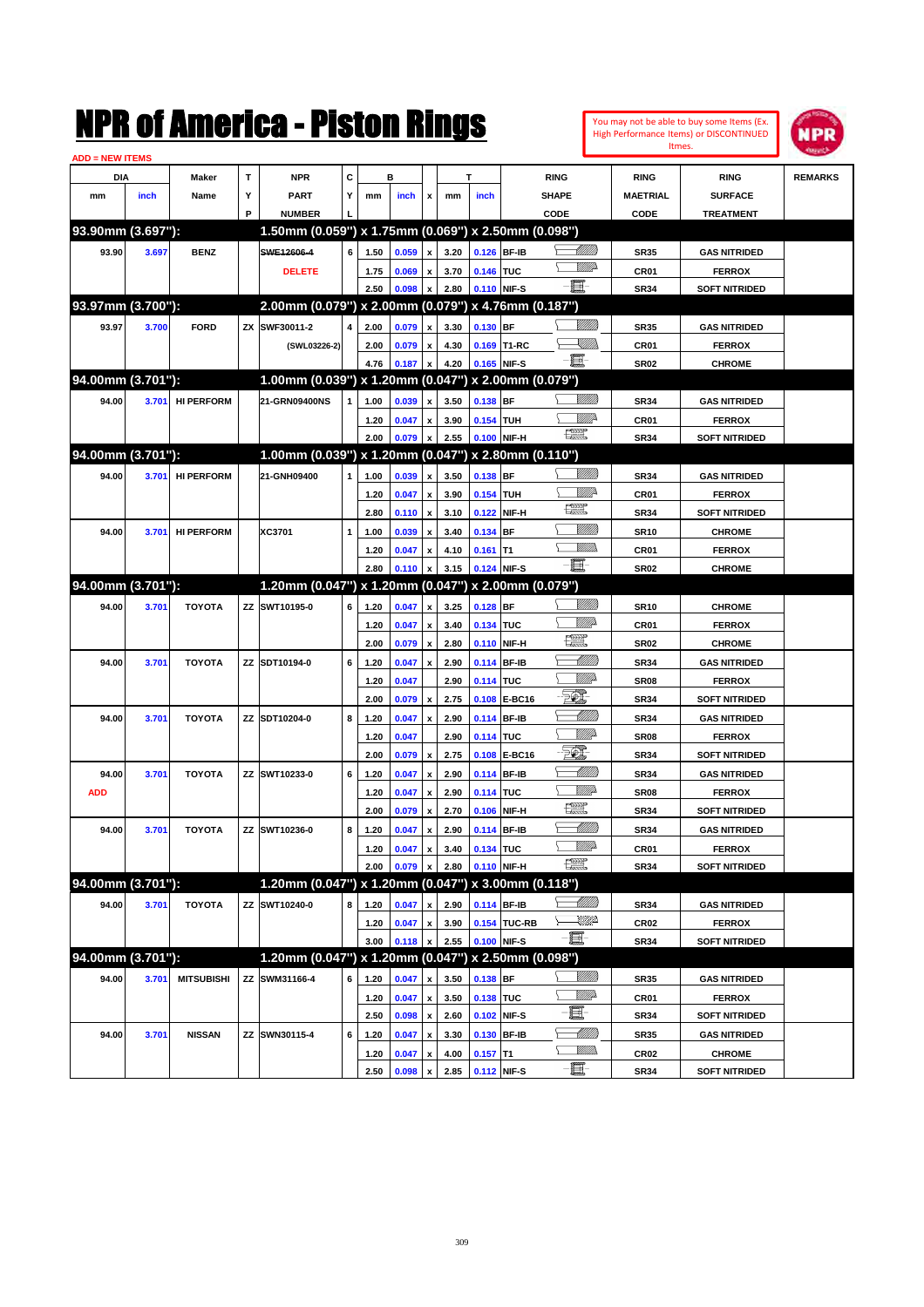| <b>ADD = NEW ITEMS</b> |       |              |   | NMK OT AMCMICA - MISLON KINGS |   |      |             |                           |      |                                     |                                                     |             |                        | You may not be able to buy some Items (Ex.<br>High Performance Items) or DISCONTINUED<br>Itmes. | IPR<br><b>Mayer Dr.</b> |
|------------------------|-------|--------------|---|-------------------------------|---|------|-------------|---------------------------|------|-------------------------------------|-----------------------------------------------------|-------------|------------------------|-------------------------------------------------------------------------------------------------|-------------------------|
| <b>DIA</b>             |       | <b>Maker</b> |   | <b>NPR</b>                    | C |      | в           |                           |      |                                     | <b>RING</b>                                         |             | <b>RING</b>            | <b>RING</b>                                                                                     | <b>REMARKS</b>          |
| mm                     | inch  | Name         | v | <b>PART</b>                   |   | mm   | <b>inch</b> | $\boldsymbol{\mathsf{x}}$ | mm   | <i>inch</i>                         | <b>SHAPE</b>                                        |             | <b>MAETRIAL</b>        | <b>SURFACE</b>                                                                                  |                         |
|                        |       |              | Р | <b>NUMBER</b>                 |   |      |             |                           |      |                                     | CODE                                                |             | CODE                   | <b>TREATMENT</b>                                                                                |                         |
| 93.90mm (3.697"):      |       |              |   |                               |   |      |             |                           |      |                                     | 1.50mm (0.059") x 1.75mm (0.069") x 2.50mm (0.098") |             |                        |                                                                                                 |                         |
| 93.90                  | 3.697 | <b>BENZ</b>  |   | SWE12606-4                    | 6 | 1.50 | 0.059 x     |                           | 3.20 | $0.126$ BF-IB                       |                                                     | <u> UMB</u> | <b>SR35</b>            | <b>GAS NITRIDED</b>                                                                             |                         |
|                        |       |              |   | <b>DELETE</b>                 |   | 1.75 | 0.069 x     |                           | 3.70 | 0.146 TUC                           |                                                     | <u>WW</u> A | CR <sub>01</sub>       | <b>FERROX</b>                                                                                   |                         |
|                        |       |              |   |                               |   |      |             |                           |      | $250$ $0.009$ $2.290$ $0.440$ NIE C | $-\blacksquare$                                     |             | <b>CD<sub>24</sub></b> | COET NITDIDED                                                                                   |                         |

|                   |       |                   | <b>DELETE</b>                                       |   |      | 1.75 0.069 x 3.70 0.146 TUC   |                           |      |                  |              | <u>MM</u> A                                                                                                                                                                                                                                                                                                                                                                                 | CR01             | <b>FERROX</b>        |  |
|-------------------|-------|-------------------|-----------------------------------------------------|---|------|-------------------------------|---------------------------|------|------------------|--------------|---------------------------------------------------------------------------------------------------------------------------------------------------------------------------------------------------------------------------------------------------------------------------------------------------------------------------------------------------------------------------------------------|------------------|----------------------|--|
|                   |       |                   |                                                     |   | 2.50 | 0.098                         | $\mathbf{x}$              |      | 2.80 0.110 NIF-S |              | E                                                                                                                                                                                                                                                                                                                                                                                           | <b>SR34</b>      | <b>SOFT NITRIDED</b> |  |
| 93.97mm (3.700"): |       |                   | 2.00mm (0.079") x 2.00mm (0.079") x 4.76mm (0.187") |   |      |                               |                           |      |                  |              |                                                                                                                                                                                                                                                                                                                                                                                             |                  |                      |  |
| 93.97             | 3.700 | <b>FORD</b>       | ZX SWF30011-2                                       |   | 2.00 | 0.079 x                       |                           | 3.30 | 0.130 BF         |              |                                                                                                                                                                                                                                                                                                                                                                                             | <b>SR35</b>      | <b>GAS NITRIDED</b>  |  |
|                   |       |                   | (SWL03226-2)                                        |   | 2.00 | 0.079                         | $\mathbf{x}$              | 4.30 |                  | 0.169 T1-RC  | <u>SUMB</u>                                                                                                                                                                                                                                                                                                                                                                                 | CR01             | <b>FERROX</b>        |  |
|                   |       |                   |                                                     |   |      | 4.76 0.187 x                  |                           | 4.20 | 0.165 NIF-S      |              | - 1                                                                                                                                                                                                                                                                                                                                                                                         | <b>SR02</b>      | <b>CHROME</b>        |  |
| 94.00mm (3.701"): |       |                   | 1.00mm (0.039") x 1.20mm (0.047") x 2.00mm (0.079") |   |      |                               |                           |      |                  |              |                                                                                                                                                                                                                                                                                                                                                                                             |                  |                      |  |
| 94.00             | 3.701 | <b>HI PERFORM</b> | 21-GRN09400NS                                       |   | 1.00 | 0.039                         | $\boldsymbol{\mathsf{x}}$ | 3.50 | 0.138 BF         |              |                                                                                                                                                                                                                                                                                                                                                                                             | SR34             | <b>GAS NITRIDED</b>  |  |
|                   |       |                   |                                                     |   | 1.20 | 0.047 x                       |                           | 3.90 | 0.154 TUH        |              | WMP-                                                                                                                                                                                                                                                                                                                                                                                        | CR01             | <b>FERROX</b>        |  |
|                   |       |                   |                                                     |   | 2.00 | 0.079 x                       |                           |      | 2.55 0.100 NIF-H |              | $\begin{picture}(20,20) \put(0,0){\dashbox{0.5}(20,0){ }} \put(15,0){\circle{10}} \put(25,0){\circle{10}} \put(25,0){\circle{10}} \put(25,0){\circle{10}} \put(25,0){\circle{10}} \put(25,0){\circle{10}} \put(25,0){\circle{10}} \put(25,0){\circle{10}} \put(25,0){\circle{10}} \put(25,0){\circle{10}} \put(25,0){\circle{10}} \put(25,0){\circle{10}} \put(25,0){\circle{10}} \put(25,$ | <b>SR34</b>      | <b>SOFT NITRIDED</b> |  |
| 94.00mm (3.701"): |       |                   | 1.00mm (0.039") x 1.20mm (0.047") x 2.80mm (0.110") |   |      |                               |                           |      |                  |              |                                                                                                                                                                                                                                                                                                                                                                                             |                  |                      |  |
| 94.00             | 3.701 | <b>HI PERFORM</b> | 21-GNH09400                                         |   | 1.00 | 0.039                         | $\boldsymbol{\mathsf{x}}$ | 3.50 | 0.138 BF         |              |                                                                                                                                                                                                                                                                                                                                                                                             | SR34             | <b>GAS NITRIDED</b>  |  |
|                   |       |                   |                                                     |   | 1.20 | 0.047 x                       |                           | 3.90 | 0.154 TUH        |              | WMP-                                                                                                                                                                                                                                                                                                                                                                                        | CR01             | <b>FERROX</b>        |  |
|                   |       |                   |                                                     |   | 2.80 | $0.110 \times$                |                           | 3.10 |                  | 0.122 NIF-H  | $\frac{1}{2}$                                                                                                                                                                                                                                                                                                                                                                               | <b>SR34</b>      | <b>SOFT NITRIDED</b> |  |
| 94.00             | 3.701 | <b>HI PERFORM</b> | XC3701                                              | 1 | 1.00 | 0.039                         | $\boldsymbol{\mathsf{x}}$ | 3.40 | 0.134 BF         |              |                                                                                                                                                                                                                                                                                                                                                                                             | <b>SR10</b>      | <b>CHROME</b>        |  |
|                   |       |                   |                                                     |   | 1.20 | 0.047                         | $\boldsymbol{x}$          | 4.10 | $0.161$ T1       |              | <u>Willib</u>                                                                                                                                                                                                                                                                                                                                                                               | CR01             | <b>FERROX</b>        |  |
|                   |       |                   |                                                     |   | 2.80 | 0.110                         | $\mathbf{x}$              | 3.15 | 0.124 NIF-S      |              | - 1                                                                                                                                                                                                                                                                                                                                                                                         | <b>SR02</b>      | <b>CHROME</b>        |  |
| 94.00mm (3.701"): |       |                   | 1.20mm (0.047") x 1.20mm (0.047") x 2.00mm (0.079") |   |      |                               |                           |      |                  |              |                                                                                                                                                                                                                                                                                                                                                                                             |                  |                      |  |
| 94.00             | 3.701 | <b>TOYOTA</b>     | ZZ SWT10195-0                                       | 6 | 1.20 | 0.047                         | $\boldsymbol{\mathsf{x}}$ | 3.25 | $0.128$ BF       |              | <u>Milli</u>                                                                                                                                                                                                                                                                                                                                                                                | <b>SR10</b>      | <b>CHROME</b>        |  |
|                   |       |                   |                                                     |   | 1.20 | 0.047                         | $\,$ $\,$ $\,$            | 3.40 | 0.134 TUC        |              | MMP                                                                                                                                                                                                                                                                                                                                                                                         | CR01             | <b>FERROX</b>        |  |
|                   |       |                   |                                                     |   | 2.00 | 0.079 x                       |                           | 2.80 |                  | 0.110 NIF-H  | æ                                                                                                                                                                                                                                                                                                                                                                                           | <b>SR02</b>      | <b>CHROME</b>        |  |
| 94.00             | 3.701 | <b>TOYOTA</b>     | ZZ SDT10194-0                                       | 6 | 1.20 | 0.047                         | $\boldsymbol{\mathsf{x}}$ | 2.90 |                  | 0.114 BF-IB  | <u>-MM)</u>                                                                                                                                                                                                                                                                                                                                                                                 | <b>SR34</b>      | <b>GAS NITRIDED</b>  |  |
|                   |       |                   |                                                     |   | 1.20 | 0.047                         |                           | 2.90 | 0.114 TUC        |              | <u>WW</u> A                                                                                                                                                                                                                                                                                                                                                                                 | <b>SR08</b>      | <b>FERROX</b>        |  |
|                   |       |                   |                                                     |   | 2.00 | 0.079                         | $\pmb{\mathsf{x}}$        | 2.75 |                  | 0.108 E-BC16 | 50.                                                                                                                                                                                                                                                                                                                                                                                         | <b>SR34</b>      | <b>SOFT NITRIDED</b> |  |
| 94.00             | 3.701 | <b>TOYOTA</b>     | ZZ SDT10204-0                                       | 8 | 1.20 | 0.047                         | $\boldsymbol{\mathsf{x}}$ | 2.90 |                  | 0.114 BF-IB  | <u>- Millitt</u>                                                                                                                                                                                                                                                                                                                                                                            | <b>SR34</b>      | <b>GAS NITRIDED</b>  |  |
|                   |       |                   |                                                     |   | 1.20 | 0.047                         |                           | 2.90 | 0.114 TUC        |              | <u>WW</u> A                                                                                                                                                                                                                                                                                                                                                                                 | <b>SR08</b>      | <b>FERROX</b>        |  |
|                   |       |                   |                                                     |   | 2.00 | 0.079                         | $\pmb{\mathsf{x}}$        | 2.75 |                  | 0.108 E-BC16 | TQ,                                                                                                                                                                                                                                                                                                                                                                                         | <b>SR34</b>      | <b>SOFT NITRIDED</b> |  |
| 94.00             | 3.701 | <b>TOYOTA</b>     | ZZ SWT10233-0                                       | 6 | 1.20 | 0.047                         | $\pmb{\mathsf{x}}$        | 2.90 |                  | 0.114 BF-IB  | <u>UMB</u>                                                                                                                                                                                                                                                                                                                                                                                  | <b>SR34</b>      | <b>GAS NITRIDED</b>  |  |
| <b>ADD</b>        |       |                   |                                                     |   | 1.20 | 0.047                         | $\boldsymbol{\mathsf{x}}$ | 2.90 | 0.114 TUC        |              | <u>MM</u> D                                                                                                                                                                                                                                                                                                                                                                                 | <b>SR08</b>      | <b>FERROX</b>        |  |
|                   |       |                   |                                                     |   | 2.00 | 0.079                         | $\boldsymbol{\mathsf{x}}$ | 2.70 |                  | 0.106 NIF-H  | <b>Tell</b>                                                                                                                                                                                                                                                                                                                                                                                 | <b>SR34</b>      | <b>SOFT NITRIDED</b> |  |
| 94.00             | 3.701 | <b>TOYOTA</b>     | ZZ SWT10236-0                                       | 8 | 1.20 | 0.047                         | $\boldsymbol{\mathsf{x}}$ | 2.90 |                  | 0.114 BF-IB  | <u>UMB</u>                                                                                                                                                                                                                                                                                                                                                                                  | <b>SR34</b>      | <b>GAS NITRIDED</b>  |  |
|                   |       |                   |                                                     |   | 1.20 | 0.047                         | $\boldsymbol{\mathsf{x}}$ | 3.40 | 0.134 TUC        |              | <u>MM</u> D                                                                                                                                                                                                                                                                                                                                                                                 | CR01             | <b>FERROX</b>        |  |
|                   |       |                   |                                                     |   | 2.00 | 0.079                         | $\boldsymbol{\mathsf{x}}$ | 2.80 |                  | 0.110 NIF-H  | æ                                                                                                                                                                                                                                                                                                                                                                                           | <b>SR34</b>      | <b>SOFT NITRIDED</b> |  |
| 94.00mm (3.701"): |       |                   | 1.20mm (0.047") x 1.20mm (0.047") x 3.00mm (0.118") |   |      |                               |                           |      |                  |              |                                                                                                                                                                                                                                                                                                                                                                                             |                  |                      |  |
| 94.00             | 3.701 | <b>TOYOTA</b>     | ZZ SWT10240-0                                       | 8 | 1.20 | 0.047 x                       |                           | 2.90 | 0.114 BF-IB      |              | <u> UMB</u>                                                                                                                                                                                                                                                                                                                                                                                 | <b>SR34</b>      | <b>GAS NITRIDED</b>  |  |
|                   |       |                   |                                                     |   | 1.20 | 0.047 x                       |                           | 3.90 |                  | 0.154 TUC-RB | <u>UMP</u>                                                                                                                                                                                                                                                                                                                                                                                  | CR <sub>02</sub> | <b>FERROX</b>        |  |
|                   |       |                   |                                                     |   |      | 3.00 0.118 x 2.55 0.100 NIF-S |                           |      |                  |              | e.                                                                                                                                                                                                                                                                                                                                                                                          | <b>SR34</b>      | <b>SOFT NITRIDED</b> |  |
| 94.00mm (3.701"): |       |                   | 1.20mm (0.047") x 1.20mm (0.047") x 2.50mm (0.098") |   |      |                               |                           |      |                  |              |                                                                                                                                                                                                                                                                                                                                                                                             |                  |                      |  |
| 94.00             | 3.701 | <b>MITSUBISHI</b> | ZZ SWM31166-4                                       | 6 | 1.20 | 0.047                         | $\,$ $\,$ $\,$            | 3.50 | $0.138$ BF       |              | <u>Sillilli</u>                                                                                                                                                                                                                                                                                                                                                                             | <b>SR35</b>      | <b>GAS NITRIDED</b>  |  |
|                   |       |                   |                                                     |   | 1.20 | 0.047                         | x                         | 3.50 | 0.138 TUC        |              | <u>Willia</u>                                                                                                                                                                                                                                                                                                                                                                               | CR01             | <b>FERROX</b>        |  |
|                   |       |                   |                                                     |   | 2.50 | 0.098                         | $\boldsymbol{\mathsf{x}}$ | 2.60 |                  | 0.102 NIF-S  | e                                                                                                                                                                                                                                                                                                                                                                                           | <b>SR34</b>      | <b>SOFT NITRIDED</b> |  |
| 94.00             | 3.701 | <b>NISSAN</b>     | ZZ SWN30115-4                                       | 6 | 1.20 | 0.047                         | $\pmb{\mathsf{x}}$        | 3.30 |                  | 0.130 BF-IB  | <u>- Milli</u> lli                                                                                                                                                                                                                                                                                                                                                                          | <b>SR35</b>      | <b>GAS NITRIDED</b>  |  |
|                   |       |                   |                                                     |   | 1.20 | 0.047                         | x                         | 4.00 | $0.157$ T1       |              | <u>Willib</u>                                                                                                                                                                                                                                                                                                                                                                               | CR02             | <b>CHROME</b>        |  |
|                   |       |                   |                                                     |   | 2.50 | 0.098                         | $\boldsymbol{\mathsf{x}}$ | 2.85 |                  | 0.112 NIF-S  | -8                                                                                                                                                                                                                                                                                                                                                                                          | SR34             | <b>SOFT NITRIDED</b> |  |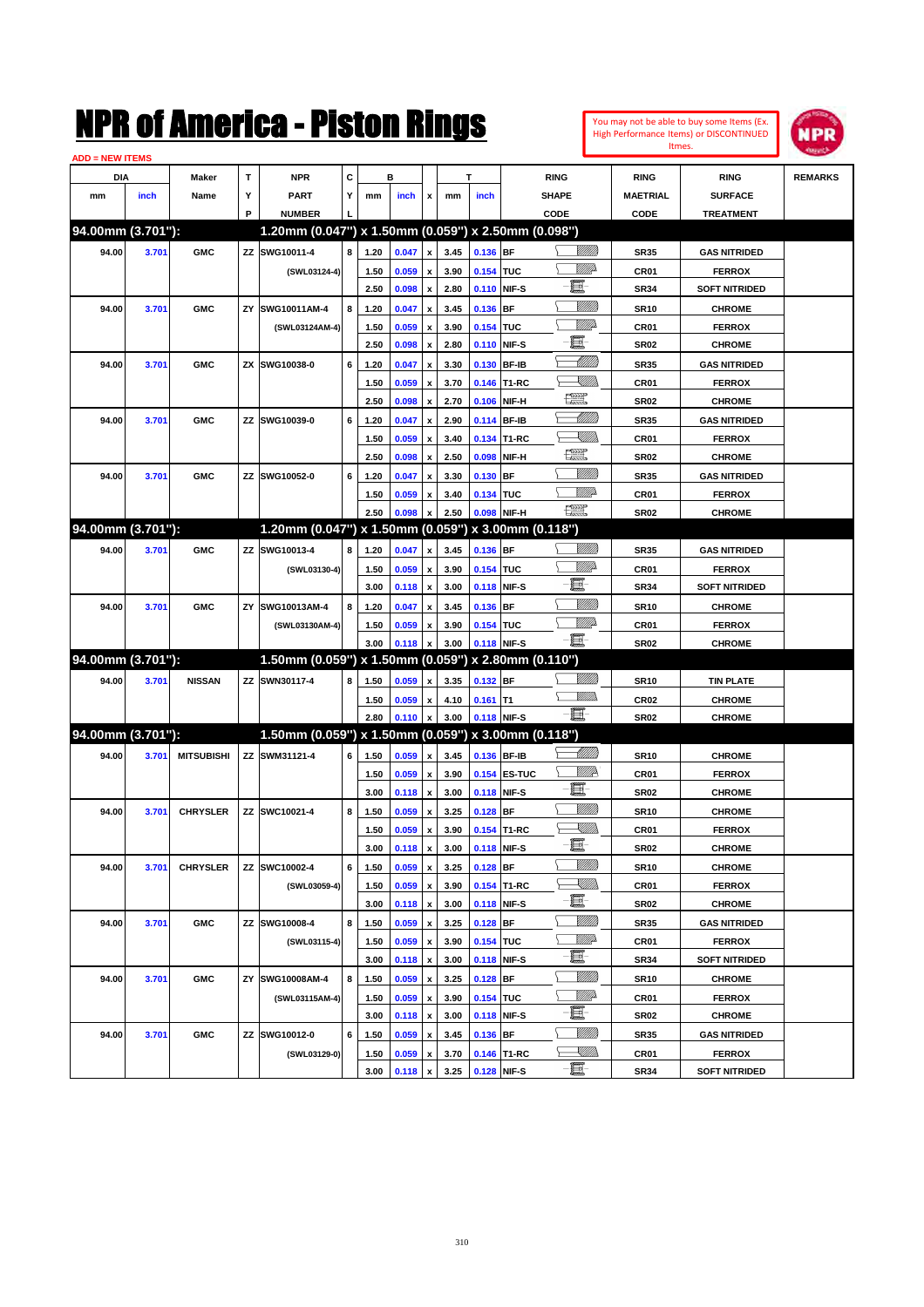| You may not be able to buy some Items (Ex. |
|--------------------------------------------|
| High Performance Items) or DISCONTINUED    |
| Itmes.                                     |



| <b>ADD = NEW ITEMS</b> |       |                   |    |                                                        |   |              |       |                           |              |             |              |                                                                                                                                                                                                                                                                                                                                                                                                                             |                 |                      |                |
|------------------------|-------|-------------------|----|--------------------------------------------------------|---|--------------|-------|---------------------------|--------------|-------------|--------------|-----------------------------------------------------------------------------------------------------------------------------------------------------------------------------------------------------------------------------------------------------------------------------------------------------------------------------------------------------------------------------------------------------------------------------|-----------------|----------------------|----------------|
| DIA                    |       | <b>Maker</b>      | T  | <b>NPR</b>                                             | С |              | в     |                           |              | т           |              | <b>RING</b>                                                                                                                                                                                                                                                                                                                                                                                                                 | <b>RING</b>     | <b>RING</b>          | <b>REMARKS</b> |
| mm                     | inch  | Name              | Υ  | <b>PART</b>                                            | Y | mm           | inch  | x                         | mm           | inch        |              | <b>SHAPE</b>                                                                                                                                                                                                                                                                                                                                                                                                                | <b>MAETRIAL</b> | <b>SURFACE</b>       |                |
|                        |       |                   | P  | <b>NUMBER</b>                                          |   |              |       |                           |              |             |              | CODE                                                                                                                                                                                                                                                                                                                                                                                                                        | CODE            | <b>TREATMENT</b>     |                |
| 94.00mm (3.701"):      |       |                   |    | 1.20mm (0.047") x 1.50mm (0.059") x 2.50mm (0.098")    |   |              |       |                           |              |             |              |                                                                                                                                                                                                                                                                                                                                                                                                                             |                 |                      |                |
| 94.00                  | 3.701 | <b>GMC</b>        | ΖZ | SWG10011-4                                             | 8 | 1.20         | 0.047 | $\pmb{\mathsf{x}}$        | 3.45         | 0.136 BF    |              |                                                                                                                                                                                                                                                                                                                                                                                                                             | <b>SR35</b>     | <b>GAS NITRIDED</b>  |                |
|                        |       |                   |    | (SWL03124-4)                                           |   | 1.50         | 0.059 | x                         | 3.90         | 0.154 TUC   |              | MMD                                                                                                                                                                                                                                                                                                                                                                                                                         | CR01            | <b>FERROX</b>        |                |
|                        |       |                   |    |                                                        |   | 2.50         | 0.098 | $\boldsymbol{\mathsf{x}}$ | 2.80         |             | 0.110 NIF-S  | E                                                                                                                                                                                                                                                                                                                                                                                                                           | <b>SR34</b>     | <b>SOFT NITRIDED</b> |                |
| 94.00                  | 3.701 | <b>GMC</b>        | ZY | SWG10011AM-4                                           | 8 | 1.20         | 0.047 | x                         | 3.45         | 0.136 BF    |              | <u>Milli</u> k                                                                                                                                                                                                                                                                                                                                                                                                              | <b>SR10</b>     | <b>CHROME</b>        |                |
|                        |       |                   |    | (SWL03124AM-4)                                         |   | 1.50         | 0.059 | x                         | 3.90         | 0.154 TUC   |              | <u>MMP</u>                                                                                                                                                                                                                                                                                                                                                                                                                  | CR01            | <b>FERROX</b>        |                |
|                        |       |                   |    |                                                        |   | 2.50         | 0.098 | x                         | 2.80         |             | 0.110 NIF-S  | E                                                                                                                                                                                                                                                                                                                                                                                                                           | <b>SR02</b>     | <b>CHROME</b>        |                |
| 94.00                  | 3.701 | <b>GMC</b>        | ZΧ | SWG10038-0                                             | 6 | 1.20         | 0.047 | X                         | 3.30         |             | 0.130 BF-IB  | <u> Millil</u>                                                                                                                                                                                                                                                                                                                                                                                                              | <b>SR35</b>     | <b>GAS NITRIDED</b>  |                |
|                        |       |                   |    |                                                        |   | 1.50         | 0.059 | x                         | 3.70         |             | 0.146 T1-RC  | <u>SMM)</u>                                                                                                                                                                                                                                                                                                                                                                                                                 | CR01            | <b>FERROX</b>        |                |
|                        |       |                   |    |                                                        |   | 2.50         | 0.098 | x                         | 2.70         | 0.106       | NIF-H        | $\frac{1}{2}$                                                                                                                                                                                                                                                                                                                                                                                                               | <b>SR02</b>     | <b>CHROME</b>        |                |
| 94.00                  | 3.701 | <b>GMC</b>        | ΖZ | SWG10039-0                                             | 6 | 1.20         | 0.047 | x                         | 2.90         |             | 0.114 BF-IB  | <u> Millill</u>                                                                                                                                                                                                                                                                                                                                                                                                             | <b>SR35</b>     | <b>GAS NITRIDED</b>  |                |
|                        |       |                   |    |                                                        |   | 1.50         | 0.059 | x                         | 3.40         |             | 0.134 T1-RC  | <u>SMM)</u>                                                                                                                                                                                                                                                                                                                                                                                                                 | CR01            | <b>FERROX</b>        |                |
|                        |       |                   |    |                                                        |   | 2.50         | 0.098 | $\boldsymbol{\mathsf{x}}$ | 2.50         | 0.098       | NIF-H        | $\begin{picture}(20,20) \put(0,0){\dashbox{0.5}(5,0){ }} \thicklines \put(0,0){\dashbox{0.5}(5,0){ }} \thicklines \put(0,0){\dashbox{0.5}(5,0){ }} \thicklines \put(0,0){\dashbox{0.5}(5,0){ }} \thicklines \put(0,0){\dashbox{0.5}(5,0){ }} \thicklines \put(0,0){\dashbox{0.5}(5,0){ }} \thicklines \put(0,0){\dashbox{0.5}(5,0){ }} \thicklines \put(0,0){\dashbox{0.5}(5,0){ }} \thicklines \put(0,0){\dashbox{0.5}(5,$ | <b>SR02</b>     | <b>CHROME</b>        |                |
| 94.00                  | 3.701 | <b>GMC</b>        | ΖZ | SWG10052-0                                             | 6 | 1.20         | 0.047 | X                         | 3.30         | $0.130$ BF  |              |                                                                                                                                                                                                                                                                                                                                                                                                                             | <b>SR35</b>     | <b>GAS NITRIDED</b>  |                |
|                        |       |                   |    |                                                        |   | 1.50         | 0.059 | x                         | 3.40         | 0.134 TUC   |              | MMP                                                                                                                                                                                                                                                                                                                                                                                                                         | CR01            | <b>FERROX</b>        |                |
|                        |       |                   |    |                                                        |   | 2.50         | 0.098 | X                         | 2.50         |             | 0.098 NIF-H  | $\begin{picture}(20,20) \put(0,0){\dashbox{0.5}(20,0){ }} \put(15,0){\circle{10}} \put(25,0){\circle{10}} \put(25,0){\circle{10}} \put(25,0){\circle{10}} \put(25,0){\circle{10}} \put(25,0){\circle{10}} \put(25,0){\circle{10}} \put(25,0){\circle{10}} \put(25,0){\circle{10}} \put(25,0){\circle{10}} \put(25,0){\circle{10}} \put(25,0){\circle{10}} \put(25,0){\circle{10}} \put(25,$                                 | <b>SR02</b>     | <b>CHROME</b>        |                |
| 94.00mm (3.701"):      |       |                   |    | 1.20mm (0.047") x 1.50mm (0.059") x 3.00mm (0.118")    |   |              |       |                           |              |             |              |                                                                                                                                                                                                                                                                                                                                                                                                                             |                 |                      |                |
| 94.00                  | 3.701 | <b>GMC</b>        | ΖZ | SWG10013-4                                             | 8 | 1.20         | 0.047 | $\pmb{\mathsf{x}}$        | 3.45         | 0.136 BF    |              | <u>Milli</u>                                                                                                                                                                                                                                                                                                                                                                                                                | <b>SR35</b>     | <b>GAS NITRIDED</b>  |                |
|                        |       |                   |    |                                                        |   |              | 0.059 |                           | 3.90         | 0.154 TUC   |              | <u>MM</u> D                                                                                                                                                                                                                                                                                                                                                                                                                 | CR01            | <b>FERROX</b>        |                |
|                        |       |                   |    | (SWL03130-4)                                           |   | 1.50<br>3.00 | 0.118 | x<br>x                    | 3.00         |             | 0.118 NIF-S  | E                                                                                                                                                                                                                                                                                                                                                                                                                           | <b>SR34</b>     | <b>SOFT NITRIDED</b> |                |
|                        |       |                   |    |                                                        | 8 |              |       |                           |              | 0.136 BF    |              | <u>Milli</u>                                                                                                                                                                                                                                                                                                                                                                                                                |                 |                      |                |
| 94.00                  | 3.701 | <b>GMC</b>        | ZY | SWG10013AM-4                                           |   | 1.20         | 0.047 | x                         | 3.45         |             |              | <u>MMP</u>                                                                                                                                                                                                                                                                                                                                                                                                                  | <b>SR10</b>     | <b>CHROME</b>        |                |
|                        |       |                   |    | (SWL03130AM-4)                                         |   | 1.50<br>3.00 | 0.059 | x                         | 3.90<br>3.00 | 0.154 TUC   | 0.118 NIF-S  | e.                                                                                                                                                                                                                                                                                                                                                                                                                          | CR01            | <b>FERROX</b>        |                |
| 94.00mm (3.701"):      |       |                   |    | $1.50$ mm (0.059") x 1.50mm (0.059") x 2.80mm (0.110") |   |              | 0.118 | $\boldsymbol{\mathsf{x}}$ |              |             |              |                                                                                                                                                                                                                                                                                                                                                                                                                             | <b>SR02</b>     | <b>CHROME</b>        |                |
|                        |       |                   |    |                                                        |   |              |       |                           |              |             |              | <u>Milli</u>                                                                                                                                                                                                                                                                                                                                                                                                                |                 |                      |                |
| 94.00                  | 3.701 | <b>NISSAN</b>     |    | ZZ SWN30117-4                                          | 8 | 1.50         | 0.059 | x                         | 3.35         | 0.132 BF    |              | .<br>WWW                                                                                                                                                                                                                                                                                                                                                                                                                    | <b>SR10</b>     | <b>TIN PLATE</b>     |                |
|                        |       |                   |    |                                                        |   | 1.50         | 0.059 | x                         | 4.10         | $0.161$ T1  |              | - 1                                                                                                                                                                                                                                                                                                                                                                                                                         | <b>CR02</b>     | <b>CHROME</b>        |                |
| 94.00mm (3.701"):      |       |                   |    | 1.50mm (0.059") x 1.50mm (0.059") x 3.00mm (0.118")    |   | 2.80         | 0.110 | $\pmb{\mathsf{x}}$        | 3.00         |             | 0.118 NIF-S  |                                                                                                                                                                                                                                                                                                                                                                                                                             | <b>SR02</b>     | <b>CHROME</b>        |                |
|                        |       |                   |    |                                                        |   |              |       |                           |              |             |              | <u> MMM</u>                                                                                                                                                                                                                                                                                                                                                                                                                 |                 |                      |                |
| 94.00                  | 3.701 | <b>MITSUBISHI</b> |    | ZZ SWM31121-4                                          | 6 | 1.50         | 0.059 | $\pmb{\mathsf{x}}$        | 3.45         |             | 0.136 BF-IB  |                                                                                                                                                                                                                                                                                                                                                                                                                             | <b>SR10</b>     | <b>CHROME</b>        |                |
|                        |       |                   |    |                                                        |   | 1.50         | 0.059 | x                         | 3.90         |             | 0.154 ES-TUC | ₩₩<br>E                                                                                                                                                                                                                                                                                                                                                                                                                     | CR01            | <b>FERROX</b>        |                |
|                        |       |                   |    |                                                        |   | 3.00         | 0.118 | $\pmb{\mathsf{x}}$        | 3.00         |             | 0.118 NIF-S  |                                                                                                                                                                                                                                                                                                                                                                                                                             | <b>SR02</b>     | <b>CHROME</b>        |                |
| 94.00                  | 3.701 | <b>CHRYSLER</b>   |    | ZZ SWC10021-4                                          | 8 | 1.50         | 0.059 | x                         | 3.25         | $0.128$ BF  |              | <u>MMM</u>                                                                                                                                                                                                                                                                                                                                                                                                                  | <b>SR10</b>     | <b>CHROME</b>        |                |
|                        |       |                   |    |                                                        |   | 1.50         | 0.059 | x                         | 3.90         |             | 0.154 T1-RC  | <u>Sillin</u><br>E.                                                                                                                                                                                                                                                                                                                                                                                                         | CR01            | <b>FERROX</b>        |                |
|                        |       |                   |    |                                                        |   | 3.00         | 0.118 | $\pmb{\mathsf{x}}$        | 3.00         |             | 0.118 NIF-S  |                                                                                                                                                                                                                                                                                                                                                                                                                             | SR02            | <b>CHROME</b>        |                |
| 94.00                  | 3.701 | <b>CHRYSLER</b>   |    | ZZ SWC10002-4                                          | 6 | 1.50         | 0.059 | $\pmb{\mathsf{x}}$        | 3.25         | $0.128$ BF  |              | <u>Milli</u> k                                                                                                                                                                                                                                                                                                                                                                                                              | <b>SR10</b>     | <b>CHROME</b>        |                |
|                        |       |                   |    | (SWL03059-4)                                           |   | 1.50         | 0.059 | $\pmb{\mathsf{x}}$        | 3.90         |             | 0.154 T1-RC  | <u>Sillin</u>                                                                                                                                                                                                                                                                                                                                                                                                               | CR01            | <b>FERROX</b>        |                |
|                        |       |                   |    |                                                        |   | 3.00         | 0.118 | $\pmb{\mathsf{x}}$        | 3.00         |             | 0.118 NIF-S  | e.                                                                                                                                                                                                                                                                                                                                                                                                                          | SR02            | <b>CHROME</b>        |                |
| 94.00                  | 3.701 | <b>GMC</b>        |    | ZZ SWG10008-4                                          | 8 | 1.50         | 0.059 | $\pmb{\mathsf{x}}$        | 3.25         | $0.128$ BF  |              | <u>Milli</u> k                                                                                                                                                                                                                                                                                                                                                                                                              | <b>SR35</b>     | <b>GAS NITRIDED</b>  |                |
|                        |       |                   |    | (SWL03115-4)                                           |   | 1.50         | 0.059 | $\pmb{\mathsf{x}}$        | 3.90         | 0.154 TUC   |              | <u>VIIIt</u> da                                                                                                                                                                                                                                                                                                                                                                                                             | CR01            | <b>FERROX</b>        |                |
|                        |       |                   |    |                                                        |   | 3.00         | 0.118 | $\pmb{\mathsf{x}}$        | 3.00         |             | 0.118 NIF-S  | E                                                                                                                                                                                                                                                                                                                                                                                                                           | SR34            | <b>SOFT NITRIDED</b> |                |
| 94.00                  | 3.701 | <b>GMC</b>        |    | ZY SWG10008AM-4                                        | 8 | 1.50         | 0.059 | x                         | 3.25         | $0.128$ BF  |              | <u>Milli</u> k                                                                                                                                                                                                                                                                                                                                                                                                              | <b>SR10</b>     | <b>CHROME</b>        |                |
|                        |       |                   |    | (SWL03115AM-4)                                         |   | 1.50         | 0.059 | x                         | 3.90         | 0.154 TUC   |              | <u>MM</u> do                                                                                                                                                                                                                                                                                                                                                                                                                | CR01            | <b>FERROX</b>        |                |
|                        |       |                   |    |                                                        |   | 3.00         | 0.118 | $\pmb{\mathsf{x}}$        | 3.00         |             | 0.118 NIF-S  | e.                                                                                                                                                                                                                                                                                                                                                                                                                          | SR02            | <b>CHROME</b>        |                |
| 94.00                  | 3.701 | <b>GMC</b>        |    | ZZ SWG10012-0                                          | 6 | 1.50         | 0.059 | x                         | 3.45         | 0.136 BF    |              | <u>Milli</u> k                                                                                                                                                                                                                                                                                                                                                                                                              | <b>SR35</b>     | <b>GAS NITRIDED</b>  |                |
|                        |       |                   |    | (SWL03129-0)                                           |   | 1.50         | 0.059 | x                         | 3.70         |             | 0.146 T1-RC  | <u>XIII))</u>                                                                                                                                                                                                                                                                                                                                                                                                               | CR01            | <b>FERROX</b>        |                |
|                        |       |                   |    |                                                        |   | 3.00         | 0.118 | $\,$ $\,$ $\,$            | 3.25         | 0.128 NIF-S |              | -E-                                                                                                                                                                                                                                                                                                                                                                                                                         | <b>SR34</b>     | SOFT NITRIDED        |                |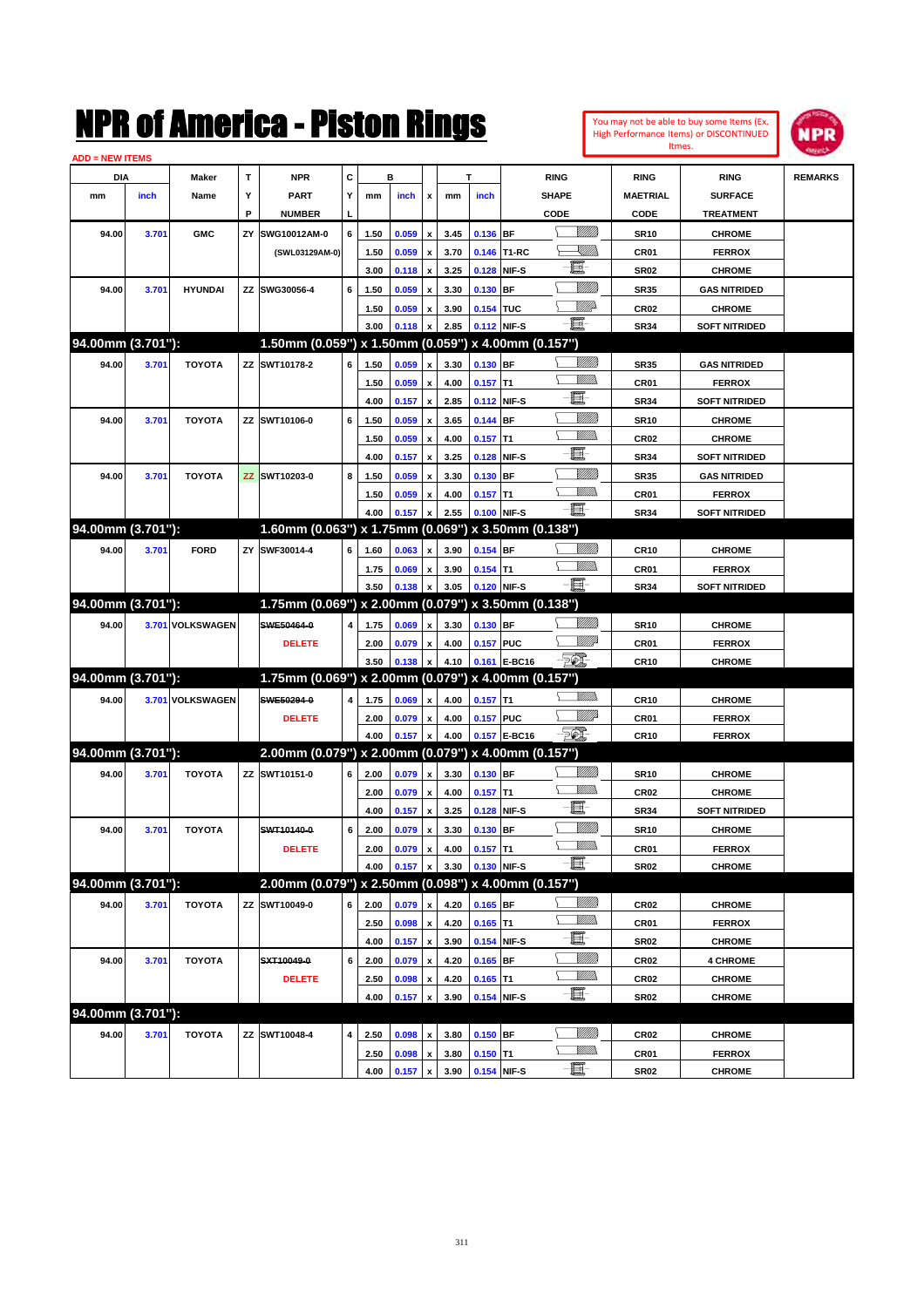**ADD = NEW ITEMS**

|     | <b>WITEMS</b> |                                      |                          | OI AMerica - Piston I |                          |    | Itmes. | You may not be able to buy some Items (Ex.<br>High Performance Items) or DISCONTINUED |                        |             |              |             |                 |                  |  |
|-----|---------------|--------------------------------------|--------------------------|-----------------------|--------------------------|----|--------|---------------------------------------------------------------------------------------|------------------------|-------------|--------------|-------------|-----------------|------------------|--|
| DIA |               | C<br>в<br><b>NPR</b><br><b>Maker</b> |                          |                       |                          |    |        |                                                                                       |                        | <b>RING</b> |              | <b>RING</b> | <b>RING</b>     | <b>REMARKS</b>   |  |
|     | inch          | Name                                 | $\overline{\phantom{a}}$ | PART                  | $\overline{\phantom{a}}$ | mm | inch   | $\boldsymbol{\mathsf{x}}$                                                             | mm                     | <b>inch</b> | <b>SHAPE</b> |             | <b>MAETRIAL</b> | <b>SURFACE</b>   |  |
|     |               |                                      | Ð                        | <b>NUMBER</b>         | L                        |    |        |                                                                                       |                        |             | CODE         |             | CODE            | <b>TREATMENT</b> |  |
| nnl | 2.704         | $\sim$ MAC                           | $\mathbf{v}$             | CUMCAOM3ABA           | $\epsilon$ 1             |    |        |                                                                                       | 450 0050 y 245 0425 DE |             |              | VIIIID      | <b>CD40</b>     | CUBOME           |  |

|                   | DIA               | Maker            | т  | <b>NPR</b>                                          | c |              | в                             |                                          | Т            |                          |                 | <b>RING</b>        | <b>RING</b>         | <b>RING</b>                    | <b>REMARKS</b> |
|-------------------|-------------------|------------------|----|-----------------------------------------------------|---|--------------|-------------------------------|------------------------------------------|--------------|--------------------------|-----------------|--------------------|---------------------|--------------------------------|----------------|
| mm                | inch              | Name             | Y  | <b>PART</b>                                         | Υ | mm           | inch                          | $\mathbf{x}$                             | mm           | inch                     |                 | <b>SHAPE</b>       | <b>MAETRIAL</b>     | <b>SURFACE</b>                 |                |
|                   |                   |                  | Р  | <b>NUMBER</b>                                       |   |              |                               |                                          |              |                          |                 | CODE               | CODE                | <b>TREATMENT</b>               |                |
| 94.00             | 3.701             | <b>GMC</b>       | ΖY | SWG10012AM-0                                        | 6 | 1.50         | 0.059                         | $\pmb{\mathsf{x}}$                       | 3.45         | 0.136 BF                 |                 | <u>Villitti</u>    | <b>SR10</b>         | <b>CHROME</b>                  |                |
|                   |                   |                  |    | (SWL03129AM-0)                                      |   | 1.50         | 0.059                         | $\pmb{\mathsf{x}}$                       | 3.70         |                          | 0.146 T1-RC     | <u>UMB</u>         | CR01                | <b>FERROX</b>                  |                |
|                   |                   |                  |    |                                                     |   | 3.00         | 0.118                         | $\pmb{\mathsf{x}}$                       | 3.25         | 0.128                    | NIF-S           | 圓                  | <b>SR02</b>         | <b>CHROME</b>                  |                |
| 94.00             | 3.701             | <b>HYUNDAI</b>   |    | ZZ SWG30056-4                                       | 6 | 1.50         | 0.059                         | $\pmb{\mathsf{x}}$                       | 3.30         | 0.130                    | <b>BF</b>       | <u>Milli</u>       | <b>SR35</b>         | <b>GAS NITRIDED</b>            |                |
|                   |                   |                  |    |                                                     |   | 1.50         | 0.059                         | x                                        | 3.90         | 0.154 TUC                |                 | <u>Villit</u> a    | CR <sub>02</sub>    | <b>CHROME</b>                  |                |
|                   |                   |                  |    |                                                     |   | 3.00         | 0.118                         |                                          | 2.85         | 0.112                    | NIF-S           | - 8                | <b>SR34</b>         | <b>SOFT NITRIDED</b>           |                |
| 94.00mm (3.701"): |                   |                  |    | 1.50mm (0.059") x 1.50mm (0.059") x 4.00mm (0.157") |   |              |                               |                                          |              |                          |                 |                    |                     |                                |                |
| 94.00             | 3.701             | <b>TOYOTA</b>    |    | ZZ SWT10178-2                                       | 6 | 1.50         | 0.059                         | $\pmb{\mathsf{x}}$                       | 3.30         | 0.130 BF                 |                 | <u>Milli</u>       | <b>SR35</b>         | <b>GAS NITRIDED</b>            |                |
|                   |                   |                  |    |                                                     |   | 1.50         | 0.059                         | $\pmb{\mathsf{x}}$                       | 4.00         | $0.157$ T1               |                 | VM)                | CR01                | <b>FERROX</b>                  |                |
|                   |                   |                  |    |                                                     |   | 4.00         | 0.157                         | $\pmb{\mathsf{x}}$                       | 2.85         | 0.112 NIF-S              |                 | E                  | <b>SR34</b>         | <b>SOFT NITRIDED</b>           |                |
| 94.00             | 3.701             | <b>TOYOTA</b>    |    | ZZ SWT10106-0                                       | 6 | 1.50         | 0.059                         | $\pmb{\mathsf{x}}$                       | 3.65         | $0.144$ BF               |                 | <u>Milli</u>       | <b>SR10</b>         | <b>CHROME</b>                  |                |
|                   |                   |                  |    |                                                     |   | 1.50         | 0.059                         | $\pmb{\mathsf{x}}$                       | 4.00         | 0.157                    | IT1             | <br>Milio          | CR <sub>02</sub>    | <b>CHROME</b>                  |                |
|                   |                   |                  |    |                                                     |   | 4.00         | 0.157                         | $\pmb{\mathsf{x}}$                       | 3.25         | 0.128                    | NIF-S           | E                  | <b>SR34</b>         | <b>SOFT NITRIDED</b>           |                |
| 94.00             | 3.701             | <b>TOYOTA</b>    |    | ZZ SWT10203-0                                       | 8 | 1.50         | 0.059                         | x                                        | 3.30         | $0.130$ BF               |                 | VMM)               | <b>SR35</b>         | <b>GAS NITRIDED</b>            |                |
|                   |                   |                  |    |                                                     |   | 1.50         | 0.059                         | x                                        | 4.00         | $0.157$ T1               |                 | <br>Villida        | CR01                | <b>FERROX</b>                  |                |
|                   |                   |                  |    |                                                     |   | 4.00         | 0.157                         | x                                        | 2.55         | 0.100                    | NIF-S           | E                  | <b>SR34</b>         | <b>SOFT NITRIDED</b>           |                |
| 94.00mm (3.701"): |                   |                  |    | 1.60mm (0.063") x 1.75mm (0.069") x 3.50mm (0.138") |   |              |                               |                                          |              |                          |                 |                    |                     |                                |                |
| 94.00             | 3.701             | <b>FORD</b>      | ZY | SWF30014-4                                          | 6 | 1.60         | 0.063                         | $\pmb{\mathsf{x}}$                       | 3.90         | $0.154$ BF               |                 |                    | CR10                | <b>CHROME</b>                  |                |
|                   |                   |                  |    |                                                     |   | 1.75         | 0.069                         | $\pmb{\mathsf{x}}$                       | 3.90         | $0.154$ T1               |                 | <br>Villida        | CR01                | <b>FERROX</b>                  |                |
|                   |                   |                  |    |                                                     |   | 3.50         | 0.138                         |                                          | 3.05         | 0.120                    | NIF-S           | E                  | <b>SR34</b>         | <b>SOFT NITRIDED</b>           |                |
| 94.00mm (3.701"): |                   |                  |    | 1.75mm (0.069") x 2.00mm (0.079") x 3.50mm (0.138") |   |              |                               |                                          |              |                          |                 |                    |                     |                                |                |
| 94.00             |                   | 3.701 VOLKSWAGEN |    | SWE50464-0                                          | 4 | 1.75         | 0.069                         | $\pmb{\mathsf{x}}$                       | 3.30         | 0.130 BF                 |                 |                    | <b>SR10</b>         | <b>CHROME</b>                  |                |
|                   |                   |                  |    | <b>DELETE</b>                                       |   | 2.00         | 0.079                         | $\pmb{\mathsf{x}}$                       | 4.00         | 0.157 PUC                |                 | <u>VM</u> B        | CR01                | <b>FERROX</b>                  |                |
|                   |                   |                  |    |                                                     |   | 3.50         | 0.138                         | x                                        | 4.10         |                          | 0.161 E-BC16    | EQ)                | <b>CR10</b>         | <b>CHROME</b>                  |                |
| 94.00mm (3.701"): |                   |                  |    | 1.75mm (0.069") x 2.00mm (0.079") x 4.00mm (0.157") |   |              |                               |                                          |              |                          |                 |                    |                     |                                |                |
| 94.00             |                   | 3.701 VOLKSWAGEN |    | SWE50294-0                                          | 4 | 1.75         | 0.069                         | $\pmb{\mathsf{x}}$                       | 4.00         | $0.157$ T1               |                 | <br>Villida        | CR10                | <b>CHROME</b>                  |                |
|                   |                   |                  |    | <b>DELETE</b>                                       |   | 2.00         | 0.079                         | $\pmb{\mathsf{x}}$                       | 4.00         | 0.157 PUC                |                 | <u>Villi</u> p     | CR01                | <b>FERROX</b>                  |                |
|                   |                   |                  |    |                                                     |   | 4.00         | 0.157                         | x                                        | 4.00         |                          | 0.157 E-BC16    | $E_{\mathcal{P}}$  | CR10                | <b>FERROX</b>                  |                |
| 94.00mm (3.701"): |                   |                  |    | 2.00mm (0.079") x 2.00mm (0.079") x 4.00mm (0.157") |   |              |                               |                                          |              |                          |                 |                    |                     |                                |                |
| 94.00             | 3.701             | <b>TOYOTA</b>    |    | ZZ SWT10151-0                                       | 6 | 2.00         | 0.079                         | $\pmb{\mathsf{x}}$                       | 3.30         | 0.130 BF                 |                 | <u>Millit</u>      | <b>SR10</b>         | <b>CHROME</b>                  |                |
|                   |                   |                  |    |                                                     |   | 2.00         | 0.079                         | $\pmb{\mathsf{x}}$                       | 4.00         | $0.157$ T1               |                 |                    | CR <sub>02</sub>    | <b>CHROME</b>                  |                |
|                   |                   |                  |    |                                                     |   | 4.00         | 0.157                         | $\pmb{\mathsf{x}}$                       | 3.25         | 0.128                    | NIF-S           | 匱                  | SR34                | <b>SOFT NITRIDED</b>           |                |
| 94.00             | 3.701             | <b>TOYOTA</b>    |    | SWT10140-0                                          | 6 | 2.00         | 0.079                         | $\pmb{\mathsf{x}}$                       | 3.30         | 0.130                    | <b>BF</b>       | <u>Milli</u>       | <b>SR10</b>         | <b>CHROME</b>                  |                |
|                   |                   |                  |    | <b>DELETE</b>                                       |   | 2.00         | 0.079                         | $\pmb{\mathsf{x}}$                       | 4.00         | 0.157                    | IT <sub>1</sub> | <br>Milio          | CR01                | <b>FERROX</b>                  |                |
|                   |                   |                  |    |                                                     |   |              | 4.00 0.157 x 3.30 0.130 NIF-S |                                          |              |                          |                 | $-\blacksquare$    | SR02                | <b>CHROME</b>                  |                |
| 94.00mm (3.701"): |                   |                  |    | 2.00mm (0.079") x 2.50mm (0.098") x 4.00mm (0.157") |   |              |                               |                                          |              |                          |                 |                    |                     |                                |                |
| 94.00             | 3.701             | <b>TOYOTA</b>    |    | ZZ SWT10049-0                                       | 6 | 2.00         | 0.079                         | $\pmb{\mathsf{x}}$                       | 4.20         | $0.165$ BF               |                 | <u>Milli</u> b     | CR <sub>02</sub>    | <b>CHROME</b>                  |                |
|                   |                   |                  |    |                                                     |   | 2.50         | 0.098                         | $\pmb{\mathsf{x}}$                       | 4.20         | $0.165$ T1               |                 | <u>Willib</u>      | CR01                | <b>FERROX</b>                  |                |
|                   |                   |                  |    |                                                     |   | 4.00         | 0.157                         | $\pmb{\mathsf{x}}$                       | 3.90         | 0.154 NIF-S              |                 | e.                 | SR02                | <b>CHROME</b>                  |                |
| 94.00             |                   |                  |    |                                                     |   | 2.00         | 0.079                         | $\pmb{\mathsf{x}}$                       | 4.20         | $0.165$ BF               |                 | <u>VIIII</u> )     | CR <sub>02</sub>    | <b>4 CHROME</b>                |                |
|                   | 3.701             | <b>TOYOTA</b>    |    | SXT10049-0                                          | 6 |              |                               |                                          |              |                          |                 |                    |                     |                                |                |
|                   |                   |                  |    |                                                     |   |              |                               |                                          |              |                          |                 | <u>Willib</u><br>5 |                     |                                |                |
|                   |                   |                  |    | <b>DELETE</b>                                       |   | 2.50         | 0.098                         | x<br>x                                   | 4.20         | $0.165$ T1               |                 | $-\blacksquare$    | CR <sub>02</sub>    | <b>CHROME</b>                  |                |
|                   |                   |                  |    |                                                     |   | 4.00         | 0.157                         |                                          | 3.90         | 0.154 NIF-S              |                 |                    | SR02                | <b>CHROME</b>                  |                |
|                   | 94.00mm (3.701"): |                  |    |                                                     |   |              |                               |                                          |              |                          |                 | <u>VIIII</u> )     |                     |                                |                |
| 94.00             | 3.701             | TOYOTA           |    | ZZ SWT10048-4                                       | 4 | 2.50<br>2.50 | 0.098<br>0.098                | $\pmb{\mathsf{x}}$<br>$\pmb{\mathsf{x}}$ | 3.80<br>3.80 | $0.150$ BF<br>$0.150$ T1 |                 | <u>MMs</u>         | <b>CR02</b><br>CR01 | <b>CHROME</b><br><b>FERROX</b> |                |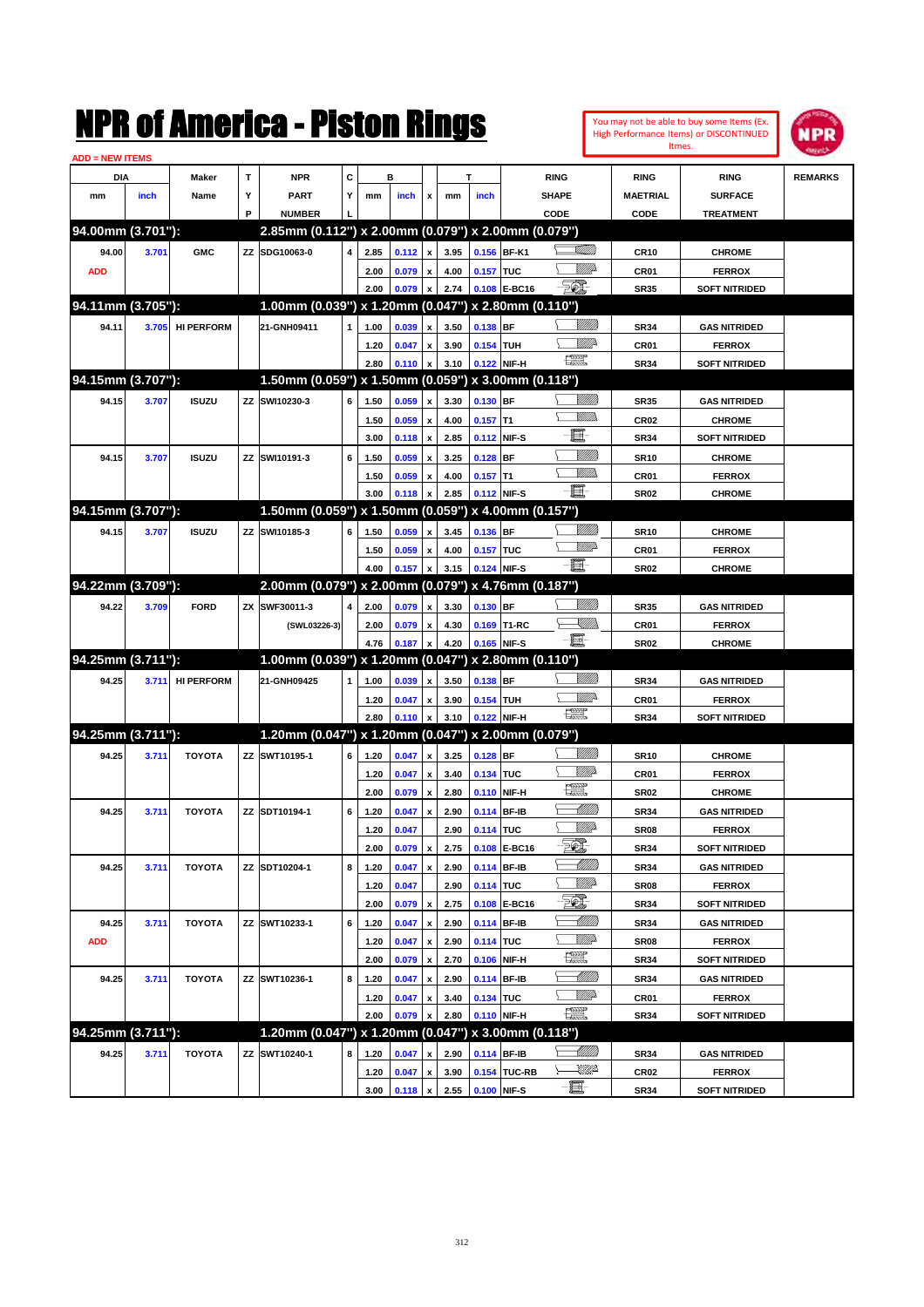|                               |       |                   |           | NMK OI AINCrica - Miston Kings                      |   |      |       |                           |                     |             |                   |                               |                  |                  | You may not be able to buy some Items (Ex.<br><b>High Performance Items) or DISCONTINUED</b><br>Itmes. | IPR            |
|-------------------------------|-------|-------------------|-----------|-----------------------------------------------------|---|------|-------|---------------------------|---------------------|-------------|-------------------|-------------------------------|------------------|------------------|--------------------------------------------------------------------------------------------------------|----------------|
| <b>ADD = NEW ITEMS</b><br>DIA |       | Maker             | T         | <b>NPR</b>                                          | C |      | в     |                           |                     | т           |                   | <b>RING</b>                   |                  | <b>RING</b>      | <b>RING</b>                                                                                            | <b>REMARKS</b> |
| mm                            | inch  | Name              | Υ         | <b>PART</b>                                         | Y | mm   | inch  | x                         | mm                  | inch        |                   | <b>SHAPE</b>                  |                  | <b>MAETRIAL</b>  | <b>SURFACE</b>                                                                                         |                |
|                               |       |                   | P         | <b>NUMBER</b>                                       |   |      |       |                           |                     |             |                   | CODE                          |                  | CODE             | <b>TREATMENT</b>                                                                                       |                |
| 94.00mm (3.701"):             |       |                   |           | 2.85mm (0.112") x 2.00mm (0.079") x 2.00mm (0.079") |   |      |       |                           |                     |             |                   |                               |                  |                  |                                                                                                        |                |
| 94.00                         | 3.701 | <b>GMC</b>        |           | ZZ SDG10063-0                                       | 4 | 2.85 | 0.112 | $\boldsymbol{\mathsf{x}}$ | 3.95                |             | 0.156 BF-K1       |                               | <u>stillin</u>   | <b>CR10</b>      | <b>CHROME</b>                                                                                          |                |
| <b>ADD</b>                    |       |                   |           |                                                     |   | 2.00 | 0.079 | $\pmb{\mathsf{x}}$        | 4.00                | 0.157 TUC   |                   |                               | VIIID            | CR01             | <b>FERROX</b>                                                                                          |                |
|                               |       |                   |           |                                                     |   | 2.00 | 0.079 | x                         | 2.74                |             | 0.108 E-BC16      | <b>FOX</b>                    |                  | <b>SR35</b>      | <b>SOFT NITRIDED</b>                                                                                   |                |
| 94.11mm (3.705"):             |       |                   |           | 1.00mm (0.039") x 1.20mm (0.047") x 2.80mm (0.110") |   |      |       |                           |                     |             |                   |                               |                  |                  |                                                                                                        |                |
| 94.11                         | 3.705 | <b>HI PERFORM</b> |           | 21-GNH09411                                         | 1 | 1.00 | 0.039 | x                         | 3.50                | 0.138 BF    |                   |                               | <u>VIIIIn</u>    | <b>SR34</b>      | <b>GAS NITRIDED</b>                                                                                    |                |
|                               |       |                   |           |                                                     |   | 1.20 | 0.047 | x                         | 3.90                | 0.154 TUH   |                   |                               | ₩₩               | CR01             | <b>FERROX</b>                                                                                          |                |
|                               |       |                   |           |                                                     |   | 2.80 | 0.110 | x                         | 3.10                | 0.122       | NIF-H             | $f_{\text{max}}^{\text{exp}}$ |                  | <b>SR34</b>      | <b>SOFT NITRIDED</b>                                                                                   |                |
| 94.15mm (3.707"):             |       |                   |           | 1.50mm (0.059") x 1.50mm (0.059") x 3.00mm (0.118") |   |      |       |                           |                     |             |                   |                               |                  |                  |                                                                                                        |                |
| 94.15                         | 3.707 | <b>ISUZU</b>      |           | ZZ SWI10230-3                                       | 6 | 1.50 | 0.059 | X                         | 3.30                | $0.130$ BF  |                   |                               | VIII))           | <b>SR35</b>      | <b>GAS NITRIDED</b>                                                                                    |                |
|                               |       |                   |           |                                                     |   | 1.50 | 0.059 | $\boldsymbol{\mathsf{x}}$ | 4.00                | $0.157$ T1  |                   |                               | <br>Mar          | CR <sub>02</sub> | <b>CHROME</b>                                                                                          |                |
|                               |       |                   |           |                                                     |   | 3.00 | 0.118 | $\boldsymbol{\mathsf{x}}$ | 2.85                |             | 0.112 NIF-S       | E                             |                  | <b>SR34</b>      | <b>SOFT NITRIDED</b>                                                                                   |                |
| 94.15                         | 3.707 | <b>ISUZU</b>      |           | ZZ SWI10191-3                                       | 6 | 1.50 | 0.059 | X                         | 3.25                | 0.128       | BF                |                               | <u>VMM</u>       | <b>SR10</b>      | <b>CHROME</b>                                                                                          |                |
|                               |       |                   |           |                                                     |   | 1.50 | 0.059 | x                         | 4.00                | $0.157$ T1  |                   |                               | .<br>WWW         | CR01             | <b>FERROX</b>                                                                                          |                |
|                               |       |                   |           |                                                     |   | 3.00 | 0.118 | x                         | 2.85                |             | 0.112 NIF-S       | E.                            |                  | <b>SR02</b>      | <b>CHROME</b>                                                                                          |                |
| 94.15mm (3.707"):             |       |                   |           | 1.50mm (0.059") x 1.50mm (0.059") x 4.00mm (0.157") |   |      |       |                           |                     |             |                   |                               |                  |                  |                                                                                                        |                |
| 94.15                         | 3.707 | <b>ISUZU</b>      |           | ZZ SWI10185-3                                       | 6 | 1.50 | 0.059 | x                         | 3.45                | 0.136 BF    |                   |                               | VIII))           | <b>SR10</b>      | <b>CHROME</b>                                                                                          |                |
|                               |       |                   |           |                                                     |   | 1.50 | 0.059 | x                         | 4.00                | 0.157 TUC   |                   |                               | <u>MMP</u>       | CR01             | <b>FERROX</b>                                                                                          |                |
|                               |       |                   |           |                                                     |   | 4.00 | 0.157 | x                         | 3.15                | 0.124       | NIF-S             | -6                            |                  | <b>SR02</b>      | <b>CHROME</b>                                                                                          |                |
| 94.22mm (3.709"):             |       |                   |           | 2.00mm (0.079") x 2.00mm (0.079") x 4.76mm (0.187") |   |      |       |                           |                     |             |                   |                               |                  |                  |                                                                                                        |                |
| 94.22                         | 3.709 | <b>FORD</b>       | <b>ZX</b> | SWF30011-3                                          | 4 | 2.00 | 0.079 | x                         | 3.30                | $0.130$ BF  |                   |                               | VIIII)           | <b>SR35</b>      | <b>GAS NITRIDED</b>                                                                                    |                |
|                               |       |                   |           | (SWL03226-3)                                        |   | 2.00 | 0.079 | x                         | 4.30                |             | 0.169 T1-RC       |                               | <u>Sillin</u>    | CR01             | <b>FERROX</b>                                                                                          |                |
|                               |       |                   |           |                                                     |   | 4.76 | 0.187 | x                         | 4.20                | 0.165       | NIF-S             | -8                            |                  | <b>SR02</b>      | <b>CHROME</b>                                                                                          |                |
| 94.25mm (3.711"):             |       |                   |           | 1.00mm (0.039") x 1.20mm (0.047")                   |   |      |       |                           |                     |             | x 2.80mm (0.110") |                               |                  |                  |                                                                                                        |                |
| 94.25                         | 3.711 | <b>HI PERFORM</b> |           | 21-GNH09425                                         | 1 | 1.00 | 0.039 | X                         | 3.50                | 0.138 BF    |                   |                               | <u>VIIIIn</u>    | <b>SR34</b>      | <b>GAS NITRIDED</b>                                                                                    |                |
|                               |       |                   |           |                                                     |   | 1.20 | 0.047 | x                         | 3.90                | 0.154 TUH   |                   |                               | <u>Mille</u>     | CR01             | <b>FERROX</b>                                                                                          |                |
|                               |       |                   |           |                                                     |   | 2.80 | 0.110 | $\boldsymbol{x}$          | 3.10                |             | 0.122 NIF-H       | $\frac{1}{2}$                 |                  | <b>SR34</b>      | <b>SOFT NITRIDED</b>                                                                                   |                |
| 94.25mm (3.711"):             |       |                   |           | 1.20mm (0.047") x 1.20mm (0.047")                   |   |      |       |                           |                     |             | x 2.00mm (0.079") |                               |                  |                  |                                                                                                        |                |
| 94.25                         | 3.711 | <b>TOYOTA</b>     |           | ZZ SWT10195-1                                       | 6 | 1.20 | 0.047 | X                         | 3.25                | $0.128$ BF  |                   |                               | VIII))           | <b>SR10</b>      | <b>CHROME</b>                                                                                          |                |
|                               |       |                   |           |                                                     |   | 1.20 | 0.047 | x                         | 3.40                | 0.134 TUC   |                   |                               | <u>VIIItti</u> d | CR01             | <b>FERROX</b>                                                                                          |                |
|                               |       |                   |           |                                                     |   | 2.00 | 0.079 | $\boldsymbol{\mathsf{x}}$ | 2.80                |             | 0.110 NIF-H       | <b>Text</b>                   |                  | <b>SR02</b>      | <b>CHROME</b>                                                                                          |                |
| 94.25                         | 3.711 | <b>TOYOTA</b>     |           | ZZ SDT10194-1                                       | 6 | 1.20 | 0.047 | $\pmb{\mathsf{x}}$        | 2.90                | 0.114 BF-IB |                   |                               | <u>UMB</u>       | <b>SR34</b>      | <b>GAS NITRIDED</b>                                                                                    |                |
|                               |       |                   |           |                                                     |   | 1.20 | 0.047 |                           | 2.90                | 0.114 TUC   |                   |                               | <u>Willia</u>    | SR08             | <b>FERROX</b>                                                                                          |                |
|                               |       |                   |           |                                                     |   | 2.00 | 0.079 | $\pmb{\mathsf{x}}$        | 2.75                |             | 0.108 E-BC16      | EL.                           |                  | SR34             | <b>SOFT NITRIDED</b>                                                                                   |                |
| 94.25                         | 3.711 | <b>TOYOTA</b>     |           | ZZ SDT10204-1                                       | 8 | 1.20 | 0.047 | $\pmb{\mathsf{x}}$        | 2.90                |             | 0.114 BF-IB       |                               |                  | <b>SR34</b>      | <b>GAS NITRIDED</b>                                                                                    |                |
|                               |       |                   |           |                                                     |   | 1.20 | 0.047 |                           | 2.90                | 0.114 TUC   |                   |                               | <u>Willia</u>    | SR08             | <b>FERROX</b>                                                                                          |                |
|                               |       |                   |           |                                                     |   | 2.00 | 0.079 | $\pmb{\mathsf{x}}$        | 2.75                |             | 0.108 E-BC16      | TC),                          |                  | <b>SR34</b>      | <b>SOFT NITRIDED</b>                                                                                   |                |
| 94.25                         | 3.711 | <b>TOYOTA</b>     |           | ZZ SWT10233-1                                       | 6 | 1.20 | 0.047 | X                         | 2.90                |             | 0.114 BF-IB       |                               |                  | <b>SR34</b>      | <b>GAS NITRIDED</b>                                                                                    |                |
| <b>ADD</b>                    |       |                   |           |                                                     |   | 1.20 | 0.047 | $\pmb{\mathsf{x}}$        | 2.90                | 0.114 TUC   |                   |                               | <u>Willi</u> b   | SR08             | <b>FERROX</b>                                                                                          |                |
|                               |       |                   |           |                                                     |   | 2.00 | 0.079 | $\pmb{\mathsf{x}}$        | 2.70                |             | 0.106 NIF-H       | $\frac{1}{2}$                 |                  | <b>SR34</b>      | <b>SOFT NITRIDED</b>                                                                                   |                |
| 94.25                         | 3.711 | TOYOTA            |           | ZZ SWT10236-1                                       | 8 | 1.20 | 0.047 | $\pmb{\mathsf{x}}$        | 2.90                |             | 0.114 BF-IB       |                               |                  | <b>SR34</b>      | <b>GAS NITRIDED</b>                                                                                    |                |
|                               |       |                   |           |                                                     |   | 1.20 | 0.047 | $\pmb{\mathsf{x}}$        | 3.40                | 0.134 TUC   |                   |                               | <u>Willia</u>    | CR01             | <b>FERROX</b>                                                                                          |                |
|                               |       |                   |           |                                                     |   | 2.00 | 0.079 | x                         | 2.80                |             | 0.110 NIF-H       | <u>1220</u>                   |                  | <b>SR34</b>      | <b>SOFT NITRIDED</b>                                                                                   |                |
| 94.25mm (3.711"):             |       |                   |           | 1.20mm (0.047") x 1.20mm (0.047") x 3.00mm (0.118") |   |      |       |                           |                     |             |                   |                               |                  |                  |                                                                                                        |                |
| 94.25                         | 3.711 | <b>TOYOTA</b>     |           | ZZ SWT10240-1                                       | 8 | 1.20 | 0.047 | x                         | 2.90                |             | 0.114 BF-IB       |                               | <u> UMB</u>      | <b>SR34</b>      | <b>GAS NITRIDED</b>                                                                                    |                |
|                               |       |                   |           |                                                     |   | 1.20 | 0.047 | x                         | 3.90                |             | 0.154 TUC-RB      |                               | <u>UMP</u>       | CR02             | <b>FERROX</b>                                                                                          |                |
|                               |       |                   |           |                                                     |   | 3.00 |       |                           | $0.118 \times 2.55$ |             | 0.100 NIF-S       | -8                            |                  | <b>SR34</b>      | <b>SOFT NITRIDED</b>                                                                                   |                |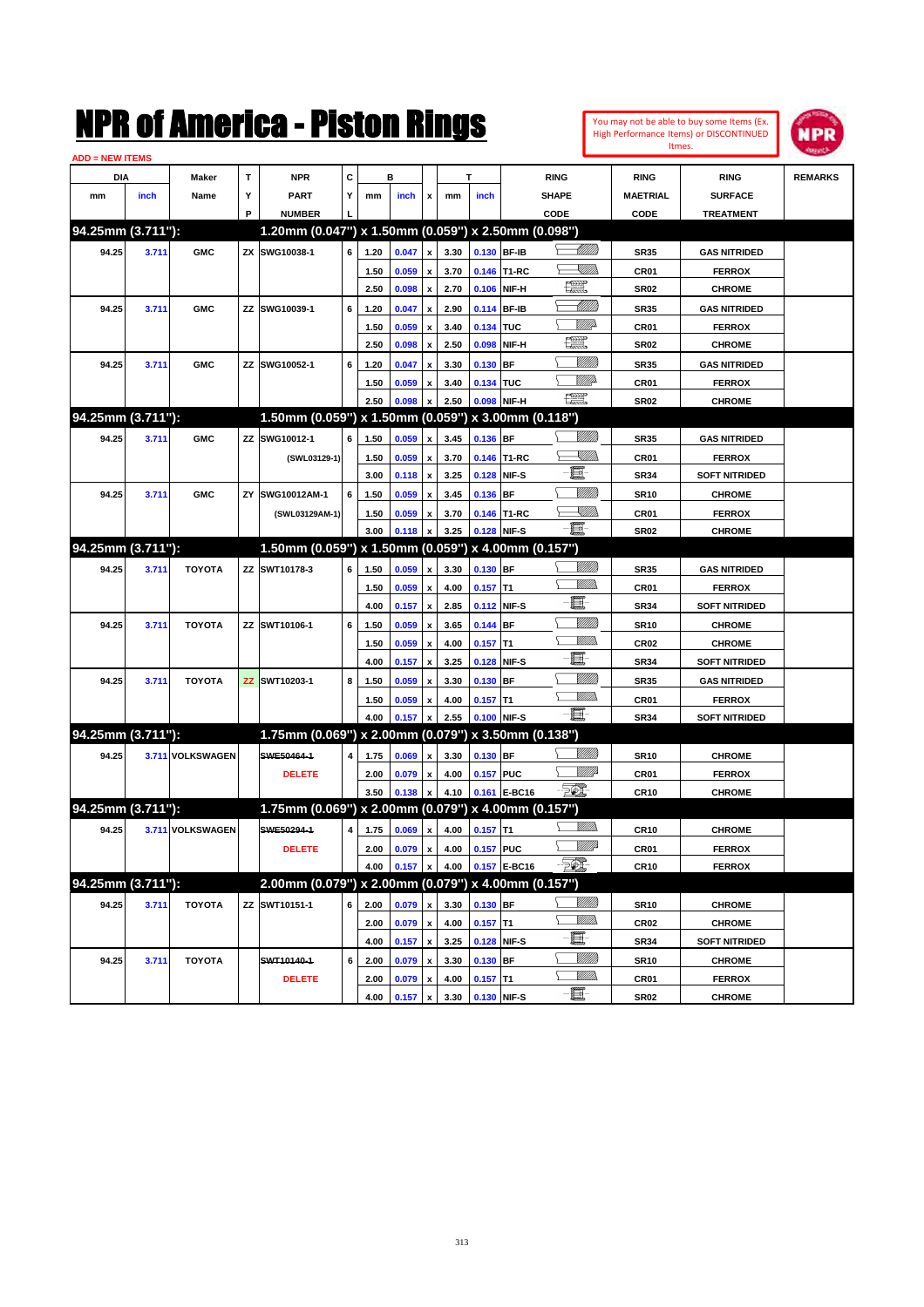| You may not be able to buy some Items (Ex.     |
|------------------------------------------------|
| <b>High Performance Items) or DISCONTINUED</b> |
| Itmes.                                         |



| <b>ADD = NEW ITEMS</b> |       |                  |    |                                                     |   |      |       |                    |      |             |              |                   |                  |                      |                |
|------------------------|-------|------------------|----|-----------------------------------------------------|---|------|-------|--------------------|------|-------------|--------------|-------------------|------------------|----------------------|----------------|
| <b>DIA</b>             |       | <b>Maker</b>     | T  | <b>NPR</b>                                          | С |      | в     |                    |      | т           |              | <b>RING</b>       | <b>RING</b>      | <b>RING</b>          | <b>REMARKS</b> |
| mm                     | inch  | Name             | Υ  | <b>PART</b>                                         | Y | mm   | inch  | x                  | mm   | inch        |              | <b>SHAPE</b>      | <b>MAETRIAL</b>  | <b>SURFACE</b>       |                |
|                        |       |                  | P  | <b>NUMBER</b>                                       |   |      |       |                    |      |             |              | CODE              | <b>CODE</b>      | <b>TREATMENT</b>     |                |
| 94.25mm (3.711"):      |       |                  |    | 1.20mm (0.047") x 1.50mm (0.059") x 2.50mm (0.098") |   |      |       |                    |      |             |              |                   |                  |                      |                |
| 94.25                  | 3.711 | <b>GMC</b>       |    | ZX SWG10038-1                                       | 6 | 1.20 | 0.047 | x                  | 3.30 |             | 0.130 BF-IB  |                   | <b>SR35</b>      | <b>GAS NITRIDED</b>  |                |
|                        |       |                  |    |                                                     |   | 1.50 | 0.059 |                    | 3.70 |             | 0.146 T1-RC  | <u>XIII))</u>     | CR <sub>01</sub> | <b>FERROX</b>        |                |
|                        |       |                  |    |                                                     |   | 2.50 | 0.098 | x                  | 2.70 |             | 0.106 NIF-H  | <u>ter</u>        | <b>SR02</b>      | <b>CHROME</b>        |                |
| 94.25                  | 3.711 | <b>GMC</b>       | ΖZ | SWG10039-1                                          | 6 | 1.20 | 0.047 | x                  | 2.90 |             | 0.114 BF-IB  | <u> Milli</u> lli | <b>SR35</b>      | <b>GAS NITRIDED</b>  |                |
|                        |       |                  |    |                                                     |   | 1.50 | 0.059 | x                  | 3.40 | 0.134 TUC   |              | MMP               | CR <sub>01</sub> | <b>FERROX</b>        |                |
|                        |       |                  |    |                                                     |   | 2.50 | 0.098 | x                  | 2.50 | 0.098       | NIF-H        | <u>tet</u>        | <b>SR02</b>      | <b>CHROME</b>        |                |
| 94.25                  | 3.711 | <b>GMC</b>       |    | ZZ SWG10052-1                                       | 6 | 1.20 | 0.047 |                    | 3.30 | $0.130$ BF  |              | <u> UMB</u>       | <b>SR35</b>      | <b>GAS NITRIDED</b>  |                |
|                        |       |                  |    |                                                     |   | 1.50 | 0.059 |                    | 3.40 | 0.134 TUC   |              | MMD               | CR <sub>01</sub> | <b>FERROX</b>        |                |
|                        |       |                  |    |                                                     |   | 2.50 | 0.098 |                    | 2.50 |             | 0.098 NIF-H  | æ                 | <b>SR02</b>      | <b>CHROME</b>        |                |
| 94.25mm (3.711"):      |       |                  |    | 1.50mm (0.059") x 1.50mm (0.059") x 3.00mm (0.118") |   |      |       |                    |      |             |              |                   |                  |                      |                |
| 94.25                  | 3.711 | <b>GMC</b>       | ZZ | SWG10012-1                                          | 6 | 1.50 | 0.059 | x                  | 3.45 | 0.136 BF    |              |                   | <b>SR35</b>      | <b>GAS NITRIDED</b>  |                |
|                        |       |                  |    | (SWL03129-1)                                        |   | 1.50 | 0.059 | x                  | 3.70 |             | 0.146 T1-RC  | XMM               | CR <sub>01</sub> | <b>FERROX</b>        |                |
|                        |       |                  |    |                                                     |   | 3.00 | 0.118 | x                  | 3.25 |             | 0.128 NIF-S  | E                 | <b>SR34</b>      | <b>SOFT NITRIDED</b> |                |
| 94.25                  | 3.711 | <b>GMC</b>       | ZY | SWG10012AM-1                                        | 6 | 1.50 | 0.059 | x                  | 3.45 | 0.136 BF    |              |                   | <b>SR10</b>      | <b>CHROME</b>        |                |
|                        |       |                  |    | (SWL03129AM-1)                                      |   | 1.50 | 0.059 | x                  | 3.70 |             | 0.146 T1-RC  | <u>XMMs</u>       | CR <sub>01</sub> | <b>FERROX</b>        |                |
|                        |       |                  |    |                                                     |   | 3.00 | 0.118 |                    | 3.25 |             | 0.128 NIF-S  | -8                | <b>SR02</b>      | <b>CHROME</b>        |                |
| 94.25mm (3.711"):      |       |                  |    | 1.50mm (0.059") x 1.50mm (0.059") x 4.00mm (0.157") |   |      |       |                    |      |             |              |                   |                  |                      |                |
| 94.25                  | 3.711 | <b>TOYOTA</b>    |    | ZZ SWT10178-3                                       | 6 | 1.50 | 0.059 | x                  | 3.30 | 0.130 BF    |              |                   | <b>SR35</b>      | <b>GAS NITRIDED</b>  |                |
|                        |       |                  |    |                                                     |   | 1.50 | 0.059 | x                  | 4.00 | $0.157$ T1  |              | CMM)              | CR <sub>01</sub> | <b>FERROX</b>        |                |
|                        |       |                  |    |                                                     |   | 4.00 | 0.157 | x                  | 2.85 |             | 0.112 NIF-S  | e.                | <b>SR34</b>      | <b>SOFT NITRIDED</b> |                |
| 94.25                  | 3.711 | <b>TOYOTA</b>    |    | ZZ SWT10106-1                                       | 6 | 1.50 | 0.059 |                    | 3.65 | $0.144$ BF  |              | <u>Milli</u>      | <b>SR10</b>      | <b>CHROME</b>        |                |
|                        |       |                  |    |                                                     |   | 1.50 | 0.059 | x                  | 4.00 | $0.157$ T1  |              | CMM)              | <b>CR02</b>      | <b>CHROME</b>        |                |
|                        |       |                  |    |                                                     |   | 4.00 | 0.157 | x                  | 3.25 |             | 0.128 NIF-S  | e.                | <b>SR34</b>      | <b>SOFT NITRIDED</b> |                |
| 94.25                  | 3.711 | <b>TOYOTA</b>    |    | ZZ SWT10203-1                                       | 8 | 1.50 | 0.059 |                    | 3.30 | $0.130$ BF  |              |                   | <b>SR35</b>      | <b>GAS NITRIDED</b>  |                |
|                        |       |                  |    |                                                     |   | 1.50 | 0.059 | x                  | 4.00 | $0.157$ T1  |              | CMM)              | <b>CR01</b>      | <b>FERROX</b>        |                |
|                        |       |                  |    |                                                     |   | 4.00 | 0.157 |                    | 2.55 |             | 0.100 NIF-S  | - 1               | <b>SR34</b>      | <b>SOFT NITRIDED</b> |                |
| 94.25mm (3.711"):      |       |                  |    | 1.75mm (0.069") x 2.00mm (0.079") x 3.50mm (0.138") |   |      |       |                    |      |             |              |                   |                  |                      |                |
| 94.25                  |       | 3.711 VOLKSWAGEN |    | SWE50464-1                                          | 4 | 1.75 | 0.069 | x                  | 3.30 | 0.130 BF    |              |                   | <b>SR10</b>      | <b>CHROME</b>        |                |
|                        |       |                  |    | <b>DELETE</b>                                       |   | 2.00 | 0.079 | x                  | 4.00 | 0.157 PUC   |              | ₩₩                | CR <sub>01</sub> | <b>FERROX</b>        |                |
|                        |       |                  |    |                                                     |   | 3.50 | 0.138 | x                  | 4.10 |             | 0.161 E-BC16 | -501              | <b>CR10</b>      | <b>CHROME</b>        |                |
| 94.25mm (3.711"):      |       |                  |    | 1.75mm (0.069") x 2.00mm (0.079") x 4.00mm (0.157") |   |      |       |                    |      |             |              |                   |                  |                      |                |
| 94.25                  |       | 3.711 VOLKSWAGEN |    | SWE50294-1                                          | 4 | 1.75 | 0.069 | x                  | 4.00 | $0.157$ T1  |              |                   | CR10             | <b>CHROME</b>        |                |
|                        |       |                  |    | <b>DELETE</b>                                       |   | 2.00 | 0.079 | $\pmb{\mathsf{x}}$ | 4.00 | 0.157 PUC   |              | WMA               | CR01             | <b>FERROX</b>        |                |
|                        |       |                  |    |                                                     |   | 4.00 | 0.157 | $\pmb{\mathsf{x}}$ | 4.00 |             | 0.157 E-BC16 | $\mathbb{Z}$      | <b>CR10</b>      | <b>FERROX</b>        |                |
| 94.25mm (3.711"):      |       |                  |    | 2.00mm (0.079") x 2.00mm (0.079") x 4.00mm (0.157") |   |      |       |                    |      |             |              |                   |                  |                      |                |
| 94.25                  | 3.711 | <b>TOYOTA</b>    |    | ZZ SWT10151-1                                       | 6 | 2.00 | 0.079 | $\pmb{\mathsf{x}}$ | 3.30 | 0.130 BF    |              | <u>VIIII</u> )    | <b>SR10</b>      | <b>CHROME</b>        |                |
|                        |       |                  |    |                                                     |   | 2.00 | 0.079 | $\pmb{\mathsf{x}}$ | 4.00 | $0.157$ T1  |              | <u>VMWs</u>       | CR <sub>02</sub> | <b>CHROME</b>        |                |
|                        |       |                  |    |                                                     |   | 4.00 | 0.157 | $\pmb{\mathsf{x}}$ | 3.25 |             | 0.128 NIF-S  | E                 | SR34             | <b>SOFT NITRIDED</b> |                |
| 94.25                  | 3.711 | <b>TOYOTA</b>    |    | SWT10140-1                                          | 6 | 2.00 | 0.079 | x                  | 3.30 | 0.130 BF    |              | <u>VIIII</u> )    | <b>SR10</b>      | <b>CHROME</b>        |                |
|                        |       |                  |    | <b>DELETE</b>                                       |   | 2.00 | 0.079 | x                  | 4.00 | $0.157$ T1  |              | <u>MM)</u>        | CR01             | <b>FERROX</b>        |                |
|                        |       |                  |    |                                                     |   | 4.00 | 0.157 | $\pmb{\mathsf{x}}$ | 3.30 | 0.130 NIF-S |              | e.                | <b>SR02</b>      | <b>CHROME</b>        |                |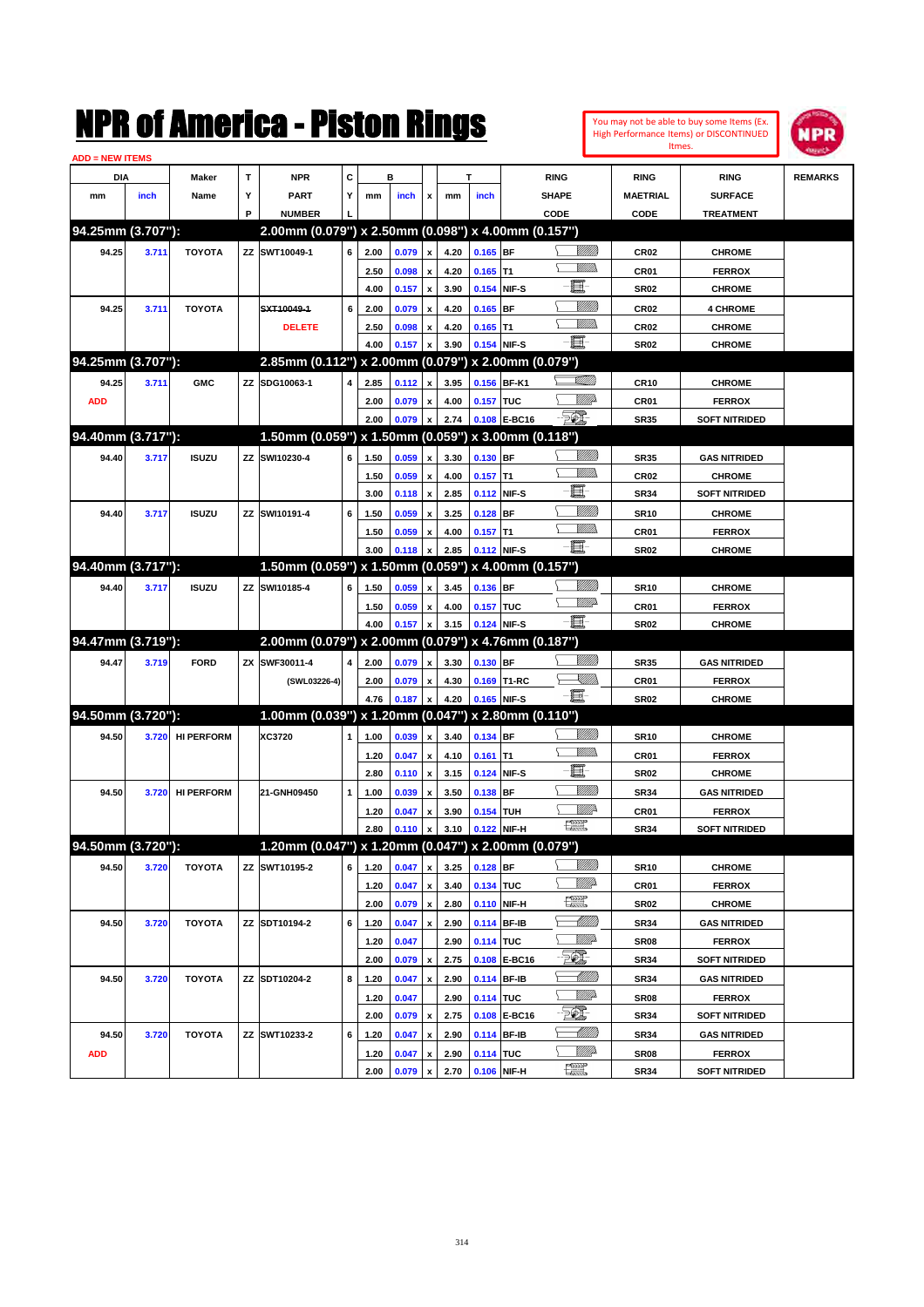| You may not be able to buy some Items (Ex. |
|--------------------------------------------|
| High Performance Items) or DISCONTINUED    |
| Itmes.                                     |



| <b>ADD = NEW ITEMS</b> |       |                   |   |                                                     |   |      |       |                           |      |            |              |                                        |                  |                      |                |
|------------------------|-------|-------------------|---|-----------------------------------------------------|---|------|-------|---------------------------|------|------------|--------------|----------------------------------------|------------------|----------------------|----------------|
| DIA                    |       | <b>Maker</b>      | T | <b>NPR</b>                                          | C |      | в     |                           |      | T          |              | <b>RING</b>                            | <b>RING</b>      | <b>RING</b>          | <b>REMARKS</b> |
| mm                     | inch  | Name              | Υ | <b>PART</b>                                         | Y | mm   | inch  | x                         | mm   | inch       |              | <b>SHAPE</b>                           | <b>MAETRIAL</b>  | <b>SURFACE</b>       |                |
|                        |       |                   | P | <b>NUMBER</b>                                       |   |      |       |                           |      |            |              | CODE                                   | CODE             | <b>TREATMENT</b>     |                |
| 94.25mm (3.707"):      |       |                   |   | 2.00mm (0.079") x 2.50mm (0.098") x 4.00mm (0.157") |   |      |       |                           |      |            |              |                                        |                  |                      |                |
| 94.25                  | 3.711 | <b>TOYOTA</b>     |   | ZZ SWT10049-1                                       | 6 | 2.00 | 0.079 | x                         | 4.20 | $0.165$ BF |              | <u>Sillilli</u>                        | <b>CR02</b>      | <b>CHROME</b>        |                |
|                        |       |                   |   |                                                     |   | 2.50 | 0.098 | x                         | 4.20 | $0.165$ T1 |              | VM))                                   | CR01             | <b>FERROX</b>        |                |
|                        |       |                   |   |                                                     |   | 4.00 | 0.157 | $\boldsymbol{\mathsf{x}}$ | 3.90 | 0.154      | NIF-S        | e                                      | <b>SR02</b>      | <b>CHROME</b>        |                |
| 94.25                  | 3.711 | <b>TOYOTA</b>     |   | SXT10049-1                                          | 6 | 2.00 | 0.079 | x                         | 4.20 | $0.165$ BF |              | <u>MMW</u>                             | <b>CR02</b>      | <b>4 CHROME</b>      |                |
|                        |       |                   |   | <b>DELETE</b>                                       |   | 2.50 | 0.098 | x                         | 4.20 | $0.165$ T1 |              | <br>Mar                                | <b>CR02</b>      | <b>CHROME</b>        |                |
|                        |       |                   |   |                                                     |   | 4.00 | 0.157 | x                         | 3.90 |            | 0.154 NIF-S  | -夏-                                    | <b>SR02</b>      | <b>CHROME</b>        |                |
| 94.25mm (3.707"):      |       |                   |   | 2.85mm (0.112") x 2.00mm (0.079") x 2.00mm (0.079") |   |      |       |                           |      |            |              |                                        |                  |                      |                |
| 94.25                  | 3.711 | <b>GMC</b>        |   | ZZ SDG10063-1                                       | 4 | 2.85 | 0.112 | x                         | 3.95 |            | 0.156 BF-K1  | <u>stillin</u>                         | <b>CR10</b>      | <b>CHROME</b>        |                |
| <b>ADD</b>             |       |                   |   |                                                     |   | 2.00 | 0.079 | x                         | 4.00 | 0.157 TUC  |              | MMP                                    | CR01             | <b>FERROX</b>        |                |
|                        |       |                   |   |                                                     |   | 2.00 | 0.079 | x                         | 2.74 |            | 0.108 E-BC16 | <u> 50)</u>                            | <b>SR35</b>      | <b>SOFT NITRIDED</b> |                |
| 94.40mm (3.717"):      |       |                   |   | 1.50mm (0.059") x 1.50mm (0.059") x 3.00mm (0.118") |   |      |       |                           |      |            |              |                                        |                  |                      |                |
| 94.40                  | 3.717 | <b>ISUZU</b>      |   | ZZ SWI10230-4                                       | 6 | 1.50 | 0.059 | x                         | 3.30 | 0.130 BF   |              | <u>MMW</u>                             | <b>SR35</b>      | <b>GAS NITRIDED</b>  |                |
|                        |       |                   |   |                                                     |   | 1.50 | 0.059 | x                         | 4.00 | $0.157$ T1 |              | <br>Mar                                | <b>CR02</b>      | <b>CHROME</b>        |                |
|                        |       |                   |   |                                                     |   | 3.00 | 0.118 | $\boldsymbol{\mathsf{x}}$ | 2.85 |            | 0.112 NIF-S  | E.                                     | <b>SR34</b>      | <b>SOFT NITRIDED</b> |                |
| 94.40                  | 3.717 | <b>ISUZU</b>      |   | ZZ SWI10191-4                                       | 6 | 1.50 | 0.059 | x                         | 3.25 | $0.128$ BF |              | <u>Milli</u> k                         | <b>SR10</b>      | <b>CHROME</b>        |                |
|                        |       |                   |   |                                                     |   | 1.50 | 0.059 | x                         | 4.00 | $0.157$ T1 |              | .<br>WWW                               | CR01             | <b>FERROX</b>        |                |
|                        |       |                   |   |                                                     |   | 3.00 | 0.118 | X                         | 2.85 |            | 0.112 NIF-S  | -8                                     | <b>SR02</b>      | <b>CHROME</b>        |                |
| 94.40mm (3.717"):      |       |                   |   | 1.50mm (0.059") x 1.50mm (0.059") x 4.00mm (0.157") |   |      |       |                           |      |            |              |                                        |                  |                      |                |
| 94.40                  | 3.717 | <b>ISUZU</b>      |   | ZZ SWI10185-4                                       | 6 | 1.50 | 0.059 | x                         | 3.45 | 0.136 BF   |              | <u>MMW</u>                             | <b>SR10</b>      | <b>CHROME</b>        |                |
|                        |       |                   |   |                                                     |   | 1.50 | 0.059 | x                         | 4.00 | 0.157 TUC  |              | <u>WW</u>                              | CR01             | <b>FERROX</b>        |                |
|                        |       |                   |   |                                                     |   | 4.00 | 0.157 | x                         | 3.15 |            | 0.124 NIF-S  | -夏-                                    | <b>SR02</b>      | <b>CHROME</b>        |                |
| 94.47mm (3.719"):      |       |                   |   | 2.00mm (0.079") x 2.00mm (0.079") x 4.76mm (0.187") |   |      |       |                           |      |            |              |                                        |                  |                      |                |
| 94.47                  | 3.719 | <b>FORD</b>       |   | ZX SWF30011-4                                       | 4 | 2.00 | 0.079 | x                         | 3.30 | 0.130 BF   |              | WMM)                                   | <b>SR35</b>      | <b>GAS NITRIDED</b>  |                |
|                        |       |                   |   | (SWL03226-4)                                        |   | 2.00 | 0.079 | x                         | 4.30 |            | 0.169 T1-RC  | <u>- Millis</u>                        | CR01             | <b>FERROX</b>        |                |
|                        |       |                   |   |                                                     |   | 4.76 | 0.187 | x                         | 4.20 |            | 0.165 NIF-S  | -8                                     | <b>SR02</b>      | <b>CHROME</b>        |                |
| 94.50mm (3.720"):      |       |                   |   | 1.00mm (0.039") x 1.20mm (0.047") x 2.80mm (0.110") |   |      |       |                           |      |            |              |                                        |                  |                      |                |
| 94.50                  | 3.720 | <b>HI PERFORM</b> |   | XC3720                                              | 1 | 1.00 | 0.039 | x                         | 3.40 | 0.134 BF   |              | <u>Sillilli</u>                        | <b>SR10</b>      | <b>CHROME</b>        |                |
|                        |       |                   |   |                                                     |   | 1.20 | 0.047 | x                         | 4.10 | $0.161$ T1 |              | <br>Mar                                | CR01             | <b>FERROX</b>        |                |
|                        |       |                   |   |                                                     |   | 2.80 | 0.110 | $\boldsymbol{\mathsf{x}}$ | 3.15 | 0.124      | NIF-S        | e                                      | <b>SR02</b>      | <b>CHROME</b>        |                |
| 94.50                  | 3.720 | <b>HI PERFORM</b> |   | 21-GNH09450                                         | 1 | 1.00 | 0.039 | x                         | 3.50 | $0.138$ BF |              | VIIII)                                 | <b>SR34</b>      | <b>GAS NITRIDED</b>  |                |
|                        |       |                   |   |                                                     |   | 1.20 | 0.047 | x                         | 3.90 | 0.154 TUH  |              | <u>Willi</u> r<br>漂                    | <b>CR01</b>      | <b>FERROX</b>        |                |
| 94.50mm (3.720"):      |       |                   |   |                                                     |   | 2.80 | 0.110 | x                         | 3.10 |            | 0.122 NIF-H  |                                        | <b>SR34</b>      | <b>SOFT NITRIDED</b> |                |
|                        |       |                   |   | 1.20mm (0.047") x 1.20mm (0.047") x 2.00mm (0.079") |   |      |       |                           |      |            |              |                                        |                  |                      |                |
| 94.50                  | 3.720 | <b>TOYOTA</b>     |   | ZZ SWT10195-2                                       | 6 | 1.20 | 0.047 | $\pmb{\mathsf{x}}$        | 3.25 | $0.128$ BF |              | <u>MMM</u>                             | <b>SR10</b>      | <b>CHROME</b>        |                |
|                        |       |                   |   |                                                     |   | 1.20 | 0.047 | x                         | 3.40 | 0.134 TUC  |              | <i><u>Villito</u></i><br>$\frac{1}{2}$ | CR01             | <b>FERROX</b>        |                |
|                        |       |                   |   |                                                     |   | 2.00 | 0.079 | $\pmb{\mathsf{x}}$        | 2.80 |            | 0.110 NIF-H  |                                        | <b>SR02</b>      | <b>CHROME</b>        |                |
| 94.50                  | 3.720 | <b>TOYOTA</b>     |   | ZZ SDT10194-2                                       | 6 | 1.20 | 0.047 | x                         | 2.90 |            | 0.114 BF-IB  | <u>-MM)</u><br><u>Willia</u>           | <b>SR34</b>      | <b>GAS NITRIDED</b>  |                |
|                        |       |                   |   |                                                     |   | 1.20 | 0.047 |                           | 2.90 | 0.114 TUC  |              | EQ,                                    | <b>SR08</b>      | <b>FERROX</b>        |                |
|                        |       |                   |   |                                                     |   | 2.00 | 0.079 | $\pmb{\mathsf{x}}$        | 2.75 |            | 0.108 E-BC16 |                                        | <b>SR34</b>      | <b>SOFT NITRIDED</b> |                |
| 94.50                  | 3.720 | TOYOTA            |   | ZZ SDT10204-2                                       | 8 | 1.20 | 0.047 | x                         | 2.90 |            | 0.114 BF-IB  | <u>Willia</u>                          | <b>SR34</b>      | <b>GAS NITRIDED</b>  |                |
|                        |       |                   |   |                                                     |   | 1.20 | 0.047 |                           | 2.90 | 0.114 TUC  |              | TQ.                                    | <b>SR08</b>      | <b>FERROX</b>        |                |
|                        |       |                   |   |                                                     |   | 2.00 | 0.079 | $\pmb{\mathsf{x}}$        | 2.75 |            | 0.108 E-BC16 | <u> Millitt</u>                        | <b>SR34</b>      | <b>SOFT NITRIDED</b> |                |
| 94.50                  | 3.720 | <b>TOYOTA</b>     |   | ZZ SWT10233-2                                       | 6 | 1.20 | 0.047 | x                         | 2.90 |            | 0.114 BF-IB  | <u>Willia</u>                          | <b>SR34</b>      | <b>GAS NITRIDED</b>  |                |
| <b>ADD</b>             |       |                   |   |                                                     |   | 1.20 | 0.047 | x                         | 2.90 | 0.114 TUC  |              | $\frac{1}{2}$                          | SR <sub>08</sub> | <b>FERROX</b>        |                |
|                        |       |                   |   |                                                     |   | 2.00 | 0.079 | x                         | 2.70 |            | 0.106 NIF-H  |                                        | <b>SR34</b>      | <b>SOFT NITRIDED</b> |                |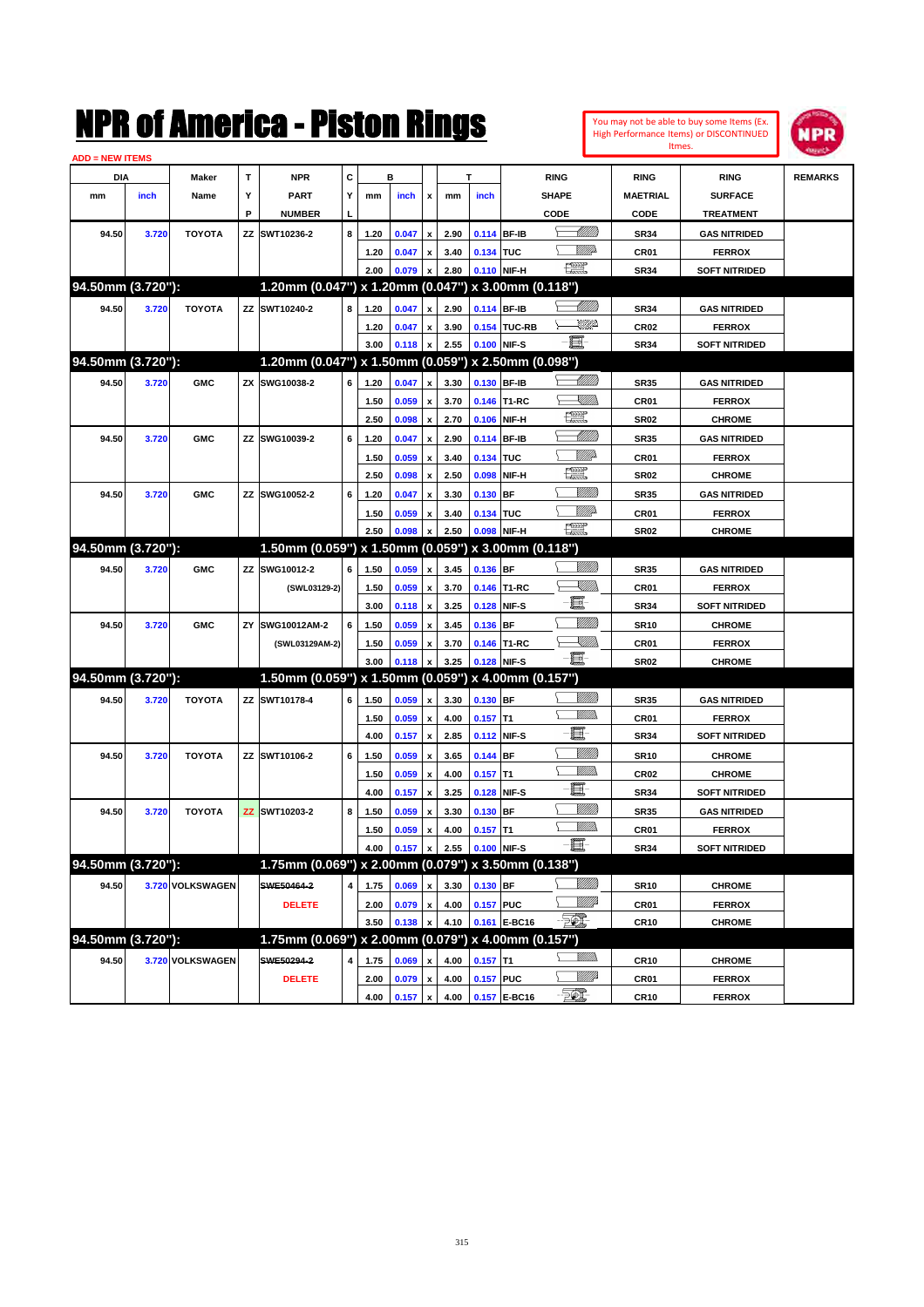|                        |       |                  |             | NMK OI AMCMICA - MISTON KINGS                       |   |              |                |                           |              |             |              |                   |                | Itmes.           | You may not be able to buy some Items (Ex.<br>High Performance Items) or DISCONTINUED | NPR            |
|------------------------|-------|------------------|-------------|-----------------------------------------------------|---|--------------|----------------|---------------------------|--------------|-------------|--------------|-------------------|----------------|------------------|---------------------------------------------------------------------------------------|----------------|
| <b>ADD = NEW ITEMS</b> |       |                  |             |                                                     |   |              |                |                           |              |             |              |                   |                |                  |                                                                                       |                |
| DIA                    |       | Maker            | $\mathbf T$ | <b>NPR</b>                                          | C |              | в              |                           |              | T           |              | <b>RING</b>       |                | <b>RING</b>      | <b>RING</b>                                                                           | <b>REMARKS</b> |
| mm                     | inch  | Name             | Υ           | <b>PART</b>                                         | Υ | mm           | inch           | x                         | mm           | inch        |              | <b>SHAPE</b>      |                | <b>MAETRIAL</b>  | <b>SURFACE</b>                                                                        |                |
|                        |       |                  | P           | <b>NUMBER</b>                                       |   |              |                |                           |              |             |              | CODE              |                | CODE             | <b>TREATMENT</b>                                                                      |                |
| 94.50                  | 3.720 | <b>TOYOTA</b>    | ZZ          | SWT10236-2                                          | 8 | 1.20         | 0.047          | $\pmb{\mathsf{x}}$        | 2.90         | 0.114 BF-IB |              |                   | <u> UMM</u>    | <b>SR34</b>      | <b>GAS NITRIDED</b>                                                                   |                |
|                        |       |                  |             |                                                     |   | 1.20         | 0.047          | $\pmb{\mathsf{x}}$        | 3.40         | 0.134 TUC   |              |                   | <u>VIIItä</u>  | CR01             | <b>FERROX</b>                                                                         |                |
|                        |       |                  |             |                                                     |   | 2.00         | 0.079          | $\pmb{\mathsf{x}}$        | 2.80         | 0.110 NIF-H |              | <b>The Second</b> |                | <b>SR34</b>      | <b>SOFT NITRIDED</b>                                                                  |                |
| 94.50mm (3.720"):      |       |                  |             | 1.20mm (0.047") x 1.20mm (0.047") x 3.00mm (0.118") |   |              |                |                           |              |             |              |                   |                |                  |                                                                                       |                |
| 94.50                  | 3.720 | <b>TOYOTA</b>    |             | ZZ SWT10240-2                                       | 8 | 1.20         | 0.047          | $\pmb{\mathsf{x}}$        | 2.90         | 0.114 BF-IB |              |                   | <u> UMM</u>    | <b>SR34</b>      | <b>GAS NITRIDED</b>                                                                   |                |
|                        |       |                  |             |                                                     |   | 1.20         | 0.047          | $\pmb{\mathsf{x}}$        | 3.90         |             | 0.154 TUC-RB |                   | <u>UMP</u>     | CR <sub>02</sub> | <b>FERROX</b>                                                                         |                |
|                        |       |                  |             |                                                     |   | 3.00         | 0.118          | $\pmb{\mathsf{x}}$        | 2.55         | 0.100 NIF-S |              | - 8               |                | <b>SR34</b>      | <b>SOFT NITRIDED</b>                                                                  |                |
| 94.50mm (3.720"):      |       |                  |             | 1.20mm (0.047") x 1.50mm (0.059") x 2.50mm (0.098") |   |              |                |                           |              |             |              |                   |                |                  |                                                                                       |                |
| 94.50                  | 3.720 | <b>GMC</b>       | <b>ZX</b>   | SWG10038-2                                          | 6 | 1.20         | 0.047          | $\pmb{\mathsf{x}}$        | 3.30         | 0.130 BF-IB |              |                   | <u> UMM</u>    | <b>SR35</b>      | <b>GAS NITRIDED</b>                                                                   |                |
|                        |       |                  |             |                                                     |   | 1.50         | 0.059          | $\pmb{\mathsf{x}}$        | 3.70         |             | 0.146 T1-RC  |                   | <u>Sillill</u> | CR01             | <b>FERROX</b>                                                                         |                |
|                        |       |                  |             |                                                     |   | 2.50         | 0.098          | $\pmb{\mathsf{x}}$        | 2.70         | 0.106 NIF-H |              | $\mathbb{R}$      |                | <b>SR02</b>      | <b>CHROME</b>                                                                         |                |
| 94.50                  | 3.720 | <b>GMC</b>       | ZZ          | SWG10039-2                                          | 6 | 1.20         | 0.047          | $\pmb{\mathsf{x}}$        | 2.90         | 0.114 BF-IB |              |                   | <u> UMM</u>    | <b>SR35</b>      | <b>GAS NITRIDED</b>                                                                   |                |
|                        |       |                  |             |                                                     |   | 1.50         | 0.059          | $\pmb{\mathsf{x}}$        | 3.40         | 0.134 TUC   |              |                   | <u>MM</u>      | CR01             | <b>FERROX</b>                                                                         |                |
|                        |       |                  |             |                                                     |   | 2.50         | 0.098          | $\boldsymbol{\mathsf{x}}$ | 2.50         | 0.098       | NIF-H        | $\mathbb{R}$      |                | <b>SR02</b>      | <b>CHROME</b>                                                                         |                |
| 94.50                  | 3.720 | <b>GMC</b>       |             | ZZ SWG10052-2                                       | 6 | 1.20         | 0.047          | $\pmb{\mathsf{x}}$        | 3.30         | 0.130 BF    |              |                   | <u>MMM</u>     | <b>SR35</b>      | <b>GAS NITRIDED</b>                                                                   |                |
|                        |       |                  |             |                                                     |   | 1.50         | 0.059          | $\pmb{\mathsf{x}}$        | 3.40         | 0.134 TUC   |              |                   | <u>VIIItä</u>  | CR01             | <b>FERROX</b>                                                                         |                |
|                        |       |                  |             |                                                     |   | 2.50         | 0.098          | x                         | 2.50         | 0.098 NIF-H |              | $\frac{1}{2}$     |                | <b>SR02</b>      | <b>CHROME</b>                                                                         |                |
| 94.50mm (3.720"):      |       |                  |             | 1.50mm (0.059") x 1.50mm (0.059") x 3.00mm (0.118") |   |              |                |                           |              |             |              |                   |                |                  |                                                                                       |                |
| 94.50                  | 3.720 | <b>GMC</b>       |             | ZZ SWG10012-2                                       | 6 | 1.50         | 0.059          | $\pmb{\mathsf{x}}$        | 3.45         | 0.136 BF    |              |                   | VIII))         | <b>SR35</b>      | <b>GAS NITRIDED</b>                                                                   |                |
|                        |       |                  |             | (SWL03129-2)                                        |   | 1.50         | 0.059          | $\pmb{\mathsf{x}}$        | 3.70         |             | 0.146 T1-RC  |                   | <u>Sillill</u> | CR01             | <b>FERROX</b>                                                                         |                |
|                        |       |                  |             |                                                     |   | 3.00         | 0.118          | $\pmb{\mathsf{x}}$        | 3.25         | 0.128 NIF-S |              | E.                |                | <b>SR34</b>      | <b>SOFT NITRIDED</b>                                                                  |                |
| 94.50                  | 3.720 | <b>GMC</b>       | ZY          | SWG10012AM-2                                        | 6 | 1.50         | 0.059          | $\pmb{\mathsf{x}}$        | 3.45         | 0.136 BF    |              |                   | WMM)           | <b>SR10</b>      | <b>CHROME</b>                                                                         |                |
|                        |       |                  |             |                                                     |   |              |                |                           |              |             | 0.146 T1-RC  |                   | <u>Sillin</u>  | CR01             |                                                                                       |                |
|                        |       |                  |             | (SWL03129AM-2)                                      |   | 1.50<br>3.00 | 0.059          | $\pmb{\mathsf{x}}$        | 3.70<br>3.25 | 0.128 NIF-S |              | E.                |                |                  | <b>FERROX</b>                                                                         |                |
| 94.50mm (3.720"):      |       |                  |             | 1.50mm (0.059") x 1.50mm (0.059") x 4.00mm (0.157") |   |              | 0.118          | $\boldsymbol{\mathsf{x}}$ |              |             |              |                   |                | <b>SR02</b>      | <b>CHROME</b>                                                                         |                |
|                        |       |                  |             |                                                     |   |              |                |                           |              |             |              |                   | VIII))         |                  |                                                                                       |                |
| 94.50                  | 3.720 | <b>TOYOTA</b>    |             | ZZ SWT10178-4                                       | 6 | 1.50         | 0.059          | $\pmb{\mathsf{x}}$        | 3.30         | 0.130 BF    |              |                   | .<br>MMW       | <b>SR35</b>      | <b>GAS NITRIDED</b>                                                                   |                |
|                        |       |                  |             |                                                     |   | 1.50         | 0.059          | $\pmb{\mathsf{x}}$        | 4.00         | $0.157$ T1  |              | E                 |                | CR01             | <b>FERROX</b>                                                                         |                |
|                        |       |                  |             |                                                     |   | 4.00         | 0.157          | $\boldsymbol{\mathsf{x}}$ | 2.85         | 0.112 NIF-S |              |                   |                | <b>SR34</b>      | <b>SOFT NITRIDED</b>                                                                  |                |
| 94.50                  | 3.720 | <b>TOYOTA</b>    |             | ZZ SWT10106-2                                       | 6 | 1.50         | 0.059          | $\pmb{\mathsf{x}}$        | 3.65         | $0.144$ BF  |              |                   | <u>MMW</u>     | <b>SR10</b>      | <b>CHROME</b>                                                                         |                |
|                        |       |                  |             |                                                     |   | 1.50         | 0.059          | $\pmb{\mathsf{x}}$        | 4.00         | $0.157$ T1  |              |                   | <br>Mad        | <b>CR02</b>      | <b>CHROME</b>                                                                         |                |
|                        |       |                  |             |                                                     |   | 4.00         | 0.157          | $\pmb{\mathsf{x}}$        | 3.25         | 0.128 NIF-S |              | E                 |                | <b>SR34</b>      | <b>SOFT NITRIDED</b>                                                                  |                |
| 94.50                  | 3.720 | ΤΟΥΟΤΑ           |             | ZZ SWT10203-2                                       | 8 | 1.50         | 0.059          | $\pmb{\mathsf{x}}$        | 3.30         | 0.130 BF    |              |                   | WMM)           | <b>SR35</b>      | <b>GAS NITRIDED</b>                                                                   |                |
|                        |       |                  |             |                                                     |   | 1.50         | 0.059          | $\pmb{\mathsf{x}}$        | 4.00         | $0.157$ T1  |              |                   | <u>MMD</u>     | CR01             | <b>FERROX</b>                                                                         |                |
|                        |       |                  |             |                                                     |   | 4.00         | 0.157          | $\boldsymbol{\mathsf{x}}$ | 2.55         | 0.100 NIF-S |              | ei-               |                | <b>SR34</b>      | <b>SOFT NITRIDED</b>                                                                  |                |
| 94.50mm (3.720"):      |       |                  |             | 1.75mm (0.069") x 2.00mm (0.079") x 3.50mm (0.138") |   |              |                |                           |              |             |              |                   |                |                  |                                                                                       |                |
| 94.50                  |       | 3.720 VOLKSWAGEN |             | SWE50464-2                                          | 4 | 1.75         | 0.069          | $\pmb{\mathsf{x}}$        | 3.30         | $0.130$ BF  |              |                   | <u>MMS</u>     | <b>SR10</b>      | <b>CHROME</b>                                                                         |                |
|                        |       |                  |             | <b>DELETE</b>                                       |   | 2.00         | 0.079          | $\pmb{\mathsf{x}}$        | 4.00         | 0.157 PUC   |              |                   | <u>VIII</u> D  | CR01             | <b>FERROX</b>                                                                         |                |
|                        |       |                  |             |                                                     |   | 3.50         | 0.138          | $\pmb{\mathsf{x}}$        | 4.10         |             | 0.161 E-BC16 | $\mathbb{Z}$      |                | <b>CR10</b>      | <b>CHROME</b>                                                                         |                |
| 94.50mm (3.720"):      |       |                  |             | 1.75mm (0.069") x 2.00mm (0.079") x 4.00mm (0.157") |   |              |                |                           |              |             |              |                   |                |                  |                                                                                       |                |
| 94.50                  |       | 3.720 VOLKSWAGEN |             | SWE50294-2                                          | 4 | 1.75         | 0.069          | $\pmb{\mathsf{x}}$        | 4.00         | $0.157$ T1  |              |                   | <u>MMs</u>     | CR <sub>10</sub> | <b>CHROME</b>                                                                         |                |
|                        |       |                  |             | <b>DELETE</b>                                       |   | 2.00         | 0.079          | $\mathbf x$               | 4.00         | 0.157 PUC   |              |                   | <u>Willi</u> b | CR01             | <b>FERROX</b>                                                                         |                |
|                        |       |                  |             |                                                     |   | 4.00         | $0.157 \times$ |                           | 4.00         |             | 0.157 E-BC16 | $\mathbb{Z}$      |                | CR10             | <b>FERROX</b>                                                                         |                |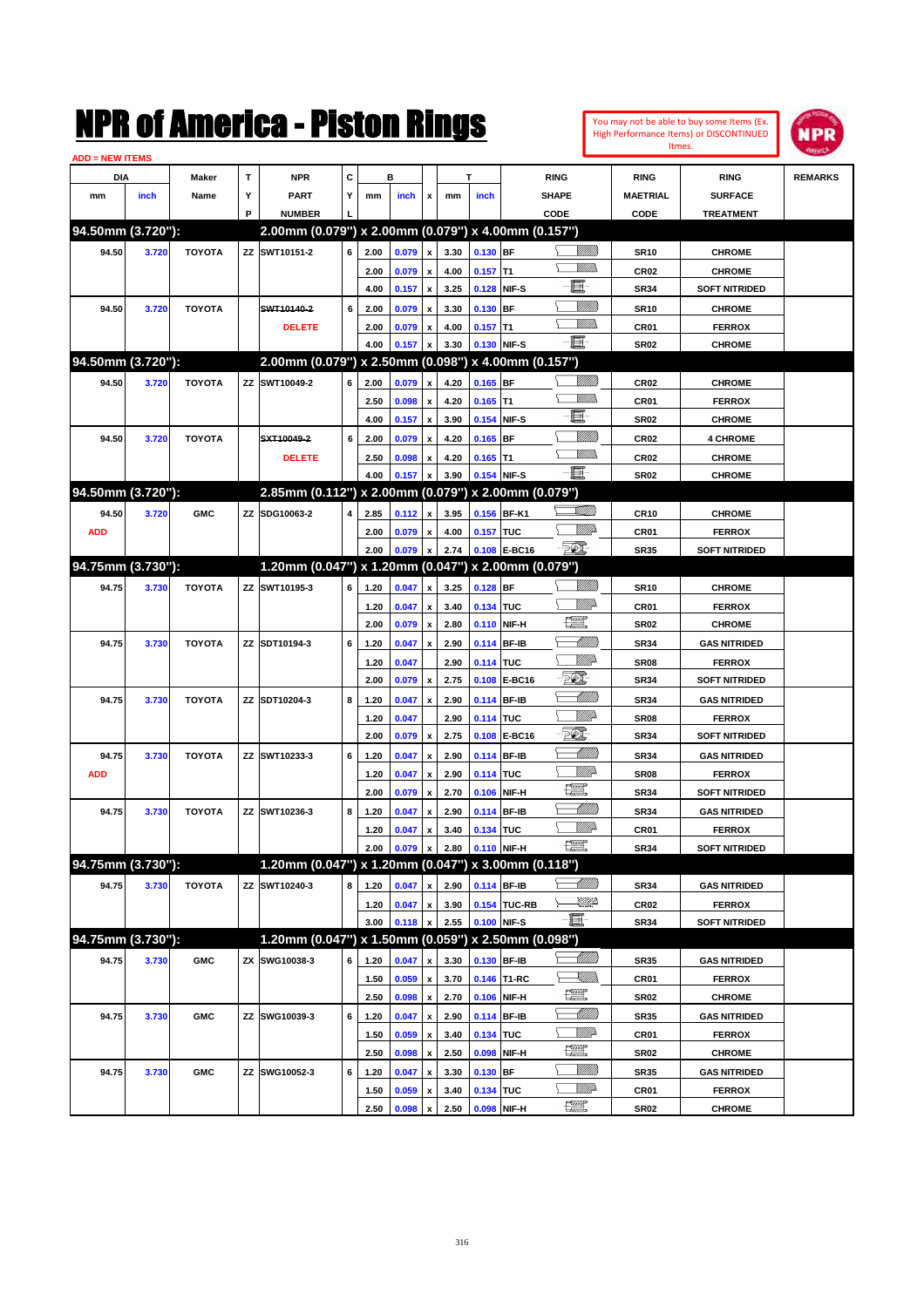| <b>ADD = NEW ITEMS</b> |       |               |   | NMK OI AINCrica - Miston Kings                      |   |      |       |                    |              |             |                     |                               |                   |                  | You may not be able to buy some Items (Ex.<br>High Performance Items) or DISCONTINUED<br>Itmes. | <b>NPR</b>     |
|------------------------|-------|---------------|---|-----------------------------------------------------|---|------|-------|--------------------|--------------|-------------|---------------------|-------------------------------|-------------------|------------------|-------------------------------------------------------------------------------------------------|----------------|
| DIA                    |       | Maker         | T | <b>NPR</b>                                          | С |      | в     |                    |              | т           |                     | <b>RING</b>                   |                   | <b>RING</b>      | <b>RING</b>                                                                                     | <b>REMARKS</b> |
| mm                     | inch  | Name          | Υ | <b>PART</b>                                         | Y | mm   | inch  | x                  | mm           | inch        |                     | <b>SHAPE</b>                  |                   | MAETRIAL         | <b>SURFACE</b>                                                                                  |                |
|                        |       |               | P | <b>NUMBER</b>                                       |   |      |       |                    |              |             |                     | CODE                          |                   | CODE             | <b>TREATMENT</b>                                                                                |                |
| 94.50mm (3.720"):      |       |               |   | 2.00mm (0.079") x 2.00mm (0.079") x 4.00mm (0.157") |   |      |       |                    |              |             |                     |                               |                   |                  |                                                                                                 |                |
| 94.50                  | 3.720 | <b>TOYOTA</b> |   | ZZ SWT10151-2                                       | 6 | 2.00 | 0.079 | $\pmb{\mathsf{x}}$ | 3.30         | 0.130 BF    |                     |                               | <u>Sillilli</u>   | SR10             | <b>CHROME</b>                                                                                   |                |
|                        |       |               |   |                                                     |   | 2.00 | 0.079 | $\mathbf{x}$       | 4.00         | $0.157$ T1  |                     |                               | .<br>MM           | CR <sub>02</sub> | <b>CHROME</b>                                                                                   |                |
|                        |       |               |   |                                                     |   | 4.00 | 0.157 | x                  | 3.25         | 0.128       | NIF-S               | E                             |                   | SR34             | <b>SOFT NITRIDED</b>                                                                            |                |
| 94.50                  | 3.720 | <b>TOYOTA</b> |   | SWT10140-2                                          | 6 | 2.00 | 0.079 | x                  | 3.30         | 0.130       | <b>BF</b>           |                               | <u>VIIII</u>      | SR10             | <b>CHROME</b>                                                                                   |                |
|                        |       |               |   | <b>DELETE</b>                                       |   | 2.00 | 0.079 | $\pmb{\mathsf{x}}$ | 4.00         | $0.157$ T1  |                     |                               | .<br>MM           | CR01             | <b>FERROX</b>                                                                                   |                |
|                        |       |               |   |                                                     |   | 4.00 | 0.157 | $\pmb{\mathsf{x}}$ | 3.30         | 0.130       | NIF-S               | $-\mathbf{E}$                 |                   | SR02             | <b>CHROME</b>                                                                                   |                |
| 94.50mm (3.720"):      |       |               |   | 2.00mm (0.079") x 2.50mm (0.098") x 4.00mm (0.157") |   |      |       |                    |              |             |                     |                               |                   |                  |                                                                                                 |                |
| 94.50                  | 3.720 | <b>TOYOTA</b> |   | ZZ SWT10049-2                                       | 6 | 2.00 | 0.079 | $\pmb{\mathsf{x}}$ | 4.20         | $0.165$ BF  |                     |                               | <u>Milli</u> k    | CR <sub>02</sub> | <b>CHROME</b>                                                                                   |                |
|                        |       |               |   |                                                     |   | 2.50 | 0.098 | x                  | 4.20         | 0.165       | T1                  |                               | .<br>MM           | CR <sub>01</sub> | <b>FERROX</b>                                                                                   |                |
|                        |       |               |   |                                                     |   | 4.00 | 0.157 | x                  | 3.90         | 0.154       | NIF-S               | E                             |                   | SR02             | <b>CHROME</b>                                                                                   |                |
| 94.50                  | 3.720 | <b>TOYOTA</b> |   | SXT10049-2                                          | 6 | 2.00 | 0.079 | x                  | 4.20         | 0.165       | BF                  |                               | <u>MMM</u>        | CR <sub>02</sub> | <b>4 CHROME</b>                                                                                 |                |
|                        |       |               |   | <b>DELETE</b>                                       |   | 2.50 | 0.098 | x                  | 4.20         | 0.165       | T1                  |                               | .<br>MM           | CR <sub>02</sub> | <b>CHROME</b>                                                                                   |                |
|                        |       |               |   |                                                     |   | 4.00 | 0.157 | x                  | 3.90         | 0.154       | NIF-S               | E                             |                   | <b>SR02</b>      | <b>CHROME</b>                                                                                   |                |
| 94.50mm (3.720"):      |       |               |   | 2.85mm (0.112") x 2.00mm (0.079") x 2.00mm (0.079") |   |      |       |                    |              |             |                     |                               |                   |                  |                                                                                                 |                |
| 94.50                  | 3.720 | <b>GMC</b>    |   | ZZ SDG10063-2                                       | 4 | 2.85 | 0.112 | $\pmb{\mathsf{x}}$ | 3.95         | 0.156 BF-K1 |                     | <u>stillin</u>                |                   | <b>CR10</b>      | <b>CHROME</b>                                                                                   |                |
| <b>ADD</b>             |       |               |   |                                                     |   | 2.00 | 0.079 | $\pmb{\mathsf{x}}$ | 4.00         | 0.157 TUC   |                     |                               | <u>VIIItä</u>     | CR01             | <b>FERROX</b>                                                                                   |                |
|                        |       |               |   |                                                     |   | 2.00 | 0.079 | $\pmb{\mathsf{x}}$ | 2.74         | 0.108       | E-BC16              | $\mathcal{F}$                 |                   | <b>SR35</b>      | <b>SOFT NITRIDED</b>                                                                            |                |
| 94.75mm (3.730"):      |       |               |   | 1.20mm (0.047") x 1.20mm (0.047") x 2.00mm (0.079") |   |      |       |                    |              |             |                     |                               |                   |                  |                                                                                                 |                |
| 94.75                  | 3.730 | <b>TOYOTA</b> |   | ZZ SWT10195-3                                       | 6 | 1.20 | 0.047 | $\mathbf{x}$       | 3.25         | $0.128$ BF  |                     |                               | <u>VIII M</u>     | SR10             | <b>CHROME</b>                                                                                   |                |
|                        |       |               |   |                                                     |   | 1.20 | 0.047 | x                  | 3.40         | 0.134 TUC   |                     |                               | <u>MM</u>         | CR <sub>01</sub> | <b>FERROX</b>                                                                                   |                |
|                        |       |               |   |                                                     |   | 2.00 | 0.079 | x                  | 2.80         | 0.110       | NIF-H               | <u>ter</u>                    |                   | SR02             | <b>CHROME</b>                                                                                   |                |
| 94.75                  | 3.730 | <b>TOYOTA</b> |   | ZZ SDT10194-3                                       | 6 | 1.20 | 0.047 | x                  | 2.90         | 0.114       | <b>BF-IB</b>        |                               |                   | SR34             | <b>GAS NITRIDED</b>                                                                             |                |
|                        |       |               |   |                                                     |   | 1.20 | 0.047 |                    | 2.90         | 0.114 TUC   |                     |                               | <u>VIIItä</u>     | SR08             | <b>FERROX</b>                                                                                   |                |
|                        |       |               |   |                                                     |   | 2.00 | 0.079 | X                  | 2.75         | 0.108       | <b>E-BC16</b>       | EQ,                           |                   | SR34             | <b>SOFT NITRIDED</b>                                                                            |                |
| 94.75                  | 3.730 | <b>TOYOTA</b> |   | ZZ SDT10204-3                                       | 8 | 1.20 | 0.047 | x                  | 2.90         | 0.114       | <b>BF-IB</b>        |                               | <u> Milli</u>     | SR34             | <b>GAS NITRIDED</b>                                                                             |                |
|                        |       |               |   |                                                     |   | 1.20 | 0.047 |                    | 2.90         | 0.114 TUC   |                     |                               | <u>MM</u>         | SR08             | <b>FERROX</b>                                                                                   |                |
|                        |       |               |   |                                                     |   | 2.00 | 0.079 | x                  | 2.75         | 0.108       | <b>E-BC16</b>       | TO)                           |                   | SR34             | <b>SOFT NITRIDED</b>                                                                            |                |
| 94.75                  | 3.730 | <b>TOYOTA</b> |   | ZZ SWT10233-3                                       | 6 | 1.20 | 0.047 | x                  | 2.90         | 0.114       | <b>BF-IB</b>        |                               | <u> Milli</u> lli | SR34             | <b>GAS NITRIDED</b>                                                                             |                |
| <b>ADD</b>             |       |               |   |                                                     |   | 1.20 | 0.047 | x                  | 2.90         | 0.114 TUC   |                     |                               | <u>MM</u>         | SR08             | <b>FERROX</b>                                                                                   |                |
|                        |       |               |   |                                                     |   | 2.00 | 0.079 | x                  | 2.70         | 0.106       | NIF-H               | <b>Text</b>                   |                   | SR34             | <b>SOFT NITRIDED</b>                                                                            |                |
| 94.75                  | 3.730 | <b>TOYOTA</b> |   | ZZ SWT10236-3                                       | 8 | 1.20 | 0.047 | $\pmb{\mathsf{x}}$ | 2.90         | 0.114 BF-IB |                     |                               | <u> UMM</u>       | <b>SR34</b>      | <b>GAS NITRIDED</b>                                                                             |                |
|                        |       |               |   |                                                     |   | 1.20 | 0.047 | x                  | 3.40         | 0.134 TUC   |                     |                               | <u>MMP</u>        | CR01             | <b>FERROX</b>                                                                                   |                |
|                        |       |               |   |                                                     |   | 2.00 | 0.079 | $\pmb{\mathsf{x}}$ | 2.80         | 0.110 NIF-H |                     | æ                             |                   | <b>SR34</b>      | <b>SOFT NITRIDED</b>                                                                            |                |
| 94.75mm (3.730"):      |       |               |   | 1.20mm (0.047") x 1.20mm (0.047") x 3.00mm (0.118") |   |      |       |                    |              |             |                     |                               |                   |                  |                                                                                                 |                |
| 94.75                  | 3.730 | <b>TOYOTA</b> |   | ZZ SWT10240-3                                       | 8 | 1.20 | 0.047 | x                  | 2.90         | 0.114 BF-IB |                     |                               | <u> Millitt</u>   | SR34             | <b>GAS NITRIDED</b>                                                                             |                |
|                        |       |               |   |                                                     |   | 1.20 | 0.047 | $\pmb{\mathsf{x}}$ | 3.90         |             | <b>0.154 TUC-RB</b> |                               | <u>IMP</u>        | CR02             | <b>FERROX</b>                                                                                   |                |
|                        |       |               |   |                                                     |   | 3.00 | 0.118 | $\pmb{\mathsf{x}}$ | 2.55         | 0.100       | NIF-S               | E.                            |                   | SR34             | <b>SOFT NITRIDED</b>                                                                            |                |
| 94.75mm (3.730"):      |       |               |   | 1.20mm (0.047") x 1.50mm (0.059") x 2.50mm (0.098") |   |      |       |                    |              |             |                     |                               |                   |                  |                                                                                                 |                |
| 94.75                  |       | <b>GMC</b>    |   | ZX SWG10038-3                                       |   |      |       |                    |              | 0.130 BF-IB |                     |                               | <u>UMB</u>        |                  |                                                                                                 |                |
|                        | 3.730 |               |   |                                                     | 6 | 1.20 | 0.047 | x                  | 3.30         |             |                     |                               | <u>Sillin</u>     | SR35             | <b>GAS NITRIDED</b>                                                                             |                |
|                        |       |               |   |                                                     |   | 1.50 | 0.059 | $\pmb{\mathsf{x}}$ | 3.70<br>2.70 | 0.106       | 0.146 T1-RC         | $\frac{1}{2}$                 |                   | CR01             | <b>FERROX</b>                                                                                   |                |
|                        |       |               |   |                                                     |   | 2.50 | 0.098 | x                  |              |             | NIF-H               |                               | <u> Milli</u>     | SR02             | <b>CHROME</b>                                                                                   |                |
| 94.75                  | 3.730 | <b>GMC</b>    |   | ZZ SWG10039-3                                       | 6 | 1.20 | 0.047 | $\pmb{\mathsf{x}}$ | 2.90         | 0.114 BF-IB |                     |                               | <u>Willia</u>     | SR35             | <b>GAS NITRIDED</b>                                                                             |                |
|                        |       |               |   |                                                     |   | 1.50 | 0.059 | $\pmb{\mathsf{x}}$ | 3.40         | 0.134 TUC   |                     | $f_{\text{max}}^{\text{exp}}$ |                   | CR01             | <b>FERROX</b>                                                                                   |                |
|                        |       |               |   |                                                     |   | 2.50 | 0.098 | x                  | 2.50         | 0.098       | NIF-H               |                               | <u>VIIII)</u>     | SR02             | <b>CHROME</b>                                                                                   |                |
| 94.75                  | 3.730 | <b>GMC</b>    |   | ZZ SWG10052-3                                       | 6 | 1.20 | 0.047 | x                  | 3.30         | 0.130 BF    |                     |                               | <u>Willia</u>     | SR35             | <b>GAS NITRIDED</b>                                                                             |                |
|                        |       |               |   |                                                     |   | 1.50 | 0.059 | x                  | 3.40         | 0.134 TUC   |                     | <u>tet</u>                    |                   | CR01             | <b>FERROX</b>                                                                                   |                |
|                        |       |               |   |                                                     |   | 2.50 | 0.098 | x                  | 2.50         | 0.098       | NIF-H               |                               |                   | SR02             | <b>CHROME</b>                                                                                   |                |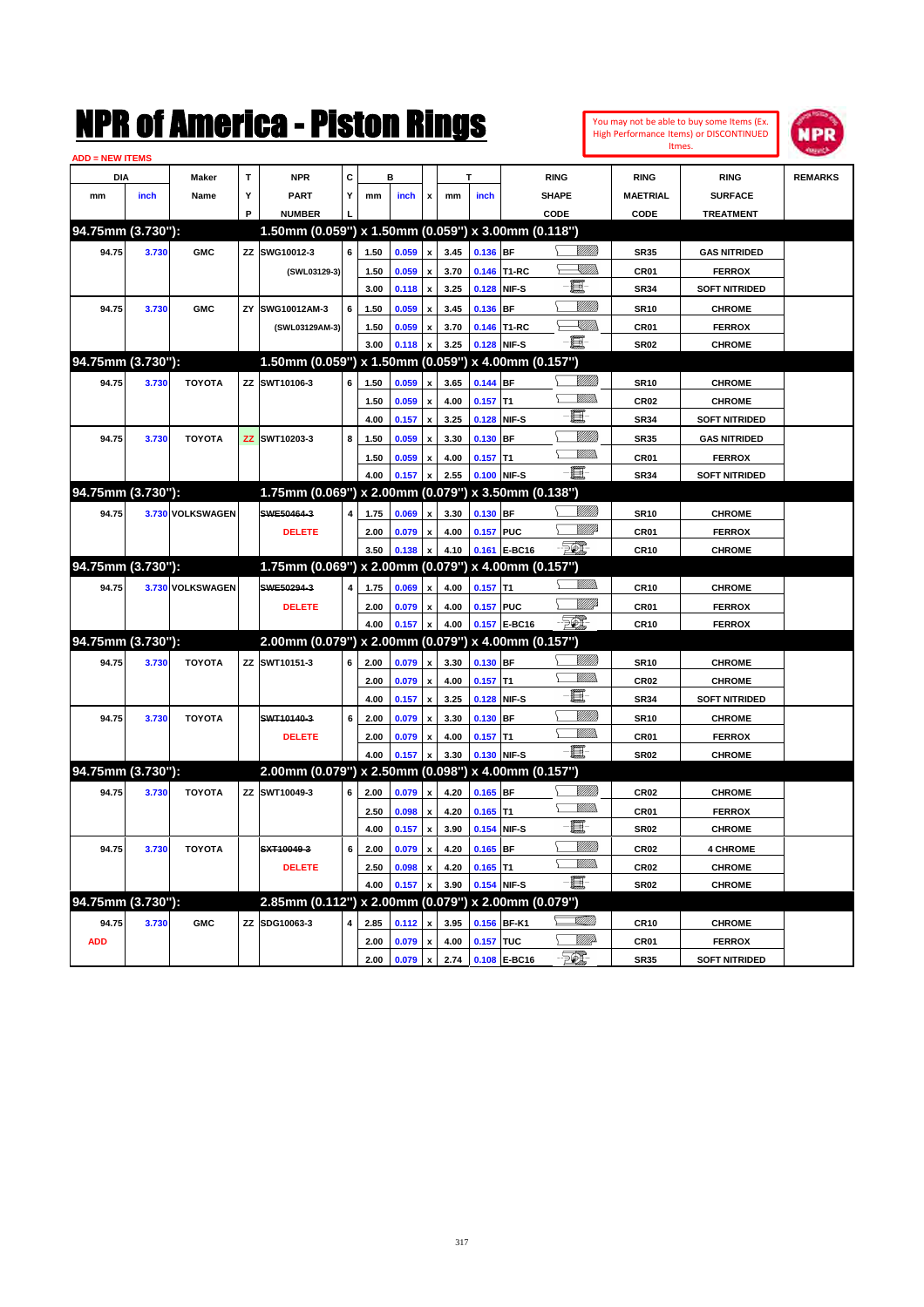

| <b>ADD = NEW ITEMS</b> |       |                  |   |                                                     |   |              |                |                                                 |      |                          |              |                         |                            |                      |                |
|------------------------|-------|------------------|---|-----------------------------------------------------|---|--------------|----------------|-------------------------------------------------|------|--------------------------|--------------|-------------------------|----------------------------|----------------------|----------------|
| DIA                    |       | Maker            | т | <b>NPR</b>                                          | c |              | в              |                                                 |      |                          |              | <b>RING</b>             | <b>RING</b>                | <b>RING</b>          | <b>REMARKS</b> |
| mm                     | inch  | Name             | Υ | <b>PART</b>                                         | Y | mm           | inch           | $\boldsymbol{\mathsf{x}}$                       | mm   | inch                     |              | <b>SHAPE</b>            | <b>MAETRIAL</b>            | <b>SURFACE</b>       |                |
|                        |       |                  | P | <b>NUMBER</b>                                       |   |              |                |                                                 |      |                          |              | CODE                    | CODE                       | <b>TREATMENT</b>     |                |
| 94.75mm (3.730"):      |       |                  |   | 1.50mm (0.059") x 1.50mm (0.059") x 3.00mm (0.118") |   |              |                |                                                 |      |                          |              |                         |                            |                      |                |
| 94.75                  | 3.730 | <b>GMC</b>       |   | ZZ SWG10012-3                                       | 6 | 1.50         | 0.059          | $\pmb{\mathsf{x}}$                              | 3.45 | 0.136 BF                 |              | <u>Sillilli</u>         | <b>SR35</b>                | <b>GAS NITRIDED</b>  |                |
|                        |       |                  |   | (SWL03129-3)                                        |   | 1.50         | 0.059          | $\mathbf{x}$                                    | 3.70 |                          | 0.146 T1-RC  | <u>- Millid</u> h<br>⊢  | CR01                       | <b>FERROX</b>        |                |
|                        |       |                  |   |                                                     |   | 3.00         | 0.118          | $\mathbf{x}$                                    | 3.25 | 0.128 NIF-S              |              | 且                       | <b>SR34</b>                | <b>SOFT NITRIDED</b> |                |
| 94.75                  | 3.730 | <b>GMC</b>       |   | ZY SWG10012AM-3                                     | 6 | 1.50         | 0.059          | $\mathbf{x}$                                    | 3.45 | 0.136 BF                 |              | VIII))                  | <b>SR10</b>                | <b>CHROME</b>        |                |
|                        |       |                  |   | (SWL03129AM-3)                                      |   | 1.50         | 0.059          |                                                 | 3.70 |                          | 0.146 T1-RC  | - Millio                | CR <sub>01</sub>           | <b>FERROX</b>        |                |
|                        |       |                  |   |                                                     |   | 3.00         | 0.118          |                                                 | 3.25 | 0.128                    | NIF-S        | $-\blacksquare$         | <b>SR02</b>                | <b>CHROME</b>        |                |
| 94.75mm (3.730"):      |       |                  |   | 1.50mm (0.059") x 1.50mm (0.059") x 4.00mm (0.157") |   |              |                |                                                 |      |                          |              |                         |                            |                      |                |
| 94.75                  | 3.730 | <b>TOYOTA</b>    |   | ZZ SWT10106-3                                       | 6 | 1.50         | 0.059          | $\pmb{\mathsf{x}}$                              | 3.65 | 0.144 BF                 |              | <u>VIIII</u> )          | <b>SR10</b>                | <b>CHROME</b>        |                |
|                        |       |                  |   |                                                     |   | 1.50         | 0.059          | $\boldsymbol{\mathsf{x}}$                       | 4.00 | $0.157$ T1               |              | .<br>VMD<br>Σ           | <b>CR02</b>                | <b>CHROME</b>        |                |
|                        |       |                  |   |                                                     |   | 4.00         | 0.157          | $\boldsymbol{\mathsf{x}}$                       | 3.25 | 0.128 NIF-S              |              | 圓                       | <b>SR34</b>                | <b>SOFT NITRIDED</b> |                |
| 94.75                  | 3.730 | <b>TOYOTA</b>    |   | ZZ SWT10203-3                                       | 8 | 1.50         | 0.059          | $\pmb{\mathsf{x}}$                              | 3.30 | 0.130 BF                 |              | <u>VIIIIn</u>           | <b>SR35</b>                | <b>GAS NITRIDED</b>  |                |
|                        |       |                  |   |                                                     |   | 1.50         | 0.059          |                                                 | 4.00 | $0.157$ T1               |              | \ <i>\\\\\\\\\\</i>     | CR01                       | <b>FERROX</b>        |                |
|                        |       |                  |   |                                                     |   | 4.00         | 0.157          |                                                 | 2.55 |                          | 0.100 NIF-S  | $-\Xi$                  | <b>SR34</b>                | <b>SOFT NITRIDED</b> |                |
| 94.75mm (3.730"):      |       |                  |   | 1.75mm (0.069") x 2.00mm (0.079") x 3.50mm (0.138") |   |              |                |                                                 |      |                          |              |                         |                            |                      |                |
| 94.75                  |       | 3.730 VOLKSWAGEN |   | SWE50464-3                                          | 4 | 1.75         | 0.069          | $\boldsymbol{x}$                                | 3.30 | 0.130 BF                 |              | <u>VIIII</u> )          | <b>SR10</b>                | <b>CHROME</b>        |                |
|                        |       |                  |   | <b>DELETE</b>                                       |   | 2.00         | 0.079          | $\mathbf{x}$                                    | 4.00 | 0.157 PUC                |              | <u>Mille</u>            | CR <sub>01</sub>           | <b>FERROX</b>        |                |
|                        |       |                  |   |                                                     |   | 3.50         | 0.138          | $\boldsymbol{\mathsf{x}}$                       | 4.10 |                          | 0.161 E-BC16 | $-\partial \mathcal{D}$ | <b>CR10</b>                | <b>CHROME</b>        |                |
| 94.75mm (3.730"):      |       |                  |   | 1.75mm (0.069") x 2.00mm (0.079") x 4.00mm (0.157") |   |              |                |                                                 |      |                          |              |                         |                            |                      |                |
| 94.75                  |       | 3.730 VOLKSWAGEN |   | SWE50294-3                                          | 4 | 1.75         | 0.069          | $\mathbf{x}$                                    | 4.00 | $0.157$ T1               |              | .<br>William            | <b>CR10</b>                | <b>CHROME</b>        |                |
|                        |       |                  |   | <b>DELETE</b>                                       |   | 2.00         | 0.079          | $\pmb{\mathsf{x}}$                              | 4.00 | 0.157 PUC                |              | <u>MM</u> B             | CR <sub>01</sub>           | <b>FERROX</b>        |                |
|                        |       |                  |   |                                                     |   | 4.00         | 0.157          | $\pmb{\mathsf{x}}$                              | 4.00 |                          | 0.157 E-BC16 | - 50 J                  | <b>CR10</b>                | <b>FERROX</b>        |                |
| 94.75mm (3.730"):      |       |                  |   | 2.00mm (0.079") x 2.00mm (0.079") x 4.00mm (0.157") |   |              |                |                                                 |      |                          |              |                         |                            |                      |                |
| 94.75                  | 3.730 | <b>TOYOTA</b>    |   | ZZ SWT10151-3                                       | 6 | 2.00         | 0.079          | $\mathbf{x}$                                    | 3.30 | 0.130 BF                 |              | <u>VIIII)</u>           | <b>SR10</b>                | <b>CHROME</b>        |                |
|                        |       |                  |   |                                                     |   | 2.00         | 0.079          | $\pmb{\mathsf{x}}$                              | 4.00 | $0.157$ T1               |              | <u>MMs</u><br>Š.        | <b>CR02</b>                | <b>CHROME</b>        |                |
|                        |       |                  |   |                                                     |   | 4.00         | 0.157          | $\pmb{\mathsf{x}}$                              | 3.25 | 0.128 NIF-S              |              | 圓                       | <b>SR34</b>                | <b>SOFT NITRIDED</b> |                |
| 94.75                  | 3.730 | <b>TOYOTA</b>    |   | SWT10140-3                                          | 6 | 2.00         | 0.079          | $\mathbf{x}$                                    | 3.30 | 0.130 BF                 |              | <u>VIIIIn</u>           | <b>SR10</b>                | <b>CHROME</b>        |                |
|                        |       |                  |   | <b>DELETE</b>                                       |   | 2.00         | 0.079          | $\boldsymbol{x}$                                | 4.00 | $0.157$ T1               |              | \ <i>Willi</i> b        | CR01                       | <b>FERROX</b>        |                |
|                        |       |                  |   |                                                     |   | 4.00         | 0.157          | $\pmb{\mathsf{x}}$                              | 3.30 | 0.130 NIF-S              |              | -圓-                     | SR <sub>02</sub>           | <b>CHROME</b>        |                |
| 94.75mm (3.730"):      |       |                  |   | 2.00mm (0.079") x 2.50mm (0.098") x 4.00mm (0.157") |   |              |                |                                                 |      |                          |              |                         |                            |                      |                |
| 94.75                  | 3.730 | <b>TOYOTA</b>    |   | ZZ SWT10049-3                                       | 6 | 2.00         | 0.079          | $\mathbf{x}$                                    | 4.20 | $0.165$ BF               |              | <u>WMW</u>              | <b>CR02</b>                | <b>CHROME</b>        |                |
|                        |       |                  |   |                                                     |   | 2.50         | 0.098          |                                                 | 4.20 | $0.165$ T1               |              | Willia<br>Σ             | CR01                       | <b>FERROX</b>        |                |
|                        |       |                  |   |                                                     |   | 4.00         | 0.157          | $\pmb{\mathsf{x}}$<br>$\boldsymbol{\mathsf{x}}$ | 3.90 | 0.154 NIF-S              |              | 圓                       | <b>SR02</b>                | <b>CHROME</b>        |                |
| 94.75                  |       | <b>TOYOTA</b>    |   | SXT10049-3                                          |   |              |                |                                                 | 4.20 |                          |              | <u>MM</u>               |                            | <b>4 CHROME</b>      |                |
|                        | 3.730 |                  |   | <b>DELETE</b>                                       | 6 | 2.00<br>2.50 | 0.079<br>0.098 | $\boldsymbol{\mathsf{x}}$                       | 4.20 | $0.165$ BF<br>$0.165$ T1 |              | <u>Willibs</u>          | <b>CR02</b><br><b>CR02</b> | <b>CHROME</b>        |                |
|                        |       |                  |   |                                                     |   |              |                |                                                 |      |                          |              | -日                      |                            |                      |                |
| 94.75mm (3.730"):      |       |                  |   | 2.85mm (0.112") x 2.00mm (0.079") x 2.00mm (0.079") |   | 4.00         | 0.157          | $\pmb{\mathsf{x}}$                              | 3.90 | 0.154 NIF-S              |              |                         | SR <sub>02</sub>           | <b>CHROME</b>        |                |
|                        |       |                  |   |                                                     |   |              |                |                                                 |      |                          |              | SUM)                    |                            |                      |                |
| 94.75                  | 3.730 | <b>GMC</b>       |   | ZZ SDG10063-3                                       |   | 2.85         | 0.112          | $\pmb{\mathsf{x}}$                              | 3.95 |                          | 0.156 BF-K1  |                         | <b>CR10</b>                | <b>CHROME</b>        |                |
| <b>ADD</b>             |       |                  |   |                                                     |   | 2.00         | 0.079          | $\pmb{\chi}$                                    | 4.00 | 0.157 TUC                |              | <u>WW</u> A<br>- 52.    | CR01                       | <b>FERROX</b>        |                |
|                        |       |                  |   |                                                     |   | 2.00         | 0.079 x        |                                                 | 2.74 |                          | 0.108 E-BC16 |                         | <b>SR35</b>                | <b>SOFT NITRIDED</b> |                |